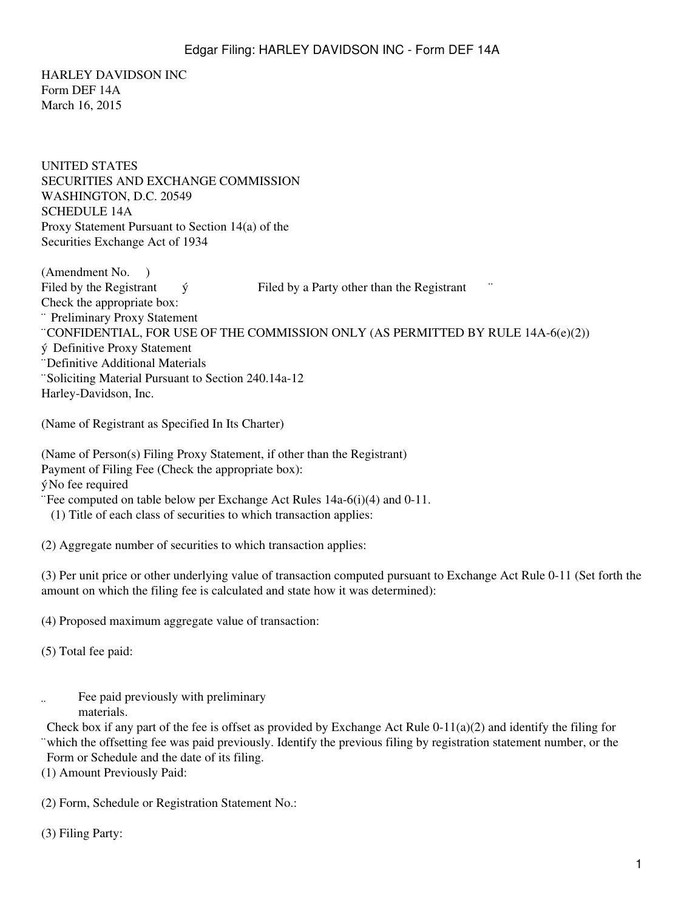HARLEY DAVIDSON INC Form DEF 14A March 16, 2015

UNITED STATES SECURITIES AND EXCHANGE COMMISSION WASHINGTON, D.C. 20549 SCHEDULE 14A Proxy Statement Pursuant to Section 14(a) of the Securities Exchange Act of 1934

(Amendment No. ) Filed by the Registrant  $\acute{v}$  Filed by a Party other than the Registrant Check the appropriate box: ¨ Preliminary Proxy Statement ¨CONFIDENTIAL, FOR USE OF THE COMMISSION ONLY (AS PERMITTED BY RULE 14A-6(e)(2)) ý Definitive Proxy Statement ¨Definitive Additional Materials ¨Soliciting Material Pursuant to Section 240.14a-12 Harley-Davidson, Inc.

(Name of Registrant as Specified In Its Charter)

(Name of Person(s) Filing Proxy Statement, if other than the Registrant) Payment of Filing Fee (Check the appropriate box): ýNo fee required ¨Fee computed on table below per Exchange Act Rules 14a-6(i)(4) and 0-11. (1) Title of each class of securities to which transaction applies:

(2) Aggregate number of securities to which transaction applies:

(3) Per unit price or other underlying value of transaction computed pursuant to Exchange Act Rule 0-11 (Set forth the amount on which the filing fee is calculated and state how it was determined):

(4) Proposed maximum aggregate value of transaction:

(5) Total fee paid:

 $\ddot{\phantom{a}}$ Fee paid previously with preliminary materials.

¨ which the offsetting fee was paid previously. Identify the previous filing by registration statement number, or the Check box if any part of the fee is offset as provided by Exchange Act Rule  $0-11(a)(2)$  and identify the filing for Form or Schedule and the date of its filing.

(1) Amount Previously Paid:

(2) Form, Schedule or Registration Statement No.:

(3) Filing Party: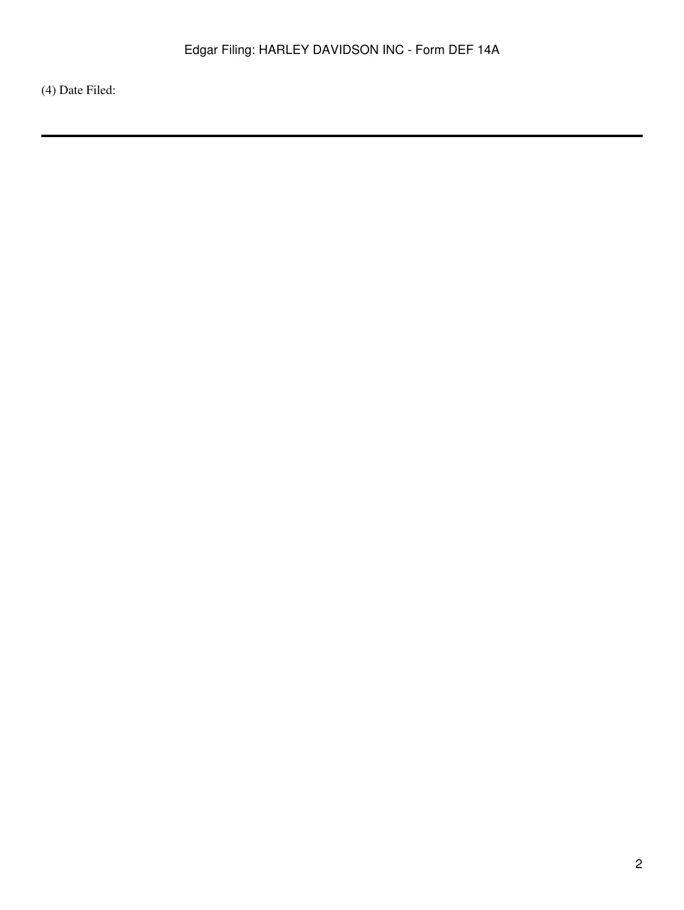(4) Date Filed: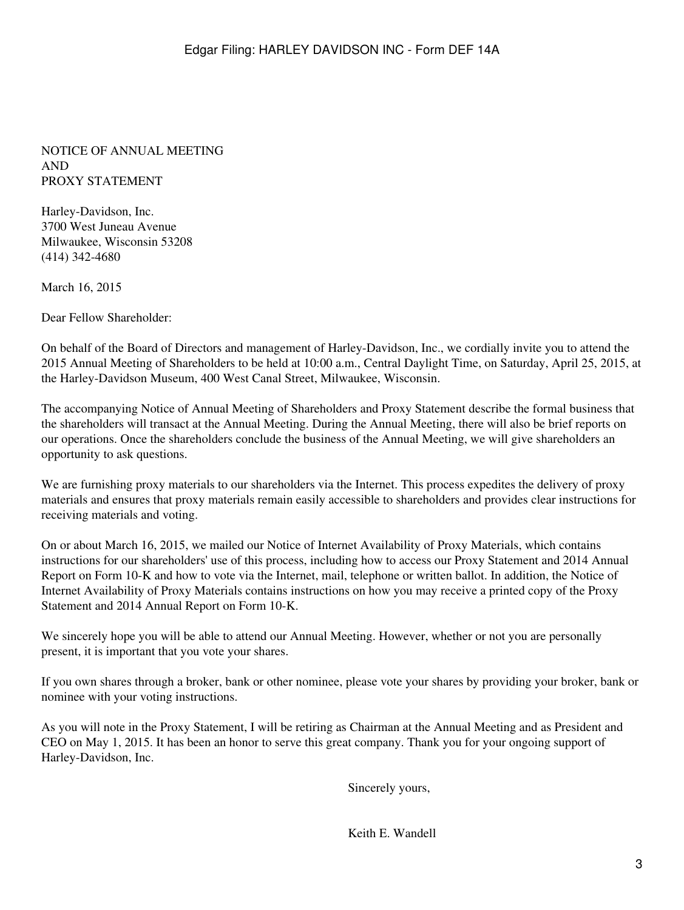#### NOTICE OF ANNUAL MEETING AND PROXY STATEMENT

Harley-Davidson, Inc. 3700 West Juneau Avenue Milwaukee, Wisconsin 53208 (414) 342-4680

March 16, 2015

Dear Fellow Shareholder:

On behalf of the Board of Directors and management of Harley-Davidson, Inc., we cordially invite you to attend the 2015 Annual Meeting of Shareholders to be held at 10:00 a.m., Central Daylight Time, on Saturday, April 25, 2015, at the Harley-Davidson Museum, 400 West Canal Street, Milwaukee, Wisconsin.

The accompanying Notice of Annual Meeting of Shareholders and Proxy Statement describe the formal business that the shareholders will transact at the Annual Meeting. During the Annual Meeting, there will also be brief reports on our operations. Once the shareholders conclude the business of the Annual Meeting, we will give shareholders an opportunity to ask questions.

We are furnishing proxy materials to our shareholders via the Internet. This process expedites the delivery of proxy materials and ensures that proxy materials remain easily accessible to shareholders and provides clear instructions for receiving materials and voting.

On or about March 16, 2015, we mailed our Notice of Internet Availability of Proxy Materials, which contains instructions for our shareholders' use of this process, including how to access our Proxy Statement and 2014 Annual Report on Form 10-K and how to vote via the Internet, mail, telephone or written ballot. In addition, the Notice of Internet Availability of Proxy Materials contains instructions on how you may receive a printed copy of the Proxy Statement and 2014 Annual Report on Form 10-K.

We sincerely hope you will be able to attend our Annual Meeting. However, whether or not you are personally present, it is important that you vote your shares.

If you own shares through a broker, bank or other nominee, please vote your shares by providing your broker, bank or nominee with your voting instructions.

As you will note in the Proxy Statement, I will be retiring as Chairman at the Annual Meeting and as President and CEO on May 1, 2015. It has been an honor to serve this great company. Thank you for your ongoing support of Harley-Davidson, Inc.

Sincerely yours,

Keith E. Wandell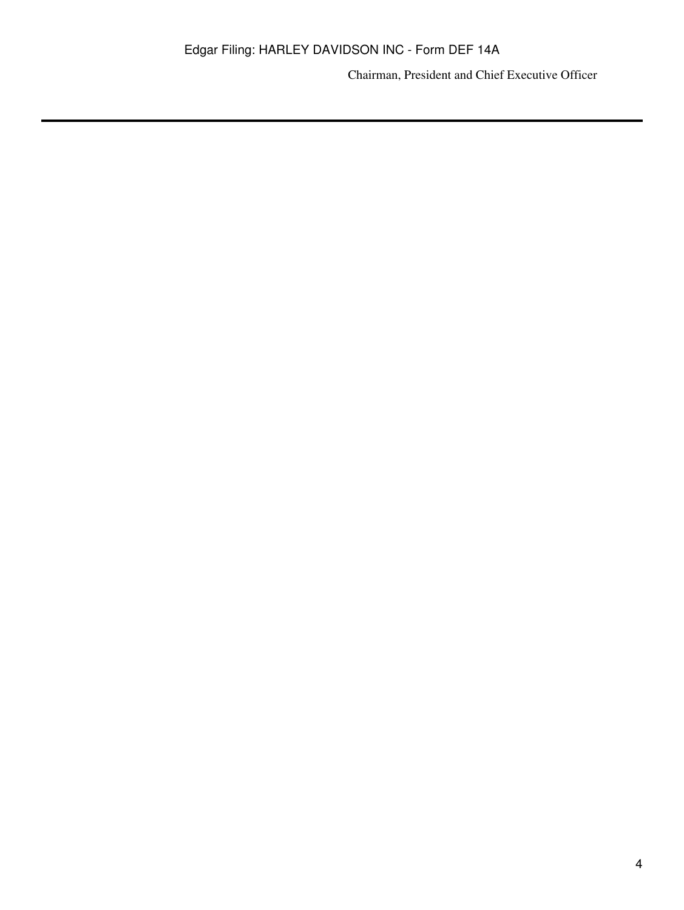Chairman, President and Chief Executive Officer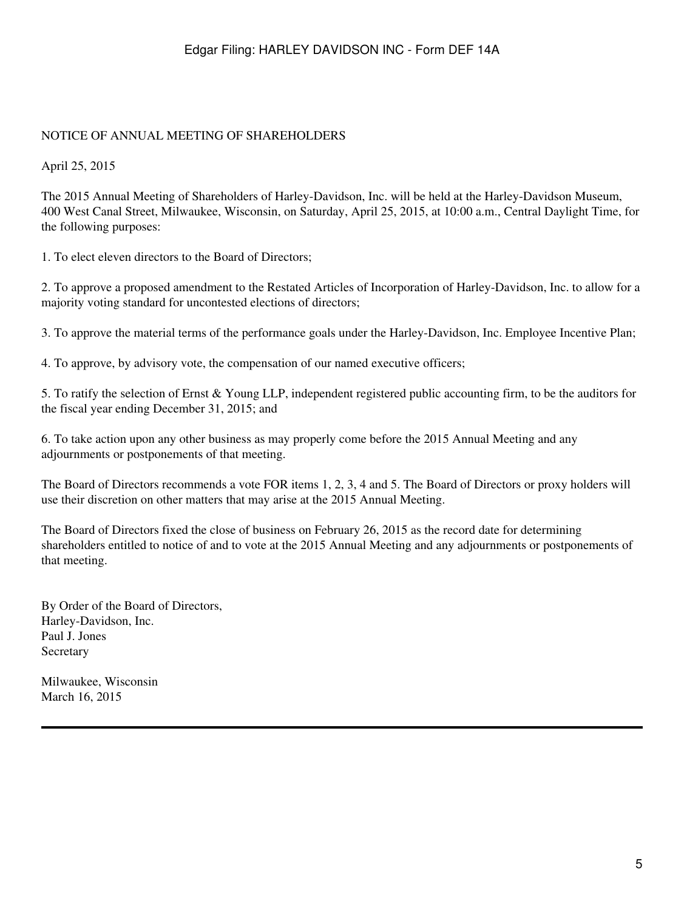#### NOTICE OF ANNUAL MEETING OF SHAREHOLDERS

April 25, 2015

The 2015 Annual Meeting of Shareholders of Harley-Davidson, Inc. will be held at the Harley-Davidson Museum, 400 West Canal Street, Milwaukee, Wisconsin, on Saturday, April 25, 2015, at 10:00 a.m., Central Daylight Time, for the following purposes:

1. To elect eleven directors to the Board of Directors;

2. To approve a proposed amendment to the Restated Articles of Incorporation of Harley-Davidson, Inc. to allow for a majority voting standard for uncontested elections of directors;

3. To approve the material terms of the performance goals under the Harley-Davidson, Inc. Employee Incentive Plan;

4. To approve, by advisory vote, the compensation of our named executive officers;

5. To ratify the selection of Ernst & Young LLP, independent registered public accounting firm, to be the auditors for the fiscal year ending December 31, 2015; and

6. To take action upon any other business as may properly come before the 2015 Annual Meeting and any adjournments or postponements of that meeting.

The Board of Directors recommends a vote FOR items 1, 2, 3, 4 and 5. The Board of Directors or proxy holders will use their discretion on other matters that may arise at the 2015 Annual Meeting.

The Board of Directors fixed the close of business on February 26, 2015 as the record date for determining shareholders entitled to notice of and to vote at the 2015 Annual Meeting and any adjournments or postponements of that meeting.

By Order of the Board of Directors, Harley-Davidson, Inc. Paul J. Jones Secretary

Milwaukee, Wisconsin March 16, 2015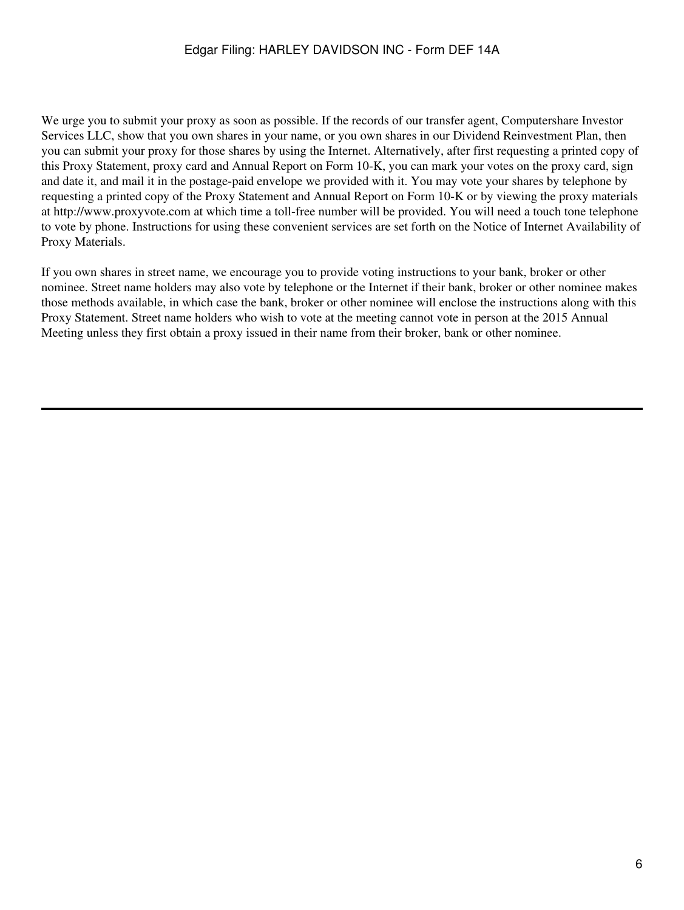We urge you to submit your proxy as soon as possible. If the records of our transfer agent, Computershare Investor Services LLC, show that you own shares in your name, or you own shares in our Dividend Reinvestment Plan, then you can submit your proxy for those shares by using the Internet. Alternatively, after first requesting a printed copy of this Proxy Statement, proxy card and Annual Report on Form 10-K, you can mark your votes on the proxy card, sign and date it, and mail it in the postage-paid envelope we provided with it. You may vote your shares by telephone by requesting a printed copy of the Proxy Statement and Annual Report on Form 10-K or by viewing the proxy materials at http://www.proxyvote.com at which time a toll-free number will be provided. You will need a touch tone telephone to vote by phone. Instructions for using these convenient services are set forth on the Notice of Internet Availability of Proxy Materials.

If you own shares in street name, we encourage you to provide voting instructions to your bank, broker or other nominee. Street name holders may also vote by telephone or the Internet if their bank, broker or other nominee makes those methods available, in which case the bank, broker or other nominee will enclose the instructions along with this Proxy Statement. Street name holders who wish to vote at the meeting cannot vote in person at the 2015 Annual Meeting unless they first obtain a proxy issued in their name from their broker, bank or other nominee.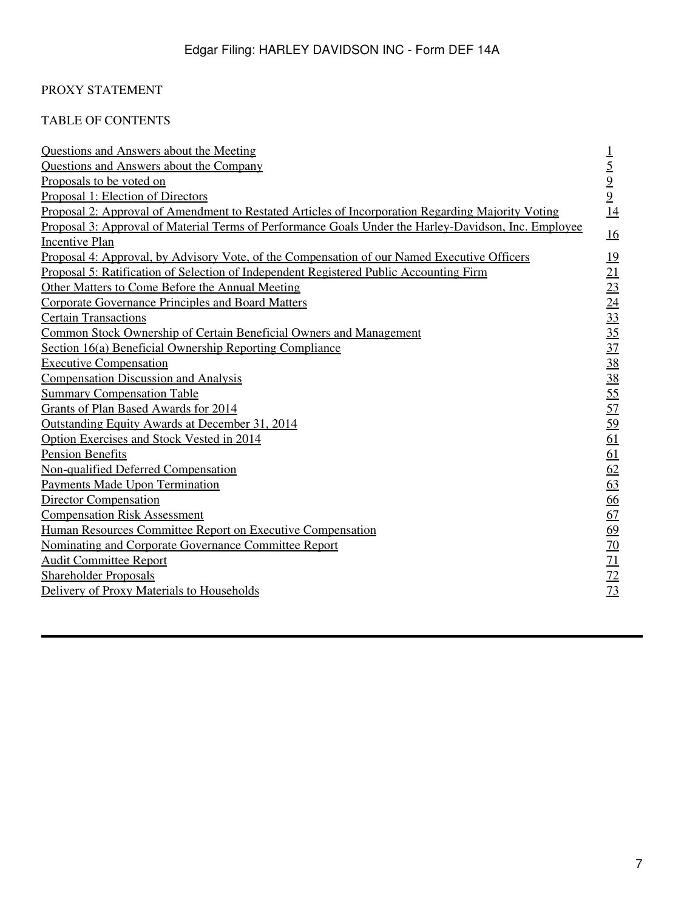# PROXY STATEMENT

# TABLE OF CONTENTS

| <b>Questions and Answers about the Meeting</b>                                                           | $\perp$                         |
|----------------------------------------------------------------------------------------------------------|---------------------------------|
| <b>Questions and Answers about the Company</b>                                                           | $\frac{5}{9}$<br>$\frac{9}{14}$ |
| Proposals to be voted on                                                                                 |                                 |
| Proposal 1: Election of Directors                                                                        |                                 |
| <u>Proposal 2: Approval of Amendment to Restated Articles of Incorporation Regarding Majority Voting</u> |                                 |
| Proposal 3: Approval of Material Terms of Performance Goals Under the Harley-Davidson, Inc. Employee     |                                 |
| <b>Incentive Plan</b>                                                                                    | <u>16</u>                       |
| Proposal 4: Approval, by Advisory Vote, of the Compensation of our Named Executive Officers              | <u>19</u>                       |
| Proposal 5: Ratification of Selection of Independent Registered Public Accounting Firm                   | <u>21</u>                       |
| Other Matters to Come Before the Annual Meeting                                                          | 23                              |
| <b>Corporate Governance Principles and Board Matters</b>                                                 | $\overline{24}$                 |
| <b>Certain Transactions</b>                                                                              | 33                              |
| Common Stock Ownership of Certain Beneficial Owners and Management                                       | $\overline{35}$                 |
| Section 16(a) Beneficial Ownership Reporting Compliance                                                  | $\overline{37}$                 |
| <b>Executive Compensation</b>                                                                            | 38                              |
| <b>Compensation Discussion and Analysis</b>                                                              | 38                              |
| <b>Summary Compensation Table</b>                                                                        | 55                              |
| Grants of Plan Based Awards for 2014                                                                     | 57                              |
| Outstanding Equity Awards at December 31, 2014                                                           | 59                              |
| Option Exercises and Stock Vested in 2014                                                                | 61                              |
| <b>Pension Benefits</b>                                                                                  | 61                              |
| Non-qualified Deferred Compensation                                                                      | 62                              |
| <b>Payments Made Upon Termination</b>                                                                    | 63                              |
| <b>Director Compensation</b>                                                                             | 66                              |
| <b>Compensation Risk Assessment</b>                                                                      | 67                              |
| Human Resources Committee Report on Executive Compensation                                               | 69                              |
| Nominating and Corporate Governance Committee Report                                                     | 70                              |
| <b>Audit Committee Report</b>                                                                            | 71                              |
| <b>Shareholder Proposals</b>                                                                             | 72                              |
| Delivery of Proxy Materials to Households                                                                | 73                              |
|                                                                                                          |                                 |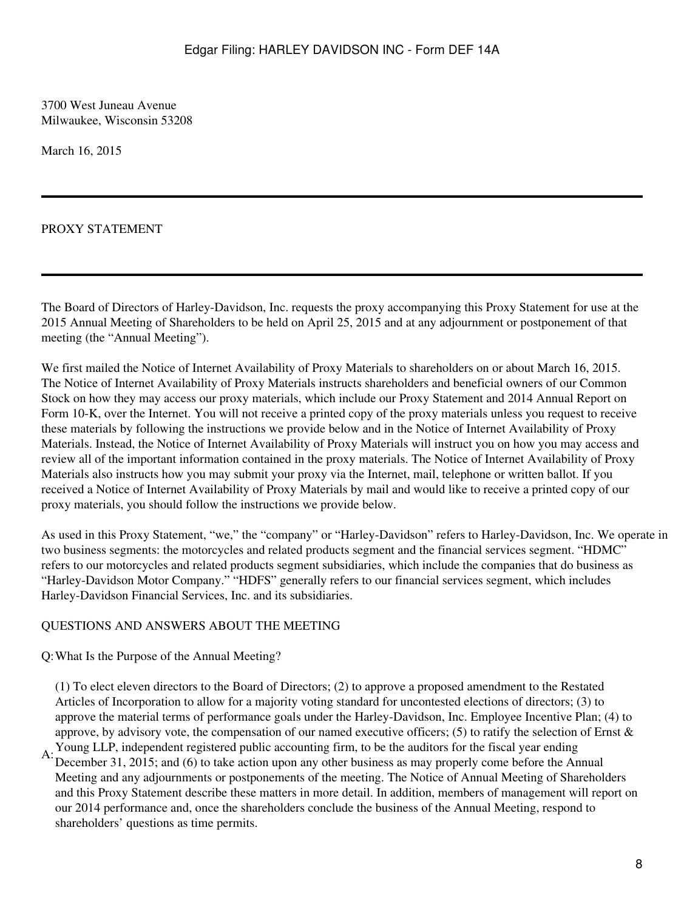3700 West Juneau Avenue Milwaukee, Wisconsin 53208

March 16, 2015

## PROXY STATEMENT

The Board of Directors of Harley-Davidson, Inc. requests the proxy accompanying this Proxy Statement for use at the 2015 Annual Meeting of Shareholders to be held on April 25, 2015 and at any adjournment or postponement of that meeting (the "Annual Meeting").

We first mailed the Notice of Internet Availability of Proxy Materials to shareholders on or about March 16, 2015. The Notice of Internet Availability of Proxy Materials instructs shareholders and beneficial owners of our Common Stock on how they may access our proxy materials, which include our Proxy Statement and 2014 Annual Report on Form 10-K, over the Internet. You will not receive a printed copy of the proxy materials unless you request to receive these materials by following the instructions we provide below and in the Notice of Internet Availability of Proxy Materials. Instead, the Notice of Internet Availability of Proxy Materials will instruct you on how you may access and review all of the important information contained in the proxy materials. The Notice of Internet Availability of Proxy Materials also instructs how you may submit your proxy via the Internet, mail, telephone or written ballot. If you received a Notice of Internet Availability of Proxy Materials by mail and would like to receive a printed copy of our proxy materials, you should follow the instructions we provide below.

As used in this Proxy Statement, "we," the "company" or "Harley-Davidson" refers to Harley-Davidson, Inc. We operate in two business segments: the motorcycles and related products segment and the financial services segment. "HDMC" refers to our motorcycles and related products segment subsidiaries, which include the companies that do business as "Harley-Davidson Motor Company." "HDFS" generally refers to our financial services segment, which includes Harley-Davidson Financial Services, Inc. and its subsidiaries.

#### <span id="page-7-0"></span>QUESTIONS AND ANSWERS ABOUT THE MEETING

Q:What Is the Purpose of the Annual Meeting?

(1) To elect eleven directors to the Board of Directors; (2) to approve a proposed amendment to the Restated Articles of Incorporation to allow for a majority voting standard for uncontested elections of directors; (3) to approve the material terms of performance goals under the Harley-Davidson, Inc. Employee Incentive Plan; (4) to approve, by advisory vote, the compensation of our named executive officers; (5) to ratify the selection of Ernst  $\&$ Young LLP, independent registered public accounting firm, to be the auditors for the fiscal year ending

A: December 31, 2015; and (6) to take action upon any other business as may properly come before the Annual Meeting and any adjournments or postponements of the meeting. The Notice of Annual Meeting of Shareholders and this Proxy Statement describe these matters in more detail. In addition, members of management will report on our 2014 performance and, once the shareholders conclude the business of the Annual Meeting, respond to shareholders' questions as time permits.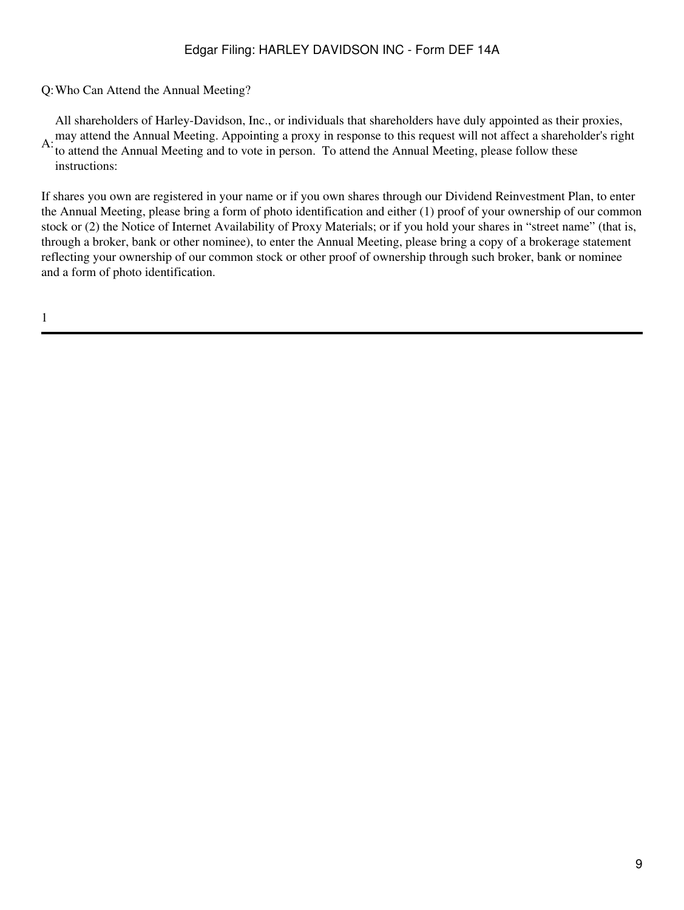Q:Who Can Attend the Annual Meeting?

All shareholders of Harley-Davidson, Inc., or individuals that shareholders have duly appointed as their proxies,

A: may attend the Annual Meeting. Appointing a proxy in response to this request will not affect a shareholder's right<br>A: to attend the Annual Meeting and to yote in namen. To attend the Annual Meeting, places follow these to attend the Annual Meeting and to vote in person. To attend the Annual Meeting, please follow these instructions:

If shares you own are registered in your name or if you own shares through our Dividend Reinvestment Plan, to enter the Annual Meeting, please bring a form of photo identification and either (1) proof of your ownership of our common stock or (2) the Notice of Internet Availability of Proxy Materials; or if you hold your shares in "street name" (that is, through a broker, bank or other nominee), to enter the Annual Meeting, please bring a copy of a brokerage statement reflecting your ownership of our common stock or other proof of ownership through such broker, bank or nominee and a form of photo identification.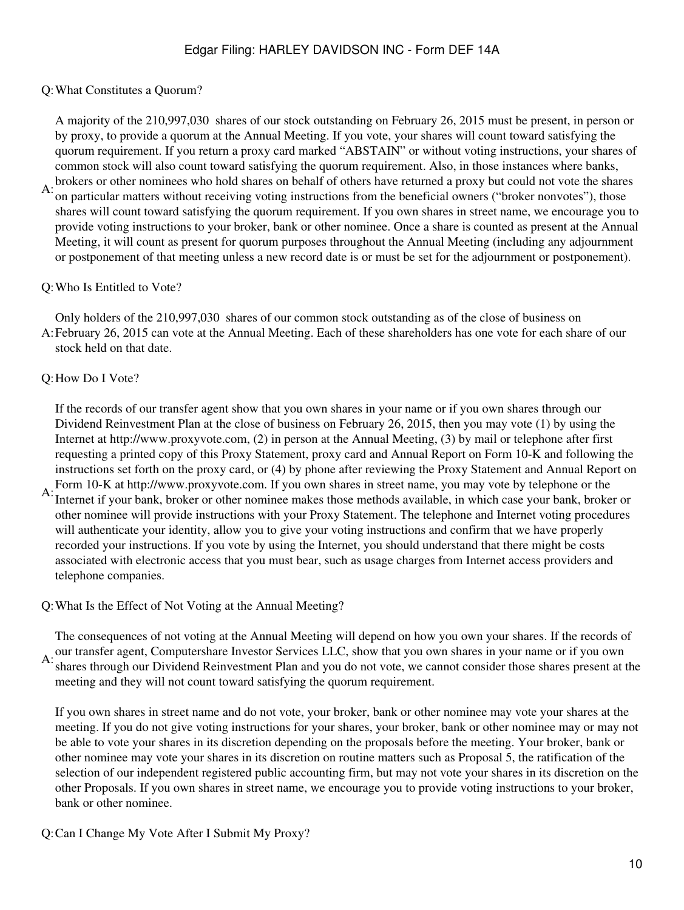Q:What Constitutes a Quorum?

A: A majority of the 210,997,030 shares of our stock outstanding on February 26, 2015 must be present, in person or by proxy, to provide a quorum at the Annual Meeting. If you vote, your shares will count toward satisfying the quorum requirement. If you return a proxy card marked "ABSTAIN" or without voting instructions, your shares of common stock will also count toward satisfying the quorum requirement. Also, in those instances where banks, brokers or other nominees who hold shares on behalf of others have returned a proxy but could not vote the shares on particular matters without receiving voting instructions from the beneficial owners ("broker nonvotes"), those shares will count toward satisfying the quorum requirement. If you own shares in street name, we encourage you to provide voting instructions to your broker, bank or other nominee. Once a share is counted as present at the Annual Meeting, it will count as present for quorum purposes throughout the Annual Meeting (including any adjournment or postponement of that meeting unless a new record date is or must be set for the adjournment or postponement).

## Q:Who Is Entitled to Vote?

A: February 26, 2015 can vote at the Annual Meeting. Each of these shareholders has one vote for each share of our Only holders of the 210,997,030 shares of our common stock outstanding as of the close of business on stock held on that date.

## Q:How Do I Vote?

A: If the records of our transfer agent show that you own shares in your name or if you own shares through our Dividend Reinvestment Plan at the close of business on February 26, 2015, then you may vote (1) by using the Internet at http://www.proxyvote.com, (2) in person at the Annual Meeting, (3) by mail or telephone after first requesting a printed copy of this Proxy Statement, proxy card and Annual Report on Form 10-K and following the instructions set forth on the proxy card, or (4) by phone after reviewing the Proxy Statement and Annual Report on Form 10-K at http://www.proxyvote.com. If you own shares in street name, you may vote by telephone or the Internet if your bank, broker or other nominee makes those methods available, in which case your bank, broker or other nominee will provide instructions with your Proxy Statement. The telephone and Internet voting procedures will authenticate your identity, allow you to give your voting instructions and confirm that we have properly recorded your instructions. If you vote by using the Internet, you should understand that there might be costs associated with electronic access that you must bear, such as usage charges from Internet access providers and telephone companies.

#### Q:What Is the Effect of Not Voting at the Annual Meeting?

A: our transfer agent, Computershare Investor Services LLC, show that you own shares in your name or if you own<br>A: shares through our Dividend Beinvestment Plan and you do not yote we cannot consider these shares present a The consequences of not voting at the Annual Meeting will depend on how you own your shares. If the records of shares through our Dividend Reinvestment Plan and you do not vote, we cannot consider those shares present at the meeting and they will not count toward satisfying the quorum requirement.

If you own shares in street name and do not vote, your broker, bank or other nominee may vote your shares at the meeting. If you do not give voting instructions for your shares, your broker, bank or other nominee may or may not be able to vote your shares in its discretion depending on the proposals before the meeting. Your broker, bank or other nominee may vote your shares in its discretion on routine matters such as Proposal 5, the ratification of the selection of our independent registered public accounting firm, but may not vote your shares in its discretion on the other Proposals. If you own shares in street name, we encourage you to provide voting instructions to your broker, bank or other nominee.

Q:Can I Change My Vote After I Submit My Proxy?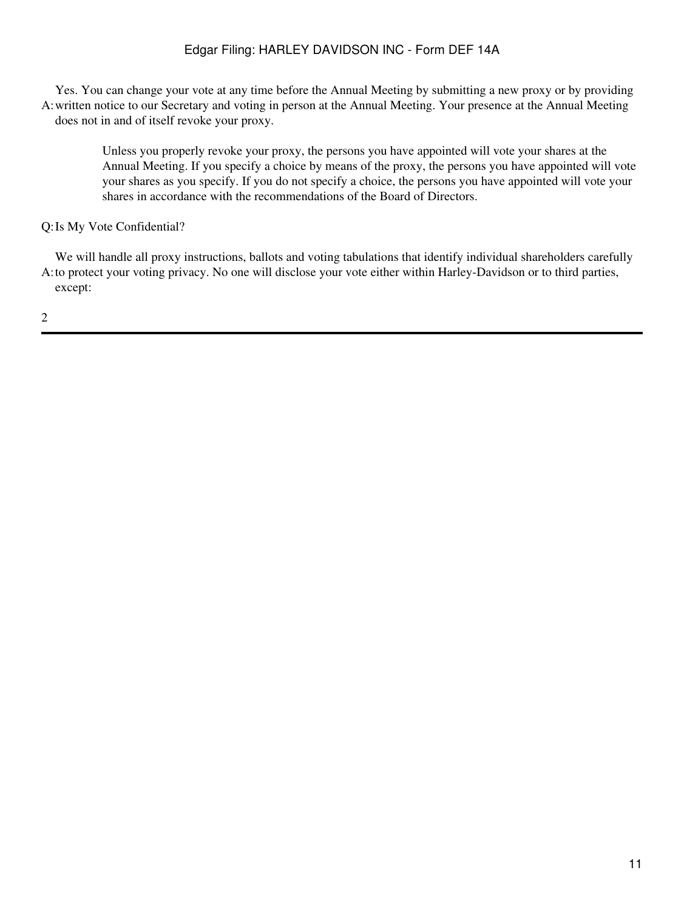A: written notice to our Secretary and voting in person at the Annual Meeting. Your presence at the Annual Meeting Yes. You can change your vote at any time before the Annual Meeting by submitting a new proxy or by providing does not in and of itself revoke your proxy.

Unless you properly revoke your proxy, the persons you have appointed will vote your shares at the Annual Meeting. If you specify a choice by means of the proxy, the persons you have appointed will vote your shares as you specify. If you do not specify a choice, the persons you have appointed will vote your shares in accordance with the recommendations of the Board of Directors.

## Q:Is My Vote Confidential?

A: to protect your voting privacy. No one will disclose your vote either within Harley-Davidson or to third parties, We will handle all proxy instructions, ballots and voting tabulations that identify individual shareholders carefully except: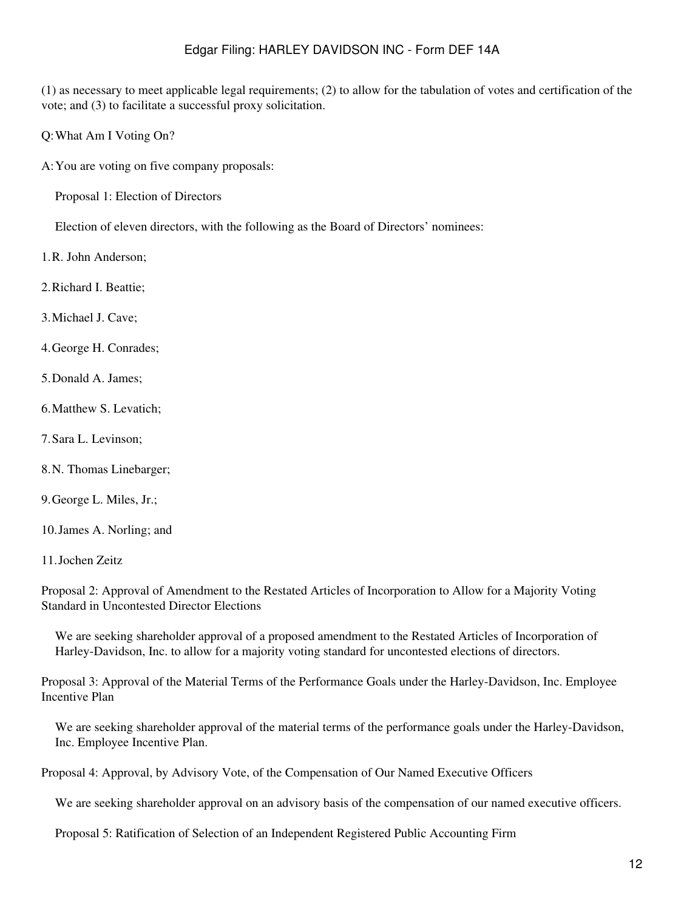(1) as necessary to meet applicable legal requirements; (2) to allow for the tabulation of votes and certification of the vote; and (3) to facilitate a successful proxy solicitation.

Q:What Am I Voting On?

A:You are voting on five company proposals:

Proposal 1: Election of Directors

Election of eleven directors, with the following as the Board of Directors' nominees:

1.R. John Anderson;

2.Richard I. Beattie;

3.Michael J. Cave;

4.George H. Conrades;

- 5.Donald A. James;
- 6.Matthew S. Levatich;
- 7.Sara L. Levinson;
- 8.N. Thomas Linebarger;

9.George L. Miles, Jr.;

10.James A. Norling; and

11.Jochen Zeitz

Proposal 2: Approval of Amendment to the Restated Articles of Incorporation to Allow for a Majority Voting Standard in Uncontested Director Elections

We are seeking shareholder approval of a proposed amendment to the Restated Articles of Incorporation of Harley-Davidson, Inc. to allow for a majority voting standard for uncontested elections of directors.

Proposal 3: Approval of the Material Terms of the Performance Goals under the Harley-Davidson, Inc. Employee Incentive Plan

We are seeking shareholder approval of the material terms of the performance goals under the Harley-Davidson, Inc. Employee Incentive Plan.

Proposal 4: Approval, by Advisory Vote, of the Compensation of Our Named Executive Officers

We are seeking shareholder approval on an advisory basis of the compensation of our named executive officers.

Proposal 5: Ratification of Selection of an Independent Registered Public Accounting Firm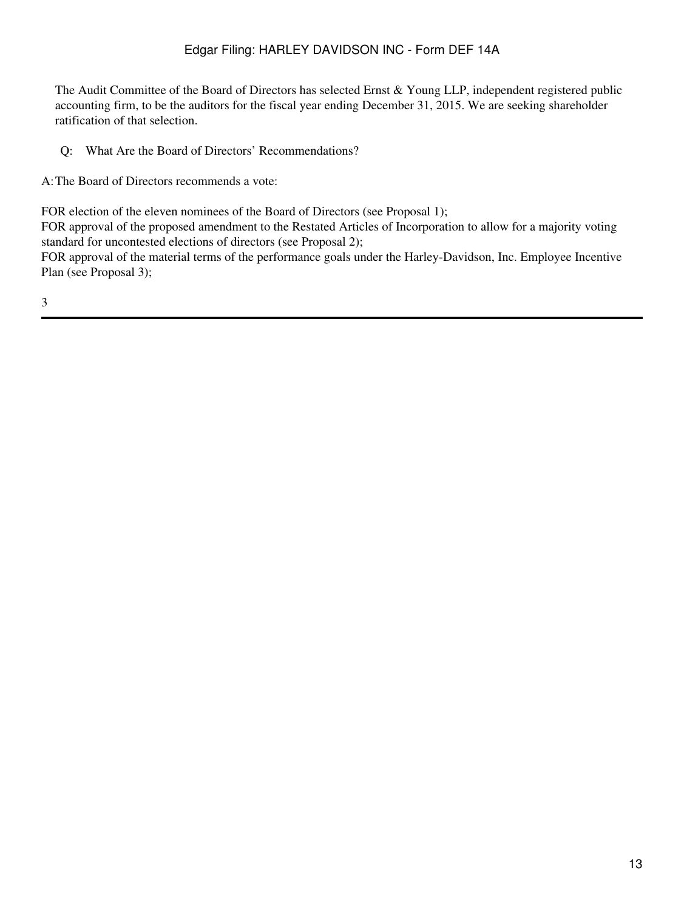The Audit Committee of the Board of Directors has selected Ernst & Young LLP, independent registered public accounting firm, to be the auditors for the fiscal year ending December 31, 2015. We are seeking shareholder ratification of that selection.

Q: What Are the Board of Directors' Recommendations?

A:The Board of Directors recommends a vote:

FOR election of the eleven nominees of the Board of Directors (see Proposal 1);

FOR approval of the proposed amendment to the Restated Articles of Incorporation to allow for a majority voting standard for uncontested elections of directors (see Proposal 2);

FOR approval of the material terms of the performance goals under the Harley-Davidson, Inc. Employee Incentive Plan (see Proposal 3);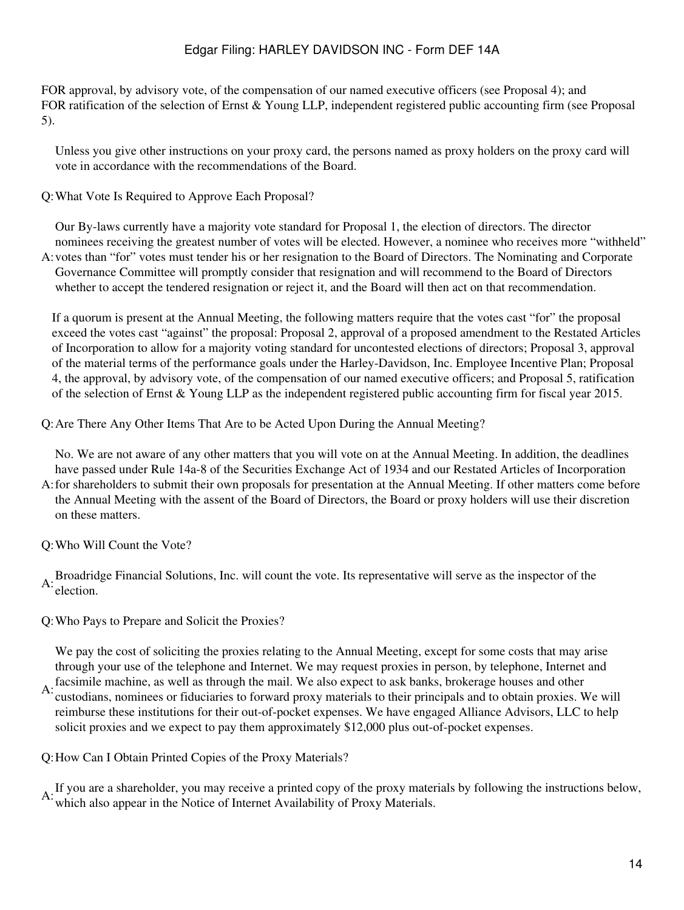FOR approval, by advisory vote, of the compensation of our named executive officers (see Proposal 4); and FOR ratification of the selection of Ernst & Young LLP, independent registered public accounting firm (see Proposal 5).

Unless you give other instructions on your proxy card, the persons named as proxy holders on the proxy card will vote in accordance with the recommendations of the Board.

Q:What Vote Is Required to Approve Each Proposal?

A: votes than "for" votes must tender his or her resignation to the Board of Directors. The Nominating and Corporate Our By-laws currently have a majority vote standard for Proposal 1, the election of directors. The director nominees receiving the greatest number of votes will be elected. However, a nominee who receives more "withheld" Governance Committee will promptly consider that resignation and will recommend to the Board of Directors whether to accept the tendered resignation or reject it, and the Board will then act on that recommendation.

If a quorum is present at the Annual Meeting, the following matters require that the votes cast "for" the proposal exceed the votes cast "against" the proposal: Proposal 2, approval of a proposed amendment to the Restated Articles of Incorporation to allow for a majority voting standard for uncontested elections of directors; Proposal 3, approval of the material terms of the performance goals under the Harley-Davidson, Inc. Employee Incentive Plan; Proposal 4, the approval, by advisory vote, of the compensation of our named executive officers; and Proposal 5, ratification of the selection of Ernst & Young LLP as the independent registered public accounting firm for fiscal year 2015.

Q:Are There Any Other Items That Are to be Acted Upon During the Annual Meeting?

A: for shareholders to submit their own proposals for presentation at the Annual Meeting. If other matters come before No. We are not aware of any other matters that you will vote on at the Annual Meeting. In addition, the deadlines have passed under Rule 14a-8 of the Securities Exchange Act of 1934 and our Restated Articles of Incorporation the Annual Meeting with the assent of the Board of Directors, the Board or proxy holders will use their discretion on these matters.

Q:Who Will Count the Vote?

A:Broadridge Financial Solutions, Inc. will count the vote. Its representative will serve as the inspector of the election.

Q:Who Pays to Prepare and Solicit the Proxies?

We pay the cost of soliciting the proxies relating to the Annual Meeting, except for some costs that may arise through your use of the telephone and Internet. We may request proxies in person, by telephone, Internet and

A: facsimile machine, as well as through the mail. We also expect to ask banks, brokerage houses and other A: autodians, nominose or fiduciaries to forward neous metapile to their numinole and to obtain provise. custodians, nominees or fiduciaries to forward proxy materials to their principals and to obtain proxies. We will reimburse these institutions for their out-of-pocket expenses. We have engaged Alliance Advisors, LLC to help solicit proxies and we expect to pay them approximately \$12,000 plus out-of-pocket expenses.

Q:How Can I Obtain Printed Copies of the Proxy Materials?

A: If you are a shareholder, you may receive a printed copy of the proxy materials by following the instructions below, which also appear in the Notice of Internet Availability of Proxy Materials.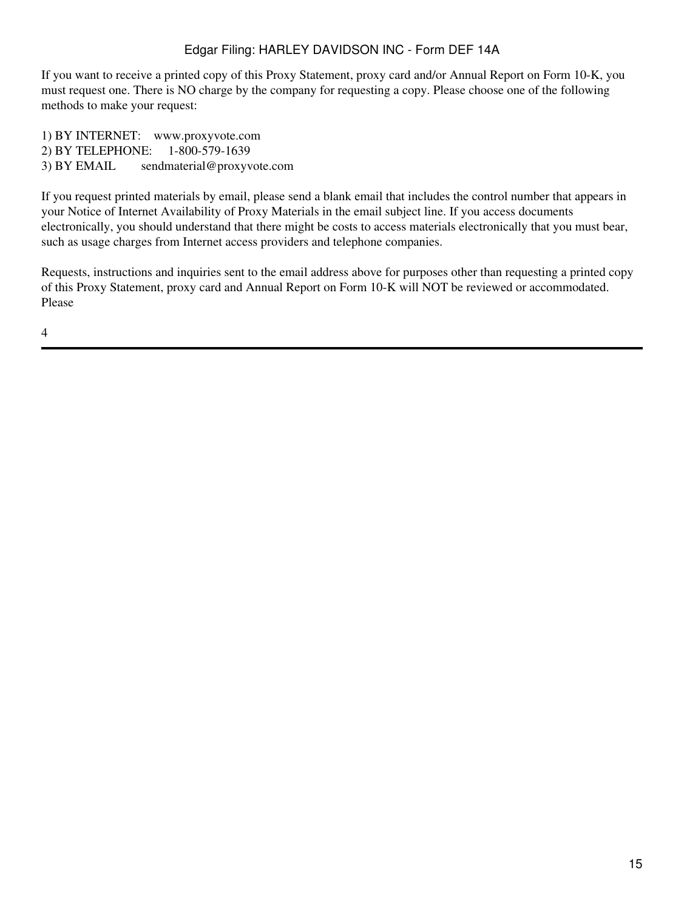If you want to receive a printed copy of this Proxy Statement, proxy card and/or Annual Report on Form 10-K, you must request one. There is NO charge by the company for requesting a copy. Please choose one of the following methods to make your request:

1) BY INTERNET: www.proxyvote.com 2) BY TELEPHONE: 1-800-579-1639 3) BY EMAIL sendmaterial@proxyvote.com

If you request printed materials by email, please send a blank email that includes the control number that appears in your Notice of Internet Availability of Proxy Materials in the email subject line. If you access documents electronically, you should understand that there might be costs to access materials electronically that you must bear, such as usage charges from Internet access providers and telephone companies.

Requests, instructions and inquiries sent to the email address above for purposes other than requesting a printed copy of this Proxy Statement, proxy card and Annual Report on Form 10-K will NOT be reviewed or accommodated. Please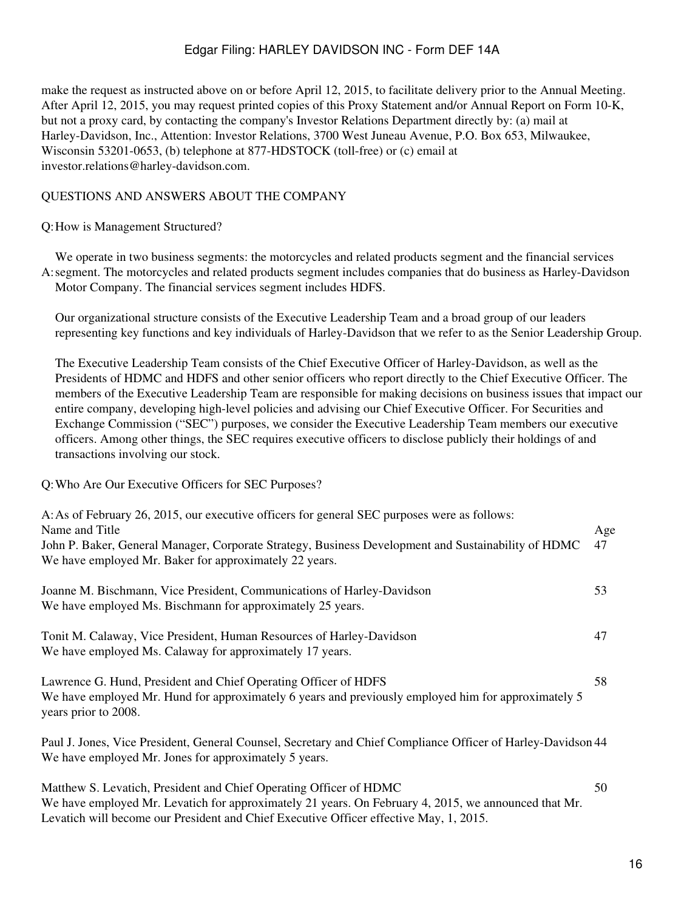make the request as instructed above on or before April 12, 2015, to facilitate delivery prior to the Annual Meeting. After April 12, 2015, you may request printed copies of this Proxy Statement and/or Annual Report on Form 10-K, but not a proxy card, by contacting the company's Investor Relations Department directly by: (a) mail at Harley-Davidson, Inc., Attention: Investor Relations, 3700 West Juneau Avenue, P.O. Box 653, Milwaukee, Wisconsin 53201-0653, (b) telephone at 877-HDSTOCK (toll-free) or (c) email at investor.relations@harley-davidson.com.

#### <span id="page-15-0"></span>QUESTIONS AND ANSWERS ABOUT THE COMPANY

Q:How is Management Structured?

A: segment. The motorcycles and related products segment includes companies that do business as Harley-Davidson We operate in two business segments: the motorcycles and related products segment and the financial services Motor Company. The financial services segment includes HDFS.

Our organizational structure consists of the Executive Leadership Team and a broad group of our leaders representing key functions and key individuals of Harley-Davidson that we refer to as the Senior Leadership Group.

The Executive Leadership Team consists of the Chief Executive Officer of Harley-Davidson, as well as the Presidents of HDMC and HDFS and other senior officers who report directly to the Chief Executive Officer. The members of the Executive Leadership Team are responsible for making decisions on business issues that impact our entire company, developing high-level policies and advising our Chief Executive Officer. For Securities and Exchange Commission ("SEC") purposes, we consider the Executive Leadership Team members our executive officers. Among other things, the SEC requires executive officers to disclose publicly their holdings of and transactions involving our stock.

Q:Who Are Our Executive Officers for SEC Purposes?

| A: As of February 26, 2015, our executive officers for general SEC purposes were as follows:<br>Name and Title<br>John P. Baker, General Manager, Corporate Strategy, Business Development and Sustainability of HDMC<br>We have employed Mr. Baker for approximately 22 years. | Age<br>47 |
|---------------------------------------------------------------------------------------------------------------------------------------------------------------------------------------------------------------------------------------------------------------------------------|-----------|
| Joanne M. Bischmann, Vice President, Communications of Harley-Davidson<br>We have employed Ms. Bischmann for approximately 25 years.                                                                                                                                            | 53        |
| Tonit M. Calaway, Vice President, Human Resources of Harley-Davidson<br>We have employed Ms. Calaway for approximately 17 years.                                                                                                                                                | 47        |
| Lawrence G. Hund, President and Chief Operating Officer of HDFS<br>We have employed Mr. Hund for approximately 6 years and previously employed him for approximately 5<br>years prior to 2008.                                                                                  | 58        |
| Paul J. Jones, Vice President, General Counsel, Secretary and Chief Compliance Officer of Harley-Davidson 44<br>We have employed Mr. Jones for approximately 5 years.                                                                                                           |           |
| Matthew S. Levatich, President and Chief Operating Officer of HDMC                                                                                                                                                                                                              | 50        |

We have employed Mr. Levatich for approximately 21 years. On February 4, 2015, we announced that Mr. Levatich will become our President and Chief Executive Officer effective May, 1, 2015.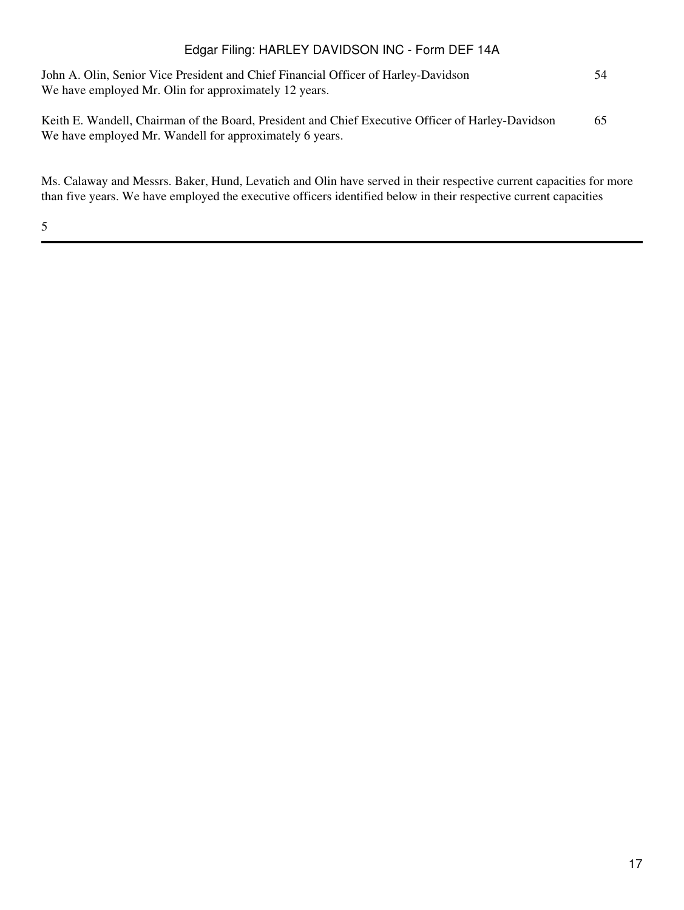| John A. Olin, Senior Vice President and Chief Financial Officer of Harley-Davidson<br>We have employed Mr. Olin for approximately 12 years.                  | 54 |
|--------------------------------------------------------------------------------------------------------------------------------------------------------------|----|
| Keith E. Wandell, Chairman of the Board, President and Chief Executive Officer of Harley-Davidson<br>We have employed Mr. Wandell for approximately 6 years. | 65 |

Ms. Calaway and Messrs. Baker, Hund, Levatich and Olin have served in their respective current capacities for more than five years. We have employed the executive officers identified below in their respective current capacities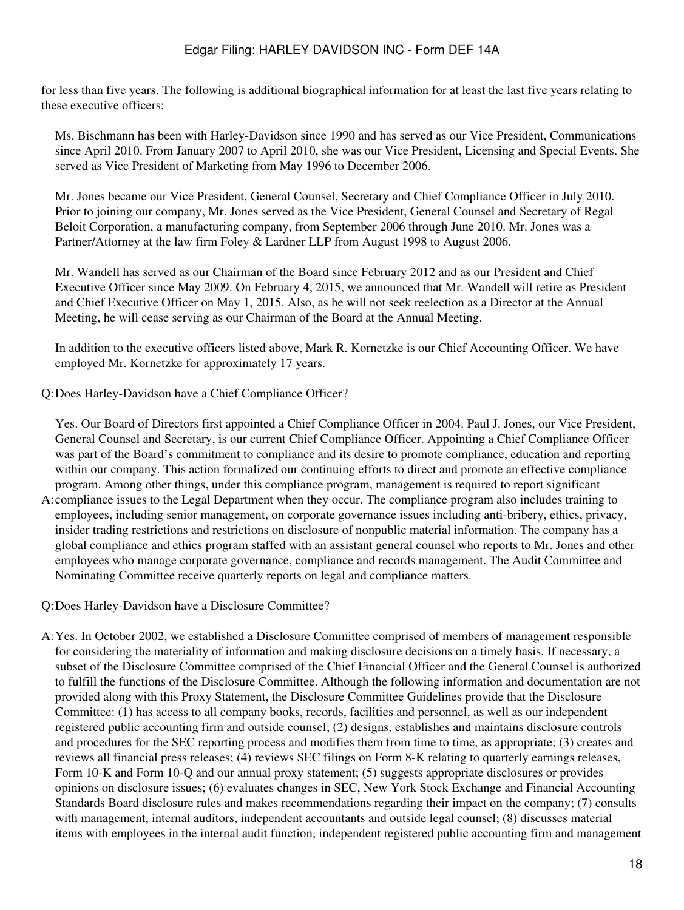for less than five years. The following is additional biographical information for at least the last five years relating to these executive officers:

Ms. Bischmann has been with Harley-Davidson since 1990 and has served as our Vice President, Communications since April 2010. From January 2007 to April 2010, she was our Vice President, Licensing and Special Events. She served as Vice President of Marketing from May 1996 to December 2006.

Mr. Jones became our Vice President, General Counsel, Secretary and Chief Compliance Officer in July 2010. Prior to joining our company, Mr. Jones served as the Vice President, General Counsel and Secretary of Regal Beloit Corporation, a manufacturing company, from September 2006 through June 2010. Mr. Jones was a Partner/Attorney at the law firm Foley & Lardner LLP from August 1998 to August 2006.

Mr. Wandell has served as our Chairman of the Board since February 2012 and as our President and Chief Executive Officer since May 2009. On February 4, 2015, we announced that Mr. Wandell will retire as President and Chief Executive Officer on May 1, 2015. Also, as he will not seek reelection as a Director at the Annual Meeting, he will cease serving as our Chairman of the Board at the Annual Meeting.

In addition to the executive officers listed above, Mark R. Kornetzke is our Chief Accounting Officer. We have employed Mr. Kornetzke for approximately 17 years.

Q:Does Harley-Davidson have a Chief Compliance Officer?

Yes. Our Board of Directors first appointed a Chief Compliance Officer in 2004. Paul J. Jones, our Vice President, General Counsel and Secretary, is our current Chief Compliance Officer. Appointing a Chief Compliance Officer was part of the Board's commitment to compliance and its desire to promote compliance, education and reporting within our company. This action formalized our continuing efforts to direct and promote an effective compliance program. Among other things, under this compliance program, management is required to report significant

A: compliance issues to the Legal Department when they occur. The compliance program also includes training to employees, including senior management, on corporate governance issues including anti-bribery, ethics, privacy, insider trading restrictions and restrictions on disclosure of nonpublic material information. The company has a global compliance and ethics program staffed with an assistant general counsel who reports to Mr. Jones and other employees who manage corporate governance, compliance and records management. The Audit Committee and Nominating Committee receive quarterly reports on legal and compliance matters.

Q:Does Harley-Davidson have a Disclosure Committee?

A:Yes. In October 2002, we established a Disclosure Committee comprised of members of management responsible for considering the materiality of information and making disclosure decisions on a timely basis. If necessary, a subset of the Disclosure Committee comprised of the Chief Financial Officer and the General Counsel is authorized to fulfill the functions of the Disclosure Committee. Although the following information and documentation are not provided along with this Proxy Statement, the Disclosure Committee Guidelines provide that the Disclosure Committee: (1) has access to all company books, records, facilities and personnel, as well as our independent registered public accounting firm and outside counsel; (2) designs, establishes and maintains disclosure controls and procedures for the SEC reporting process and modifies them from time to time, as appropriate; (3) creates and reviews all financial press releases; (4) reviews SEC filings on Form 8-K relating to quarterly earnings releases, Form 10-K and Form 10-Q and our annual proxy statement; (5) suggests appropriate disclosures or provides opinions on disclosure issues; (6) evaluates changes in SEC, New York Stock Exchange and Financial Accounting Standards Board disclosure rules and makes recommendations regarding their impact on the company; (7) consults with management, internal auditors, independent accountants and outside legal counsel; (8) discusses material items with employees in the internal audit function, independent registered public accounting firm and management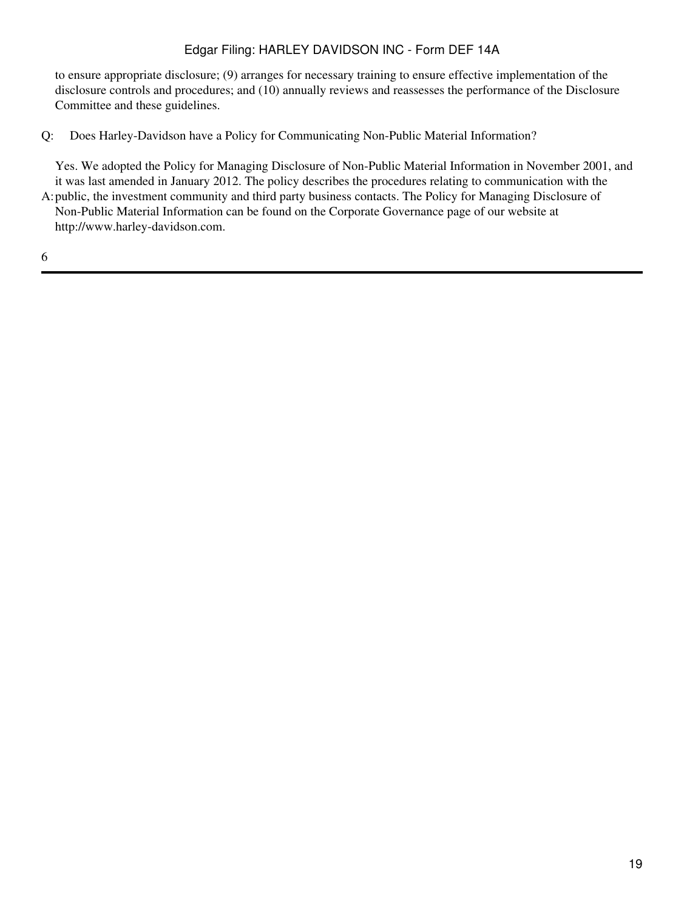to ensure appropriate disclosure; (9) arranges for necessary training to ensure effective implementation of the disclosure controls and procedures; and (10) annually reviews and reassesses the performance of the Disclosure Committee and these guidelines.

Q: Does Harley-Davidson have a Policy for Communicating Non-Public Material Information?

A: public, the investment community and third party business contacts. The Policy for Managing Disclosure of Yes. We adopted the Policy for Managing Disclosure of Non-Public Material Information in November 2001, and it was last amended in January 2012. The policy describes the procedures relating to communication with the Non-Public Material Information can be found on the Corporate Governance page of our website at http://www.harley-davidson.com.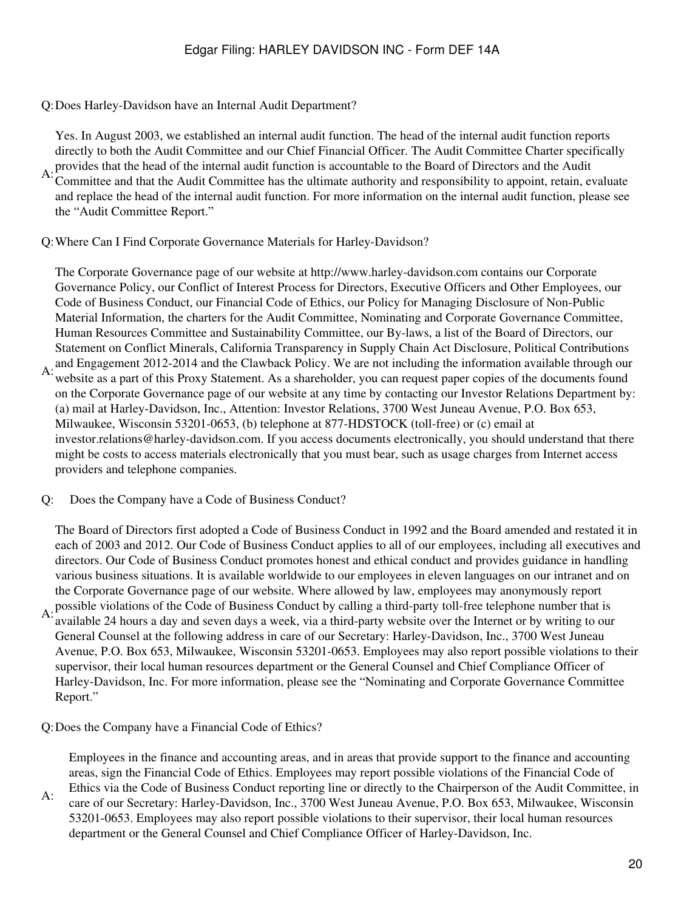Q:Does Harley-Davidson have an Internal Audit Department?

A: provides that the head of the internal audit function is accountable to the Board of Directors and the Audit<br>A: Committee and that the Audit Committee health ultimate outhority and recognosibility to engaint ratein as Yes. In August 2003, we established an internal audit function. The head of the internal audit function reports directly to both the Audit Committee and our Chief Financial Officer. The Audit Committee Charter specifically Committee and that the Audit Committee has the ultimate authority and responsibility to appoint, retain, evaluate and replace the head of the internal audit function. For more information on the internal audit function, please see the "Audit Committee Report."

Q:Where Can I Find Corporate Governance Materials for Harley-Davidson?

A: and Engagement 2012-2014 and the Clawback Policy. We are not including the information available through our<br>A: website as a next of this Prayy Statement. As a shareholder, you are request pence agrics of the documents The Corporate Governance page of our website at http://www.harley-davidson.com contains our Corporate Governance Policy, our Conflict of Interest Process for Directors, Executive Officers and Other Employees, our Code of Business Conduct, our Financial Code of Ethics, our Policy for Managing Disclosure of Non-Public Material Information, the charters for the Audit Committee, Nominating and Corporate Governance Committee, Human Resources Committee and Sustainability Committee, our By-laws, a list of the Board of Directors, our Statement on Conflict Minerals, California Transparency in Supply Chain Act Disclosure, Political Contributions website as a part of this Proxy Statement. As a shareholder, you can request paper copies of the documents found on the Corporate Governance page of our website at any time by contacting our Investor Relations Department by: (a) mail at Harley-Davidson, Inc., Attention: Investor Relations, 3700 West Juneau Avenue, P.O. Box 653, Milwaukee, Wisconsin 53201-0653, (b) telephone at 877-HDSTOCK (toll-free) or (c) email at investor.relations@harley-davidson.com. If you access documents electronically, you should understand that there might be costs to access materials electronically that you must bear, such as usage charges from Internet access providers and telephone companies.

Q: Does the Company have a Code of Business Conduct?

A: possible violations of the Code of Business Conduct by calling a third-party toll-free telephone number that is<br>A: qualible 24 hours a day and gave a day a weak via a third party vehicle aver the Internet on by writing The Board of Directors first adopted a Code of Business Conduct in 1992 and the Board amended and restated it in each of 2003 and 2012. Our Code of Business Conduct applies to all of our employees, including all executives and directors. Our Code of Business Conduct promotes honest and ethical conduct and provides guidance in handling various business situations. It is available worldwide to our employees in eleven languages on our intranet and on the Corporate Governance page of our website. Where allowed by law, employees may anonymously report

- available 24 hours a day and seven days a week, via a third-party website over the Internet or by writing to our General Counsel at the following address in care of our Secretary: Harley-Davidson, Inc., 3700 West Juneau Avenue, P.O. Box 653, Milwaukee, Wisconsin 53201-0653. Employees may also report possible violations to their supervisor, their local human resources department or the General Counsel and Chief Compliance Officer of Harley-Davidson, Inc. For more information, please see the "Nominating and Corporate Governance Committee Report."
- Q:Does the Company have a Financial Code of Ethics?

Employees in the finance and accounting areas, and in areas that provide support to the finance and accounting areas, sign the Financial Code of Ethics. Employees may report possible violations of the Financial Code of

A: Ethics via the Code of Business Conduct reporting line or directly to the Chairperson of the Audit Committee, in care of our Secretary: Harley-Davidson, Inc., 3700 West Juneau Avenue, P.O. Box 653, Milwaukee, Wisconsin 53201-0653. Employees may also report possible violations to their supervisor, their local human resources department or the General Counsel and Chief Compliance Officer of Harley-Davidson, Inc.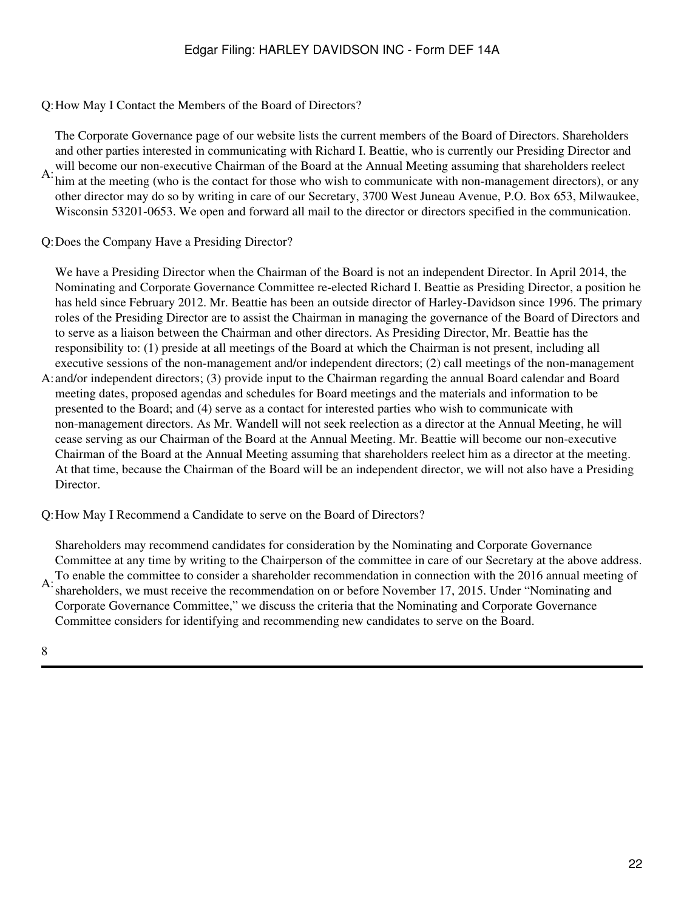Q:How May I Contact the Members of the Board of Directors?

A: will become our non-executive Chairman of the Board at the Annual Meeting assuming that shareholders reelect A:<br>A: him at the meeting (who is the context for these who wish to communicate with non-management directors), The Corporate Governance page of our website lists the current members of the Board of Directors. Shareholders and other parties interested in communicating with Richard I. Beattie, who is currently our Presiding Director and him at the meeting (who is the contact for those who wish to communicate with non-management directors), or any other director may do so by writing in care of our Secretary, 3700 West Juneau Avenue, P.O. Box 653, Milwaukee, Wisconsin 53201-0653. We open and forward all mail to the director or directors specified in the communication.

Q:Does the Company Have a Presiding Director?

We have a Presiding Director when the Chairman of the Board is not an independent Director. In April 2014, the Nominating and Corporate Governance Committee re-elected Richard I. Beattie as Presiding Director, a position he has held since February 2012. Mr. Beattie has been an outside director of Harley-Davidson since 1996. The primary roles of the Presiding Director are to assist the Chairman in managing the governance of the Board of Directors and to serve as a liaison between the Chairman and other directors. As Presiding Director, Mr. Beattie has the responsibility to: (1) preside at all meetings of the Board at which the Chairman is not present, including all executive sessions of the non-management and/or independent directors; (2) call meetings of the non-management

A: and/or independent directors; (3) provide input to the Chairman regarding the annual Board calendar and Board meeting dates, proposed agendas and schedules for Board meetings and the materials and information to be presented to the Board; and (4) serve as a contact for interested parties who wish to communicate with non-management directors. As Mr. Wandell will not seek reelection as a director at the Annual Meeting, he will cease serving as our Chairman of the Board at the Annual Meeting. Mr. Beattie will become our non-executive Chairman of the Board at the Annual Meeting assuming that shareholders reelect him as a director at the meeting. At that time, because the Chairman of the Board will be an independent director, we will not also have a Presiding Director.

Q:How May I Recommend a Candidate to serve on the Board of Directors?

A: To enable the committee to consider a shareholder recommendation in connection with the 2016 annual meeting of  $A$ : charabelders, we must receive the recommendation on or hefore November 17, 2015. Under "Nominating and Shareholders may recommend candidates for consideration by the Nominating and Corporate Governance Committee at any time by writing to the Chairperson of the committee in care of our Secretary at the above address. shareholders, we must receive the recommendation on or before November 17, 2015. Under "Nominating and Corporate Governance Committee," we discuss the criteria that the Nominating and Corporate Governance Committee considers for identifying and recommending new candidates to serve on the Board.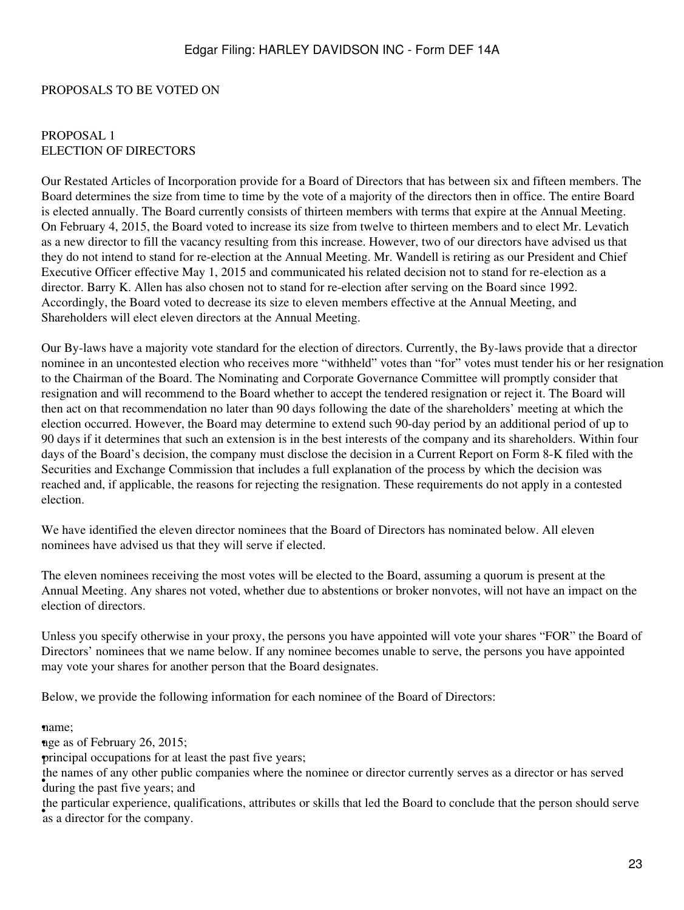#### <span id="page-22-0"></span>PROPOSALS TO BE VOTED ON

#### <span id="page-22-1"></span>PROPOSAL 1 ELECTION OF DIRECTORS

Our Restated Articles of Incorporation provide for a Board of Directors that has between six and fifteen members. The Board determines the size from time to time by the vote of a majority of the directors then in office. The entire Board is elected annually. The Board currently consists of thirteen members with terms that expire at the Annual Meeting. On February 4, 2015, the Board voted to increase its size from twelve to thirteen members and to elect Mr. Levatich as a new director to fill the vacancy resulting from this increase. However, two of our directors have advised us that they do not intend to stand for re-election at the Annual Meeting. Mr. Wandell is retiring as our President and Chief Executive Officer effective May 1, 2015 and communicated his related decision not to stand for re-election as a director. Barry K. Allen has also chosen not to stand for re-election after serving on the Board since 1992. Accordingly, the Board voted to decrease its size to eleven members effective at the Annual Meeting, and Shareholders will elect eleven directors at the Annual Meeting.

Our By-laws have a majority vote standard for the election of directors. Currently, the By-laws provide that a director nominee in an uncontested election who receives more "withheld" votes than "for" votes must tender his or her resignation to the Chairman of the Board. The Nominating and Corporate Governance Committee will promptly consider that resignation and will recommend to the Board whether to accept the tendered resignation or reject it. The Board will then act on that recommendation no later than 90 days following the date of the shareholders' meeting at which the election occurred. However, the Board may determine to extend such 90-day period by an additional period of up to 90 days if it determines that such an extension is in the best interests of the company and its shareholders. Within four days of the Board's decision, the company must disclose the decision in a Current Report on Form 8-K filed with the Securities and Exchange Commission that includes a full explanation of the process by which the decision was reached and, if applicable, the reasons for rejecting the resignation. These requirements do not apply in a contested election.

We have identified the eleven director nominees that the Board of Directors has nominated below. All eleven nominees have advised us that they will serve if elected.

The eleven nominees receiving the most votes will be elected to the Board, assuming a quorum is present at the Annual Meeting. Any shares not voted, whether due to abstentions or broker nonvotes, will not have an impact on the election of directors.

Unless you specify otherwise in your proxy, the persons you have appointed will vote your shares "FOR" the Board of Directors' nominees that we name below. If any nominee becomes unable to serve, the persons you have appointed may vote your shares for another person that the Board designates.

Below, we provide the following information for each nominee of the Board of Directors:

•name;

nge as of February 26, 2015;

•principal occupations for at least the past five years;

<sup>•</sup> during the past five years; and the names of any other public companies where the nominee or director currently serves as a director or has served

as a director for the company. the particular experience, qualifications, attributes or skills that led the Board to conclude that the person should serve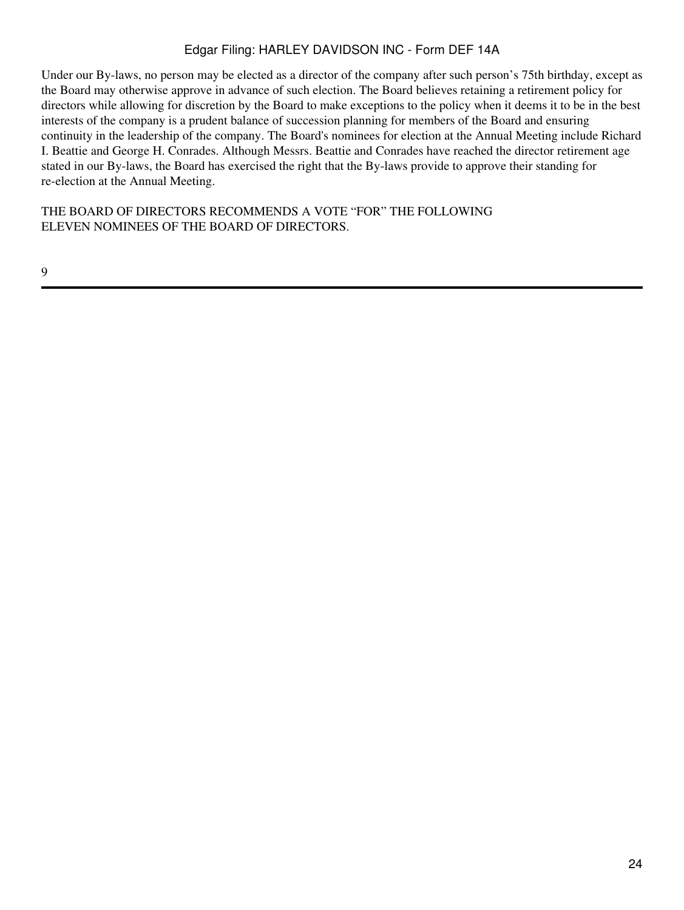Under our By-laws, no person may be elected as a director of the company after such person's 75th birthday, except as the Board may otherwise approve in advance of such election. The Board believes retaining a retirement policy for directors while allowing for discretion by the Board to make exceptions to the policy when it deems it to be in the best interests of the company is a prudent balance of succession planning for members of the Board and ensuring continuity in the leadership of the company. The Board's nominees for election at the Annual Meeting include Richard I. Beattie and George H. Conrades. Although Messrs. Beattie and Conrades have reached the director retirement age stated in our By-laws, the Board has exercised the right that the By-laws provide to approve their standing for re-election at the Annual Meeting.

THE BOARD OF DIRECTORS RECOMMENDS A VOTE "FOR" THE FOLLOWING ELEVEN NOMINEES OF THE BOARD OF DIRECTORS.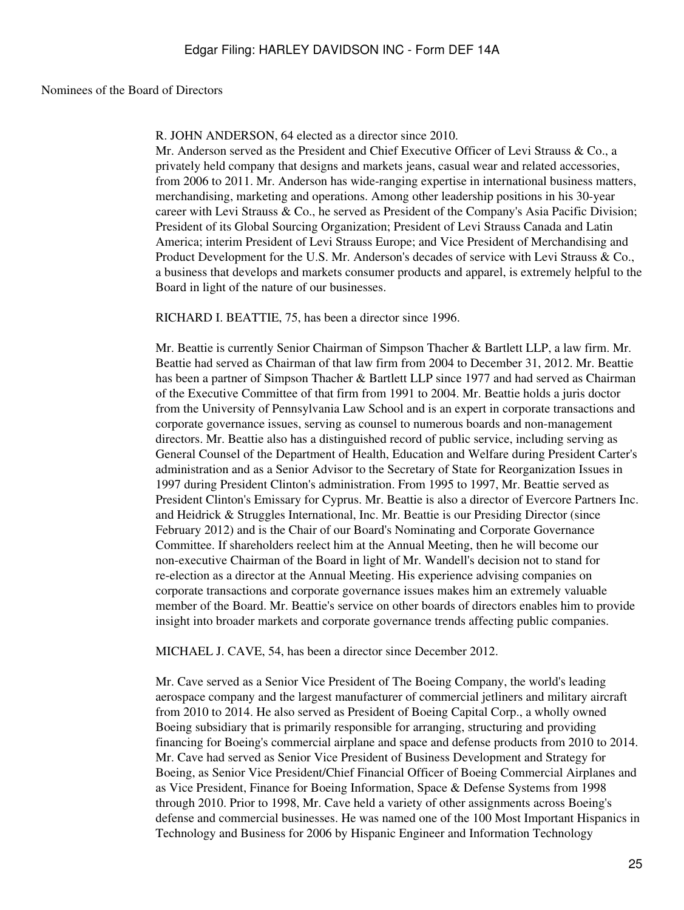#### Nominees of the Board of Directors

R. JOHN ANDERSON, 64 elected as a director since 2010.

Mr. Anderson served as the President and Chief Executive Officer of Levi Strauss & Co., a privately held company that designs and markets jeans, casual wear and related accessories, from 2006 to 2011. Mr. Anderson has wide-ranging expertise in international business matters, merchandising, marketing and operations. Among other leadership positions in his 30-year career with Levi Strauss & Co., he served as President of the Company's Asia Pacific Division; President of its Global Sourcing Organization; President of Levi Strauss Canada and Latin America; interim President of Levi Strauss Europe; and Vice President of Merchandising and Product Development for the U.S. Mr. Anderson's decades of service with Levi Strauss & Co., a business that develops and markets consumer products and apparel, is extremely helpful to the Board in light of the nature of our businesses.

RICHARD I. BEATTIE, 75, has been a director since 1996.

Mr. Beattie is currently Senior Chairman of Simpson Thacher & Bartlett LLP, a law firm. Mr. Beattie had served as Chairman of that law firm from 2004 to December 31, 2012. Mr. Beattie has been a partner of Simpson Thacher & Bartlett LLP since 1977 and had served as Chairman of the Executive Committee of that firm from 1991 to 2004. Mr. Beattie holds a juris doctor from the University of Pennsylvania Law School and is an expert in corporate transactions and corporate governance issues, serving as counsel to numerous boards and non-management directors. Mr. Beattie also has a distinguished record of public service, including serving as General Counsel of the Department of Health, Education and Welfare during President Carter's administration and as a Senior Advisor to the Secretary of State for Reorganization Issues in 1997 during President Clinton's administration. From 1995 to 1997, Mr. Beattie served as President Clinton's Emissary for Cyprus. Mr. Beattie is also a director of Evercore Partners Inc. and Heidrick & Struggles International, Inc. Mr. Beattie is our Presiding Director (since February 2012) and is the Chair of our Board's Nominating and Corporate Governance Committee. If shareholders reelect him at the Annual Meeting, then he will become our non-executive Chairman of the Board in light of Mr. Wandell's decision not to stand for re-election as a director at the Annual Meeting. His experience advising companies on corporate transactions and corporate governance issues makes him an extremely valuable member of the Board. Mr. Beattie's service on other boards of directors enables him to provide insight into broader markets and corporate governance trends affecting public companies.

MICHAEL J. CAVE, 54, has been a director since December 2012.

Mr. Cave served as a Senior Vice President of The Boeing Company, the world's leading aerospace company and the largest manufacturer of commercial jetliners and military aircraft from 2010 to 2014. He also served as President of Boeing Capital Corp., a wholly owned Boeing subsidiary that is primarily responsible for arranging, structuring and providing financing for Boeing's commercial airplane and space and defense products from 2010 to 2014. Mr. Cave had served as Senior Vice President of Business Development and Strategy for Boeing, as Senior Vice President/Chief Financial Officer of Boeing Commercial Airplanes and as Vice President, Finance for Boeing Information, Space & Defense Systems from 1998 through 2010. Prior to 1998, Mr. Cave held a variety of other assignments across Boeing's defense and commercial businesses. He was named one of the 100 Most Important Hispanics in Technology and Business for 2006 by Hispanic Engineer and Information Technology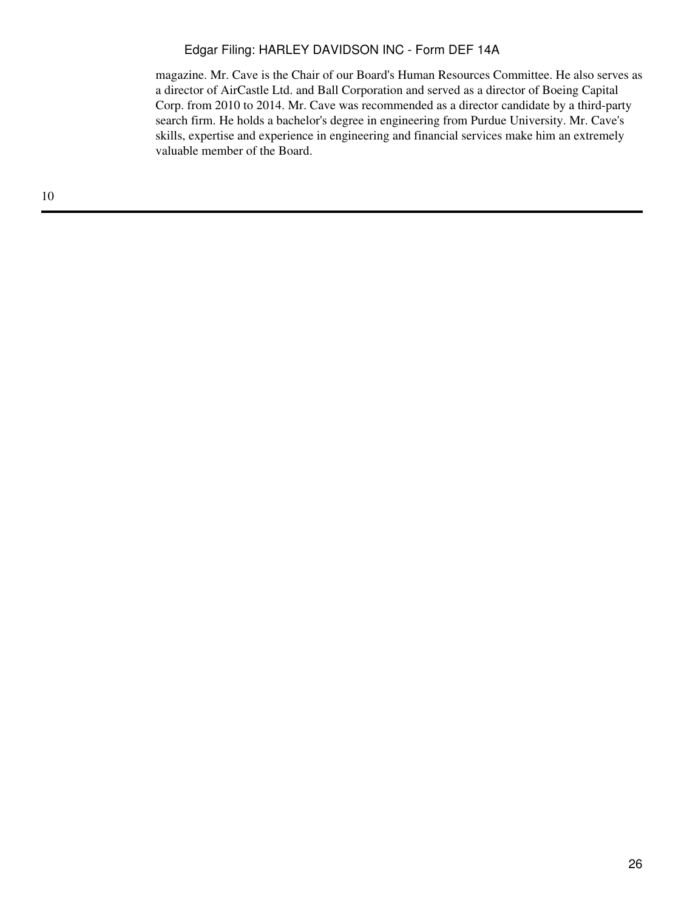magazine. Mr. Cave is the Chair of our Board's Human Resources Committee. He also serves as a director of AirCastle Ltd. and Ball Corporation and served as a director of Boeing Capital Corp. from 2010 to 2014. Mr. Cave was recommended as a director candidate by a third-party search firm. He holds a bachelor's degree in engineering from Purdue University. Mr. Cave's skills, expertise and experience in engineering and financial services make him an extremely valuable member of the Board.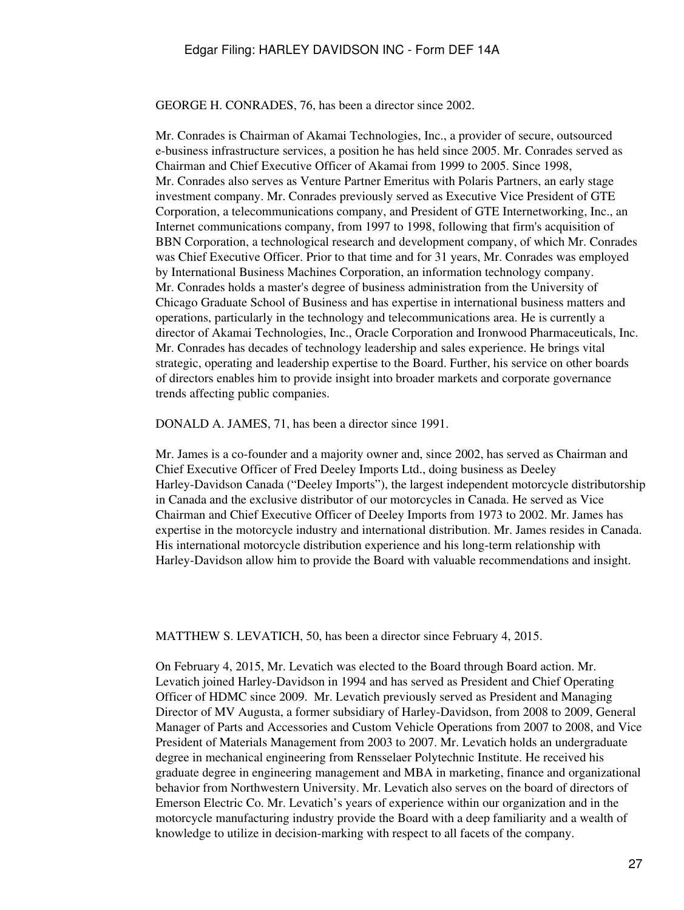GEORGE H. CONRADES, 76, has been a director since 2002.

Mr. Conrades is Chairman of Akamai Technologies, Inc., a provider of secure, outsourced e-business infrastructure services, a position he has held since 2005. Mr. Conrades served as Chairman and Chief Executive Officer of Akamai from 1999 to 2005. Since 1998, Mr. Conrades also serves as Venture Partner Emeritus with Polaris Partners, an early stage investment company. Mr. Conrades previously served as Executive Vice President of GTE Corporation, a telecommunications company, and President of GTE Internetworking, Inc., an Internet communications company, from 1997 to 1998, following that firm's acquisition of BBN Corporation, a technological research and development company, of which Mr. Conrades was Chief Executive Officer. Prior to that time and for 31 years, Mr. Conrades was employed by International Business Machines Corporation, an information technology company. Mr. Conrades holds a master's degree of business administration from the University of Chicago Graduate School of Business and has expertise in international business matters and operations, particularly in the technology and telecommunications area. He is currently a director of Akamai Technologies, Inc., Oracle Corporation and Ironwood Pharmaceuticals, Inc. Mr. Conrades has decades of technology leadership and sales experience. He brings vital strategic, operating and leadership expertise to the Board. Further, his service on other boards of directors enables him to provide insight into broader markets and corporate governance trends affecting public companies.

DONALD A. JAMES, 71, has been a director since 1991.

Mr. James is a co-founder and a majority owner and, since 2002, has served as Chairman and Chief Executive Officer of Fred Deeley Imports Ltd., doing business as Deeley Harley-Davidson Canada ("Deeley Imports"), the largest independent motorcycle distributorship in Canada and the exclusive distributor of our motorcycles in Canada. He served as Vice Chairman and Chief Executive Officer of Deeley Imports from 1973 to 2002. Mr. James has expertise in the motorcycle industry and international distribution. Mr. James resides in Canada. His international motorcycle distribution experience and his long-term relationship with Harley-Davidson allow him to provide the Board with valuable recommendations and insight.

MATTHEW S. LEVATICH, 50, has been a director since February 4, 2015.

On February 4, 2015, Mr. Levatich was elected to the Board through Board action. Mr. Levatich joined Harley-Davidson in 1994 and has served as President and Chief Operating Officer of HDMC since 2009. Mr. Levatich previously served as President and Managing Director of MV Augusta, a former subsidiary of Harley-Davidson, from 2008 to 2009, General Manager of Parts and Accessories and Custom Vehicle Operations from 2007 to 2008, and Vice President of Materials Management from 2003 to 2007. Mr. Levatich holds an undergraduate degree in mechanical engineering from Rensselaer Polytechnic Institute. He received his graduate degree in engineering management and MBA in marketing, finance and organizational behavior from Northwestern University. Mr. Levatich also serves on the board of directors of Emerson Electric Co. Mr. Levatich's years of experience within our organization and in the motorcycle manufacturing industry provide the Board with a deep familiarity and a wealth of knowledge to utilize in decision-marking with respect to all facets of the company.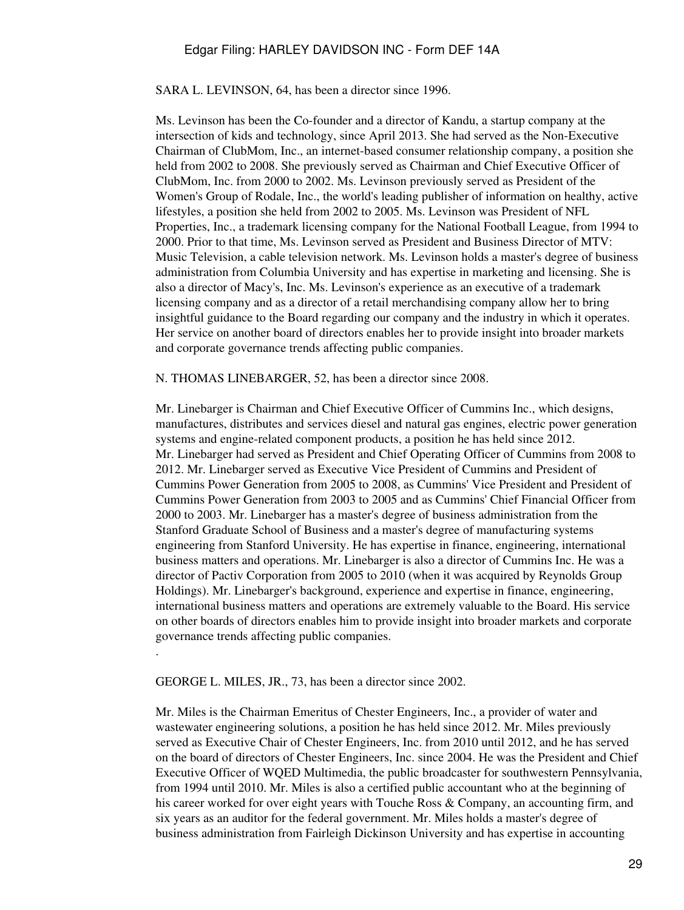SARA L. LEVINSON, 64, has been a director since 1996.

Ms. Levinson has been the Co-founder and a director of Kandu, a startup company at the intersection of kids and technology, since April 2013. She had served as the Non-Executive Chairman of ClubMom, Inc., an internet-based consumer relationship company, a position she held from 2002 to 2008. She previously served as Chairman and Chief Executive Officer of ClubMom, Inc. from 2000 to 2002. Ms. Levinson previously served as President of the Women's Group of Rodale, Inc., the world's leading publisher of information on healthy, active lifestyles, a position she held from 2002 to 2005. Ms. Levinson was President of NFL Properties, Inc., a trademark licensing company for the National Football League, from 1994 to 2000. Prior to that time, Ms. Levinson served as President and Business Director of MTV: Music Television, a cable television network. Ms. Levinson holds a master's degree of business administration from Columbia University and has expertise in marketing and licensing. She is also a director of Macy's, Inc. Ms. Levinson's experience as an executive of a trademark licensing company and as a director of a retail merchandising company allow her to bring insightful guidance to the Board regarding our company and the industry in which it operates. Her service on another board of directors enables her to provide insight into broader markets and corporate governance trends affecting public companies.

N. THOMAS LINEBARGER, 52, has been a director since 2008.

Mr. Linebarger is Chairman and Chief Executive Officer of Cummins Inc., which designs, manufactures, distributes and services diesel and natural gas engines, electric power generation systems and engine-related component products, a position he has held since 2012. Mr. Linebarger had served as President and Chief Operating Officer of Cummins from 2008 to 2012. Mr. Linebarger served as Executive Vice President of Cummins and President of Cummins Power Generation from 2005 to 2008, as Cummins' Vice President and President of Cummins Power Generation from 2003 to 2005 and as Cummins' Chief Financial Officer from 2000 to 2003. Mr. Linebarger has a master's degree of business administration from the Stanford Graduate School of Business and a master's degree of manufacturing systems engineering from Stanford University. He has expertise in finance, engineering, international business matters and operations. Mr. Linebarger is also a director of Cummins Inc. He was a director of Pactiv Corporation from 2005 to 2010 (when it was acquired by Reynolds Group Holdings). Mr. Linebarger's background, experience and expertise in finance, engineering, international business matters and operations are extremely valuable to the Board. His service on other boards of directors enables him to provide insight into broader markets and corporate governance trends affecting public companies.

GEORGE L. MILES, JR., 73, has been a director since 2002.

.

Mr. Miles is the Chairman Emeritus of Chester Engineers, Inc., a provider of water and wastewater engineering solutions, a position he has held since 2012. Mr. Miles previously served as Executive Chair of Chester Engineers, Inc. from 2010 until 2012, and he has served on the board of directors of Chester Engineers, Inc. since 2004. He was the President and Chief Executive Officer of WQED Multimedia, the public broadcaster for southwestern Pennsylvania, from 1994 until 2010. Mr. Miles is also a certified public accountant who at the beginning of his career worked for over eight years with Touche Ross & Company, an accounting firm, and six years as an auditor for the federal government. Mr. Miles holds a master's degree of business administration from Fairleigh Dickinson University and has expertise in accounting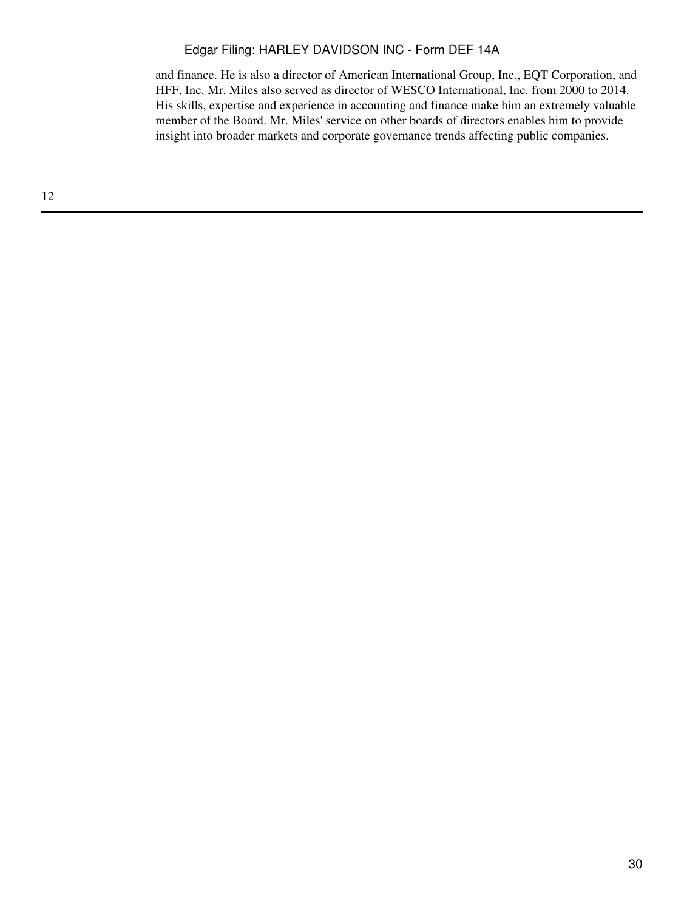and finance. He is also a director of American International Group, Inc., EQT Corporation, and HFF, Inc. Mr. Miles also served as director of WESCO International, Inc. from 2000 to 2014. His skills, expertise and experience in accounting and finance make him an extremely valuable member of the Board. Mr. Miles' service on other boards of directors enables him to provide insight into broader markets and corporate governance trends affecting public companies.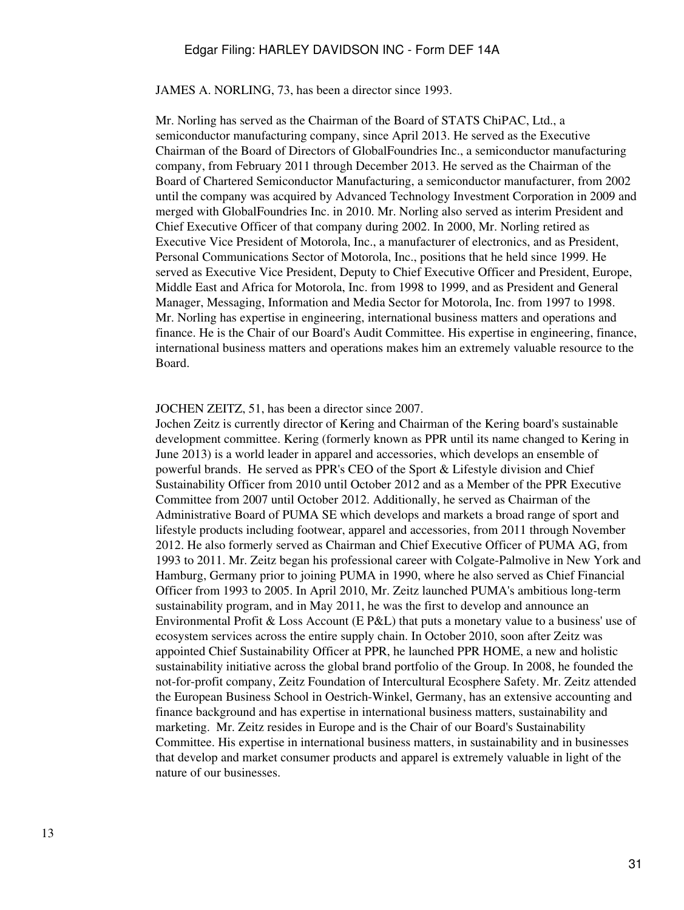JAMES A. NORLING, 73, has been a director since 1993.

Mr. Norling has served as the Chairman of the Board of STATS ChiPAC, Ltd., a semiconductor manufacturing company, since April 2013. He served as the Executive Chairman of the Board of Directors of GlobalFoundries Inc., a semiconductor manufacturing company, from February 2011 through December 2013. He served as the Chairman of the Board of Chartered Semiconductor Manufacturing, a semiconductor manufacturer, from 2002 until the company was acquired by Advanced Technology Investment Corporation in 2009 and merged with GlobalFoundries Inc. in 2010. Mr. Norling also served as interim President and Chief Executive Officer of that company during 2002. In 2000, Mr. Norling retired as Executive Vice President of Motorola, Inc., a manufacturer of electronics, and as President, Personal Communications Sector of Motorola, Inc., positions that he held since 1999. He served as Executive Vice President, Deputy to Chief Executive Officer and President, Europe, Middle East and Africa for Motorola, Inc. from 1998 to 1999, and as President and General Manager, Messaging, Information and Media Sector for Motorola, Inc. from 1997 to 1998. Mr. Norling has expertise in engineering, international business matters and operations and finance. He is the Chair of our Board's Audit Committee. His expertise in engineering, finance, international business matters and operations makes him an extremely valuable resource to the Board.

#### JOCHEN ZEITZ, 51, has been a director since 2007.

Jochen Zeitz is currently director of Kering and Chairman of the Kering board's sustainable development committee. Kering (formerly known as PPR until its name changed to Kering in June 2013) is a world leader in apparel and accessories, which develops an ensemble of powerful brands. He served as PPR's CEO of the Sport & Lifestyle division and Chief Sustainability Officer from 2010 until October 2012 and as a Member of the PPR Executive Committee from 2007 until October 2012. Additionally, he served as Chairman of the Administrative Board of PUMA SE which develops and markets a broad range of sport and lifestyle products including footwear, apparel and accessories, from 2011 through November 2012. He also formerly served as Chairman and Chief Executive Officer of PUMA AG, from 1993 to 2011. Mr. Zeitz began his professional career with Colgate-Palmolive in New York and Hamburg, Germany prior to joining PUMA in 1990, where he also served as Chief Financial Officer from 1993 to 2005. In April 2010, Mr. Zeitz launched PUMA's ambitious long-term sustainability program, and in May 2011, he was the first to develop and announce an Environmental Profit & Loss Account (E P&L) that puts a monetary value to a business' use of ecosystem services across the entire supply chain. In October 2010, soon after Zeitz was appointed Chief Sustainability Officer at PPR, he launched PPR HOME, a new and holistic sustainability initiative across the global brand portfolio of the Group. In 2008, he founded the not-for-profit company, Zeitz Foundation of Intercultural Ecosphere Safety. Mr. Zeitz attended the European Business School in Oestrich-Winkel, Germany, has an extensive accounting and finance background and has expertise in international business matters, sustainability and marketing. Mr. Zeitz resides in Europe and is the Chair of our Board's Sustainability Committee. His expertise in international business matters, in sustainability and in businesses that develop and market consumer products and apparel is extremely valuable in light of the nature of our businesses.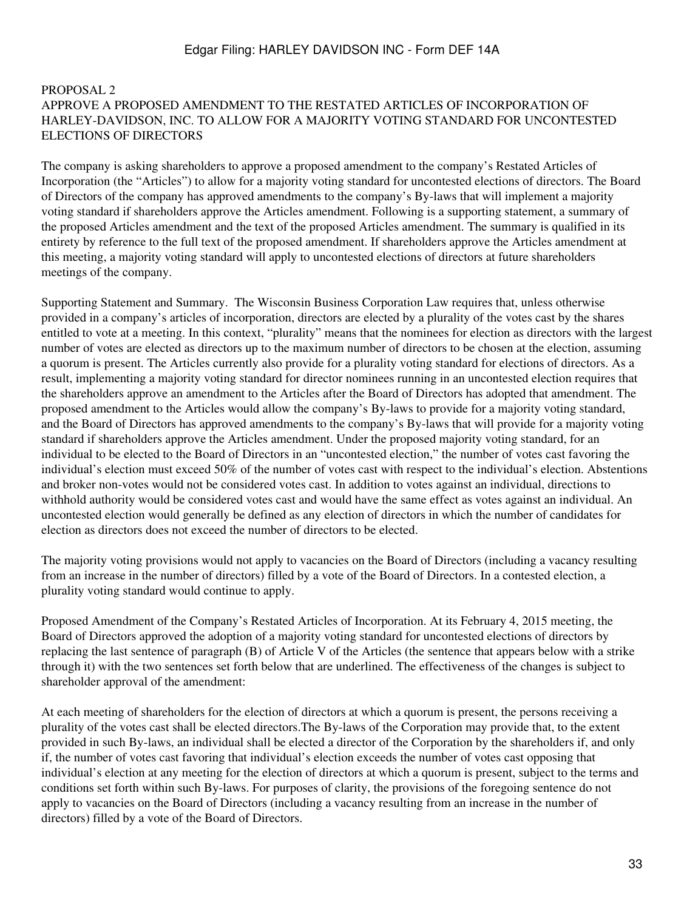#### PROPOSAL 2 APPROVE A PROPOSED AMENDMENT TO THE RESTATED ARTICLES OF INCORPORATION OF HARLEY-DAVIDSON, INC. TO ALLOW FOR A MAJORITY VOTING STANDARD FOR UNCONTESTED ELECTIONS OF DIRECTORS

The company is asking shareholders to approve a proposed amendment to the company's Restated Articles of Incorporation (the "Articles") to allow for a majority voting standard for uncontested elections of directors. The Board of Directors of the company has approved amendments to the company's By-laws that will implement a majority voting standard if shareholders approve the Articles amendment. Following is a supporting statement, a summary of the proposed Articles amendment and the text of the proposed Articles amendment. The summary is qualified in its entirety by reference to the full text of the proposed amendment. If shareholders approve the Articles amendment at this meeting, a majority voting standard will apply to uncontested elections of directors at future shareholders meetings of the company.

Supporting Statement and Summary. The Wisconsin Business Corporation Law requires that, unless otherwise provided in a company's articles of incorporation, directors are elected by a plurality of the votes cast by the shares entitled to vote at a meeting. In this context, "plurality" means that the nominees for election as directors with the largest number of votes are elected as directors up to the maximum number of directors to be chosen at the election, assuming a quorum is present. The Articles currently also provide for a plurality voting standard for elections of directors. As a result, implementing a majority voting standard for director nominees running in an uncontested election requires that the shareholders approve an amendment to the Articles after the Board of Directors has adopted that amendment. The proposed amendment to the Articles would allow the company's By-laws to provide for a majority voting standard, and the Board of Directors has approved amendments to the company's By-laws that will provide for a majority voting standard if shareholders approve the Articles amendment. Under the proposed majority voting standard, for an individual to be elected to the Board of Directors in an "uncontested election," the number of votes cast favoring the individual's election must exceed 50% of the number of votes cast with respect to the individual's election. Abstentions and broker non-votes would not be considered votes cast. In addition to votes against an individual, directions to withhold authority would be considered votes cast and would have the same effect as votes against an individual. An uncontested election would generally be defined as any election of directors in which the number of candidates for election as directors does not exceed the number of directors to be elected.

The majority voting provisions would not apply to vacancies on the Board of Directors (including a vacancy resulting from an increase in the number of directors) filled by a vote of the Board of Directors. In a contested election, a plurality voting standard would continue to apply.

Proposed Amendment of the Company's Restated Articles of Incorporation. At its February 4, 2015 meeting, the Board of Directors approved the adoption of a majority voting standard for uncontested elections of directors by replacing the last sentence of paragraph (B) of Article V of the Articles (the sentence that appears below with a strike through it) with the two sentences set forth below that are underlined. The effectiveness of the changes is subject to shareholder approval of the amendment:

At each meeting of shareholders for the election of directors at which a quorum is present, the persons receiving a plurality of the votes cast shall be elected directors.The By-laws of the Corporation may provide that, to the extent provided in such By-laws, an individual shall be elected a director of the Corporation by the shareholders if, and only if, the number of votes cast favoring that individual's election exceeds the number of votes cast opposing that individual's election at any meeting for the election of directors at which a quorum is present, subject to the terms and conditions set forth within such By-laws. For purposes of clarity, the provisions of the foregoing sentence do not apply to vacancies on the Board of Directors (including a vacancy resulting from an increase in the number of directors) filled by a vote of the Board of Directors.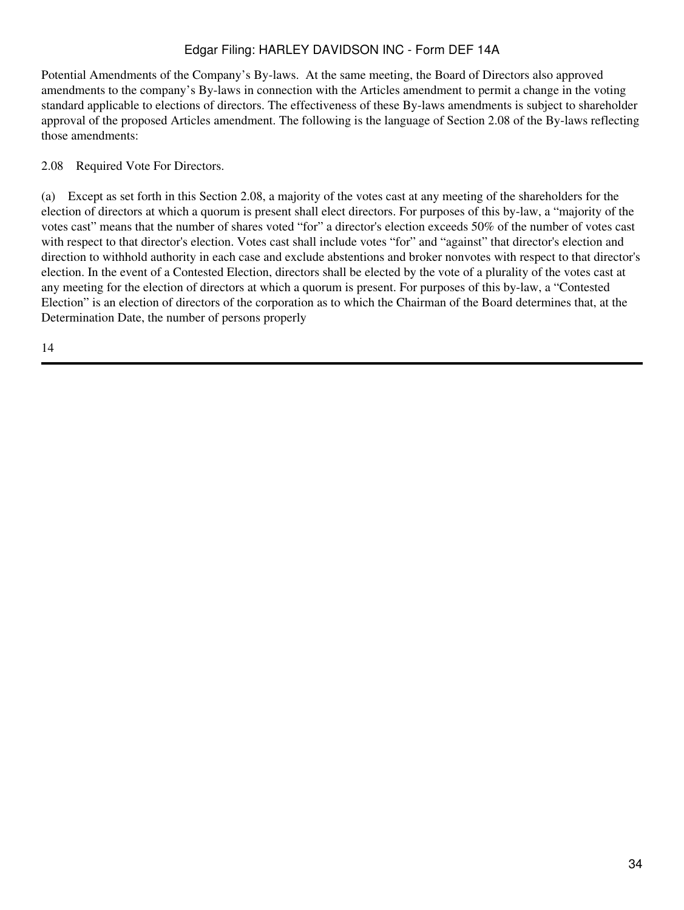Potential Amendments of the Company's By-laws. At the same meeting, the Board of Directors also approved amendments to the company's By-laws in connection with the Articles amendment to permit a change in the voting standard applicable to elections of directors. The effectiveness of these By-laws amendments is subject to shareholder approval of the proposed Articles amendment. The following is the language of Section 2.08 of the By-laws reflecting those amendments:

2.08 Required Vote For Directors.

(a) Except as set forth in this Section 2.08, a majority of the votes cast at any meeting of the shareholders for the election of directors at which a quorum is present shall elect directors. For purposes of this by-law, a "majority of the votes cast" means that the number of shares voted "for" a director's election exceeds 50% of the number of votes cast with respect to that director's election. Votes cast shall include votes "for" and "against" that director's election and direction to withhold authority in each case and exclude abstentions and broker nonvotes with respect to that director's election. In the event of a Contested Election, directors shall be elected by the vote of a plurality of the votes cast at any meeting for the election of directors at which a quorum is present. For purposes of this by-law, a "Contested Election" is an election of directors of the corporation as to which the Chairman of the Board determines that, at the Determination Date, the number of persons properly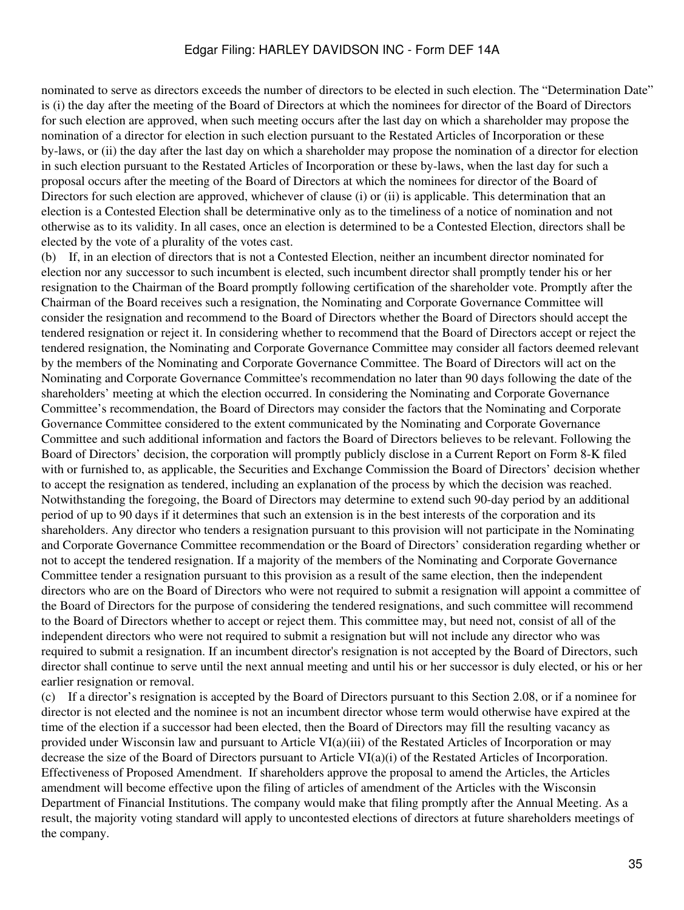<span id="page-34-0"></span>nominated to serve as directors exceeds the number of directors to be elected in such election. The "Determination Date" is (i) the day after the meeting of the Board of Directors at which the nominees for director of the Board of Directors for such election are approved, when such meeting occurs after the last day on which a shareholder may propose the nomination of a director for election in such election pursuant to the Restated Articles of Incorporation or these by-laws, or (ii) the day after the last day on which a shareholder may propose the nomination of a director for election in such election pursuant to the Restated Articles of Incorporation or these by-laws, when the last day for such a proposal occurs after the meeting of the Board of Directors at which the nominees for director of the Board of Directors for such election are approved, whichever of clause (i) or (ii) is applicable. This determination that an election is a Contested Election shall be determinative only as to the timeliness of a notice of nomination and not otherwise as to its validity. In all cases, once an election is determined to be a Contested Election, directors shall be elected by the vote of a plurality of the votes cast.

(b) If, in an election of directors that is not a Contested Election, neither an incumbent director nominated for election nor any successor to such incumbent is elected, such incumbent director shall promptly tender his or her resignation to the Chairman of the Board promptly following certification of the shareholder vote. Promptly after the Chairman of the Board receives such a resignation, the Nominating and Corporate Governance Committee will consider the resignation and recommend to the Board of Directors whether the Board of Directors should accept the tendered resignation or reject it. In considering whether to recommend that the Board of Directors accept or reject the tendered resignation, the Nominating and Corporate Governance Committee may consider all factors deemed relevant by the members of the Nominating and Corporate Governance Committee. The Board of Directors will act on the Nominating and Corporate Governance Committee's recommendation no later than 90 days following the date of the shareholders' meeting at which the election occurred. In considering the Nominating and Corporate Governance Committee's recommendation, the Board of Directors may consider the factors that the Nominating and Corporate Governance Committee considered to the extent communicated by the Nominating and Corporate Governance Committee and such additional information and factors the Board of Directors believes to be relevant. Following the Board of Directors' decision, the corporation will promptly publicly disclose in a Current Report on Form 8-K filed with or furnished to, as applicable, the Securities and Exchange Commission the Board of Directors' decision whether to accept the resignation as tendered, including an explanation of the process by which the decision was reached. Notwithstanding the foregoing, the Board of Directors may determine to extend such 90-day period by an additional period of up to 90 days if it determines that such an extension is in the best interests of the corporation and its shareholders. Any director who tenders a resignation pursuant to this provision will not participate in the Nominating and Corporate Governance Committee recommendation or the Board of Directors' consideration regarding whether or not to accept the tendered resignation. If a majority of the members of the Nominating and Corporate Governance Committee tender a resignation pursuant to this provision as a result of the same election, then the independent directors who are on the Board of Directors who were not required to submit a resignation will appoint a committee of the Board of Directors for the purpose of considering the tendered resignations, and such committee will recommend to the Board of Directors whether to accept or reject them. This committee may, but need not, consist of all of the independent directors who were not required to submit a resignation but will not include any director who was required to submit a resignation. If an incumbent director's resignation is not accepted by the Board of Directors, such director shall continue to serve until the next annual meeting and until his or her successor is duly elected, or his or her earlier resignation or removal.

(c) If a director's resignation is accepted by the Board of Directors pursuant to this Section 2.08, or if a nominee for director is not elected and the nominee is not an incumbent director whose term would otherwise have expired at the time of the election if a successor had been elected, then the Board of Directors may fill the resulting vacancy as provided under Wisconsin law and pursuant to Article VI(a)(iii) of the Restated Articles of Incorporation or may decrease the size of the Board of Directors pursuant to Article VI(a)(i) of the Restated Articles of Incorporation. Effectiveness of Proposed Amendment. If shareholders approve the proposal to amend the Articles, the Articles amendment will become effective upon the filing of articles of amendment of the Articles with the Wisconsin Department of Financial Institutions. The company would make that filing promptly after the Annual Meeting. As a result, the majority voting standard will apply to uncontested elections of directors at future shareholders meetings of the company.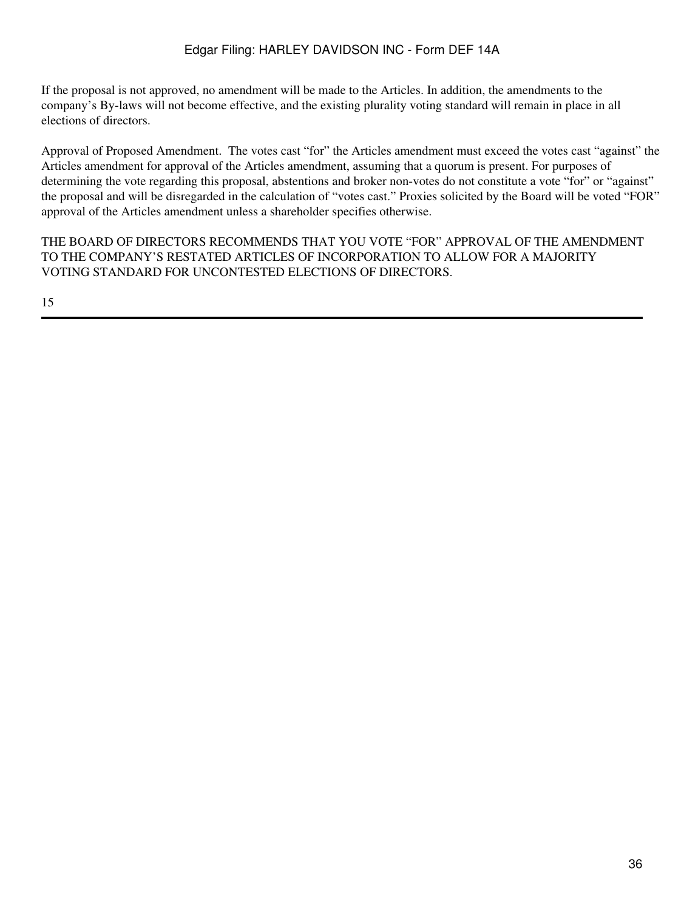If the proposal is not approved, no amendment will be made to the Articles. In addition, the amendments to the company's By-laws will not become effective, and the existing plurality voting standard will remain in place in all elections of directors.

Approval of Proposed Amendment. The votes cast "for" the Articles amendment must exceed the votes cast "against" the Articles amendment for approval of the Articles amendment, assuming that a quorum is present. For purposes of determining the vote regarding this proposal, abstentions and broker non-votes do not constitute a vote "for" or "against" the proposal and will be disregarded in the calculation of "votes cast." Proxies solicited by the Board will be voted "FOR" approval of the Articles amendment unless a shareholder specifies otherwise.

THE BOARD OF DIRECTORS RECOMMENDS THAT YOU VOTE "FOR" APPROVAL OF THE AMENDMENT TO THE COMPANY'S RESTATED ARTICLES OF INCORPORATION TO ALLOW FOR A MAJORITY VOTING STANDARD FOR UNCONTESTED ELECTIONS OF DIRECTORS.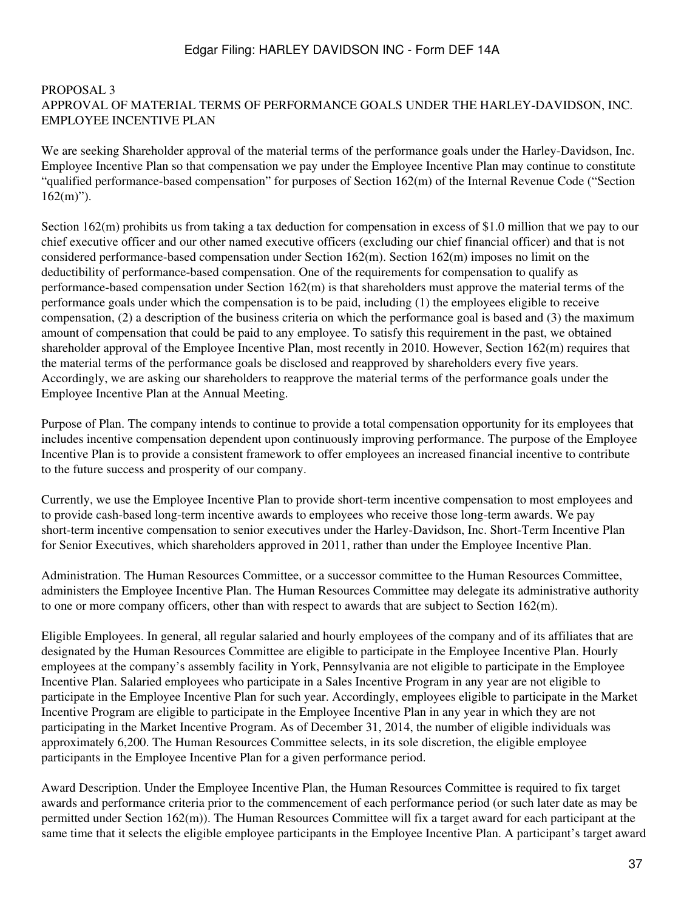### PROPOSAL 3 APPROVAL OF MATERIAL TERMS OF PERFORMANCE GOALS UNDER THE HARLEY-DAVIDSON, INC. EMPLOYEE INCENTIVE PLAN

We are seeking Shareholder approval of the material terms of the performance goals under the Harley-Davidson, Inc. Employee Incentive Plan so that compensation we pay under the Employee Incentive Plan may continue to constitute "qualified performance-based compensation" for purposes of Section 162(m) of the Internal Revenue Code ("Section  $162(m)$ ").

Section 162(m) prohibits us from taking a tax deduction for compensation in excess of \$1.0 million that we pay to our chief executive officer and our other named executive officers (excluding our chief financial officer) and that is not considered performance-based compensation under Section 162(m). Section 162(m) imposes no limit on the deductibility of performance-based compensation. One of the requirements for compensation to qualify as performance-based compensation under Section 162(m) is that shareholders must approve the material terms of the performance goals under which the compensation is to be paid, including (1) the employees eligible to receive compensation, (2) a description of the business criteria on which the performance goal is based and (3) the maximum amount of compensation that could be paid to any employee. To satisfy this requirement in the past, we obtained shareholder approval of the Employee Incentive Plan, most recently in 2010. However, Section 162(m) requires that the material terms of the performance goals be disclosed and reapproved by shareholders every five years. Accordingly, we are asking our shareholders to reapprove the material terms of the performance goals under the Employee Incentive Plan at the Annual Meeting.

Purpose of Plan. The company intends to continue to provide a total compensation opportunity for its employees that includes incentive compensation dependent upon continuously improving performance. The purpose of the Employee Incentive Plan is to provide a consistent framework to offer employees an increased financial incentive to contribute to the future success and prosperity of our company.

Currently, we use the Employee Incentive Plan to provide short-term incentive compensation to most employees and to provide cash-based long-term incentive awards to employees who receive those long-term awards. We pay short-term incentive compensation to senior executives under the Harley-Davidson, Inc. Short-Term Incentive Plan for Senior Executives, which shareholders approved in 2011, rather than under the Employee Incentive Plan.

Administration. The Human Resources Committee, or a successor committee to the Human Resources Committee, administers the Employee Incentive Plan. The Human Resources Committee may delegate its administrative authority to one or more company officers, other than with respect to awards that are subject to Section 162(m).

Eligible Employees. In general, all regular salaried and hourly employees of the company and of its affiliates that are designated by the Human Resources Committee are eligible to participate in the Employee Incentive Plan. Hourly employees at the company's assembly facility in York, Pennsylvania are not eligible to participate in the Employee Incentive Plan. Salaried employees who participate in a Sales Incentive Program in any year are not eligible to participate in the Employee Incentive Plan for such year. Accordingly, employees eligible to participate in the Market Incentive Program are eligible to participate in the Employee Incentive Plan in any year in which they are not participating in the Market Incentive Program. As of December 31, 2014, the number of eligible individuals was approximately 6,200. The Human Resources Committee selects, in its sole discretion, the eligible employee participants in the Employee Incentive Plan for a given performance period.

Award Description. Under the Employee Incentive Plan, the Human Resources Committee is required to fix target awards and performance criteria prior to the commencement of each performance period (or such later date as may be permitted under Section 162(m)). The Human Resources Committee will fix a target award for each participant at the same time that it selects the eligible employee participants in the Employee Incentive Plan. A participant's target award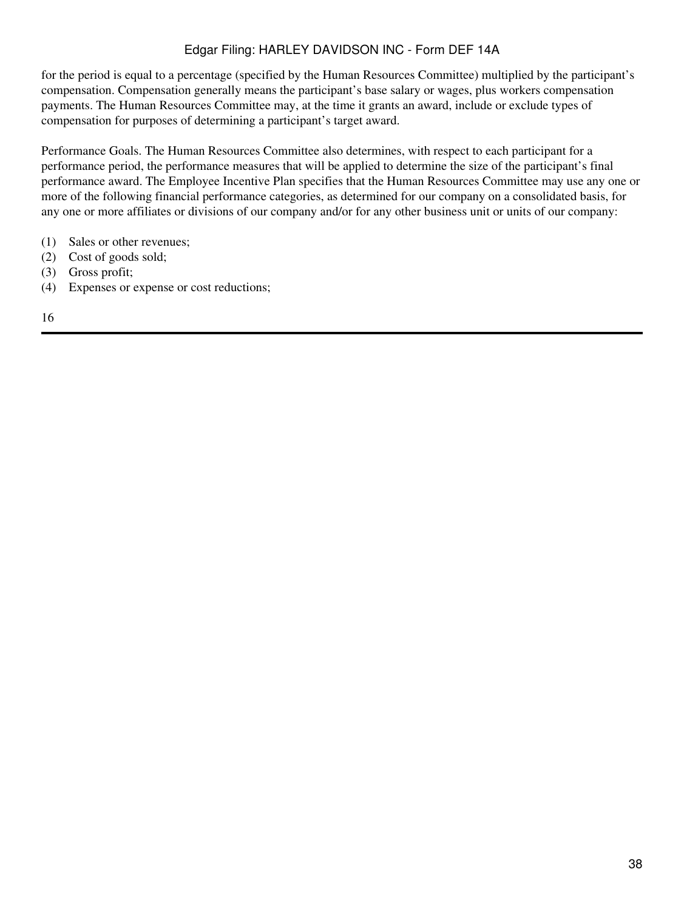for the period is equal to a percentage (specified by the Human Resources Committee) multiplied by the participant's compensation. Compensation generally means the participant's base salary or wages, plus workers compensation payments. The Human Resources Committee may, at the time it grants an award, include or exclude types of compensation for purposes of determining a participant's target award.

Performance Goals. The Human Resources Committee also determines, with respect to each participant for a performance period, the performance measures that will be applied to determine the size of the participant's final performance award. The Employee Incentive Plan specifies that the Human Resources Committee may use any one or more of the following financial performance categories, as determined for our company on a consolidated basis, for any one or more affiliates or divisions of our company and/or for any other business unit or units of our company:

- (1) Sales or other revenues;
- (2) Cost of goods sold;
- (3) Gross profit;
- (4) Expenses or expense or cost reductions;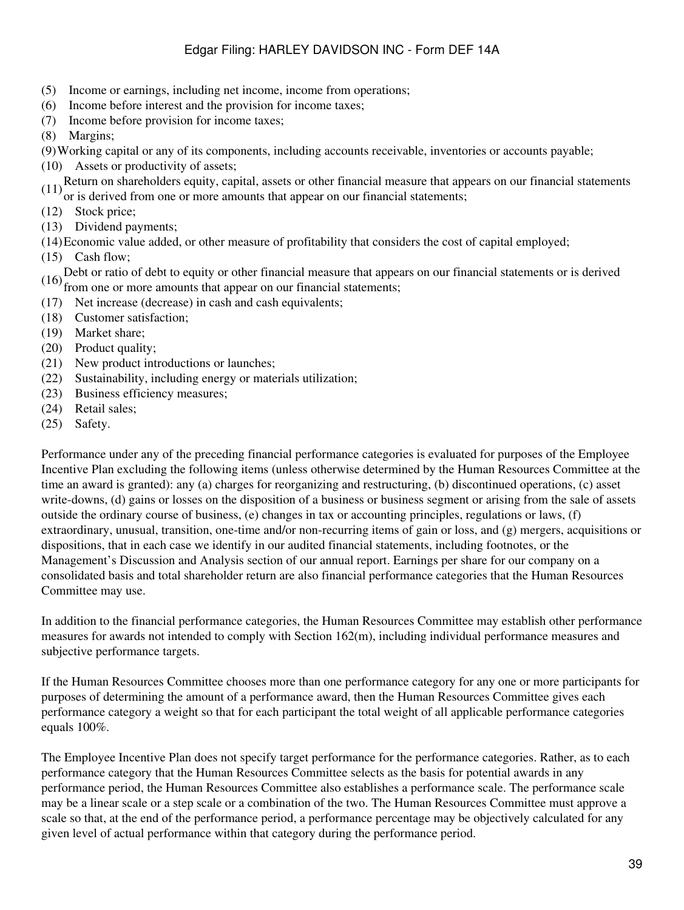- (5) Income or earnings, including net income, income from operations;
- (6) Income before interest and the provision for income taxes;
- (7) Income before provision for income taxes;
- (8) Margins;

(9)Working capital or any of its components, including accounts receivable, inventories or accounts payable;

- (10) Assets or productivity of assets;
- $(11)$ Return on shareholders equity, capital, assets or other financial measure that appears on our financial statements
- or is derived from one or more amounts that appear on our financial statements;
- (12) Stock price;
- (13) Dividend payments;
- (14)Economic value added, or other measure of profitability that considers the cost of capital employed;
- (15) Cash flow;

(16) Debt or ratio of debt to equity or other financial measure that appears on our financial statements or is derived from one or more amounts that appear on our financial statements;

- (17) Net increase (decrease) in cash and cash equivalents;
- (18) Customer satisfaction;
- (19) Market share;
- (20) Product quality;
- (21) New product introductions or launches;
- (22) Sustainability, including energy or materials utilization;
- (23) Business efficiency measures;
- (24) Retail sales;
- (25) Safety.

Performance under any of the preceding financial performance categories is evaluated for purposes of the Employee Incentive Plan excluding the following items (unless otherwise determined by the Human Resources Committee at the time an award is granted): any (a) charges for reorganizing and restructuring, (b) discontinued operations, (c) asset write-downs, (d) gains or losses on the disposition of a business or business segment or arising from the sale of assets outside the ordinary course of business, (e) changes in tax or accounting principles, regulations or laws, (f) extraordinary, unusual, transition, one-time and/or non-recurring items of gain or loss, and (g) mergers, acquisitions or dispositions, that in each case we identify in our audited financial statements, including footnotes, or the Management's Discussion and Analysis section of our annual report. Earnings per share for our company on a consolidated basis and total shareholder return are also financial performance categories that the Human Resources Committee may use.

In addition to the financial performance categories, the Human Resources Committee may establish other performance measures for awards not intended to comply with Section 162(m), including individual performance measures and subjective performance targets.

If the Human Resources Committee chooses more than one performance category for any one or more participants for purposes of determining the amount of a performance award, then the Human Resources Committee gives each performance category a weight so that for each participant the total weight of all applicable performance categories equals 100%.

The Employee Incentive Plan does not specify target performance for the performance categories. Rather, as to each performance category that the Human Resources Committee selects as the basis for potential awards in any performance period, the Human Resources Committee also establishes a performance scale. The performance scale may be a linear scale or a step scale or a combination of the two. The Human Resources Committee must approve a scale so that, at the end of the performance period, a performance percentage may be objectively calculated for any given level of actual performance within that category during the performance period.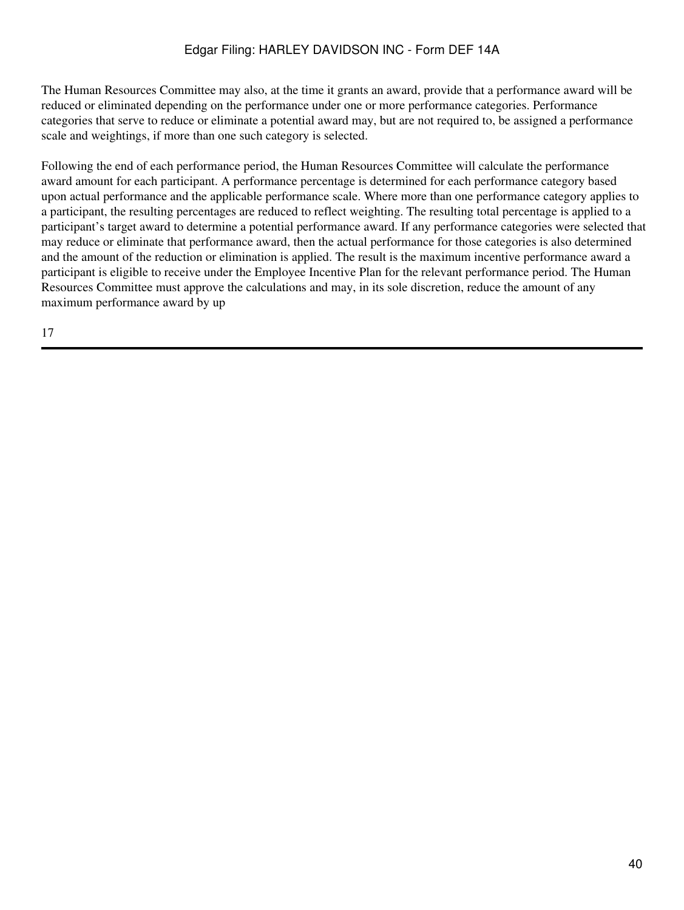The Human Resources Committee may also, at the time it grants an award, provide that a performance award will be reduced or eliminated depending on the performance under one or more performance categories. Performance categories that serve to reduce or eliminate a potential award may, but are not required to, be assigned a performance scale and weightings, if more than one such category is selected.

Following the end of each performance period, the Human Resources Committee will calculate the performance award amount for each participant. A performance percentage is determined for each performance category based upon actual performance and the applicable performance scale. Where more than one performance category applies to a participant, the resulting percentages are reduced to reflect weighting. The resulting total percentage is applied to a participant's target award to determine a potential performance award. If any performance categories were selected that may reduce or eliminate that performance award, then the actual performance for those categories is also determined and the amount of the reduction or elimination is applied. The result is the maximum incentive performance award a participant is eligible to receive under the Employee Incentive Plan for the relevant performance period. The Human Resources Committee must approve the calculations and may, in its sole discretion, reduce the amount of any maximum performance award by up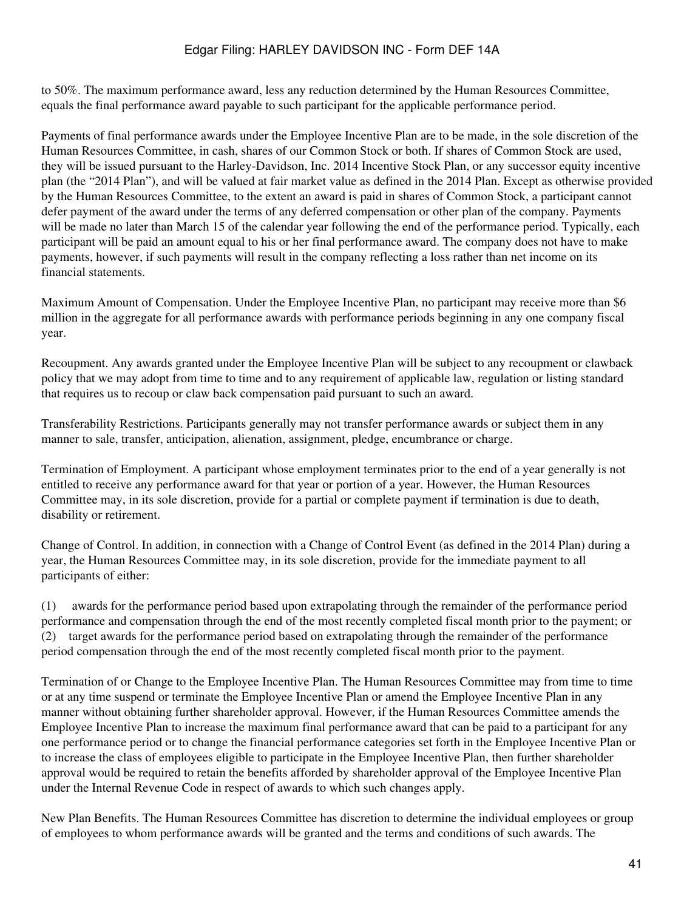to 50%. The maximum performance award, less any reduction determined by the Human Resources Committee, equals the final performance award payable to such participant for the applicable performance period.

Payments of final performance awards under the Employee Incentive Plan are to be made, in the sole discretion of the Human Resources Committee, in cash, shares of our Common Stock or both. If shares of Common Stock are used, they will be issued pursuant to the Harley-Davidson, Inc. 2014 Incentive Stock Plan, or any successor equity incentive plan (the "2014 Plan"), and will be valued at fair market value as defined in the 2014 Plan. Except as otherwise provided by the Human Resources Committee, to the extent an award is paid in shares of Common Stock, a participant cannot defer payment of the award under the terms of any deferred compensation or other plan of the company. Payments will be made no later than March 15 of the calendar year following the end of the performance period. Typically, each participant will be paid an amount equal to his or her final performance award. The company does not have to make payments, however, if such payments will result in the company reflecting a loss rather than net income on its financial statements.

Maximum Amount of Compensation. Under the Employee Incentive Plan, no participant may receive more than \$6 million in the aggregate for all performance awards with performance periods beginning in any one company fiscal year.

Recoupment. Any awards granted under the Employee Incentive Plan will be subject to any recoupment or clawback policy that we may adopt from time to time and to any requirement of applicable law, regulation or listing standard that requires us to recoup or claw back compensation paid pursuant to such an award.

Transferability Restrictions. Participants generally may not transfer performance awards or subject them in any manner to sale, transfer, anticipation, alienation, assignment, pledge, encumbrance or charge.

Termination of Employment. A participant whose employment terminates prior to the end of a year generally is not entitled to receive any performance award for that year or portion of a year. However, the Human Resources Committee may, in its sole discretion, provide for a partial or complete payment if termination is due to death, disability or retirement.

Change of Control. In addition, in connection with a Change of Control Event (as defined in the 2014 Plan) during a year, the Human Resources Committee may, in its sole discretion, provide for the immediate payment to all participants of either:

(1) awards for the performance period based upon extrapolating through the remainder of the performance period performance and compensation through the end of the most recently completed fiscal month prior to the payment; or (2) target awards for the performance period based on extrapolating through the remainder of the performance period compensation through the end of the most recently completed fiscal month prior to the payment.

Termination of or Change to the Employee Incentive Plan. The Human Resources Committee may from time to time or at any time suspend or terminate the Employee Incentive Plan or amend the Employee Incentive Plan in any manner without obtaining further shareholder approval. However, if the Human Resources Committee amends the Employee Incentive Plan to increase the maximum final performance award that can be paid to a participant for any one performance period or to change the financial performance categories set forth in the Employee Incentive Plan or to increase the class of employees eligible to participate in the Employee Incentive Plan, then further shareholder approval would be required to retain the benefits afforded by shareholder approval of the Employee Incentive Plan under the Internal Revenue Code in respect of awards to which such changes apply.

New Plan Benefits. The Human Resources Committee has discretion to determine the individual employees or group of employees to whom performance awards will be granted and the terms and conditions of such awards. The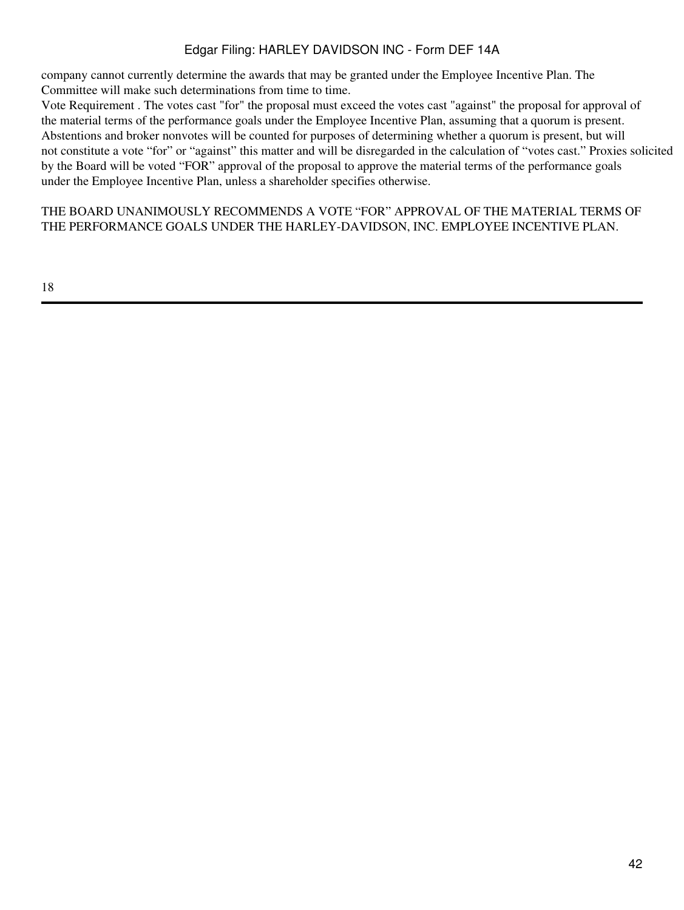company cannot currently determine the awards that may be granted under the Employee Incentive Plan. The Committee will make such determinations from time to time.

Vote Requirement . The votes cast "for" the proposal must exceed the votes cast "against" the proposal for approval of the material terms of the performance goals under the Employee Incentive Plan, assuming that a quorum is present. Abstentions and broker nonvotes will be counted for purposes of determining whether a quorum is present, but will not constitute a vote "for" or "against" this matter and will be disregarded in the calculation of "votes cast." Proxies solicited by the Board will be voted "FOR" approval of the proposal to approve the material terms of the performance goals under the Employee Incentive Plan, unless a shareholder specifies otherwise.

THE BOARD UNANIMOUSLY RECOMMENDS A VOTE "FOR" APPROVAL OF THE MATERIAL TERMS OF THE PERFORMANCE GOALS UNDER THE HARLEY-DAVIDSON, INC. EMPLOYEE INCENTIVE PLAN.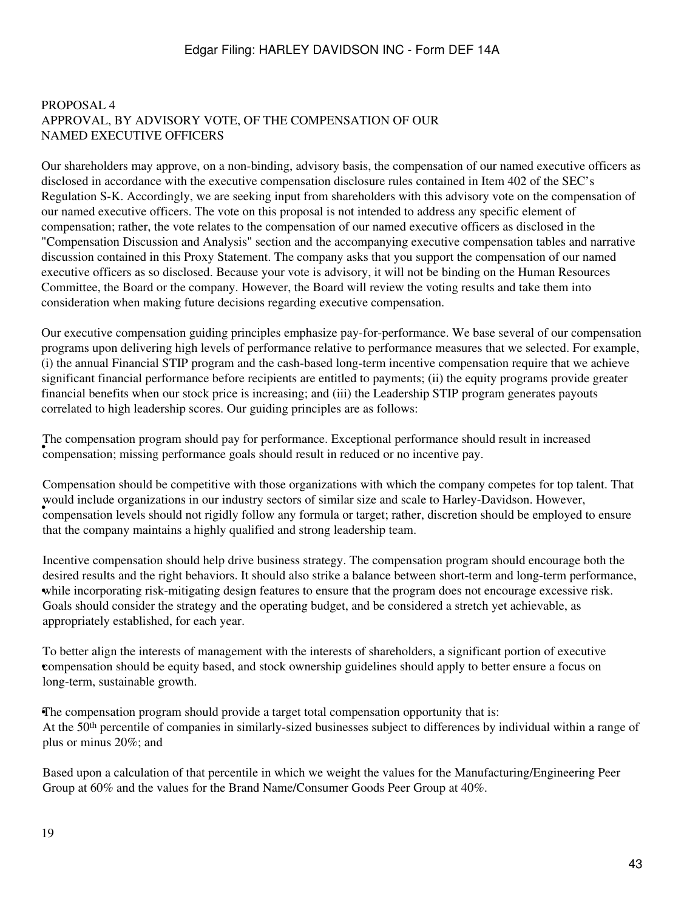#### PROPOSAL 4 APPROVAL, BY ADVISORY VOTE, OF THE COMPENSATION OF OUR NAMED EXECUTIVE OFFICERS

Our shareholders may approve, on a non-binding, advisory basis, the compensation of our named executive officers as disclosed in accordance with the executive compensation disclosure rules contained in Item 402 of the SEC's Regulation S-K. Accordingly, we are seeking input from shareholders with this advisory vote on the compensation of our named executive officers. The vote on this proposal is not intended to address any specific element of compensation; rather, the vote relates to the compensation of our named executive officers as disclosed in the "Compensation Discussion and Analysis" section and the accompanying executive compensation tables and narrative discussion contained in this Proxy Statement. The company asks that you support the compensation of our named executive officers as so disclosed. Because your vote is advisory, it will not be binding on the Human Resources Committee, the Board or the company. However, the Board will review the voting results and take them into consideration when making future decisions regarding executive compensation.

Our executive compensation guiding principles emphasize pay-for-performance. We base several of our compensation programs upon delivering high levels of performance relative to performance measures that we selected. For example, (i) the annual Financial STIP program and the cash-based long-term incentive compensation require that we achieve significant financial performance before recipients are entitled to payments; (ii) the equity programs provide greater financial benefits when our stock price is increasing; and (iii) the Leadership STIP program generates payouts correlated to high leadership scores. Our guiding principles are as follows:

• compensation; missing performance goals should result in reduced or no incentive pay. The compensation program should pay for performance. Exceptional performance should result in increased

would include organizations in our madality sectors or similar size and searc to Harley-Davidson. However, compensation levels should not rigidly follow any formula or target; rather, discretion should be employed to ensur Compensation should be competitive with those organizations with which the company competes for top talent. That would include organizations in our industry sectors of similar size and scale to Harley-Davidson. However, that the company maintains a highly qualified and strong leadership team.

while incorporating risk-mitigating design features to ensure that the program does not encourage excessive risk. Incentive compensation should help drive business strategy. The compensation program should encourage both the desired results and the right behaviors. It should also strike a balance between short-term and long-term performance, Goals should consider the strategy and the operating budget, and be considered a stretch yet achievable, as appropriately established, for each year.

• compensation should be equity based, and stock ownership guidelines should apply to better ensure a focus on To better align the interests of management with the interests of shareholders, a significant portion of executive long-term, sustainable growth.

•The compensation program should provide a target total compensation opportunity that is: At the 50<sup>th</sup> percentile of companies in similarly-sized businesses subject to differences by individual within a range of plus or minus 20%; and

Based upon a calculation of that percentile in which we weight the values for the Manufacturing/Engineering Peer Group at 60% and the values for the Brand Name/Consumer Goods Peer Group at 40%.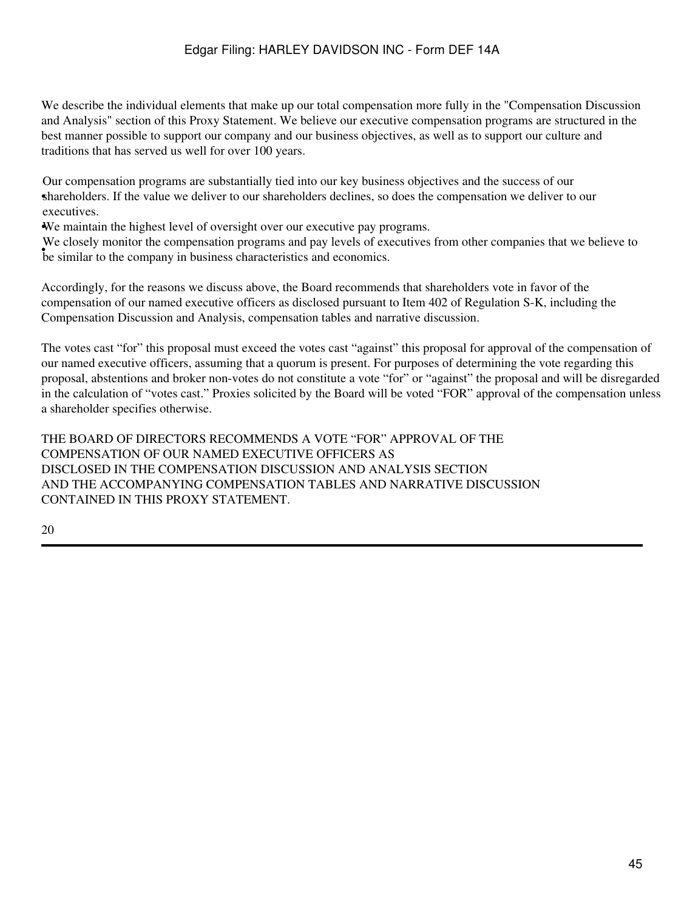We describe the individual elements that make up our total compensation more fully in the "Compensation Discussion" and Analysis" section of this Proxy Statement. We believe our executive compensation programs are structured in the best manner possible to support our company and our business objectives, as well as to support our culture and traditions that has served us well for over 100 years.

shareholders. If the value we deliver to our shareholders declines, so does the compensation we deliver to our Our compensation programs are substantially tied into our key business objectives and the success of our executives.

•We maintain the highest level of oversight over our executive pay programs.

be similar to the company in business characteristics and economics. We closely monitor the compensation programs and pay levels of executives from other companies that we believe to

Accordingly, for the reasons we discuss above, the Board recommends that shareholders vote in favor of the compensation of our named executive officers as disclosed pursuant to Item 402 of Regulation S-K, including the Compensation Discussion and Analysis, compensation tables and narrative discussion.

The votes cast "for" this proposal must exceed the votes cast "against" this proposal for approval of the compensation of our named executive officers, assuming that a quorum is present. For purposes of determining the vote regarding this proposal, abstentions and broker non-votes do not constitute a vote "for" or "against" the proposal and will be disregarded in the calculation of "votes cast." Proxies solicited by the Board will be voted "FOR" approval of the compensation unless a shareholder specifies otherwise.

THE BOARD OF DIRECTORS RECOMMENDS A VOTE "FOR" APPROVAL OF THE COMPENSATION OF OUR NAMED EXECUTIVE OFFICERS AS DISCLOSED IN THE COMPENSATION DISCUSSION AND ANALYSIS SECTION AND THE ACCOMPANYING COMPENSATION TABLES AND NARRATIVE DISCUSSION CONTAINED IN THIS PROXY STATEMENT.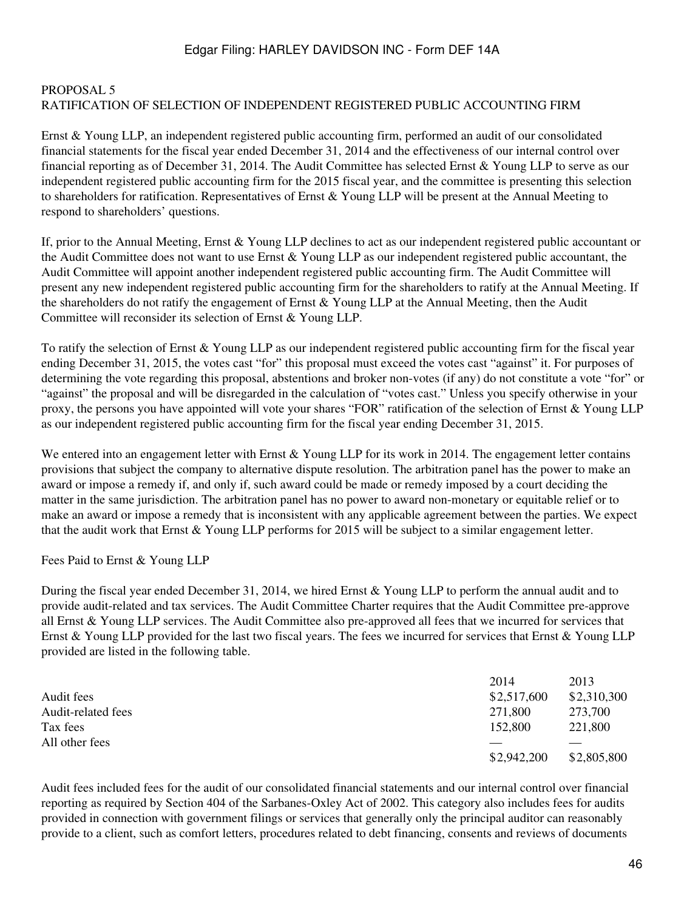#### PROPOSAL 5 RATIFICATION OF SELECTION OF INDEPENDENT REGISTERED PUBLIC ACCOUNTING FIRM

Ernst & Young LLP, an independent registered public accounting firm, performed an audit of our consolidated financial statements for the fiscal year ended December 31, 2014 and the effectiveness of our internal control over financial reporting as of December 31, 2014. The Audit Committee has selected Ernst & Young LLP to serve as our independent registered public accounting firm for the 2015 fiscal year, and the committee is presenting this selection to shareholders for ratification. Representatives of Ernst & Young LLP will be present at the Annual Meeting to respond to shareholders' questions.

If, prior to the Annual Meeting, Ernst & Young LLP declines to act as our independent registered public accountant or the Audit Committee does not want to use Ernst & Young LLP as our independent registered public accountant, the Audit Committee will appoint another independent registered public accounting firm. The Audit Committee will present any new independent registered public accounting firm for the shareholders to ratify at the Annual Meeting. If the shareholders do not ratify the engagement of Ernst & Young LLP at the Annual Meeting, then the Audit Committee will reconsider its selection of Ernst & Young LLP.

To ratify the selection of Ernst & Young LLP as our independent registered public accounting firm for the fiscal year ending December 31, 2015, the votes cast "for" this proposal must exceed the votes cast "against" it. For purposes of determining the vote regarding this proposal, abstentions and broker non-votes (if any) do not constitute a vote "for" or "against" the proposal and will be disregarded in the calculation of "votes cast." Unless you specify otherwise in your proxy, the persons you have appointed will vote your shares "FOR" ratification of the selection of Ernst & Young LLP as our independent registered public accounting firm for the fiscal year ending December 31, 2015.

We entered into an engagement letter with Ernst & Young LLP for its work in 2014. The engagement letter contains provisions that subject the company to alternative dispute resolution. The arbitration panel has the power to make an award or impose a remedy if, and only if, such award could be made or remedy imposed by a court deciding the matter in the same jurisdiction. The arbitration panel has no power to award non-monetary or equitable relief or to make an award or impose a remedy that is inconsistent with any applicable agreement between the parties. We expect that the audit work that Ernst & Young LLP performs for 2015 will be subject to a similar engagement letter.

Fees Paid to Ernst & Young LLP

During the fiscal year ended December 31, 2014, we hired Ernst & Young LLP to perform the annual audit and to provide audit-related and tax services. The Audit Committee Charter requires that the Audit Committee pre-approve all Ernst & Young LLP services. The Audit Committee also pre-approved all fees that we incurred for services that Ernst & Young LLP provided for the last two fiscal years. The fees we incurred for services that Ernst & Young LLP provided are listed in the following table.

|                    | 2014        | 2013        |
|--------------------|-------------|-------------|
| Audit fees         | \$2,517,600 | \$2,310,300 |
| Audit-related fees | 271,800     | 273,700     |
| Tax fees           | 152,800     | 221,800     |
| All other fees     |             |             |
|                    | \$2,942,200 | \$2,805,800 |

Audit fees included fees for the audit of our consolidated financial statements and our internal control over financial reporting as required by Section 404 of the Sarbanes-Oxley Act of 2002. This category also includes fees for audits provided in connection with government filings or services that generally only the principal auditor can reasonably provide to a client, such as comfort letters, procedures related to debt financing, consents and reviews of documents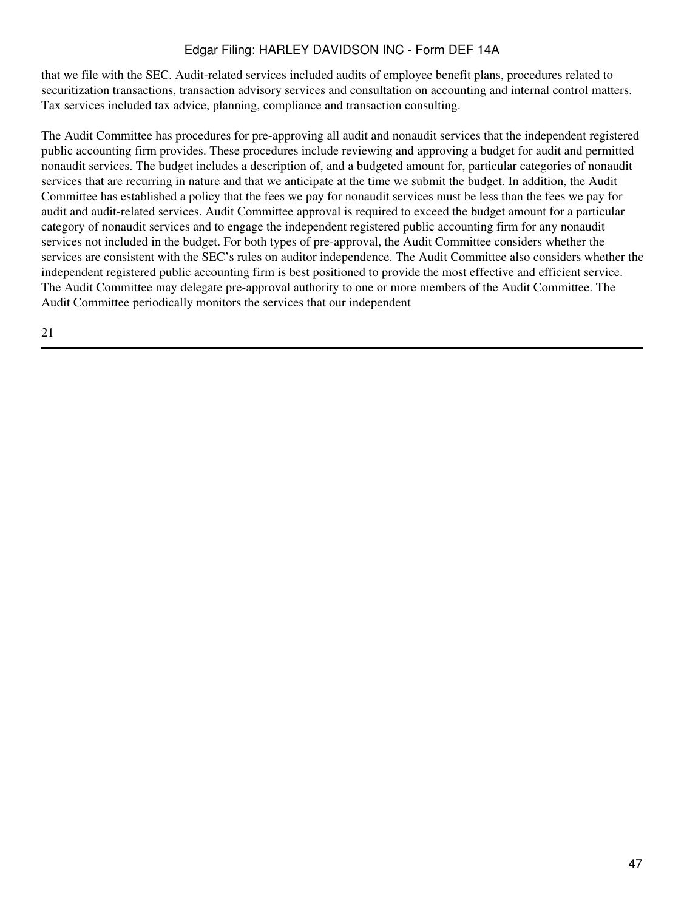that we file with the SEC. Audit-related services included audits of employee benefit plans, procedures related to securitization transactions, transaction advisory services and consultation on accounting and internal control matters. Tax services included tax advice, planning, compliance and transaction consulting.

The Audit Committee has procedures for pre-approving all audit and nonaudit services that the independent registered public accounting firm provides. These procedures include reviewing and approving a budget for audit and permitted nonaudit services. The budget includes a description of, and a budgeted amount for, particular categories of nonaudit services that are recurring in nature and that we anticipate at the time we submit the budget. In addition, the Audit Committee has established a policy that the fees we pay for nonaudit services must be less than the fees we pay for audit and audit-related services. Audit Committee approval is required to exceed the budget amount for a particular category of nonaudit services and to engage the independent registered public accounting firm for any nonaudit services not included in the budget. For both types of pre-approval, the Audit Committee considers whether the services are consistent with the SEC's rules on auditor independence. The Audit Committee also considers whether the independent registered public accounting firm is best positioned to provide the most effective and efficient service. The Audit Committee may delegate pre-approval authority to one or more members of the Audit Committee. The Audit Committee periodically monitors the services that our independent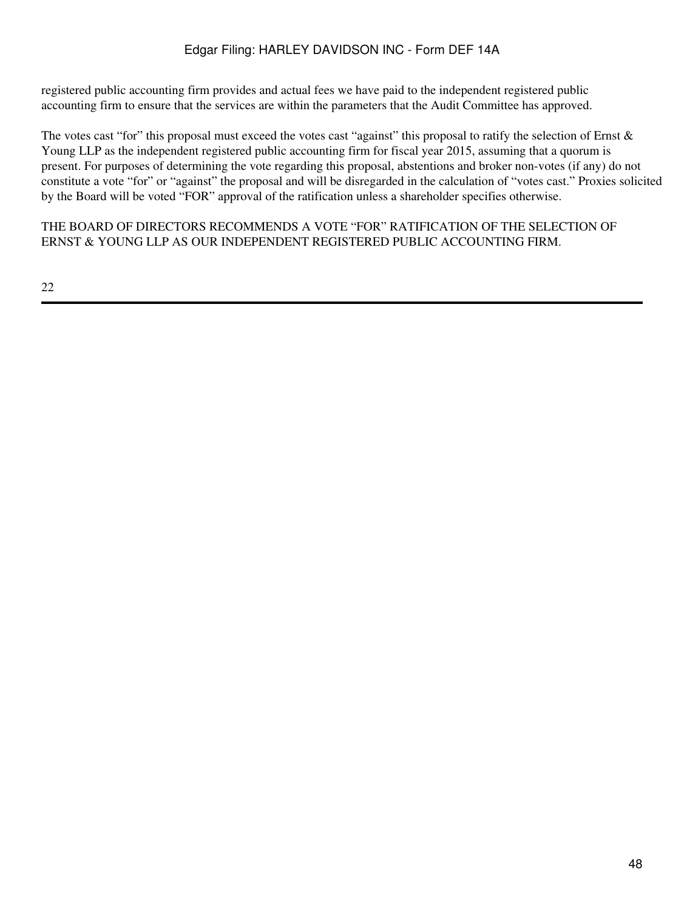registered public accounting firm provides and actual fees we have paid to the independent registered public accounting firm to ensure that the services are within the parameters that the Audit Committee has approved.

The votes cast "for" this proposal must exceed the votes cast "against" this proposal to ratify the selection of Ernst & Young LLP as the independent registered public accounting firm for fiscal year 2015, assuming that a quorum is present. For purposes of determining the vote regarding this proposal, abstentions and broker non-votes (if any) do not constitute a vote "for" or "against" the proposal and will be disregarded in the calculation of "votes cast." Proxies solicited by the Board will be voted "FOR" approval of the ratification unless a shareholder specifies otherwise.

THE BOARD OF DIRECTORS RECOMMENDS A VOTE "FOR" RATIFICATION OF THE SELECTION OF ERNST & YOUNG LLP AS OUR INDEPENDENT REGISTERED PUBLIC ACCOUNTING FIRM.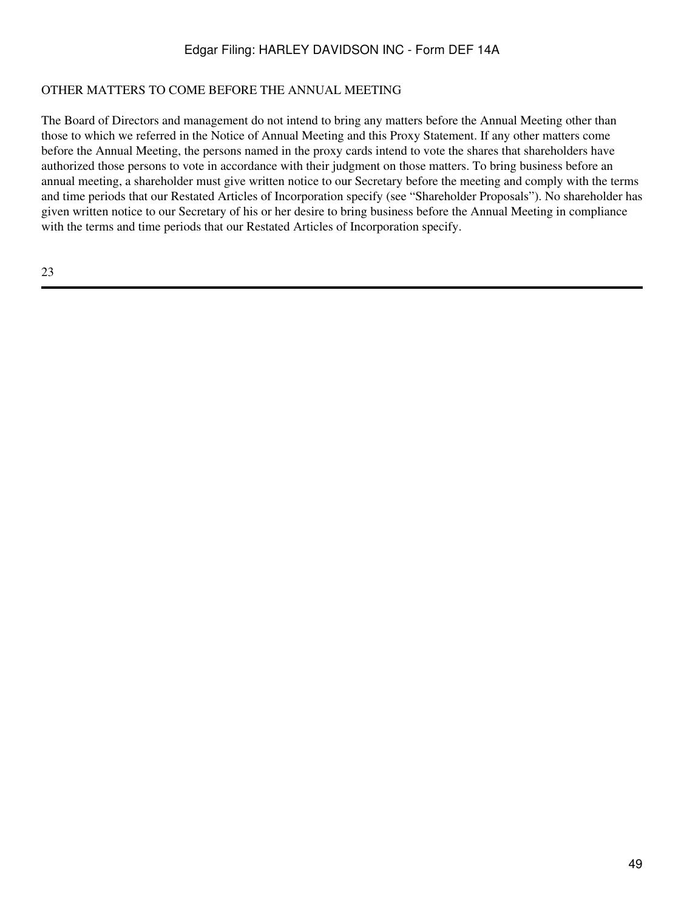#### OTHER MATTERS TO COME BEFORE THE ANNUAL MEETING

The Board of Directors and management do not intend to bring any matters before the Annual Meeting other than those to which we referred in the Notice of Annual Meeting and this Proxy Statement. If any other matters come before the Annual Meeting, the persons named in the proxy cards intend to vote the shares that shareholders have authorized those persons to vote in accordance with their judgment on those matters. To bring business before an annual meeting, a shareholder must give written notice to our Secretary before the meeting and comply with the terms and time periods that our Restated Articles of Incorporation specify (see "Shareholder Proposals"). No shareholder has given written notice to our Secretary of his or her desire to bring business before the Annual Meeting in compliance with the terms and time periods that our Restated Articles of Incorporation specify.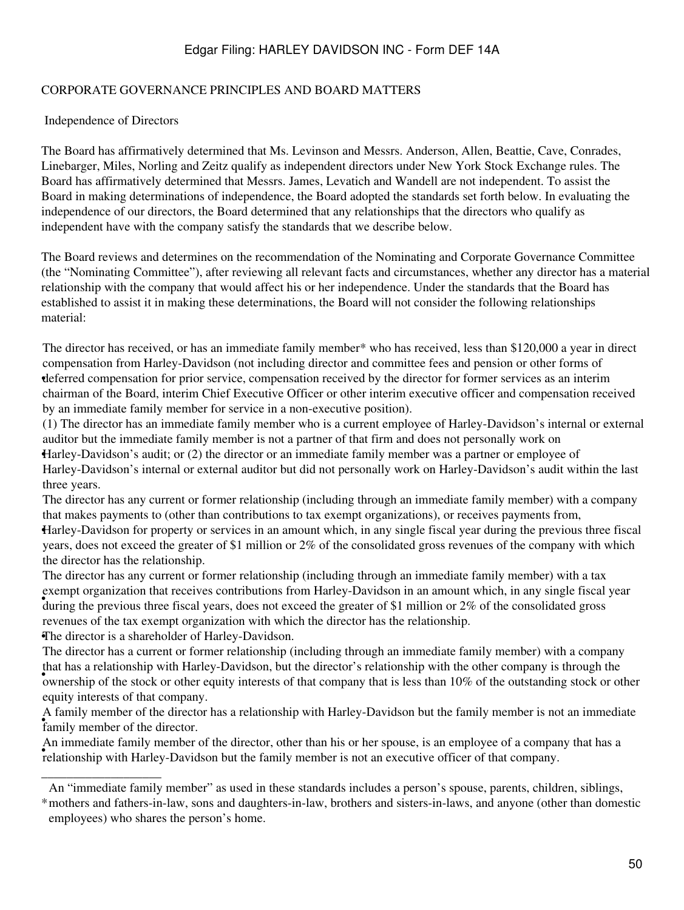#### CORPORATE GOVERNANCE PRINCIPLES AND BOARD MATTERS

#### Independence of Directors

The Board has affirmatively determined that Ms. Levinson and Messrs. Anderson, Allen, Beattie, Cave, Conrades, Linebarger, Miles, Norling and Zeitz qualify as independent directors under New York Stock Exchange rules. The Board has affirmatively determined that Messrs. James, Levatich and Wandell are not independent. To assist the Board in making determinations of independence, the Board adopted the standards set forth below. In evaluating the independence of our directors, the Board determined that any relationships that the directors who qualify as independent have with the company satisfy the standards that we describe below.

The Board reviews and determines on the recommendation of the Nominating and Corporate Governance Committee (the "Nominating Committee"), after reviewing all relevant facts and circumstances, whether any director has a material relationship with the company that would affect his or her independence. Under the standards that the Board has established to assist it in making these determinations, the Board will not consider the following relationships material:

deferred compensation for prior service, compensation received by the director for former services as an interim The director has received, or has an immediate family member\* who has received, less than \$120,000 a year in direct compensation from Harley-Davidson (not including director and committee fees and pension or other forms of chairman of the Board, interim Chief Executive Officer or other interim executive officer and compensation received by an immediate family member for service in a non-executive position).

Harley-Davidson's audit; or (2) the director or an immediate family member was a partner or employee of (1) The director has an immediate family member who is a current employee of Harley-Davidson's internal or external auditor but the immediate family member is not a partner of that firm and does not personally work on Harley-Davidson's internal or external auditor but did not personally work on Harley-Davidson's audit within the last three years.

The director has any current or former relationship (including through an immediate family member) with a company that makes payments to (other than contributions to tax exempt organizations), or receives payments from,

• Harley-Davidson for property or services in an amount which, in any single fiscal year during the previous three fiscal years, does not exceed the greater of \$1 million or 2% of the consolidated gross revenues of the company with which the director has the relationship.

example organization that receives contributions from Thancy Bavidson in an amount which, in any single risear<br>during the previous three fiscal years, does not exceed the greater of \$1 million or 2% of the consolidated gro The director has any current or former relationship (including through an immediate family member) with a tax exempt organization that receives contributions from Harley-Davidson in an amount which, in any single fiscal year revenues of the tax exempt organization with which the director has the relationship.

•The director is a shareholder of Harley-Davidson.

\_\_\_\_\_\_\_\_\_\_\_\_\_\_\_\_\_\_\_

ownership of the stock or other equity interests of that company that is less than 10% of the outstanding stock or other The director has a current or former relationship (including through an immediate family member) with a company that has a relationship with Harley-Davidson, but the director's relationship with the other company is through the equity interests of that company.

family member of the director. A family member of the director has a relationship with Harley-Davidson but the family member is not an immediate

For immediate rainity member of the director, other than its of her spouse, is an employee of a company.<br>relationship with Harley-Davidson but the family member is not an executive officer of that company. An immediate family member of the director, other than his or her spouse, is an employee of a company that has a

An "immediate family member" as used in these standards includes a person's spouse, parents, children, siblings,

<sup>\*</sup> mothers and fathers-in-law, sons and daughters-in-law, brothers and sisters-in-laws, and anyone (other than domestic employees) who shares the person's home.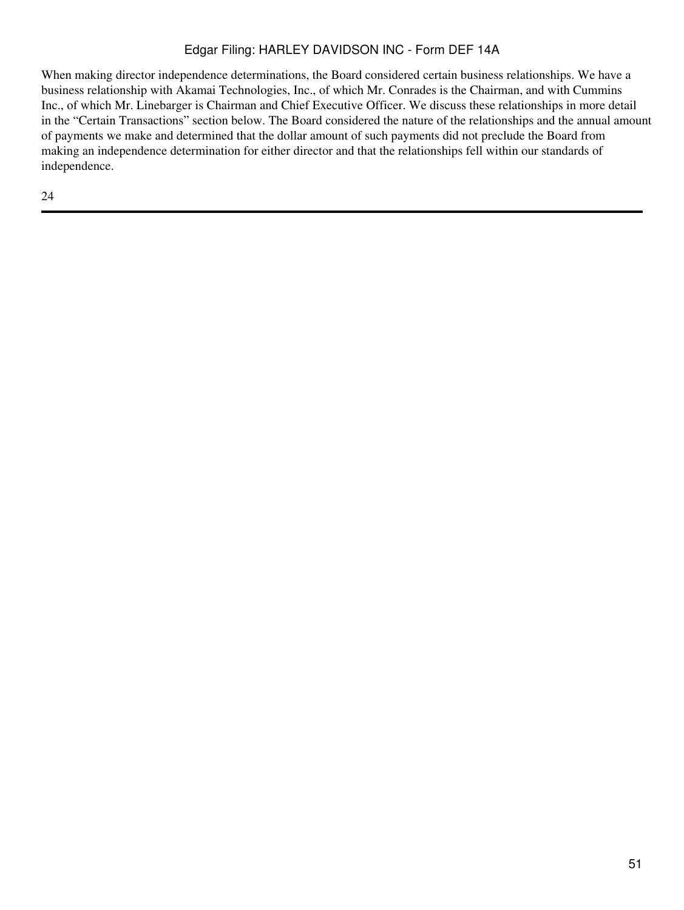When making director independence determinations, the Board considered certain business relationships. We have a business relationship with Akamai Technologies, Inc., of which Mr. Conrades is the Chairman, and with Cummins Inc., of which Mr. Linebarger is Chairman and Chief Executive Officer. We discuss these relationships in more detail in the "Certain Transactions" section below. The Board considered the nature of the relationships and the annual amount of payments we make and determined that the dollar amount of such payments did not preclude the Board from making an independence determination for either director and that the relationships fell within our standards of independence.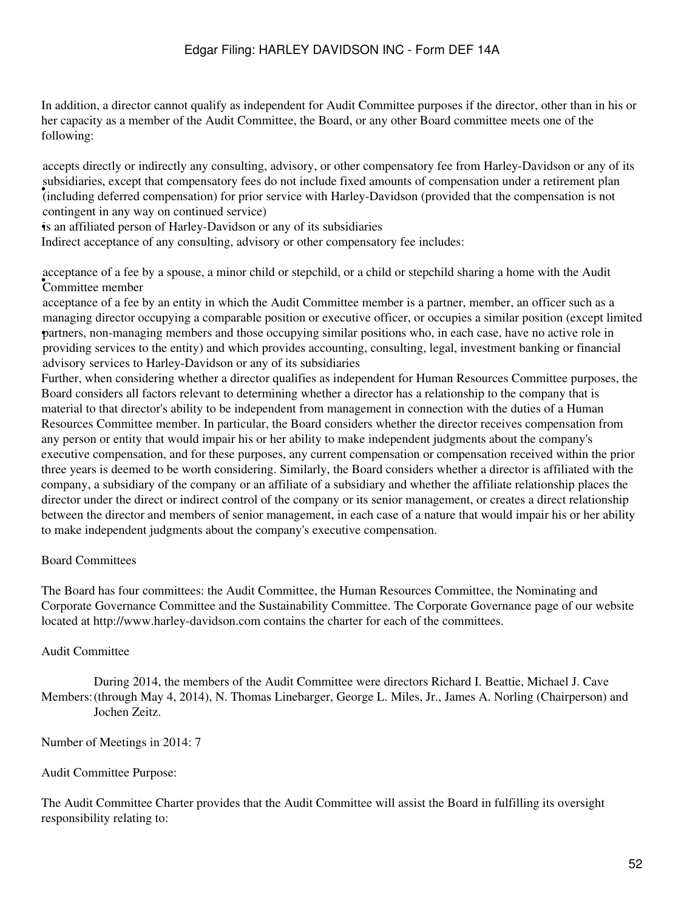In addition, a director cannot qualify as independent for Audit Committee purposes if the director, other than in his or her capacity as a member of the Audit Committee, the Board, or any other Board committee meets one of the following:

• (including deferred compensation) for prior service with Harley-Davidson (provided that the compensation is not accepts directly or indirectly any consulting, advisory, or other compensatory fee from Harley-Davidson or any of its subsidiaries, except that compensatory fees do not include fixed amounts of compensation under a retirement plan contingent in any way on continued service)

•is an affiliated person of Harley-Davidson or any of its subsidiaries

Indirect acceptance of any consulting, advisory or other compensatory fee includes:

• Committee member acceptance of a fee by a spouse, a minor child or stepchild, or a child or stepchild sharing a home with the Audit

• partners, non-managing members and those occupying similar positions who, in each case, have no active role in acceptance of a fee by an entity in which the Audit Committee member is a partner, member, an officer such as a managing director occupying a comparable position or executive officer, or occupies a similar position (except limited providing services to the entity) and which provides accounting, consulting, legal, investment banking or financial advisory services to Harley-Davidson or any of its subsidiaries

Further, when considering whether a director qualifies as independent for Human Resources Committee purposes, the Board considers all factors relevant to determining whether a director has a relationship to the company that is material to that director's ability to be independent from management in connection with the duties of a Human Resources Committee member. In particular, the Board considers whether the director receives compensation from any person or entity that would impair his or her ability to make independent judgments about the company's executive compensation, and for these purposes, any current compensation or compensation received within the prior three years is deemed to be worth considering. Similarly, the Board considers whether a director is affiliated with the company, a subsidiary of the company or an affiliate of a subsidiary and whether the affiliate relationship places the director under the direct or indirect control of the company or its senior management, or creates a direct relationship between the director and members of senior management, in each case of a nature that would impair his or her ability to make independent judgments about the company's executive compensation.

#### Board Committees

The Board has four committees: the Audit Committee, the Human Resources Committee, the Nominating and Corporate Governance Committee and the Sustainability Committee. The Corporate Governance page of our website located at http://www.harley-davidson.com contains the charter for each of the committees.

#### Audit Committee

Members: (through May 4, 2014), N. Thomas Linebarger, George L. Miles, Jr., James A. Norling (Chairperson) and During 2014, the members of the Audit Committee were directors Richard I. Beattie, Michael J. Cave Jochen Zeitz.

Number of Meetings in 2014: 7

#### Audit Committee Purpose:

The Audit Committee Charter provides that the Audit Committee will assist the Board in fulfilling its oversight responsibility relating to: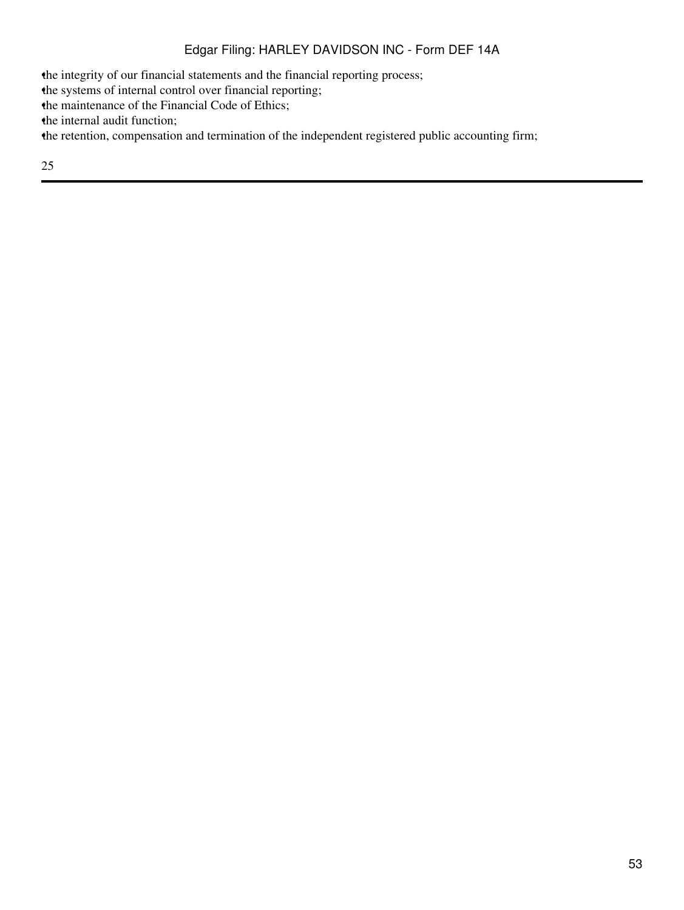•the integrity of our financial statements and the financial reporting process; •the systems of internal control over financial reporting; the maintenance of the Financial Code of Ethics; the internal audit function; •the retention, compensation and termination of the independent registered public accounting firm;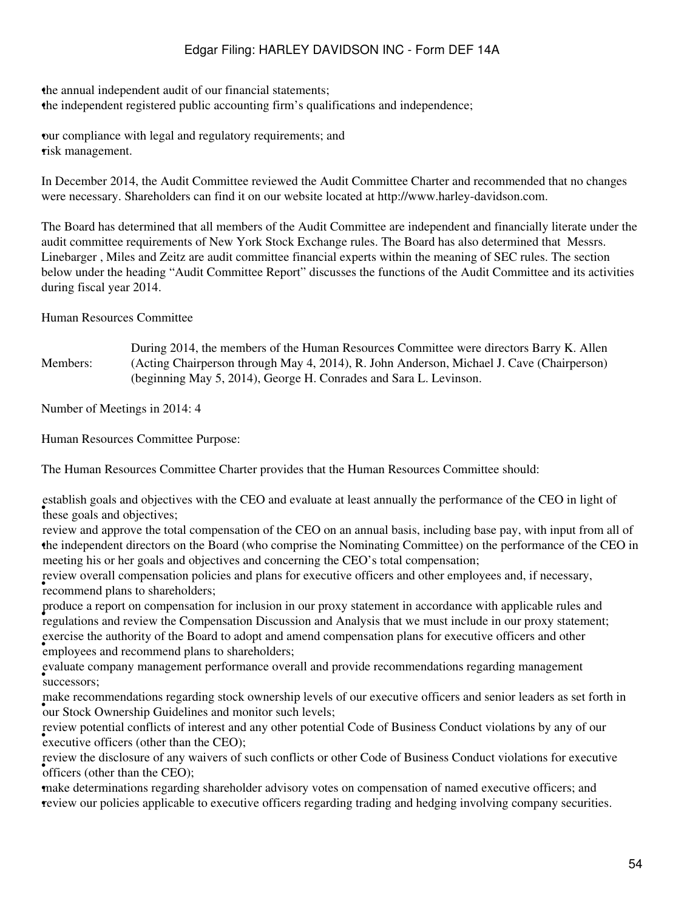•the annual independent audit of our financial statements; •the independent registered public accounting firm's qualifications and independence;

•our compliance with legal and regulatory requirements; and risk management.

In December 2014, the Audit Committee reviewed the Audit Committee Charter and recommended that no changes were necessary. Shareholders can find it on our website located at http://www.harley-davidson.com.

The Board has determined that all members of the Audit Committee are independent and financially literate under the audit committee requirements of New York Stock Exchange rules. The Board has also determined that Messrs. Linebarger , Miles and Zeitz are audit committee financial experts within the meaning of SEC rules. The section below under the heading "Audit Committee Report" discusses the functions of the Audit Committee and its activities during fiscal year 2014.

Human Resources Committee

Members: During 2014, the members of the Human Resources Committee were directors Barry K. Allen (Acting Chairperson through May 4, 2014), R. John Anderson, Michael J. Cave (Chairperson) (beginning May 5, 2014), George H. Conrades and Sara L. Levinson.

Number of Meetings in 2014: 4

Human Resources Committee Purpose:

The Human Resources Committee Charter provides that the Human Resources Committee should:

these goals and objectives; establish goals and objectives with the CEO and evaluate at least annually the performance of the CEO in light of

• the independent directors on the Board (who comprise the Nominating Committee) on the performance of the CEO in review and approve the total compensation of the CEO on an annual basis, including base pay, with input from all of meeting his or her goals and objectives and concerning the CEO's total compensation;

• **FOREW OVERENT COMPLEMENTS recommend** plans to shareholders; review overall compensation policies and plans for executive officers and other employees and, if necessary,

• regulations and review the Compensation Discussion and Analysis that we must include in our proxy statement; produce a report on compensation for inclusion in our proxy statement in accordance with applicable rules and • employees and recommend plans to shareholders; exercise the authority of the Board to adopt and amend compensation plans for executive officers and other

• successors; evaluate company management performance overall and provide recommendations regarding management

France recommendations regarding stock ownership reverse our Stock Ownership Guidelines and monitor such levels; make recommendations regarding stock ownership levels of our executive officers and senior leaders as set forth in

eview potential conflicts of interest and<br>executive officers (other than the CEO); review potential conflicts of interest and any other potential Code of Business Conduct violations by any of our

• officers (other than the CEO); review the disclosure of any waivers of such conflicts or other Code of Business Conduct violations for executive

•make determinations regarding shareholder advisory votes on compensation of named executive officers; and •review our policies applicable to executive officers regarding trading and hedging involving company securities.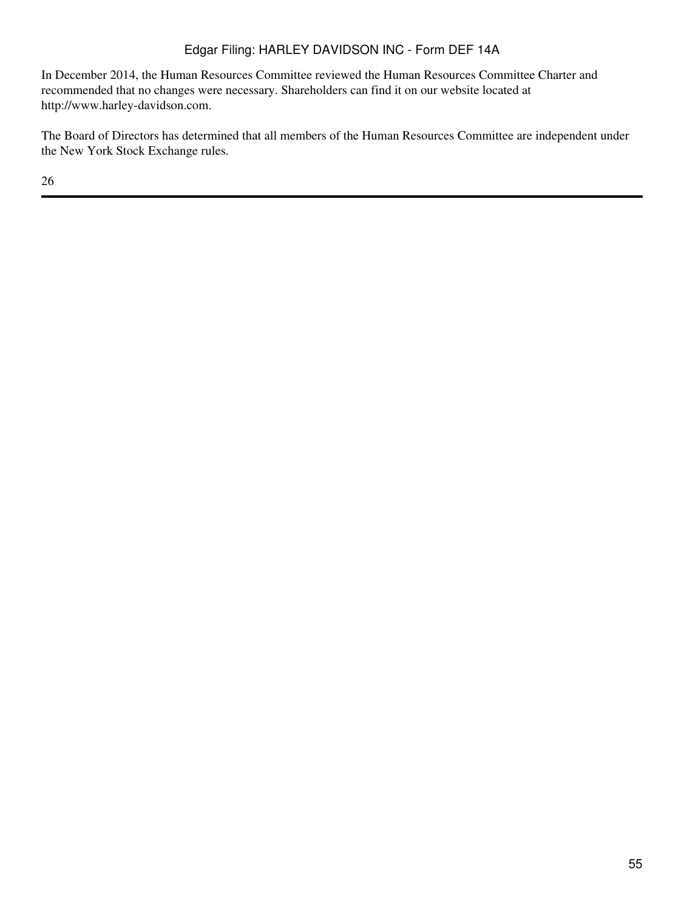In December 2014, the Human Resources Committee reviewed the Human Resources Committee Charter and recommended that no changes were necessary. Shareholders can find it on our website located at http://www.harley-davidson.com.

The Board of Directors has determined that all members of the Human Resources Committee are independent under the New York Stock Exchange rules.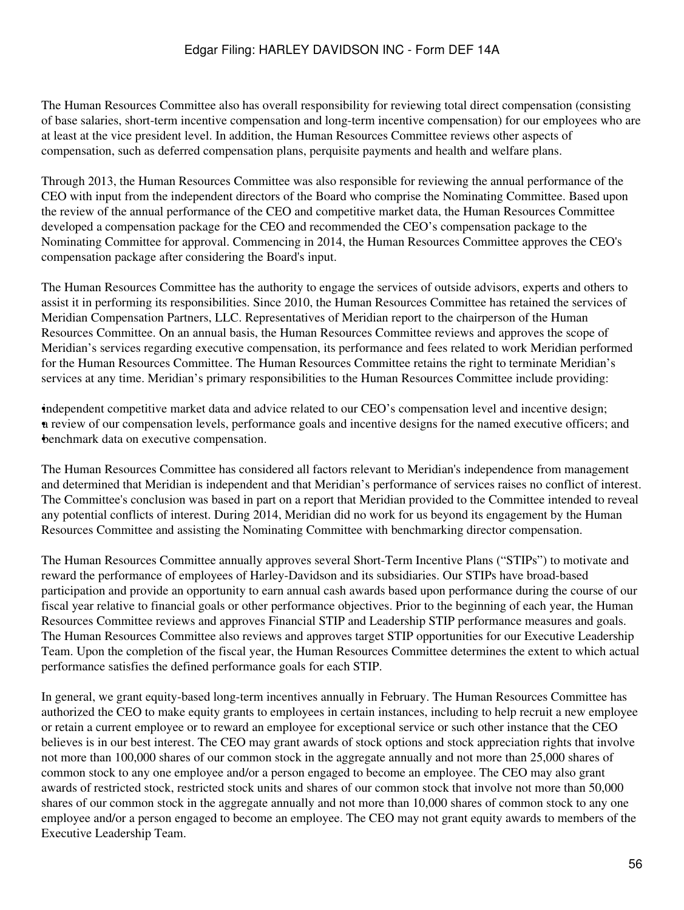The Human Resources Committee also has overall responsibility for reviewing total direct compensation (consisting of base salaries, short-term incentive compensation and long-term incentive compensation) for our employees who are at least at the vice president level. In addition, the Human Resources Committee reviews other aspects of compensation, such as deferred compensation plans, perquisite payments and health and welfare plans.

Through 2013, the Human Resources Committee was also responsible for reviewing the annual performance of the CEO with input from the independent directors of the Board who comprise the Nominating Committee. Based upon the review of the annual performance of the CEO and competitive market data, the Human Resources Committee developed a compensation package for the CEO and recommended the CEO's compensation package to the Nominating Committee for approval. Commencing in 2014, the Human Resources Committee approves the CEO's compensation package after considering the Board's input.

The Human Resources Committee has the authority to engage the services of outside advisors, experts and others to assist it in performing its responsibilities. Since 2010, the Human Resources Committee has retained the services of Meridian Compensation Partners, LLC. Representatives of Meridian report to the chairperson of the Human Resources Committee. On an annual basis, the Human Resources Committee reviews and approves the scope of Meridian's services regarding executive compensation, its performance and fees related to work Meridian performed for the Human Resources Committee. The Human Resources Committee retains the right to terminate Meridian's services at any time. Meridian's primary responsibilities to the Human Resources Committee include providing:

•independent competitive market data and advice related to our CEO's compensation level and incentive design; •a review of our compensation levels, performance goals and incentive designs for the named executive officers; and •benchmark data on executive compensation.

The Human Resources Committee has considered all factors relevant to Meridian's independence from management and determined that Meridian is independent and that Meridian's performance of services raises no conflict of interest. The Committee's conclusion was based in part on a report that Meridian provided to the Committee intended to reveal any potential conflicts of interest. During 2014, Meridian did no work for us beyond its engagement by the Human Resources Committee and assisting the Nominating Committee with benchmarking director compensation.

The Human Resources Committee annually approves several Short-Term Incentive Plans ("STIPs") to motivate and reward the performance of employees of Harley-Davidson and its subsidiaries. Our STIPs have broad-based participation and provide an opportunity to earn annual cash awards based upon performance during the course of our fiscal year relative to financial goals or other performance objectives. Prior to the beginning of each year, the Human Resources Committee reviews and approves Financial STIP and Leadership STIP performance measures and goals. The Human Resources Committee also reviews and approves target STIP opportunities for our Executive Leadership Team. Upon the completion of the fiscal year, the Human Resources Committee determines the extent to which actual performance satisfies the defined performance goals for each STIP.

In general, we grant equity-based long-term incentives annually in February. The Human Resources Committee has authorized the CEO to make equity grants to employees in certain instances, including to help recruit a new employee or retain a current employee or to reward an employee for exceptional service or such other instance that the CEO believes is in our best interest. The CEO may grant awards of stock options and stock appreciation rights that involve not more than 100,000 shares of our common stock in the aggregate annually and not more than 25,000 shares of common stock to any one employee and/or a person engaged to become an employee. The CEO may also grant awards of restricted stock, restricted stock units and shares of our common stock that involve not more than 50,000 shares of our common stock in the aggregate annually and not more than 10,000 shares of common stock to any one employee and/or a person engaged to become an employee. The CEO may not grant equity awards to members of the Executive Leadership Team.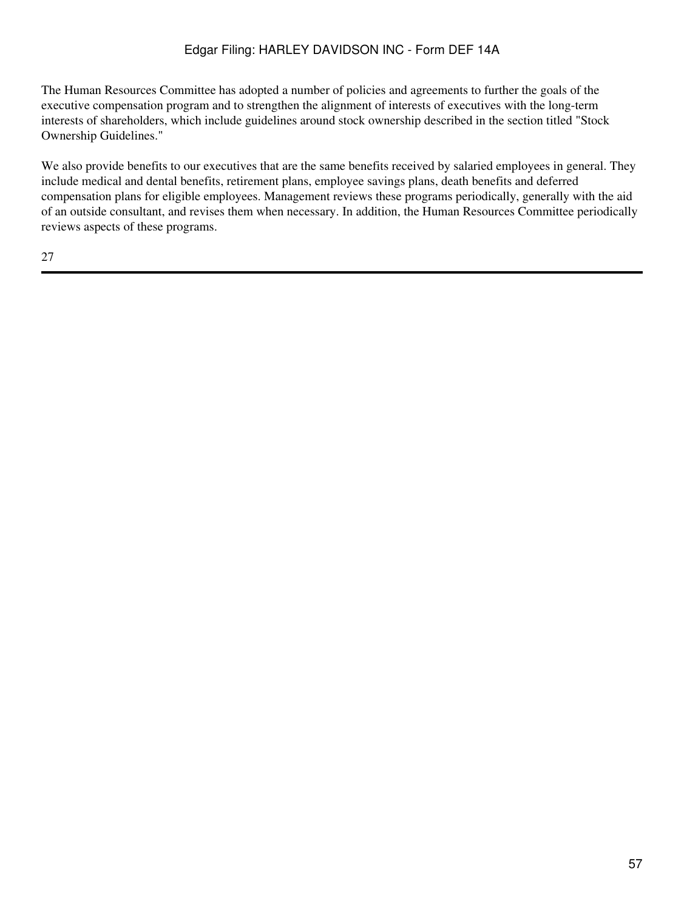The Human Resources Committee has adopted a number of policies and agreements to further the goals of the executive compensation program and to strengthen the alignment of interests of executives with the long-term interests of shareholders, which include guidelines around stock ownership described in the section titled "Stock Ownership Guidelines."

We also provide benefits to our executives that are the same benefits received by salaried employees in general. They include medical and dental benefits, retirement plans, employee savings plans, death benefits and deferred compensation plans for eligible employees. Management reviews these programs periodically, generally with the aid of an outside consultant, and revises them when necessary. In addition, the Human Resources Committee periodically reviews aspects of these programs.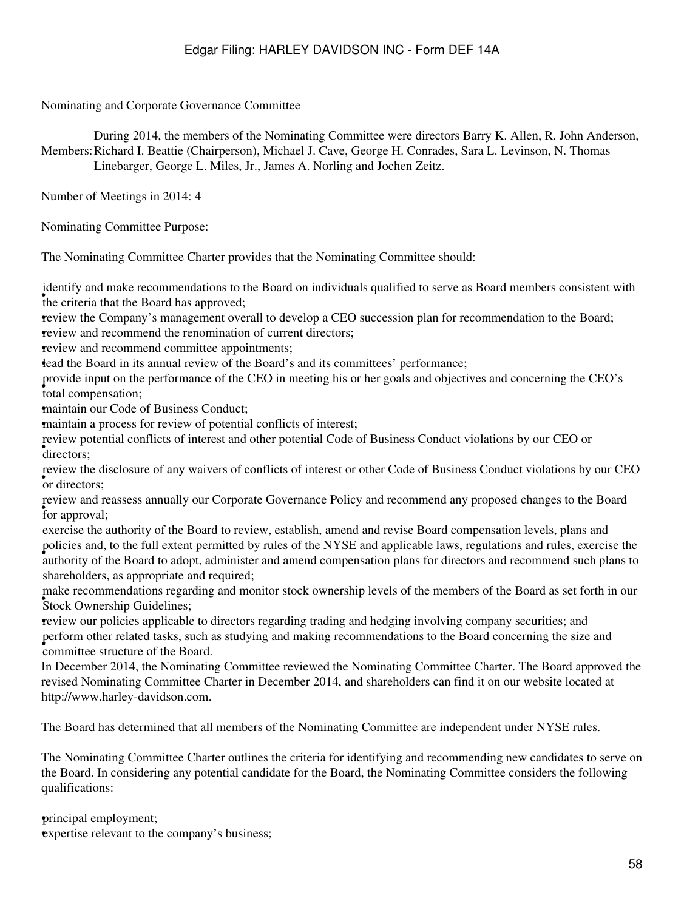Nominating and Corporate Governance Committee

Members: Richard I. Beattie (Chairperson), Michael J. Cave, George H. Conrades, Sara L. Levinson, N. Thomas During 2014, the members of the Nominating Committee were directors Barry K. Allen, R. John Anderson, Linebarger, George L. Miles, Jr., James A. Norling and Jochen Zeitz.

Number of Meetings in 2014: 4

Nominating Committee Purpose:

The Nominating Committee Charter provides that the Nominating Committee should:

the criteria that the Board has approved; identify and make recommendations to the Board on individuals qualified to serve as Board members consistent with

•review the Company's management overall to develop a CEO succession plan for recommendation to the Board; •review and recommend the renomination of current directors;

•review and recommend committee appointments;

•lead the Board in its annual review of the Board's and its committees' performance;

• total compensation; provide input on the performance of the CEO in meeting his or her goals and objectives and concerning the CEO's

•maintain our Code of Business Conduct;

•maintain a process for review of potential conflicts of interest;

directors; review potential conflicts of interest and other potential Code of Business Conduct violations by our CEO or

or directors; review the disclosure of any waivers of conflicts of interest or other Code of Business Conduct violations by our CEO

for approval; review and reassess annually our Corporate Governance Policy and recommend any proposed changes to the Board

• authority of the Board to adopt, administer and amend compensation plans for directors and recommend such plans to exercise the authority of the Board to review, establish, amend and revise Board compensation levels, plans and policies and, to the full extent permitted by rules of the NYSE and applicable laws, regulations and rules, exercise the shareholders, as appropriate and required;

**Stock Ownership Guidelines;** make recommendations regarding and monitor stock ownership levels of the members of the Board as set forth in our

•review our policies applicable to directors regarding trading and hedging involving company securities; and • committee structure of the Board. perform other related tasks, such as studying and making recommendations to the Board concerning the size and

In December 2014, the Nominating Committee reviewed the Nominating Committee Charter. The Board approved the revised Nominating Committee Charter in December 2014, and shareholders can find it on our website located at http://www.harley-davidson.com.

The Board has determined that all members of the Nominating Committee are independent under NYSE rules.

The Nominating Committee Charter outlines the criteria for identifying and recommending new candidates to serve on the Board. In considering any potential candidate for the Board, the Nominating Committee considers the following qualifications:

•principal employment; expertise relevant to the company's business;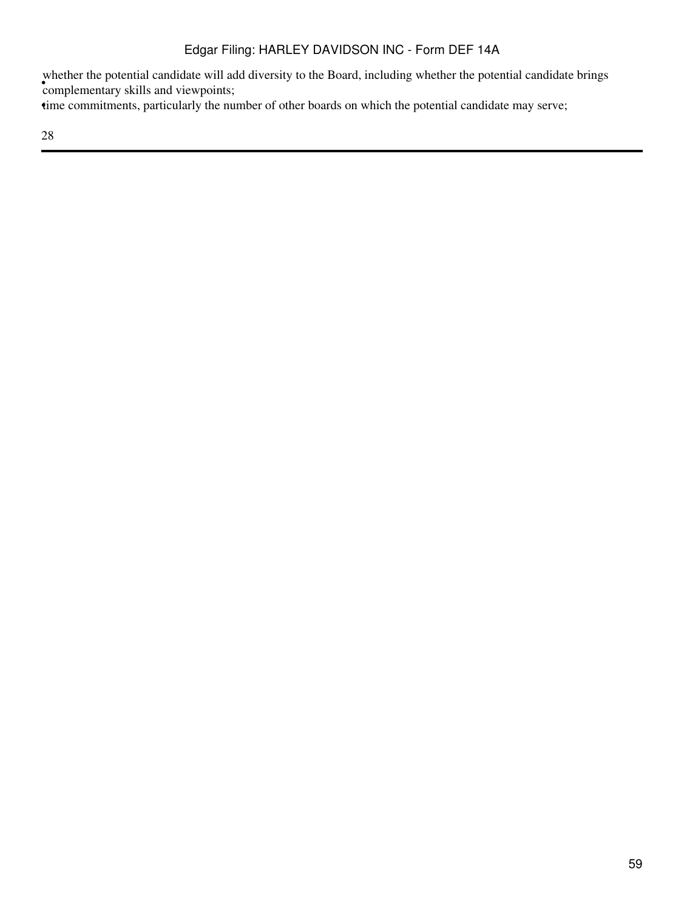• complementary skills and viewpoints; whether the potential candidate will add diversity to the Board, including whether the potential candidate brings

time commitments, particularly the number of other boards on which the potential candidate may serve;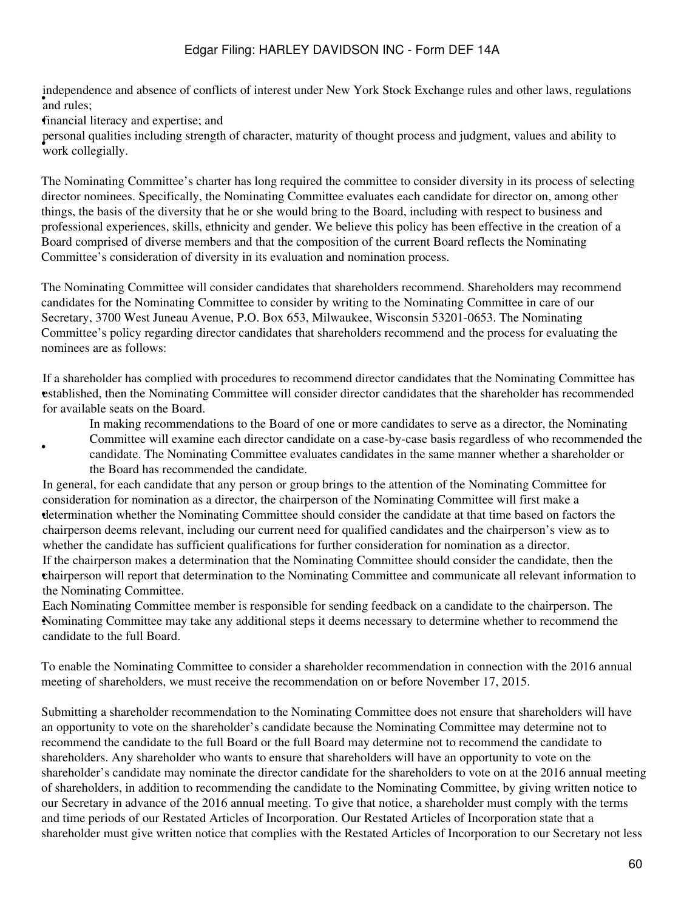and rules; independence and absence of conflicts of interest under New York Stock Exchange rules and other laws, regulations

•financial literacy and expertise; and

•

• work collegially. personal qualities including strength of character, maturity of thought process and judgment, values and ability to

The Nominating Committee's charter has long required the committee to consider diversity in its process of selecting director nominees. Specifically, the Nominating Committee evaluates each candidate for director on, among other things, the basis of the diversity that he or she would bring to the Board, including with respect to business and professional experiences, skills, ethnicity and gender. We believe this policy has been effective in the creation of a Board comprised of diverse members and that the composition of the current Board reflects the Nominating Committee's consideration of diversity in its evaluation and nomination process.

The Nominating Committee will consider candidates that shareholders recommend. Shareholders may recommend candidates for the Nominating Committee to consider by writing to the Nominating Committee in care of our Secretary, 3700 West Juneau Avenue, P.O. Box 653, Milwaukee, Wisconsin 53201-0653. The Nominating Committee's policy regarding director candidates that shareholders recommend and the process for evaluating the nominees are as follows:

• established, then the Nominating Committee will consider director candidates that the shareholder has recommended If a shareholder has complied with procedures to recommend director candidates that the Nominating Committee has for available seats on the Board.

In making recommendations to the Board of one or more candidates to serve as a director, the Nominating Committee will examine each director candidate on a case-by-case basis regardless of who recommended the

candidate. The Nominating Committee evaluates candidates in the same manner whether a shareholder or the Board has recommended the candidate.

determination whether the Nominating Committee should consider the candidate at that time based on factors the In general, for each candidate that any person or group brings to the attention of the Nominating Committee for consideration for nomination as a director, the chairperson of the Nominating Committee will first make a chairperson deems relevant, including our current need for qualified candidates and the chairperson's view as to whether the candidate has sufficient qualifications for further consideration for nomination as a director. • chairperson will report that determination to the Nominating Committee and communicate all relevant information to If the chairperson makes a determination that the Nominating Committee should consider the candidate, then the the Nominating Committee.

• Nominating Committee may take any additional steps it deems necessary to determine whether to recommend the Each Nominating Committee member is responsible for sending feedback on a candidate to the chairperson. The candidate to the full Board.

To enable the Nominating Committee to consider a shareholder recommendation in connection with the 2016 annual meeting of shareholders, we must receive the recommendation on or before November 17, 2015.

Submitting a shareholder recommendation to the Nominating Committee does not ensure that shareholders will have an opportunity to vote on the shareholder's candidate because the Nominating Committee may determine not to recommend the candidate to the full Board or the full Board may determine not to recommend the candidate to shareholders. Any shareholder who wants to ensure that shareholders will have an opportunity to vote on the shareholder's candidate may nominate the director candidate for the shareholders to vote on at the 2016 annual meeting of shareholders, in addition to recommending the candidate to the Nominating Committee, by giving written notice to our Secretary in advance of the 2016 annual meeting. To give that notice, a shareholder must comply with the terms and time periods of our Restated Articles of Incorporation. Our Restated Articles of Incorporation state that a shareholder must give written notice that complies with the Restated Articles of Incorporation to our Secretary not less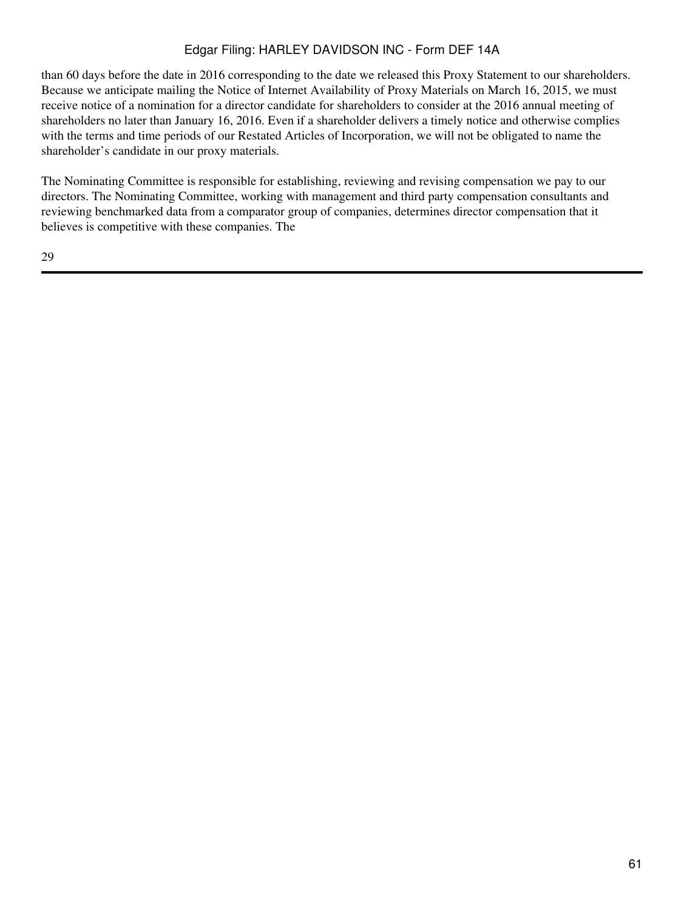than 60 days before the date in 2016 corresponding to the date we released this Proxy Statement to our shareholders. Because we anticipate mailing the Notice of Internet Availability of Proxy Materials on March 16, 2015, we must receive notice of a nomination for a director candidate for shareholders to consider at the 2016 annual meeting of shareholders no later than January 16, 2016. Even if a shareholder delivers a timely notice and otherwise complies with the terms and time periods of our Restated Articles of Incorporation, we will not be obligated to name the shareholder's candidate in our proxy materials.

The Nominating Committee is responsible for establishing, reviewing and revising compensation we pay to our directors. The Nominating Committee, working with management and third party compensation consultants and reviewing benchmarked data from a comparator group of companies, determines director compensation that it believes is competitive with these companies. The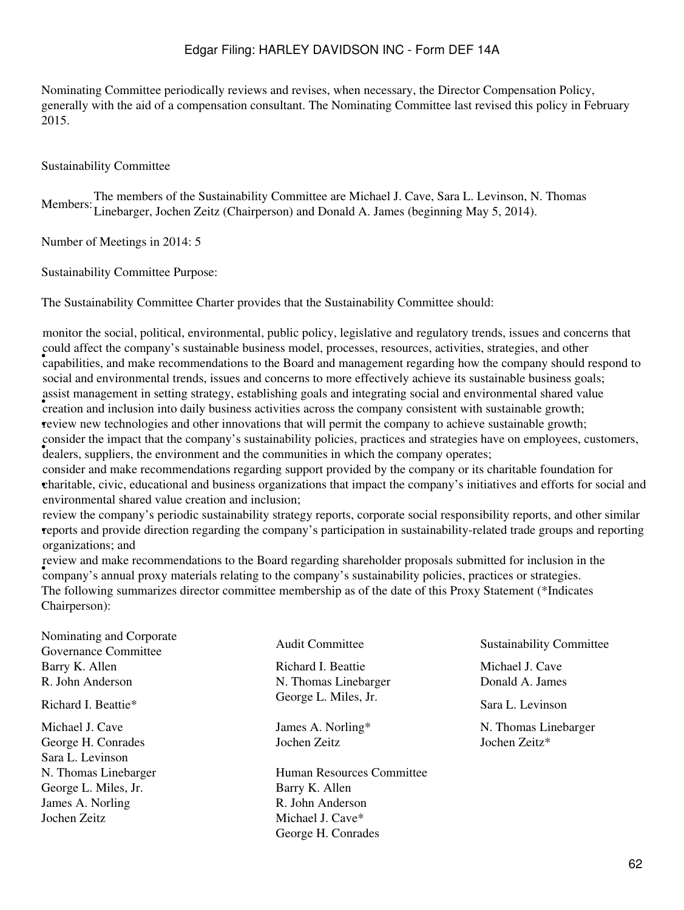Nominating Committee periodically reviews and revises, when necessary, the Director Compensation Policy, generally with the aid of a compensation consultant. The Nominating Committee last revised this policy in February 2015.

#### Sustainability Committee

Members:The members of the Sustainability Committee are Michael J. Cave, Sara L. Levinson, N. Thomas Linebarger, Jochen Zeitz (Chairperson) and Donald A. James (beginning May 5, 2014).

Number of Meetings in 2014: 5

Sustainability Committee Purpose:

The Sustainability Committee Charter provides that the Sustainability Committee should:

• capabilities, and make recommendations to the Board and management regarding how the company should respond to monitor the social, political, environmental, public policy, legislative and regulatory trends, issues and concerns that could affect the company's sustainable business model, processes, resources, activities, strategies, and other social and environmental trends, issues and concerns to more effectively achieve its sustainable business goals; **EVALUATE:** CREATION INTERFACT IN SECTION AND THE CONSTRUCTION CONSISTENT AND CONSISTENT AND CONSISTENT AND CONSISTENT AND CONSISTENT WITH SUSTAINING A CONSISTENT WITH SUSTAINING A CONSISTENT WITH SUSTAINING A CONSISTENT W assist management in setting strategy, establishing goals and integrating social and environmental shared value •review new technologies and other innovations that will permit the company to achieve sustainable growth; • dealers, suppliers, the environment and the communities in which the company operates; consider the impact that the company's sustainability policies, practices and strategies have on employees, customers,

• charitable, civic, educational and business organizations that impact the company's initiatives and efforts for social and consider and make recommendations regarding support provided by the company or its charitable foundation for environmental shared value creation and inclusion;

• reports and provide direction regarding the company's participation in sustainability-related trade groups and reporting review the company's periodic sustainability strategy reports, corporate social responsibility reports, and other similar organizations; and

• company's annual proxy materials relating to the company's sustainability policies, practices or strategies. review and make recommendations to the Board regarding shareholder proposals submitted for inclusion in the The following summarizes director committee membership as of the date of this Proxy Statement (\*Indicates Chairperson):

Nominating and Corporate Sustainability Committee Audit Committee Sustainability Committee Barry K. Allen **Richard I. Beattie Michael J. Cave** Richard I. Beattie Michael J. Cave R. John Anderson N. Thomas Linebarger Donald A. James Richard I. Beattie\* George L. Miles, Jr. Sara L. Levinson

George H. Conrades Sochen Zeitz and Jochen Zeitz Jochen Zeitz<sup>\*</sup> Sara L. Levinson George L. Miles, Jr. Barry K. Allen James A. Norling R. John Anderson Jochen Zeitz Michael J. Cave\*

N. Thomas Linebarger Human Resources Committee George H. Conrades

Michael J. Cave The State of Tames A. Norling\* N. Thomas Linebarger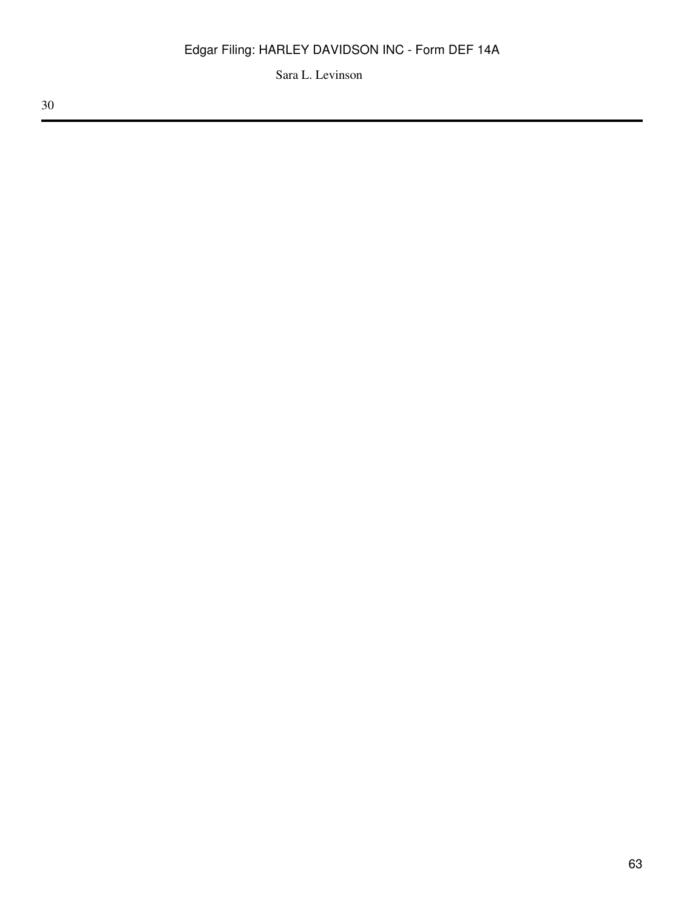Sara L. Levinson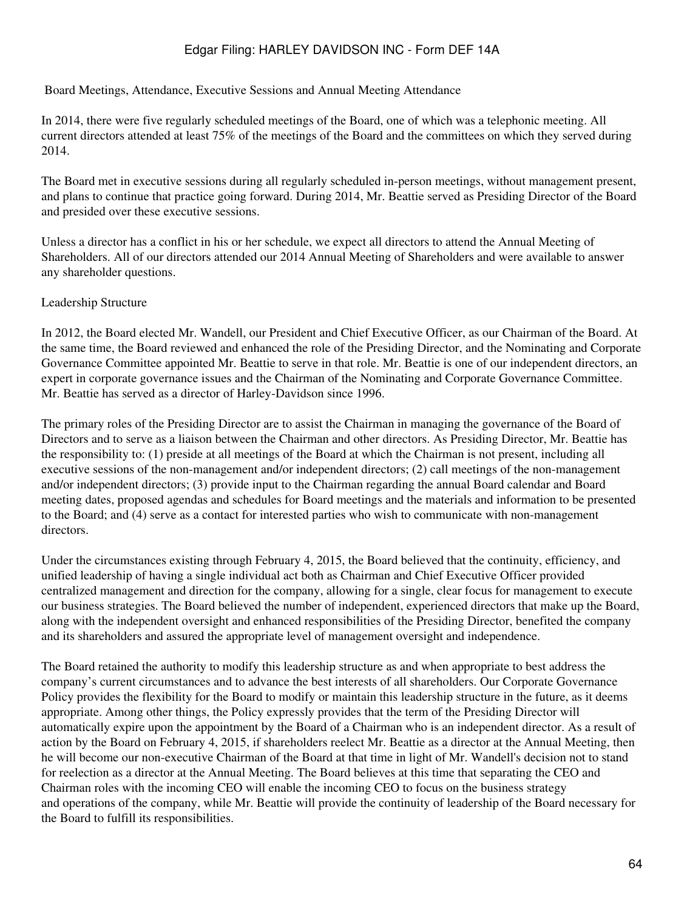Board Meetings, Attendance, Executive Sessions and Annual Meeting Attendance

In 2014, there were five regularly scheduled meetings of the Board, one of which was a telephonic meeting. All current directors attended at least 75% of the meetings of the Board and the committees on which they served during 2014.

The Board met in executive sessions during all regularly scheduled in-person meetings, without management present, and plans to continue that practice going forward. During 2014, Mr. Beattie served as Presiding Director of the Board and presided over these executive sessions.

Unless a director has a conflict in his or her schedule, we expect all directors to attend the Annual Meeting of Shareholders. All of our directors attended our 2014 Annual Meeting of Shareholders and were available to answer any shareholder questions.

#### Leadership Structure

In 2012, the Board elected Mr. Wandell, our President and Chief Executive Officer, as our Chairman of the Board. At the same time, the Board reviewed and enhanced the role of the Presiding Director, and the Nominating and Corporate Governance Committee appointed Mr. Beattie to serve in that role. Mr. Beattie is one of our independent directors, an expert in corporate governance issues and the Chairman of the Nominating and Corporate Governance Committee. Mr. Beattie has served as a director of Harley-Davidson since 1996.

The primary roles of the Presiding Director are to assist the Chairman in managing the governance of the Board of Directors and to serve as a liaison between the Chairman and other directors. As Presiding Director, Mr. Beattie has the responsibility to: (1) preside at all meetings of the Board at which the Chairman is not present, including all executive sessions of the non-management and/or independent directors; (2) call meetings of the non-management and/or independent directors; (3) provide input to the Chairman regarding the annual Board calendar and Board meeting dates, proposed agendas and schedules for Board meetings and the materials and information to be presented to the Board; and (4) serve as a contact for interested parties who wish to communicate with non-management directors.

Under the circumstances existing through February 4, 2015, the Board believed that the continuity, efficiency, and unified leadership of having a single individual act both as Chairman and Chief Executive Officer provided centralized management and direction for the company, allowing for a single, clear focus for management to execute our business strategies. The Board believed the number of independent, experienced directors that make up the Board, along with the independent oversight and enhanced responsibilities of the Presiding Director, benefited the company and its shareholders and assured the appropriate level of management oversight and independence.

The Board retained the authority to modify this leadership structure as and when appropriate to best address the company's current circumstances and to advance the best interests of all shareholders. Our Corporate Governance Policy provides the flexibility for the Board to modify or maintain this leadership structure in the future, as it deems appropriate. Among other things, the Policy expressly provides that the term of the Presiding Director will automatically expire upon the appointment by the Board of a Chairman who is an independent director. As a result of action by the Board on February 4, 2015, if shareholders reelect Mr. Beattie as a director at the Annual Meeting, then he will become our non-executive Chairman of the Board at that time in light of Mr. Wandell's decision not to stand for reelection as a director at the Annual Meeting. The Board believes at this time that separating the CEO and Chairman roles with the incoming CEO will enable the incoming CEO to focus on the business strategy and operations of the company, while Mr. Beattie will provide the continuity of leadership of the Board necessary for the Board to fulfill its responsibilities.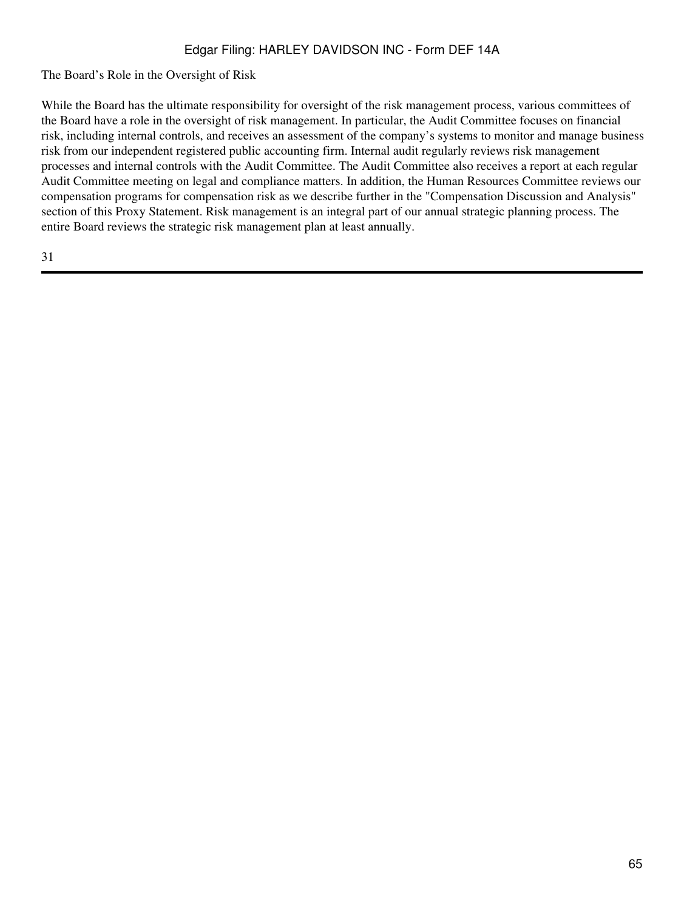The Board's Role in the Oversight of Risk

While the Board has the ultimate responsibility for oversight of the risk management process, various committees of the Board have a role in the oversight of risk management. In particular, the Audit Committee focuses on financial risk, including internal controls, and receives an assessment of the company's systems to monitor and manage business risk from our independent registered public accounting firm. Internal audit regularly reviews risk management processes and internal controls with the Audit Committee. The Audit Committee also receives a report at each regular Audit Committee meeting on legal and compliance matters. In addition, the Human Resources Committee reviews our compensation programs for compensation risk as we describe further in the "Compensation Discussion and Analysis" section of this Proxy Statement. Risk management is an integral part of our annual strategic planning process. The entire Board reviews the strategic risk management plan at least annually.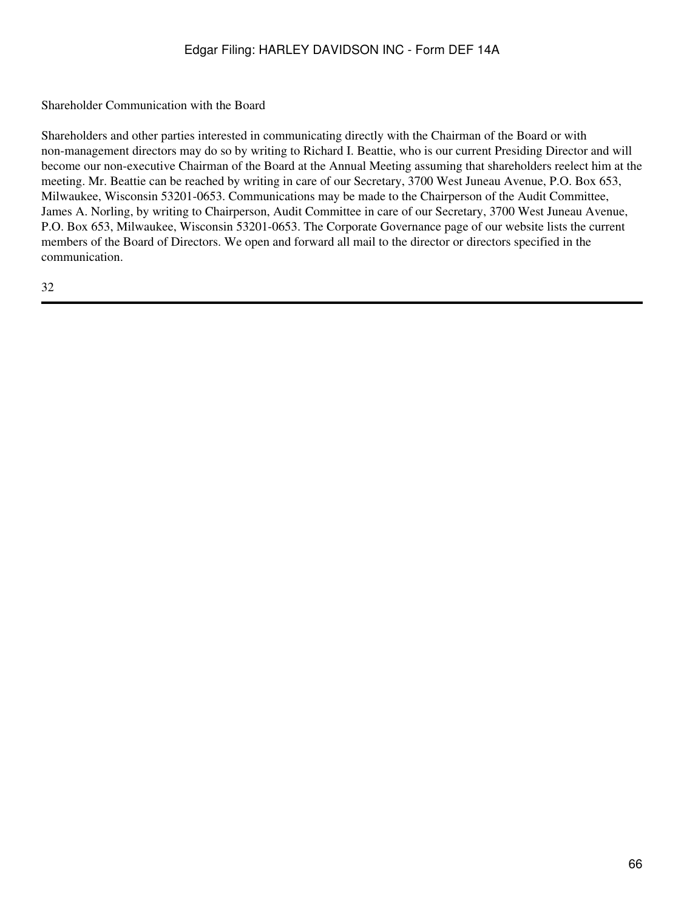Shareholder Communication with the Board

Shareholders and other parties interested in communicating directly with the Chairman of the Board or with non-management directors may do so by writing to Richard I. Beattie, who is our current Presiding Director and will become our non-executive Chairman of the Board at the Annual Meeting assuming that shareholders reelect him at the meeting. Mr. Beattie can be reached by writing in care of our Secretary, 3700 West Juneau Avenue, P.O. Box 653, Milwaukee, Wisconsin 53201-0653. Communications may be made to the Chairperson of the Audit Committee, James A. Norling, by writing to Chairperson, Audit Committee in care of our Secretary, 3700 West Juneau Avenue, P.O. Box 653, Milwaukee, Wisconsin 53201-0653. The Corporate Governance page of our website lists the current members of the Board of Directors. We open and forward all mail to the director or directors specified in the communication.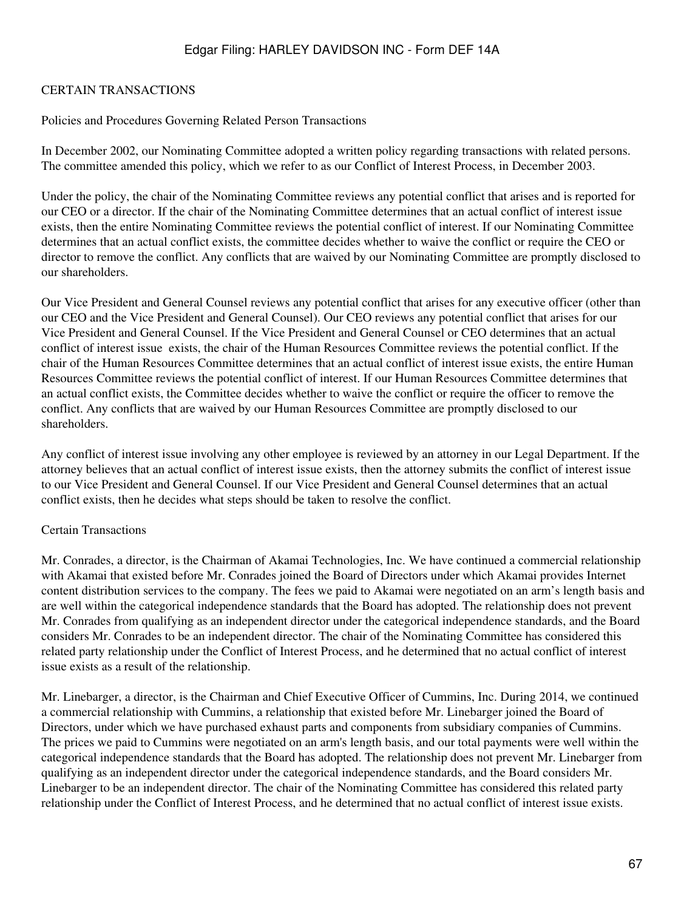#### CERTAIN TRANSACTIONS

Policies and Procedures Governing Related Person Transactions

In December 2002, our Nominating Committee adopted a written policy regarding transactions with related persons. The committee amended this policy, which we refer to as our Conflict of Interest Process, in December 2003.

Under the policy, the chair of the Nominating Committee reviews any potential conflict that arises and is reported for our CEO or a director. If the chair of the Nominating Committee determines that an actual conflict of interest issue exists, then the entire Nominating Committee reviews the potential conflict of interest. If our Nominating Committee determines that an actual conflict exists, the committee decides whether to waive the conflict or require the CEO or director to remove the conflict. Any conflicts that are waived by our Nominating Committee are promptly disclosed to our shareholders.

Our Vice President and General Counsel reviews any potential conflict that arises for any executive officer (other than our CEO and the Vice President and General Counsel). Our CEO reviews any potential conflict that arises for our Vice President and General Counsel. If the Vice President and General Counsel or CEO determines that an actual conflict of interest issue exists, the chair of the Human Resources Committee reviews the potential conflict. If the chair of the Human Resources Committee determines that an actual conflict of interest issue exists, the entire Human Resources Committee reviews the potential conflict of interest. If our Human Resources Committee determines that an actual conflict exists, the Committee decides whether to waive the conflict or require the officer to remove the conflict. Any conflicts that are waived by our Human Resources Committee are promptly disclosed to our shareholders.

Any conflict of interest issue involving any other employee is reviewed by an attorney in our Legal Department. If the attorney believes that an actual conflict of interest issue exists, then the attorney submits the conflict of interest issue to our Vice President and General Counsel. If our Vice President and General Counsel determines that an actual conflict exists, then he decides what steps should be taken to resolve the conflict.

#### Certain Transactions

Mr. Conrades, a director, is the Chairman of Akamai Technologies, Inc. We have continued a commercial relationship with Akamai that existed before Mr. Conrades joined the Board of Directors under which Akamai provides Internet content distribution services to the company. The fees we paid to Akamai were negotiated on an arm's length basis and are well within the categorical independence standards that the Board has adopted. The relationship does not prevent Mr. Conrades from qualifying as an independent director under the categorical independence standards, and the Board considers Mr. Conrades to be an independent director. The chair of the Nominating Committee has considered this related party relationship under the Conflict of Interest Process, and he determined that no actual conflict of interest issue exists as a result of the relationship.

Mr. Linebarger, a director, is the Chairman and Chief Executive Officer of Cummins, Inc. During 2014, we continued a commercial relationship with Cummins, a relationship that existed before Mr. Linebarger joined the Board of Directors, under which we have purchased exhaust parts and components from subsidiary companies of Cummins. The prices we paid to Cummins were negotiated on an arm's length basis, and our total payments were well within the categorical independence standards that the Board has adopted. The relationship does not prevent Mr. Linebarger from qualifying as an independent director under the categorical independence standards, and the Board considers Mr. Linebarger to be an independent director. The chair of the Nominating Committee has considered this related party relationship under the Conflict of Interest Process, and he determined that no actual conflict of interest issue exists.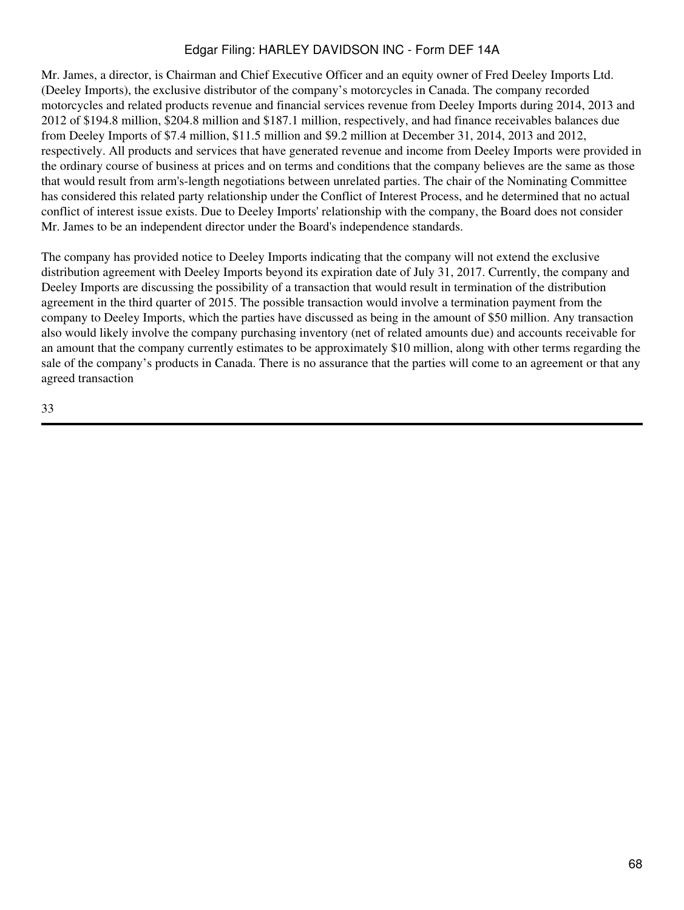Mr. James, a director, is Chairman and Chief Executive Officer and an equity owner of Fred Deeley Imports Ltd. (Deeley Imports), the exclusive distributor of the company's motorcycles in Canada. The company recorded motorcycles and related products revenue and financial services revenue from Deeley Imports during 2014, 2013 and 2012 of \$194.8 million, \$204.8 million and \$187.1 million, respectively, and had finance receivables balances due from Deeley Imports of \$7.4 million, \$11.5 million and \$9.2 million at December 31, 2014, 2013 and 2012, respectively. All products and services that have generated revenue and income from Deeley Imports were provided in the ordinary course of business at prices and on terms and conditions that the company believes are the same as those that would result from arm's-length negotiations between unrelated parties. The chair of the Nominating Committee has considered this related party relationship under the Conflict of Interest Process, and he determined that no actual conflict of interest issue exists. Due to Deeley Imports' relationship with the company, the Board does not consider Mr. James to be an independent director under the Board's independence standards.

The company has provided notice to Deeley Imports indicating that the company will not extend the exclusive distribution agreement with Deeley Imports beyond its expiration date of July 31, 2017. Currently, the company and Deeley Imports are discussing the possibility of a transaction that would result in termination of the distribution agreement in the third quarter of 2015. The possible transaction would involve a termination payment from the company to Deeley Imports, which the parties have discussed as being in the amount of \$50 million. Any transaction also would likely involve the company purchasing inventory (net of related amounts due) and accounts receivable for an amount that the company currently estimates to be approximately \$10 million, along with other terms regarding the sale of the company's products in Canada. There is no assurance that the parties will come to an agreement or that any agreed transaction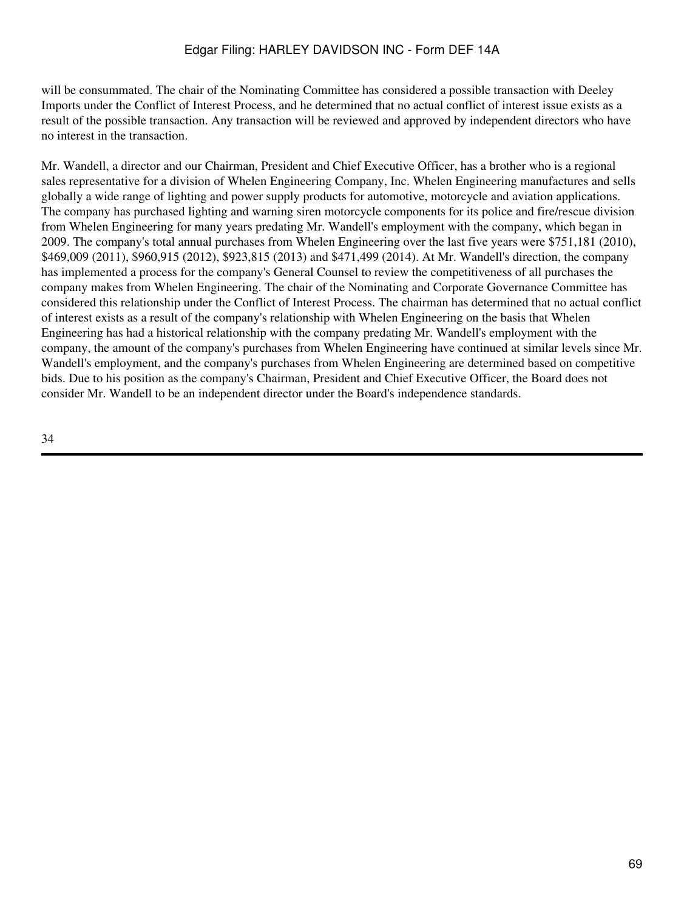will be consummated. The chair of the Nominating Committee has considered a possible transaction with Deeley Imports under the Conflict of Interest Process, and he determined that no actual conflict of interest issue exists as a result of the possible transaction. Any transaction will be reviewed and approved by independent directors who have no interest in the transaction.

Mr. Wandell, a director and our Chairman, President and Chief Executive Officer, has a brother who is a regional sales representative for a division of Whelen Engineering Company, Inc. Whelen Engineering manufactures and sells globally a wide range of lighting and power supply products for automotive, motorcycle and aviation applications. The company has purchased lighting and warning siren motorcycle components for its police and fire/rescue division from Whelen Engineering for many years predating Mr. Wandell's employment with the company, which began in 2009. The company's total annual purchases from Whelen Engineering over the last five years were \$751,181 (2010), \$469,009 (2011), \$960,915 (2012), \$923,815 (2013) and \$471,499 (2014). At Mr. Wandell's direction, the company has implemented a process for the company's General Counsel to review the competitiveness of all purchases the company makes from Whelen Engineering. The chair of the Nominating and Corporate Governance Committee has considered this relationship under the Conflict of Interest Process. The chairman has determined that no actual conflict of interest exists as a result of the company's relationship with Whelen Engineering on the basis that Whelen Engineering has had a historical relationship with the company predating Mr. Wandell's employment with the company, the amount of the company's purchases from Whelen Engineering have continued at similar levels since Mr. Wandell's employment, and the company's purchases from Whelen Engineering are determined based on competitive bids. Due to his position as the company's Chairman, President and Chief Executive Officer, the Board does not consider Mr. Wandell to be an independent director under the Board's independence standards.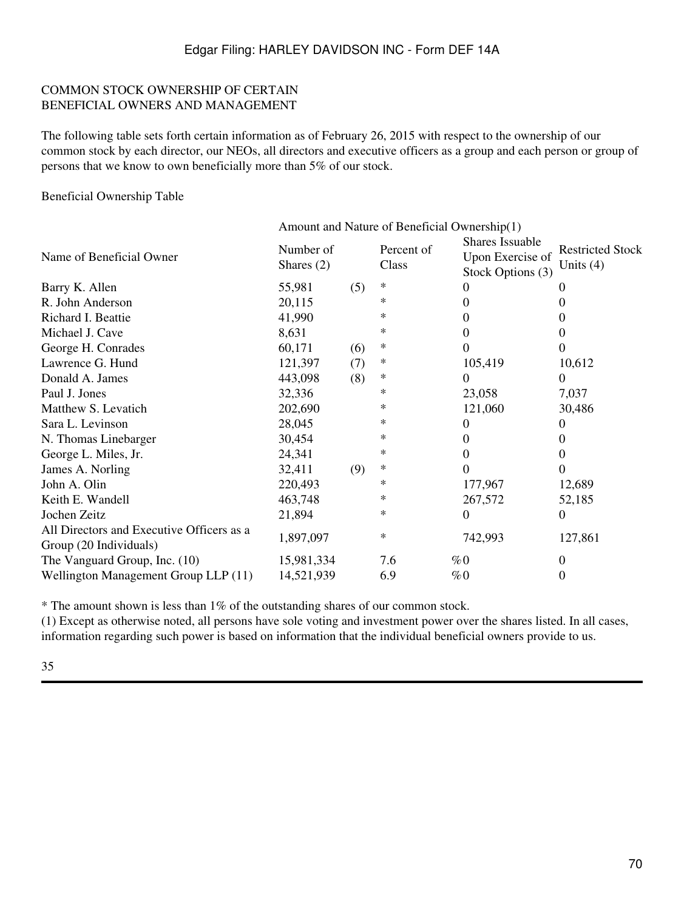#### COMMON STOCK OWNERSHIP OF CERTAIN BENEFICIAL OWNERS AND MANAGEMENT

The following table sets forth certain information as of February 26, 2015 with respect to the ownership of our common stock by each director, our NEOs, all directors and executive officers as a group and each person or group of persons that we know to own beneficially more than 5% of our stock.

Beneficial Ownership Table

|                                                                     | Amount and Nature of Beneficial Ownership(1) |     |                     |                                                          |                                      |  |
|---------------------------------------------------------------------|----------------------------------------------|-----|---------------------|----------------------------------------------------------|--------------------------------------|--|
| Name of Beneficial Owner                                            | Number of<br>Shares $(2)$                    |     | Percent of<br>Class | Shares Issuable<br>Upon Exercise of<br>Stock Options (3) | <b>Restricted Stock</b><br>Units (4) |  |
| Barry K. Allen                                                      | 55,981                                       | (5) | $\ast$              |                                                          |                                      |  |
| R. John Anderson                                                    | 20,115                                       |     | ∗                   |                                                          | 0                                    |  |
| Richard I. Beattie                                                  | 41,990                                       |     | ∗                   | 0                                                        | 0                                    |  |
| Michael J. Cave                                                     | 8,631                                        |     | ∗                   | 0                                                        | $\theta$                             |  |
| George H. Conrades                                                  | 60,171                                       | (6) | $\ast$              |                                                          | $\Omega$                             |  |
| Lawrence G. Hund                                                    | 121,397                                      | (7) | $\ast$              | 105,419                                                  | 10,612                               |  |
| Donald A. James                                                     | 443,098                                      | (8) | $\ast$              | $\Omega$                                                 | $\theta$                             |  |
| Paul J. Jones                                                       | 32,336                                       |     | ∗                   | 23,058                                                   | 7,037                                |  |
| Matthew S. Levatich                                                 | 202,690                                      |     | ∗                   | 121,060                                                  | 30,486                               |  |
| Sara L. Levinson                                                    | 28,045                                       |     | $\ast$              | 0                                                        | $\theta$                             |  |
| N. Thomas Linebarger                                                | 30,454                                       |     | ∗                   | 0                                                        | $\theta$                             |  |
| George L. Miles, Jr.                                                | 24,341                                       |     | $\ast$              | 0                                                        | $\Omega$                             |  |
| James A. Norling                                                    | 32,411                                       | (9) | ∗                   | $\Omega$                                                 | $\Omega$                             |  |
| John A. Olin                                                        | 220,493                                      |     | ∗                   | 177,967                                                  | 12,689                               |  |
| Keith E. Wandell                                                    | 463,748                                      |     | ∗                   | 267,572                                                  | 52,185                               |  |
| Jochen Zeitz                                                        | 21,894                                       |     | $\ast$              | $\Omega$                                                 | $\Omega$                             |  |
| All Directors and Executive Officers as a<br>Group (20 Individuals) | 1,897,097                                    |     | $\ast$              | 742,993                                                  | 127,861                              |  |
| The Vanguard Group, Inc. (10)                                       | 15,981,334                                   |     | 7.6                 | $\%0$                                                    | $\theta$                             |  |
| Wellington Management Group LLP (11)                                | 14,521,939                                   |     | 6.9                 | $\%0$                                                    | $\theta$                             |  |

\* The amount shown is less than 1% of the outstanding shares of our common stock.

(1) Except as otherwise noted, all persons have sole voting and investment power over the shares listed. In all cases, information regarding such power is based on information that the individual beneficial owners provide to us.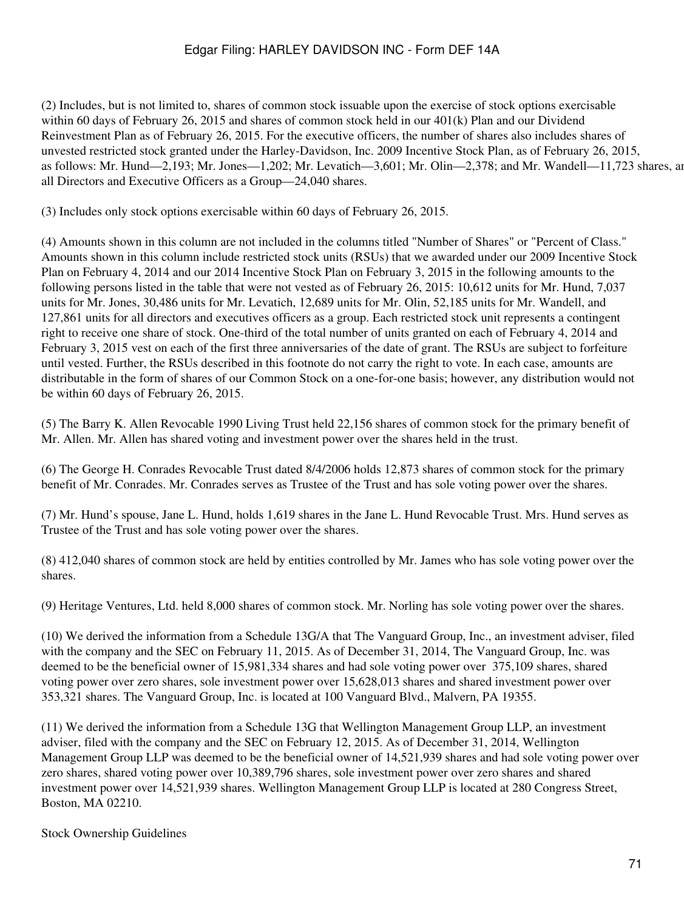(2) Includes, but is not limited to, shares of common stock issuable upon the exercise of stock options exercisable within 60 days of February 26, 2015 and shares of common stock held in our 401(k) Plan and our Dividend Reinvestment Plan as of February 26, 2015. For the executive officers, the number of shares also includes shares of unvested restricted stock granted under the Harley-Davidson, Inc. 2009 Incentive Stock Plan, as of February 26, 2015, as follows: Mr. Hund—2,193; Mr. Jones—1,202; Mr. Levatich—3,601; Mr. Olin—2,378; and Mr. Wandell—11,723 shares, and all Directors and Executive Officers as a Group—24,040 shares.

(3) Includes only stock options exercisable within 60 days of February 26, 2015.

(4) Amounts shown in this column are not included in the columns titled "Number of Shares" or "Percent of Class." Amounts shown in this column include restricted stock units (RSUs) that we awarded under our 2009 Incentive Stock Plan on February 4, 2014 and our 2014 Incentive Stock Plan on February 3, 2015 in the following amounts to the following persons listed in the table that were not vested as of February 26, 2015: 10,612 units for Mr. Hund, 7,037 units for Mr. Jones, 30,486 units for Mr. Levatich, 12,689 units for Mr. Olin, 52,185 units for Mr. Wandell, and 127,861 units for all directors and executives officers as a group. Each restricted stock unit represents a contingent right to receive one share of stock. One-third of the total number of units granted on each of February 4, 2014 and February 3, 2015 vest on each of the first three anniversaries of the date of grant. The RSUs are subject to forfeiture until vested. Further, the RSUs described in this footnote do not carry the right to vote. In each case, amounts are distributable in the form of shares of our Common Stock on a one-for-one basis; however, any distribution would not be within 60 days of February 26, 2015.

(5) The Barry K. Allen Revocable 1990 Living Trust held 22,156 shares of common stock for the primary benefit of Mr. Allen. Mr. Allen has shared voting and investment power over the shares held in the trust.

(6) The George H. Conrades Revocable Trust dated 8/4/2006 holds 12,873 shares of common stock for the primary benefit of Mr. Conrades. Mr. Conrades serves as Trustee of the Trust and has sole voting power over the shares.

(7) Mr. Hund's spouse, Jane L. Hund, holds 1,619 shares in the Jane L. Hund Revocable Trust. Mrs. Hund serves as Trustee of the Trust and has sole voting power over the shares.

(8) 412,040 shares of common stock are held by entities controlled by Mr. James who has sole voting power over the shares.

(9) Heritage Ventures, Ltd. held 8,000 shares of common stock. Mr. Norling has sole voting power over the shares.

(10) We derived the information from a Schedule 13G/A that The Vanguard Group, Inc., an investment adviser, filed with the company and the SEC on February 11, 2015. As of December 31, 2014, The Vanguard Group, Inc. was deemed to be the beneficial owner of 15,981,334 shares and had sole voting power over 375,109 shares, shared voting power over zero shares, sole investment power over 15,628,013 shares and shared investment power over 353,321 shares. The Vanguard Group, Inc. is located at 100 Vanguard Blvd., Malvern, PA 19355.

(11) We derived the information from a Schedule 13G that Wellington Management Group LLP, an investment adviser, filed with the company and the SEC on February 12, 2015. As of December 31, 2014, Wellington Management Group LLP was deemed to be the beneficial owner of 14,521,939 shares and had sole voting power over zero shares, shared voting power over 10,389,796 shares, sole investment power over zero shares and shared investment power over 14,521,939 shares. Wellington Management Group LLP is located at 280 Congress Street, Boston, MA 02210.

Stock Ownership Guidelines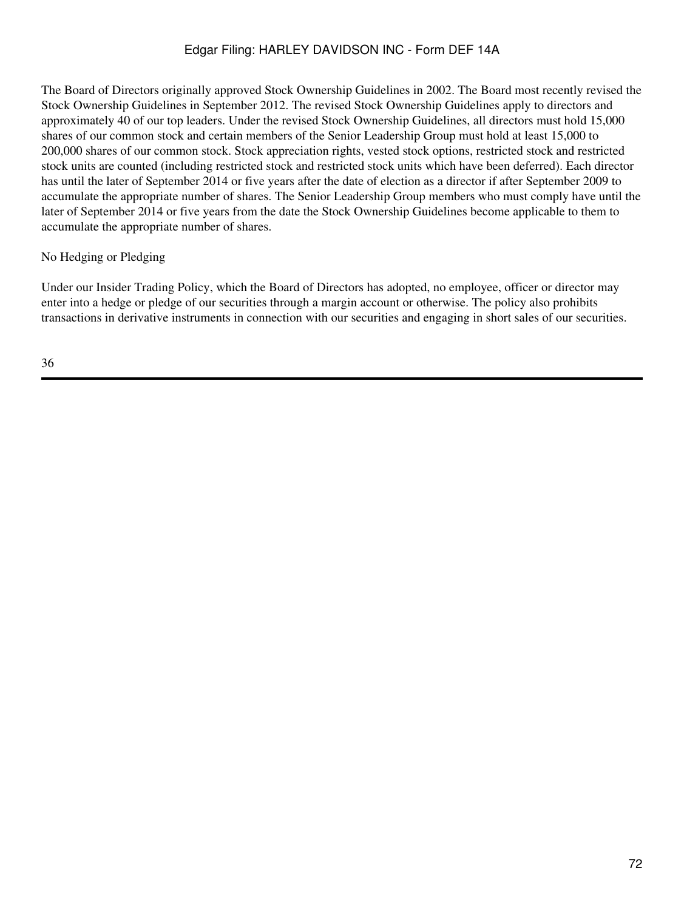The Board of Directors originally approved Stock Ownership Guidelines in 2002. The Board most recently revised the Stock Ownership Guidelines in September 2012. The revised Stock Ownership Guidelines apply to directors and approximately 40 of our top leaders. Under the revised Stock Ownership Guidelines, all directors must hold 15,000 shares of our common stock and certain members of the Senior Leadership Group must hold at least 15,000 to 200,000 shares of our common stock. Stock appreciation rights, vested stock options, restricted stock and restricted stock units are counted (including restricted stock and restricted stock units which have been deferred). Each director has until the later of September 2014 or five years after the date of election as a director if after September 2009 to accumulate the appropriate number of shares. The Senior Leadership Group members who must comply have until the later of September 2014 or five years from the date the Stock Ownership Guidelines become applicable to them to accumulate the appropriate number of shares.

### No Hedging or Pledging

Under our Insider Trading Policy, which the Board of Directors has adopted, no employee, officer or director may enter into a hedge or pledge of our securities through a margin account or otherwise. The policy also prohibits transactions in derivative instruments in connection with our securities and engaging in short sales of our securities.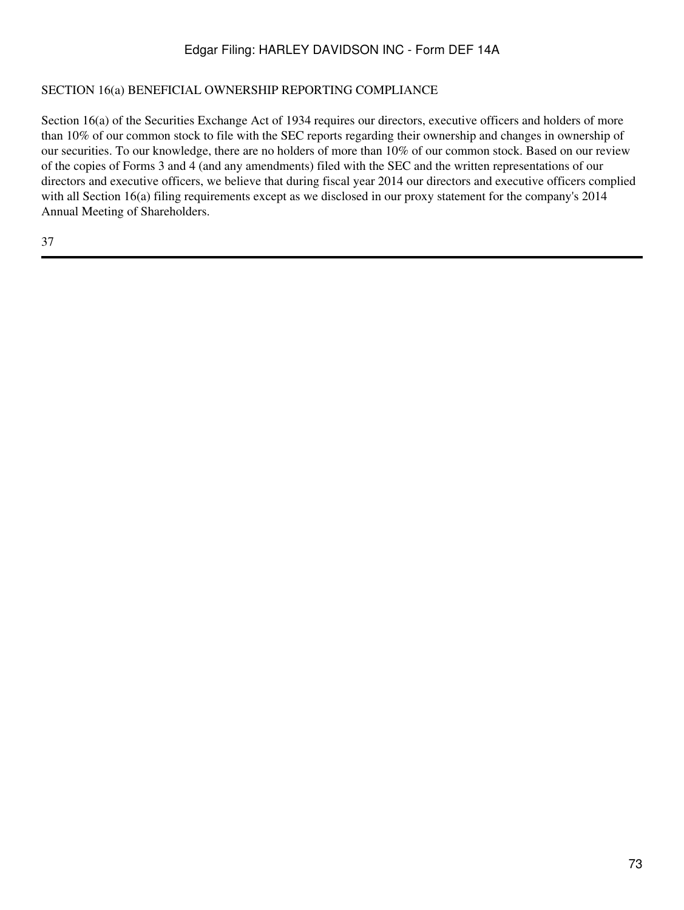### SECTION 16(a) BENEFICIAL OWNERSHIP REPORTING COMPLIANCE

Section 16(a) of the Securities Exchange Act of 1934 requires our directors, executive officers and holders of more than 10% of our common stock to file with the SEC reports regarding their ownership and changes in ownership of our securities. To our knowledge, there are no holders of more than 10% of our common stock. Based on our review of the copies of Forms 3 and 4 (and any amendments) filed with the SEC and the written representations of our directors and executive officers, we believe that during fiscal year 2014 our directors and executive officers complied with all Section 16(a) filing requirements except as we disclosed in our proxy statement for the company's 2014 Annual Meeting of Shareholders.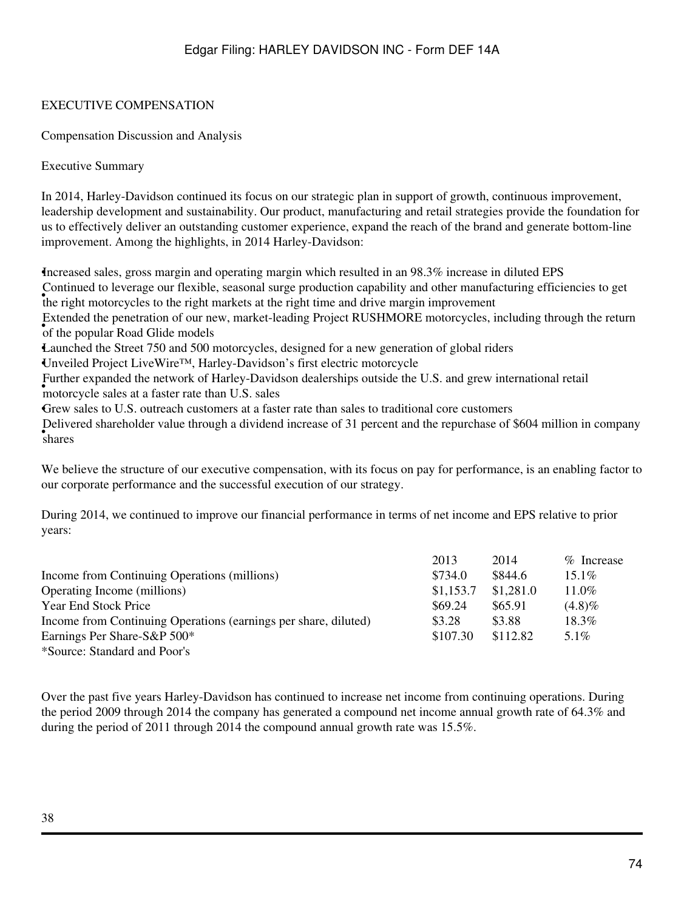### EXECUTIVE COMPENSATION

Compensation Discussion and Analysis

Executive Summary

In 2014, Harley-Davidson continued its focus on our strategic plan in support of growth, continuous improvement, leadership development and sustainability. Our product, manufacturing and retail strategies provide the foundation for us to effectively deliver an outstanding customer experience, expand the reach of the brand and generate bottom-line improvement. Among the highlights, in 2014 Harley-Davidson:

•Increased sales, gross margin and operating margin which resulted in an 98.3% increase in diluted EPS • the right motorcycles to the right markets at the right time and drive margin improvement Continued to leverage our flexible, seasonal surge production capability and other manufacturing efficiencies to get • Attended the peneration of our in Extended the penetration of our new, market-leading Project RUSHMORE motorcycles, including through the return •Launched the Street 750 and 500 motorcycles, designed for a new generation of global riders •Unveiled Project LiveWire™, Harley-Davidson's first electric motorcycle

**•** interesting the network of Harley Bayle Further expanded the network of Harley-Davidson dealerships outside the U.S. and grew international retail

•Grew sales to U.S. outreach customers at a faster rate than sales to traditional core customers

• shares Delivered shareholder value through a dividend increase of 31 percent and the repurchase of \$604 million in company

We believe the structure of our executive compensation, with its focus on pay for performance, is an enabling factor to our corporate performance and the successful execution of our strategy.

During 2014, we continued to improve our financial performance in terms of net income and EPS relative to prior years:

|                                                                 | 2013      | 2014      | % Increase |
|-----------------------------------------------------------------|-----------|-----------|------------|
| Income from Continuing Operations (millions)                    | \$734.0   | \$844.6   | $15.1\%$   |
| Operating Income (millions)                                     | \$1,153.7 | \$1,281.0 | $11.0\%$   |
| <b>Year End Stock Price</b>                                     | \$69.24   | \$65.91   | $(4.8)\%$  |
| Income from Continuing Operations (earnings per share, diluted) | \$3.28    | \$3.88    | 18.3%      |
| Earnings Per Share-S&P 500*                                     | \$107.30  | \$112.82  | $5.1\%$    |
| *Source: Standard and Poor's                                    |           |           |            |

Over the past five years Harley-Davidson has continued to increase net income from continuing operations. During the period 2009 through 2014 the company has generated a compound net income annual growth rate of 64.3% and during the period of 2011 through 2014 the compound annual growth rate was 15.5%.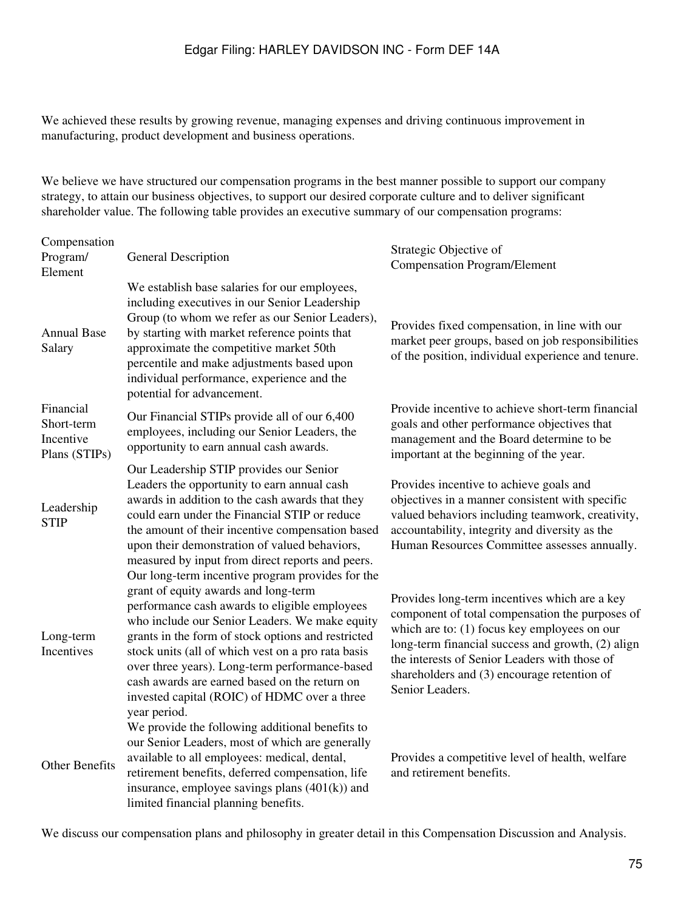We achieved these results by growing revenue, managing expenses and driving continuous improvement in manufacturing, product development and business operations.

We believe we have structured our compensation programs in the best manner possible to support our company strategy, to attain our business objectives, to support our desired corporate culture and to deliver significant shareholder value. The following table provides an executive summary of our compensation programs:

| Compensation<br>Program/                              | <b>General Description</b>                                                                                                                                                                                                                                                                                                                                                                                                                                                 | Strategic Objective of<br><b>Compensation Program/Element</b>                                                                                                                                                                                                                                                            |
|-------------------------------------------------------|----------------------------------------------------------------------------------------------------------------------------------------------------------------------------------------------------------------------------------------------------------------------------------------------------------------------------------------------------------------------------------------------------------------------------------------------------------------------------|--------------------------------------------------------------------------------------------------------------------------------------------------------------------------------------------------------------------------------------------------------------------------------------------------------------------------|
| Element<br><b>Annual Base</b><br>Salary               | We establish base salaries for our employees,<br>including executives in our Senior Leadership<br>Group (to whom we refer as our Senior Leaders),<br>by starting with market reference points that<br>approximate the competitive market 50th<br>percentile and make adjustments based upon<br>individual performance, experience and the<br>potential for advancement.                                                                                                    | Provides fixed compensation, in line with our<br>market peer groups, based on job responsibilities<br>of the position, individual experience and tenure.                                                                                                                                                                 |
| Financial<br>Short-term<br>Incentive<br>Plans (STIPs) | Our Financial STIPs provide all of our 6,400<br>employees, including our Senior Leaders, the<br>opportunity to earn annual cash awards.                                                                                                                                                                                                                                                                                                                                    | Provide incentive to achieve short-term financial<br>goals and other performance objectives that<br>management and the Board determine to be<br>important at the beginning of the year.                                                                                                                                  |
| Leadership<br><b>STIP</b>                             | Our Leadership STIP provides our Senior<br>Leaders the opportunity to earn annual cash<br>awards in addition to the cash awards that they<br>could earn under the Financial STIP or reduce<br>the amount of their incentive compensation based<br>upon their demonstration of valued behaviors,<br>measured by input from direct reports and peers.                                                                                                                        | Provides incentive to achieve goals and<br>objectives in a manner consistent with specific<br>valued behaviors including teamwork, creativity,<br>accountability, integrity and diversity as the<br>Human Resources Committee assesses annually.                                                                         |
| Long-term<br>Incentives                               | Our long-term incentive program provides for the<br>grant of equity awards and long-term<br>performance cash awards to eligible employees<br>who include our Senior Leaders. We make equity<br>grants in the form of stock options and restricted<br>stock units (all of which vest on a pro rata basis<br>over three years). Long-term performance-based<br>cash awards are earned based on the return on<br>invested capital (ROIC) of HDMC over a three<br>year period. | Provides long-term incentives which are a key<br>component of total compensation the purposes of<br>which are to: (1) focus key employees on our<br>long-term financial success and growth, (2) align<br>the interests of Senior Leaders with those of<br>shareholders and (3) encourage retention of<br>Senior Leaders. |
| Other Benefits                                        | We provide the following additional benefits to<br>our Senior Leaders, most of which are generally<br>available to all employees: medical, dental,<br>retirement benefits, deferred compensation, life<br>insurance, employee savings plans (401(k)) and<br>limited financial planning benefits.                                                                                                                                                                           | Provides a competitive level of health, welfare<br>and retirement benefits.                                                                                                                                                                                                                                              |

We discuss our compensation plans and philosophy in greater detail in this Compensation Discussion and Analysis.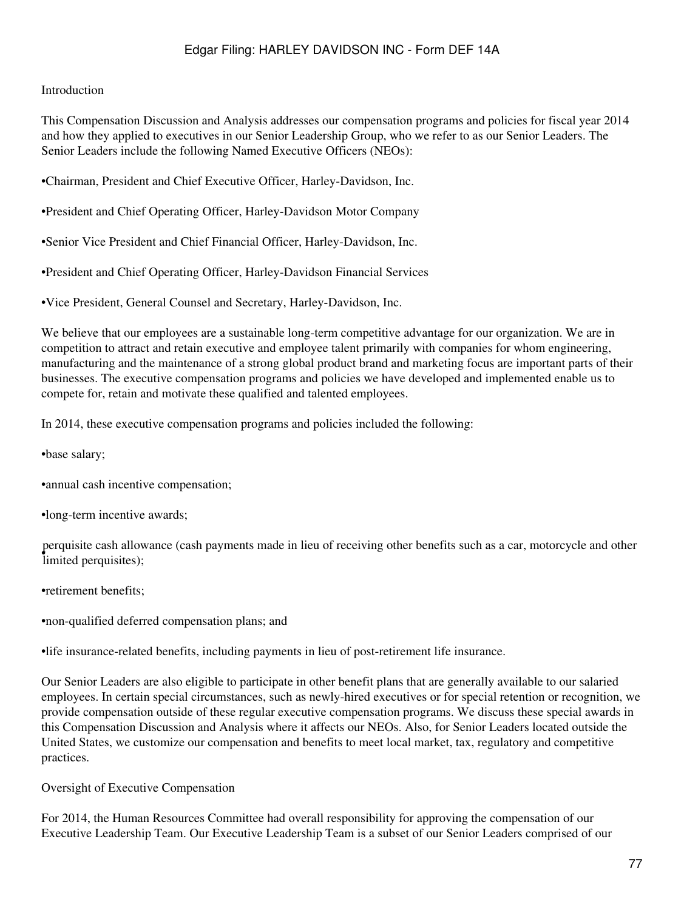#### Introduction

This Compensation Discussion and Analysis addresses our compensation programs and policies for fiscal year 2014 and how they applied to executives in our Senior Leadership Group, who we refer to as our Senior Leaders. The Senior Leaders include the following Named Executive Officers (NEOs):

•Chairman, President and Chief Executive Officer, Harley-Davidson, Inc.

•President and Chief Operating Officer, Harley-Davidson Motor Company

•Senior Vice President and Chief Financial Officer, Harley-Davidson, Inc.

•President and Chief Operating Officer, Harley-Davidson Financial Services

•Vice President, General Counsel and Secretary, Harley-Davidson, Inc.

We believe that our employees are a sustainable long-term competitive advantage for our organization. We are in competition to attract and retain executive and employee talent primarily with companies for whom engineering, manufacturing and the maintenance of a strong global product brand and marketing focus are important parts of their businesses. The executive compensation programs and policies we have developed and implemented enable us to compete for, retain and motivate these qualified and talented employees.

In 2014, these executive compensation programs and policies included the following:

•base salary;

•annual cash incentive compensation;

•long-term incentive awards;

• limited perquisites); perquisite cash allowance (cash payments made in lieu of receiving other benefits such as a car, motorcycle and other

•retirement benefits;

•non-qualified deferred compensation plans; and

•life insurance-related benefits, including payments in lieu of post-retirement life insurance.

Our Senior Leaders are also eligible to participate in other benefit plans that are generally available to our salaried employees. In certain special circumstances, such as newly-hired executives or for special retention or recognition, we provide compensation outside of these regular executive compensation programs. We discuss these special awards in this Compensation Discussion and Analysis where it affects our NEOs. Also, for Senior Leaders located outside the United States, we customize our compensation and benefits to meet local market, tax, regulatory and competitive practices.

Oversight of Executive Compensation

For 2014, the Human Resources Committee had overall responsibility for approving the compensation of our Executive Leadership Team. Our Executive Leadership Team is a subset of our Senior Leaders comprised of our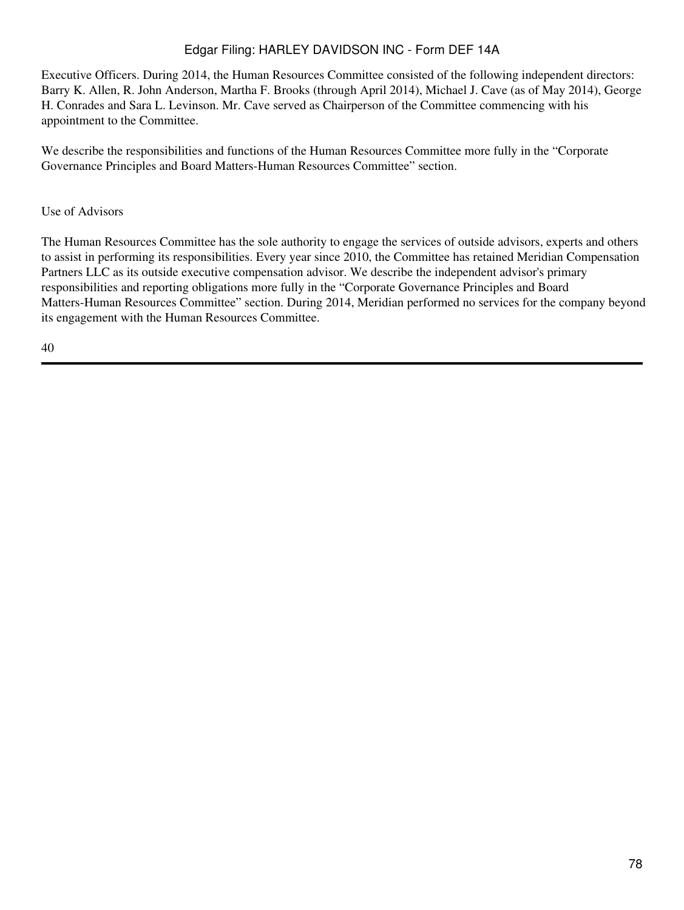Executive Officers. During 2014, the Human Resources Committee consisted of the following independent directors: Barry K. Allen, R. John Anderson, Martha F. Brooks (through April 2014), Michael J. Cave (as of May 2014), George H. Conrades and Sara L. Levinson. Mr. Cave served as Chairperson of the Committee commencing with his appointment to the Committee.

We describe the responsibilities and functions of the Human Resources Committee more fully in the "Corporate Governance Principles and Board Matters-Human Resources Committee" section.

### Use of Advisors

The Human Resources Committee has the sole authority to engage the services of outside advisors, experts and others to assist in performing its responsibilities. Every year since 2010, the Committee has retained Meridian Compensation Partners LLC as its outside executive compensation advisor. We describe the independent advisor's primary responsibilities and reporting obligations more fully in the "Corporate Governance Principles and Board Matters-Human Resources Committee" section. During 2014, Meridian performed no services for the company beyond its engagement with the Human Resources Committee.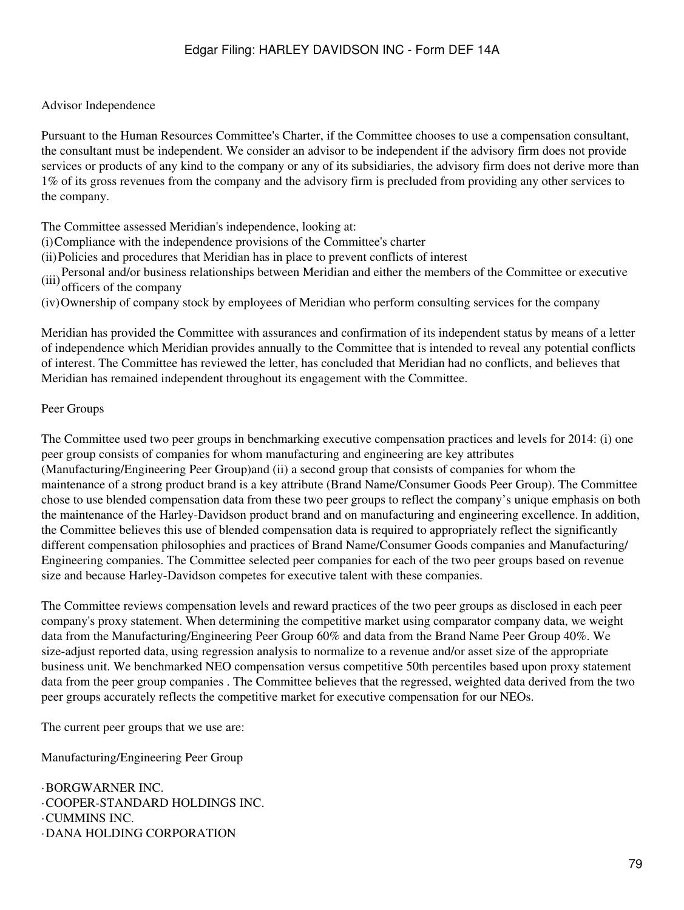### Advisor Independence

Pursuant to the Human Resources Committee's Charter, if the Committee chooses to use a compensation consultant, the consultant must be independent. We consider an advisor to be independent if the advisory firm does not provide services or products of any kind to the company or any of its subsidiaries, the advisory firm does not derive more than 1% of its gross revenues from the company and the advisory firm is precluded from providing any other services to the company.

The Committee assessed Meridian's independence, looking at:

- (i)Compliance with the independence provisions of the Committee's charter
- (ii)Policies and procedures that Meridian has in place to prevent conflicts of interest
- (iii)Personal and/or business relationships between Meridian and either the members of the Committee or executive officers of the company
- (iv)Ownership of company stock by employees of Meridian who perform consulting services for the company

Meridian has provided the Committee with assurances and confirmation of its independent status by means of a letter of independence which Meridian provides annually to the Committee that is intended to reveal any potential conflicts of interest. The Committee has reviewed the letter, has concluded that Meridian had no conflicts, and believes that Meridian has remained independent throughout its engagement with the Committee.

### Peer Groups

The Committee used two peer groups in benchmarking executive compensation practices and levels for 2014: (i) one peer group consists of companies for whom manufacturing and engineering are key attributes (Manufacturing/Engineering Peer Group)and (ii) a second group that consists of companies for whom the maintenance of a strong product brand is a key attribute (Brand Name/Consumer Goods Peer Group). The Committee chose to use blended compensation data from these two peer groups to reflect the company's unique emphasis on both the maintenance of the Harley-Davidson product brand and on manufacturing and engineering excellence. In addition, the Committee believes this use of blended compensation data is required to appropriately reflect the significantly different compensation philosophies and practices of Brand Name/Consumer Goods companies and Manufacturing/ Engineering companies. The Committee selected peer companies for each of the two peer groups based on revenue size and because Harley-Davidson competes for executive talent with these companies.

The Committee reviews compensation levels and reward practices of the two peer groups as disclosed in each peer company's proxy statement. When determining the competitive market using comparator company data, we weight data from the Manufacturing/Engineering Peer Group 60% and data from the Brand Name Peer Group 40%. We size-adjust reported data, using regression analysis to normalize to a revenue and/or asset size of the appropriate business unit. We benchmarked NEO compensation versus competitive 50th percentiles based upon proxy statement data from the peer group companies . The Committee believes that the regressed, weighted data derived from the two peer groups accurately reflects the competitive market for executive compensation for our NEOs.

The current peer groups that we use are:

Manufacturing/Engineering Peer Group

·BORGWARNER INC. ·COOPER-STANDARD HOLDINGS INC. ·CUMMINS INC. ·DANA HOLDING CORPORATION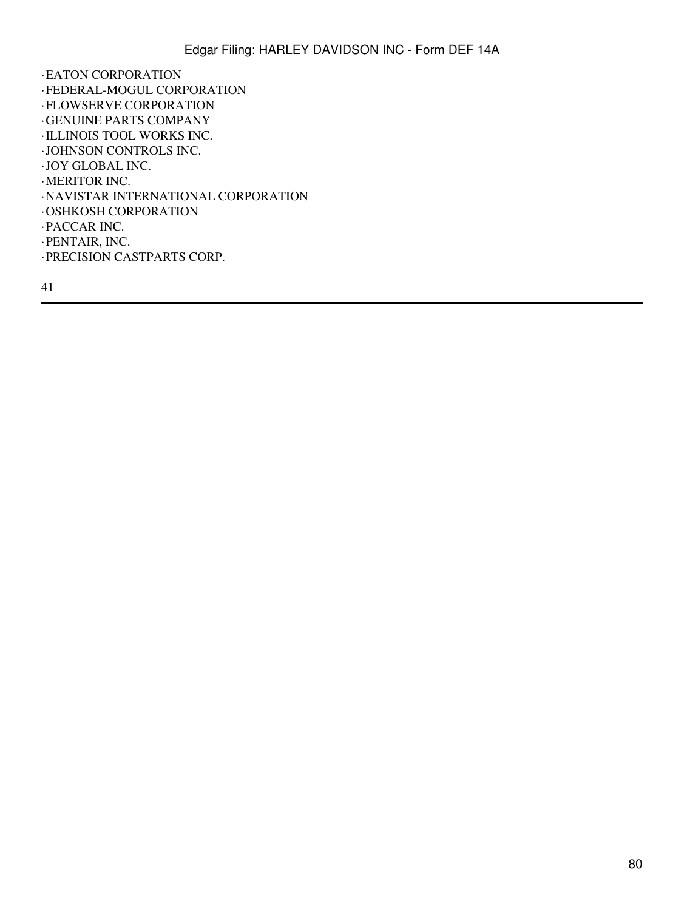·EATON CORPORATION ·FEDERAL-MOGUL CORPORATION ·FLOWSERVE CORPORATION ·GENUINE PARTS COMPANY ·ILLINOIS TOOL WORKS INC. ·JOHNSON CONTROLS INC. ·JOY GLOBAL INC. ·MERITOR INC. ·NAVISTAR INTERNATIONAL CORPORATION ·OSHKOSH CORPORATION ·PACCAR INC. ·PENTAIR, INC. ·PRECISION CASTPARTS CORP.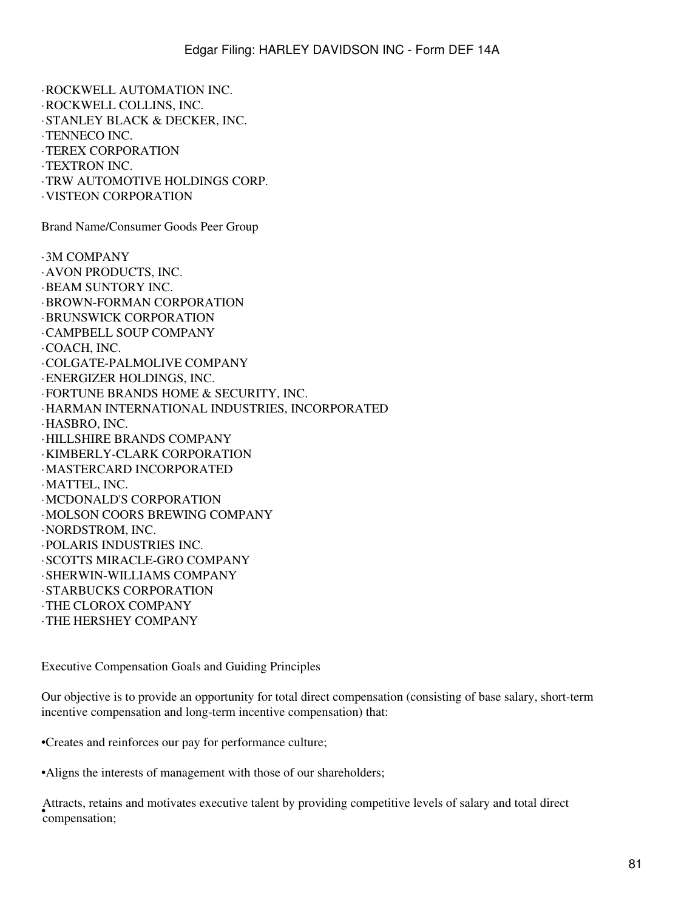·STANLEY BLACK & DECKER, INC. ·TENNECO INC. ·TEREX CORPORATION ·TEXTRON INC. ·TRW AUTOMOTIVE HOLDINGS CORP. ·VISTEON CORPORATION Brand Name/Consumer Goods Peer Group ·3M COMPANY ·AVON PRODUCTS, INC. ·BEAM SUNTORY INC. ·BROWN-FORMAN CORPORATION ·BRUNSWICK CORPORATION ·CAMPBELL SOUP COMPANY ·COACH, INC. ·COLGATE-PALMOLIVE COMPANY ·ENERGIZER HOLDINGS, INC. ·FORTUNE BRANDS HOME & SECURITY, INC. ·HARMAN INTERNATIONAL INDUSTRIES, INCORPORATED ·HASBRO, INC. ·HILLSHIRE BRANDS COMPANY ·KIMBERLY-CLARK CORPORATION ·MASTERCARD INCORPORATED ·MATTEL, INC. ·MCDONALD'S CORPORATION ·MOLSON COORS BREWING COMPANY ·NORDSTROM, INC. ·POLARIS INDUSTRIES INC. ·SCOTTS MIRACLE-GRO COMPANY ·SHERWIN-WILLIAMS COMPANY ·STARBUCKS CORPORATION ·THE CLOROX COMPANY ·THE HERSHEY COMPANY

·ROCKWELL AUTOMATION INC. ·ROCKWELL COLLINS, INC.

Executive Compensation Goals and Guiding Principles

Our objective is to provide an opportunity for total direct compensation (consisting of base salary, short-term incentive compensation and long-term incentive compensation) that:

•Creates and reinforces our pay for performance culture;

•Aligns the interests of management with those of our shareholders;

• compensation; Attracts, retains and motivates executive talent by providing competitive levels of salary and total direct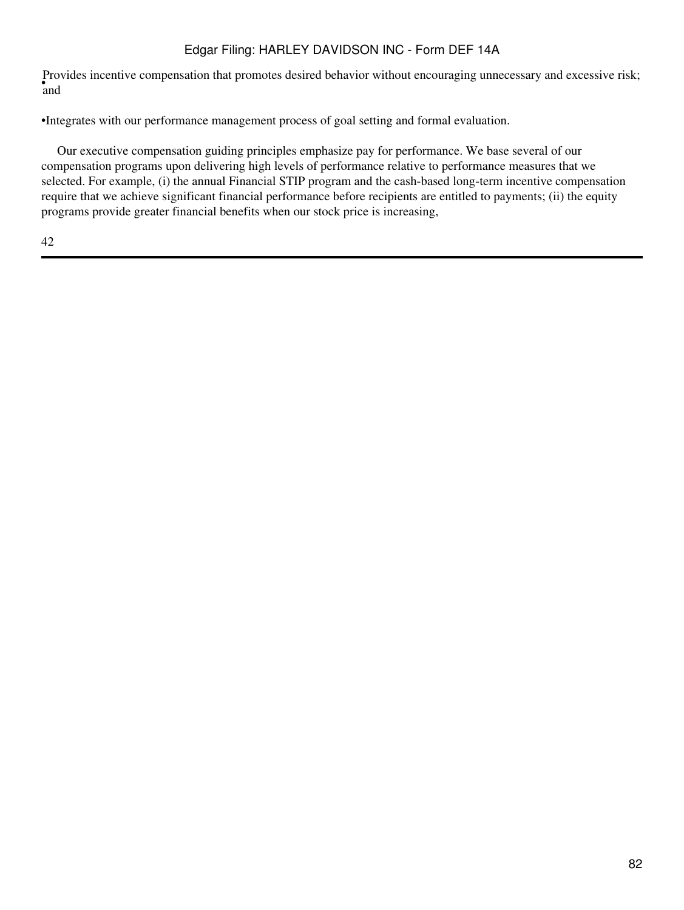• and Provides incentive compensation that promotes desired behavior without encouraging unnecessary and excessive risk;

•Integrates with our performance management process of goal setting and formal evaluation.

 Our executive compensation guiding principles emphasize pay for performance. We base several of our compensation programs upon delivering high levels of performance relative to performance measures that we selected. For example, (i) the annual Financial STIP program and the cash-based long-term incentive compensation require that we achieve significant financial performance before recipients are entitled to payments; (ii) the equity programs provide greater financial benefits when our stock price is increasing,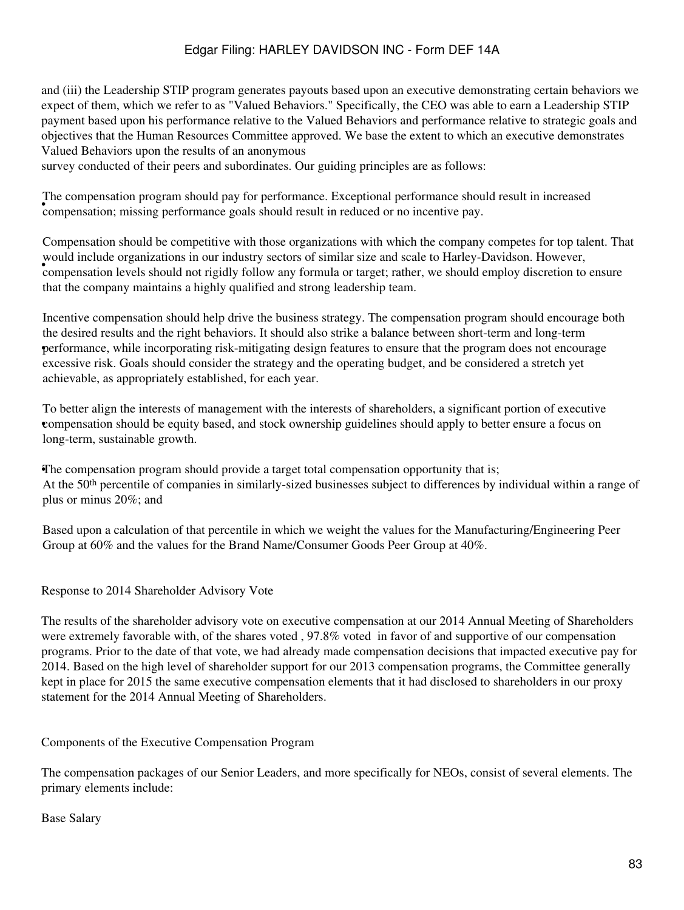and (iii) the Leadership STIP program generates payouts based upon an executive demonstrating certain behaviors we expect of them, which we refer to as "Valued Behaviors." Specifically, the CEO was able to earn a Leadership STIP payment based upon his performance relative to the Valued Behaviors and performance relative to strategic goals and objectives that the Human Resources Committee approved. We base the extent to which an executive demonstrates Valued Behaviors upon the results of an anonymous

survey conducted of their peers and subordinates. Our guiding principles are as follows:

• compensation; missing performance goals should result in reduced or no incentive pay. The compensation program should pay for performance. Exceptional performance should result in increased

would include organizations in our matistry sectors of similar size and seare to Fiancy Davidson. However, compensation levels should not rigidly follow any formula or target; rather, we should employ discretion to ensure Compensation should be competitive with those organizations with which the company competes for top talent. That would include organizations in our industry sectors of similar size and scale to Harley-Davidson. However, that the company maintains a highly qualified and strong leadership team.

• performance, while incorporating risk-mitigating design features to ensure that the program does not encourage Incentive compensation should help drive the business strategy. The compensation program should encourage both the desired results and the right behaviors. It should also strike a balance between short-term and long-term excessive risk. Goals should consider the strategy and the operating budget, and be considered a stretch yet achievable, as appropriately established, for each year.

• compensation should be equity based, and stock ownership guidelines should apply to better ensure a focus on To better align the interests of management with the interests of shareholders, a significant portion of executive long-term, sustainable growth.

•The compensation program should provide a target total compensation opportunity that is; At the 50th percentile of companies in similarly-sized businesses subject to differences by individual within a range of plus or minus 20%; and

Based upon a calculation of that percentile in which we weight the values for the Manufacturing/Engineering Peer Group at 60% and the values for the Brand Name/Consumer Goods Peer Group at 40%.

Response to 2014 Shareholder Advisory Vote

The results of the shareholder advisory vote on executive compensation at our 2014 Annual Meeting of Shareholders were extremely favorable with, of the shares voted , 97.8% voted in favor of and supportive of our compensation programs. Prior to the date of that vote, we had already made compensation decisions that impacted executive pay for 2014. Based on the high level of shareholder support for our 2013 compensation programs, the Committee generally kept in place for 2015 the same executive compensation elements that it had disclosed to shareholders in our proxy statement for the 2014 Annual Meeting of Shareholders.

Components of the Executive Compensation Program

The compensation packages of our Senior Leaders, and more specifically for NEOs, consist of several elements. The primary elements include:

Base Salary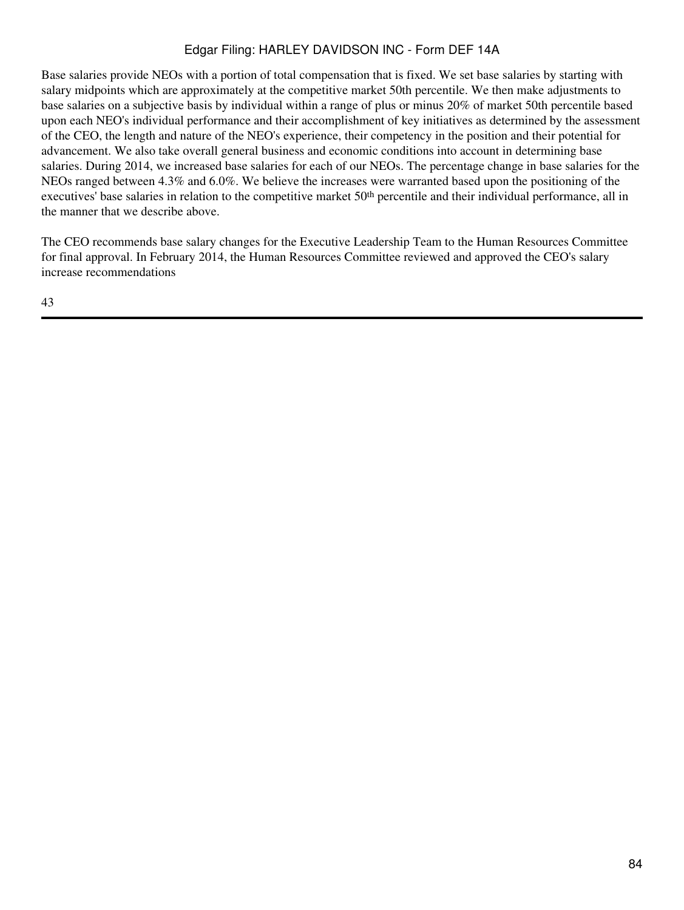Base salaries provide NEOs with a portion of total compensation that is fixed. We set base salaries by starting with salary midpoints which are approximately at the competitive market 50th percentile. We then make adjustments to base salaries on a subjective basis by individual within a range of plus or minus 20% of market 50th percentile based upon each NEO's individual performance and their accomplishment of key initiatives as determined by the assessment of the CEO, the length and nature of the NEO's experience, their competency in the position and their potential for advancement. We also take overall general business and economic conditions into account in determining base salaries. During 2014, we increased base salaries for each of our NEOs. The percentage change in base salaries for the NEOs ranged between 4.3% and 6.0%. We believe the increases were warranted based upon the positioning of the executives' base salaries in relation to the competitive market 50<sup>th</sup> percentile and their individual performance, all in the manner that we describe above.

The CEO recommends base salary changes for the Executive Leadership Team to the Human Resources Committee for final approval. In February 2014, the Human Resources Committee reviewed and approved the CEO's salary increase recommendations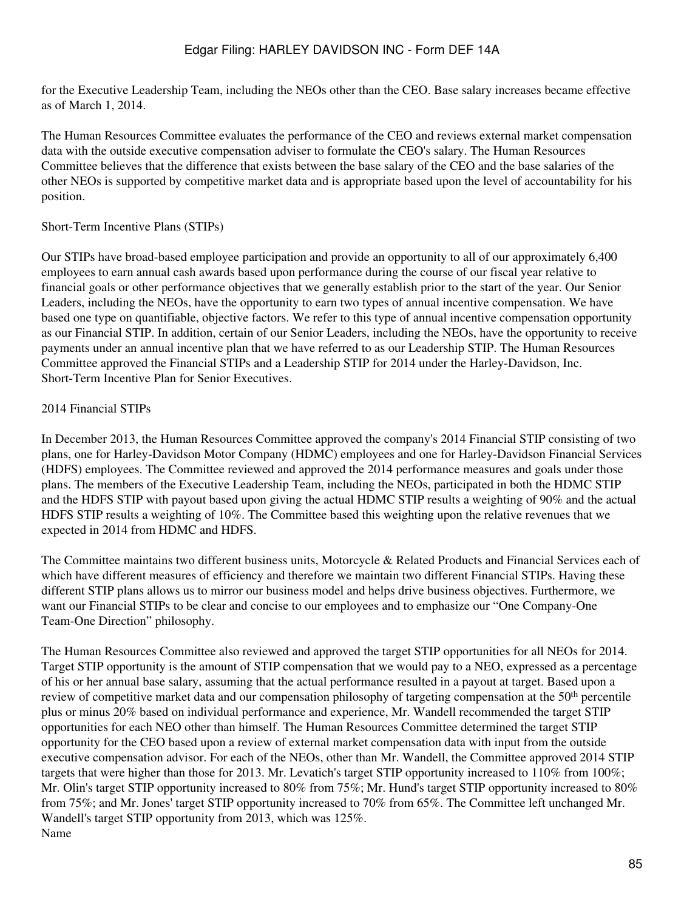for the Executive Leadership Team, including the NEOs other than the CEO. Base salary increases became effective as of March 1, 2014.

The Human Resources Committee evaluates the performance of the CEO and reviews external market compensation data with the outside executive compensation adviser to formulate the CEO's salary. The Human Resources Committee believes that the difference that exists between the base salary of the CEO and the base salaries of the other NEOs is supported by competitive market data and is appropriate based upon the level of accountability for his position.

#### Short-Term Incentive Plans (STIPs)

Our STIPs have broad-based employee participation and provide an opportunity to all of our approximately 6,400 employees to earn annual cash awards based upon performance during the course of our fiscal year relative to financial goals or other performance objectives that we generally establish prior to the start of the year. Our Senior Leaders, including the NEOs, have the opportunity to earn two types of annual incentive compensation. We have based one type on quantifiable, objective factors. We refer to this type of annual incentive compensation opportunity as our Financial STIP. In addition, certain of our Senior Leaders, including the NEOs, have the opportunity to receive payments under an annual incentive plan that we have referred to as our Leadership STIP. The Human Resources Committee approved the Financial STIPs and a Leadership STIP for 2014 under the Harley-Davidson, Inc. Short-Term Incentive Plan for Senior Executives.

### 2014 Financial STIPs

In December 2013, the Human Resources Committee approved the company's 2014 Financial STIP consisting of two plans, one for Harley-Davidson Motor Company (HDMC) employees and one for Harley-Davidson Financial Services (HDFS) employees. The Committee reviewed and approved the 2014 performance measures and goals under those plans. The members of the Executive Leadership Team, including the NEOs, participated in both the HDMC STIP and the HDFS STIP with payout based upon giving the actual HDMC STIP results a weighting of 90% and the actual HDFS STIP results a weighting of 10%. The Committee based this weighting upon the relative revenues that we expected in 2014 from HDMC and HDFS.

The Committee maintains two different business units, Motorcycle & Related Products and Financial Services each of which have different measures of efficiency and therefore we maintain two different Financial STIPs. Having these different STIP plans allows us to mirror our business model and helps drive business objectives. Furthermore, we want our Financial STIPs to be clear and concise to our employees and to emphasize our "One Company-One Team-One Direction" philosophy.

The Human Resources Committee also reviewed and approved the target STIP opportunities for all NEOs for 2014. Target STIP opportunity is the amount of STIP compensation that we would pay to a NEO, expressed as a percentage of his or her annual base salary, assuming that the actual performance resulted in a payout at target. Based upon a review of competitive market data and our compensation philosophy of targeting compensation at the 50<sup>th</sup> percentile plus or minus 20% based on individual performance and experience, Mr. Wandell recommended the target STIP opportunities for each NEO other than himself. The Human Resources Committee determined the target STIP opportunity for the CEO based upon a review of external market compensation data with input from the outside executive compensation advisor. For each of the NEOs, other than Mr. Wandell, the Committee approved 2014 STIP targets that were higher than those for 2013. Mr. Levatich's target STIP opportunity increased to 110% from 100%; Mr. Olin's target STIP opportunity increased to 80% from 75%; Mr. Hund's target STIP opportunity increased to 80% from 75%; and Mr. Jones' target STIP opportunity increased to 70% from 65%. The Committee left unchanged Mr. Wandell's target STIP opportunity from 2013, which was 125%. Name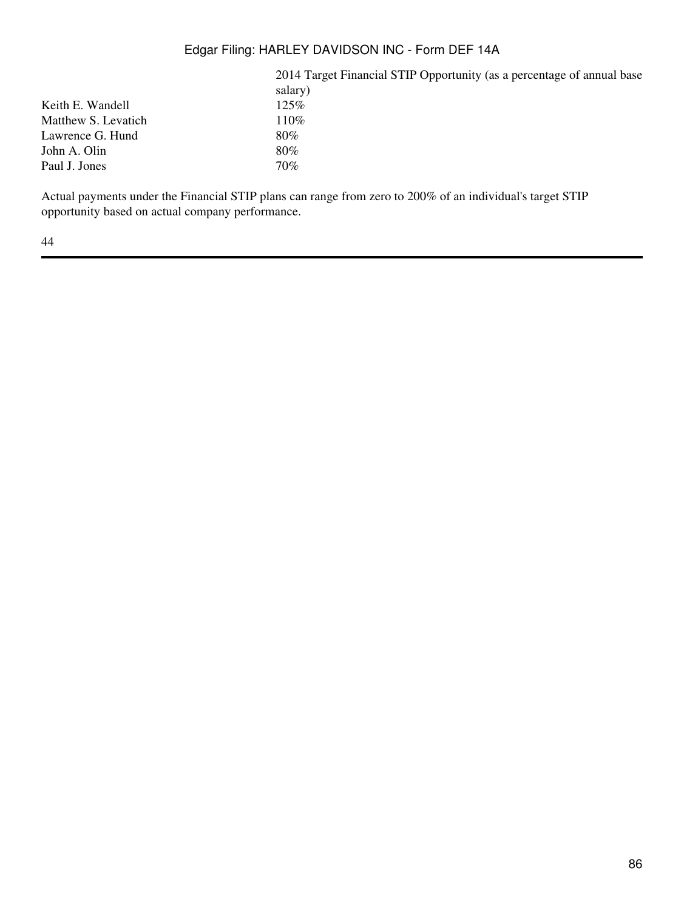2014 Target Financial STIP Opportunity (as a percentage of annual base salary)<br> $125\%$ Matthew S. Levatich 110% Lawrence G. Hund 80% John A. Olin 80% Paul J. Jones 70%

Actual payments under the Financial STIP plans can range from zero to 200% of an individual's target STIP opportunity based on actual company performance.

44

Keith E. Wandell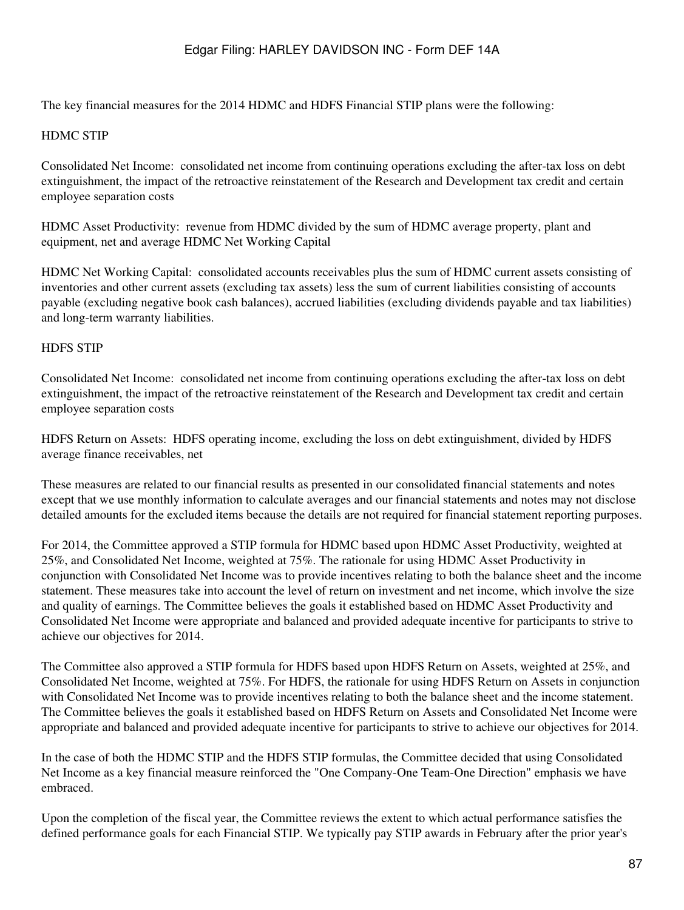The key financial measures for the 2014 HDMC and HDFS Financial STIP plans were the following:

## HDMC STIP

Consolidated Net Income: consolidated net income from continuing operations excluding the after-tax loss on debt extinguishment, the impact of the retroactive reinstatement of the Research and Development tax credit and certain employee separation costs

HDMC Asset Productivity: revenue from HDMC divided by the sum of HDMC average property, plant and equipment, net and average HDMC Net Working Capital

HDMC Net Working Capital: consolidated accounts receivables plus the sum of HDMC current assets consisting of inventories and other current assets (excluding tax assets) less the sum of current liabilities consisting of accounts payable (excluding negative book cash balances), accrued liabilities (excluding dividends payable and tax liabilities) and long-term warranty liabilities.

### HDFS STIP

Consolidated Net Income: consolidated net income from continuing operations excluding the after-tax loss on debt extinguishment, the impact of the retroactive reinstatement of the Research and Development tax credit and certain employee separation costs

HDFS Return on Assets: HDFS operating income, excluding the loss on debt extinguishment, divided by HDFS average finance receivables, net

These measures are related to our financial results as presented in our consolidated financial statements and notes except that we use monthly information to calculate averages and our financial statements and notes may not disclose detailed amounts for the excluded items because the details are not required for financial statement reporting purposes.

For 2014, the Committee approved a STIP formula for HDMC based upon HDMC Asset Productivity, weighted at 25%, and Consolidated Net Income, weighted at 75%. The rationale for using HDMC Asset Productivity in conjunction with Consolidated Net Income was to provide incentives relating to both the balance sheet and the income statement. These measures take into account the level of return on investment and net income, which involve the size and quality of earnings. The Committee believes the goals it established based on HDMC Asset Productivity and Consolidated Net Income were appropriate and balanced and provided adequate incentive for participants to strive to achieve our objectives for 2014.

The Committee also approved a STIP formula for HDFS based upon HDFS Return on Assets, weighted at 25%, and Consolidated Net Income, weighted at 75%. For HDFS, the rationale for using HDFS Return on Assets in conjunction with Consolidated Net Income was to provide incentives relating to both the balance sheet and the income statement. The Committee believes the goals it established based on HDFS Return on Assets and Consolidated Net Income were appropriate and balanced and provided adequate incentive for participants to strive to achieve our objectives for 2014.

In the case of both the HDMC STIP and the HDFS STIP formulas, the Committee decided that using Consolidated Net Income as a key financial measure reinforced the "One Company-One Team-One Direction" emphasis we have embraced.

Upon the completion of the fiscal year, the Committee reviews the extent to which actual performance satisfies the defined performance goals for each Financial STIP. We typically pay STIP awards in February after the prior year's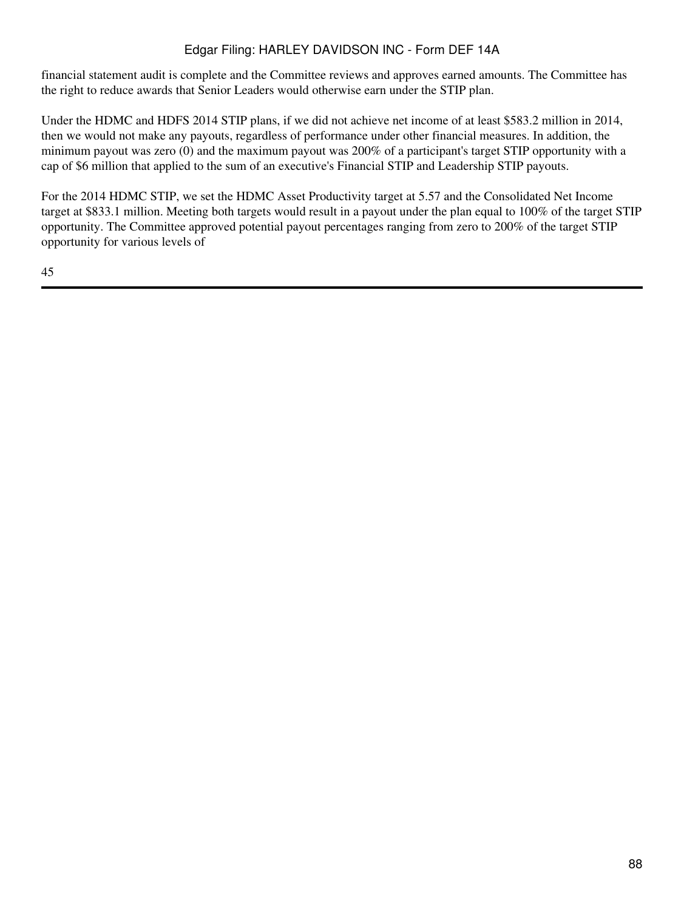financial statement audit is complete and the Committee reviews and approves earned amounts. The Committee has the right to reduce awards that Senior Leaders would otherwise earn under the STIP plan.

Under the HDMC and HDFS 2014 STIP plans, if we did not achieve net income of at least \$583.2 million in 2014, then we would not make any payouts, regardless of performance under other financial measures. In addition, the minimum payout was zero (0) and the maximum payout was 200% of a participant's target STIP opportunity with a cap of \$6 million that applied to the sum of an executive's Financial STIP and Leadership STIP payouts.

For the 2014 HDMC STIP, we set the HDMC Asset Productivity target at 5.57 and the Consolidated Net Income target at \$833.1 million. Meeting both targets would result in a payout under the plan equal to 100% of the target STIP opportunity. The Committee approved potential payout percentages ranging from zero to 200% of the target STIP opportunity for various levels of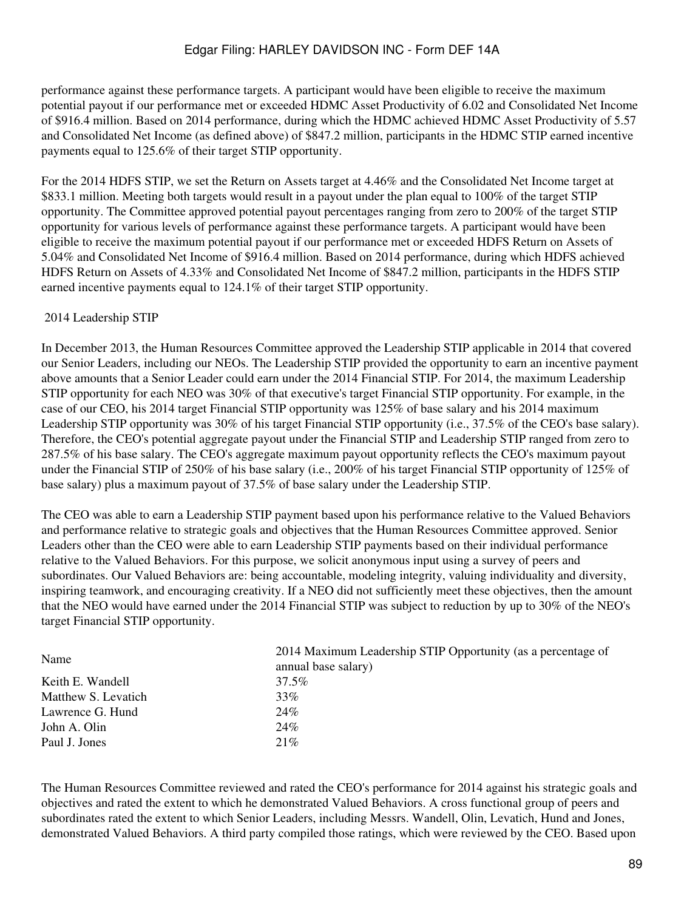performance against these performance targets. A participant would have been eligible to receive the maximum potential payout if our performance met or exceeded HDMC Asset Productivity of 6.02 and Consolidated Net Income of \$916.4 million. Based on 2014 performance, during which the HDMC achieved HDMC Asset Productivity of 5.57 and Consolidated Net Income (as defined above) of \$847.2 million, participants in the HDMC STIP earned incentive payments equal to 125.6% of their target STIP opportunity.

For the 2014 HDFS STIP, we set the Return on Assets target at 4.46% and the Consolidated Net Income target at \$833.1 million. Meeting both targets would result in a payout under the plan equal to 100% of the target STIP opportunity. The Committee approved potential payout percentages ranging from zero to 200% of the target STIP opportunity for various levels of performance against these performance targets. A participant would have been eligible to receive the maximum potential payout if our performance met or exceeded HDFS Return on Assets of 5.04% and Consolidated Net Income of \$916.4 million. Based on 2014 performance, during which HDFS achieved HDFS Return on Assets of 4.33% and Consolidated Net Income of \$847.2 million, participants in the HDFS STIP earned incentive payments equal to 124.1% of their target STIP opportunity.

#### 2014 Leadership STIP

In December 2013, the Human Resources Committee approved the Leadership STIP applicable in 2014 that covered our Senior Leaders, including our NEOs. The Leadership STIP provided the opportunity to earn an incentive payment above amounts that a Senior Leader could earn under the 2014 Financial STIP. For 2014, the maximum Leadership STIP opportunity for each NEO was 30% of that executive's target Financial STIP opportunity. For example, in the case of our CEO, his 2014 target Financial STIP opportunity was 125% of base salary and his 2014 maximum Leadership STIP opportunity was 30% of his target Financial STIP opportunity (i.e., 37.5% of the CEO's base salary). Therefore, the CEO's potential aggregate payout under the Financial STIP and Leadership STIP ranged from zero to 287.5% of his base salary. The CEO's aggregate maximum payout opportunity reflects the CEO's maximum payout under the Financial STIP of 250% of his base salary (i.e., 200% of his target Financial STIP opportunity of 125% of base salary) plus a maximum payout of 37.5% of base salary under the Leadership STIP.

The CEO was able to earn a Leadership STIP payment based upon his performance relative to the Valued Behaviors and performance relative to strategic goals and objectives that the Human Resources Committee approved. Senior Leaders other than the CEO were able to earn Leadership STIP payments based on their individual performance relative to the Valued Behaviors. For this purpose, we solicit anonymous input using a survey of peers and subordinates. Our Valued Behaviors are: being accountable, modeling integrity, valuing individuality and diversity, inspiring teamwork, and encouraging creativity. If a NEO did not sufficiently meet these objectives, then the amount that the NEO would have earned under the 2014 Financial STIP was subject to reduction by up to 30% of the NEO's target Financial STIP opportunity.

| Name                | 2014 Maximum Leadership STIP Opportunity (as a percentage of<br>annual base salary) |
|---------------------|-------------------------------------------------------------------------------------|
| Keith E. Wandell    | 37.5%                                                                               |
| Matthew S. Levatich | 33%                                                                                 |
| Lawrence G. Hund    | 24%                                                                                 |
| John A. Olin        | 24%                                                                                 |
| Paul J. Jones       | 21%                                                                                 |
|                     |                                                                                     |

The Human Resources Committee reviewed and rated the CEO's performance for 2014 against his strategic goals and objectives and rated the extent to which he demonstrated Valued Behaviors. A cross functional group of peers and subordinates rated the extent to which Senior Leaders, including Messrs. Wandell, Olin, Levatich, Hund and Jones, demonstrated Valued Behaviors. A third party compiled those ratings, which were reviewed by the CEO. Based upon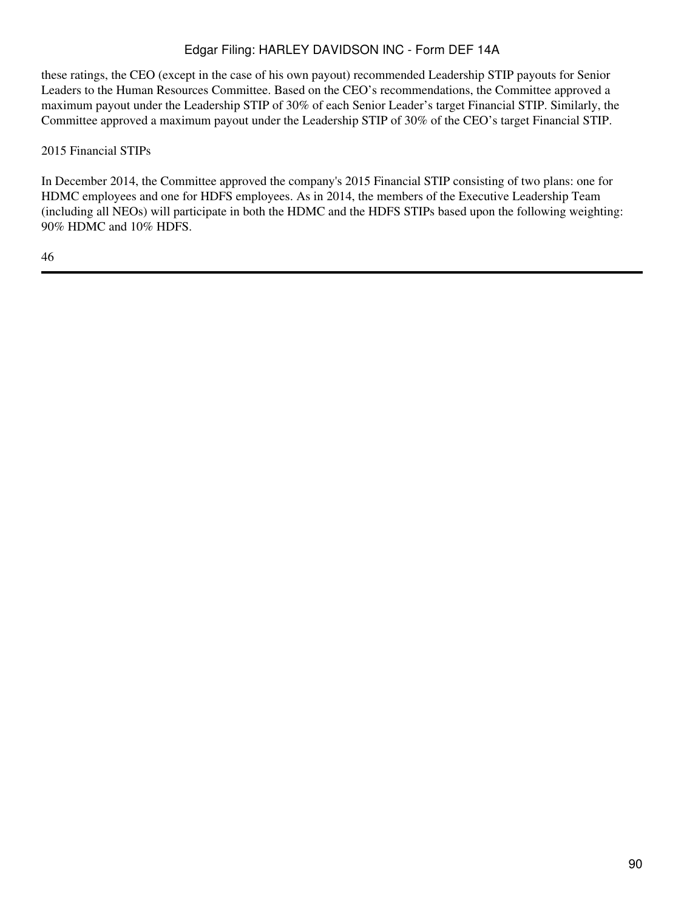these ratings, the CEO (except in the case of his own payout) recommended Leadership STIP payouts for Senior Leaders to the Human Resources Committee. Based on the CEO's recommendations, the Committee approved a maximum payout under the Leadership STIP of 30% of each Senior Leader's target Financial STIP. Similarly, the Committee approved a maximum payout under the Leadership STIP of 30% of the CEO's target Financial STIP.

2015 Financial STIPs

In December 2014, the Committee approved the company's 2015 Financial STIP consisting of two plans: one for HDMC employees and one for HDFS employees. As in 2014, the members of the Executive Leadership Team (including all NEOs) will participate in both the HDMC and the HDFS STIPs based upon the following weighting: 90% HDMC and 10% HDFS.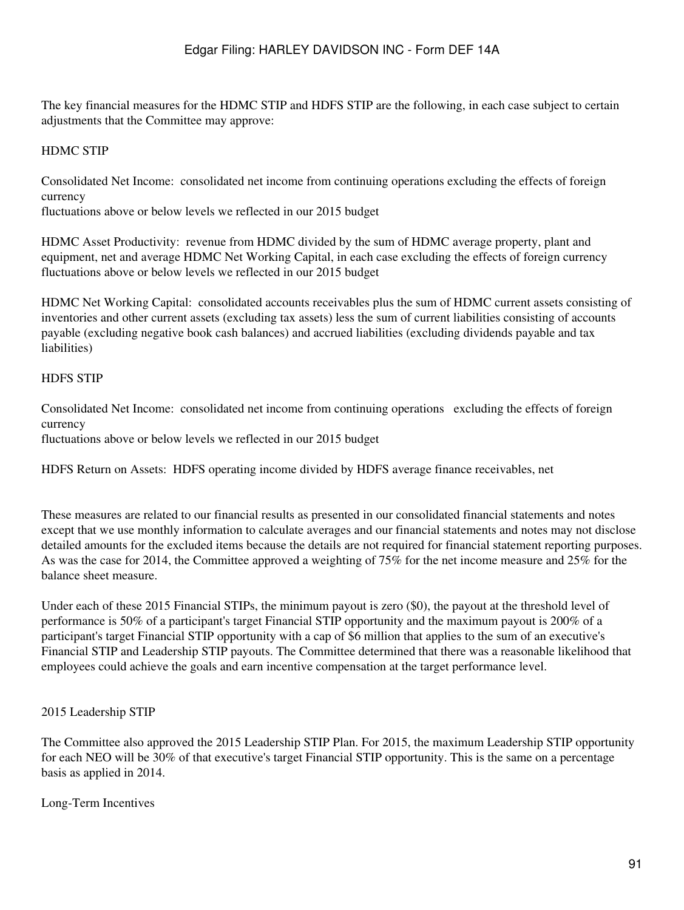The key financial measures for the HDMC STIP and HDFS STIP are the following, in each case subject to certain adjustments that the Committee may approve:

## HDMC STIP

Consolidated Net Income: consolidated net income from continuing operations excluding the effects of foreign currency

fluctuations above or below levels we reflected in our 2015 budget

HDMC Asset Productivity: revenue from HDMC divided by the sum of HDMC average property, plant and equipment, net and average HDMC Net Working Capital, in each case excluding the effects of foreign currency fluctuations above or below levels we reflected in our 2015 budget

HDMC Net Working Capital: consolidated accounts receivables plus the sum of HDMC current assets consisting of inventories and other current assets (excluding tax assets) less the sum of current liabilities consisting of accounts payable (excluding negative book cash balances) and accrued liabilities (excluding dividends payable and tax liabilities)

### HDFS STIP

Consolidated Net Income: consolidated net income from continuing operations excluding the effects of foreign currency fluctuations above or below levels we reflected in our 2015 budget

HDFS Return on Assets: HDFS operating income divided by HDFS average finance receivables, net

These measures are related to our financial results as presented in our consolidated financial statements and notes except that we use monthly information to calculate averages and our financial statements and notes may not disclose detailed amounts for the excluded items because the details are not required for financial statement reporting purposes. As was the case for 2014, the Committee approved a weighting of 75% for the net income measure and 25% for the balance sheet measure.

Under each of these 2015 Financial STIPs, the minimum payout is zero (\$0), the payout at the threshold level of performance is 50% of a participant's target Financial STIP opportunity and the maximum payout is 200% of a participant's target Financial STIP opportunity with a cap of \$6 million that applies to the sum of an executive's Financial STIP and Leadership STIP payouts. The Committee determined that there was a reasonable likelihood that employees could achieve the goals and earn incentive compensation at the target performance level.

### 2015 Leadership STIP

The Committee also approved the 2015 Leadership STIP Plan. For 2015, the maximum Leadership STIP opportunity for each NEO will be 30% of that executive's target Financial STIP opportunity. This is the same on a percentage basis as applied in 2014.

### Long-Term Incentives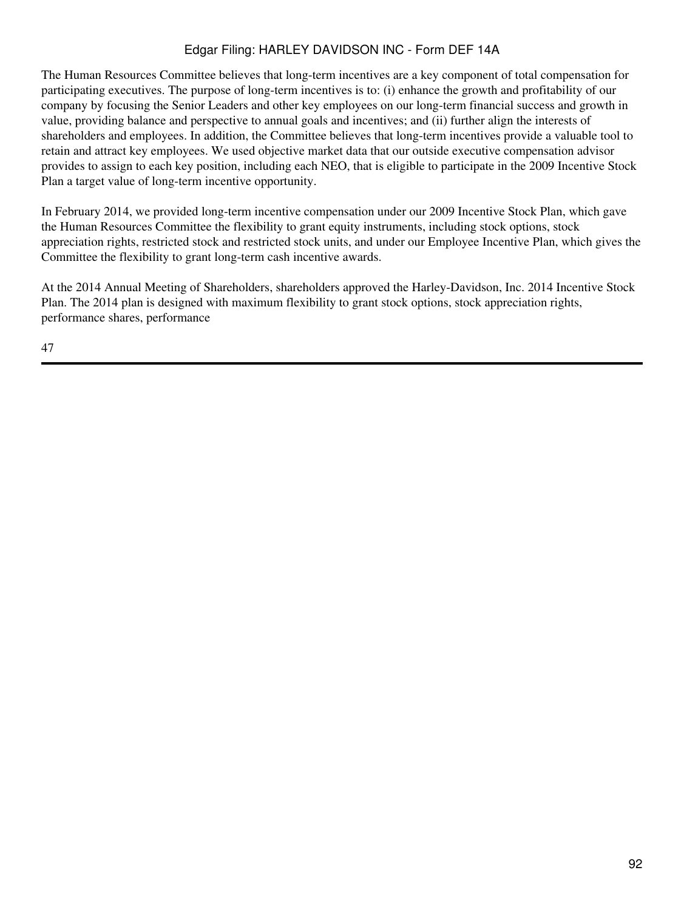The Human Resources Committee believes that long-term incentives are a key component of total compensation for participating executives. The purpose of long-term incentives is to: (i) enhance the growth and profitability of our company by focusing the Senior Leaders and other key employees on our long-term financial success and growth in value, providing balance and perspective to annual goals and incentives; and (ii) further align the interests of shareholders and employees. In addition, the Committee believes that long-term incentives provide a valuable tool to retain and attract key employees. We used objective market data that our outside executive compensation advisor provides to assign to each key position, including each NEO, that is eligible to participate in the 2009 Incentive Stock Plan a target value of long-term incentive opportunity.

In February 2014, we provided long-term incentive compensation under our 2009 Incentive Stock Plan, which gave the Human Resources Committee the flexibility to grant equity instruments, including stock options, stock appreciation rights, restricted stock and restricted stock units, and under our Employee Incentive Plan, which gives the Committee the flexibility to grant long-term cash incentive awards.

At the 2014 Annual Meeting of Shareholders, shareholders approved the Harley-Davidson, Inc. 2014 Incentive Stock Plan. The 2014 plan is designed with maximum flexibility to grant stock options, stock appreciation rights, performance shares, performance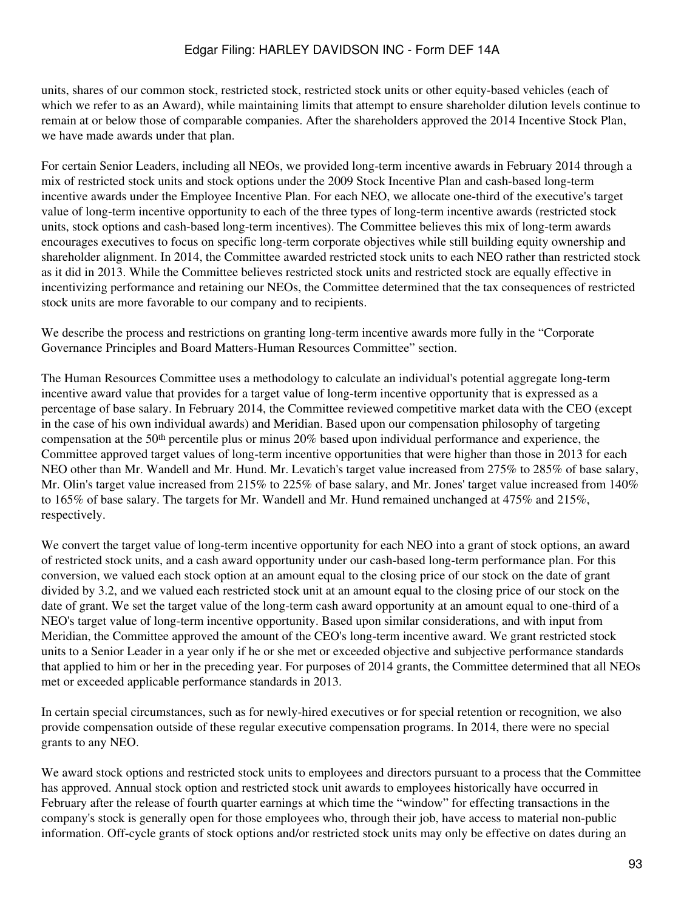units, shares of our common stock, restricted stock, restricted stock units or other equity-based vehicles (each of which we refer to as an Award), while maintaining limits that attempt to ensure shareholder dilution levels continue to remain at or below those of comparable companies. After the shareholders approved the 2014 Incentive Stock Plan, we have made awards under that plan.

For certain Senior Leaders, including all NEOs, we provided long-term incentive awards in February 2014 through a mix of restricted stock units and stock options under the 2009 Stock Incentive Plan and cash-based long-term incentive awards under the Employee Incentive Plan. For each NEO, we allocate one-third of the executive's target value of long-term incentive opportunity to each of the three types of long-term incentive awards (restricted stock units, stock options and cash-based long-term incentives). The Committee believes this mix of long-term awards encourages executives to focus on specific long-term corporate objectives while still building equity ownership and shareholder alignment. In 2014, the Committee awarded restricted stock units to each NEO rather than restricted stock as it did in 2013. While the Committee believes restricted stock units and restricted stock are equally effective in incentivizing performance and retaining our NEOs, the Committee determined that the tax consequences of restricted stock units are more favorable to our company and to recipients.

We describe the process and restrictions on granting long-term incentive awards more fully in the "Corporate Governance Principles and Board Matters-Human Resources Committee" section.

The Human Resources Committee uses a methodology to calculate an individual's potential aggregate long-term incentive award value that provides for a target value of long-term incentive opportunity that is expressed as a percentage of base salary. In February 2014, the Committee reviewed competitive market data with the CEO (except in the case of his own individual awards) and Meridian. Based upon our compensation philosophy of targeting compensation at the 50<sup>th</sup> percentile plus or minus 20% based upon individual performance and experience, the Committee approved target values of long-term incentive opportunities that were higher than those in 2013 for each NEO other than Mr. Wandell and Mr. Hund. Mr. Levatich's target value increased from 275% to 285% of base salary, Mr. Olin's target value increased from 215% to 225% of base salary, and Mr. Jones' target value increased from 140% to 165% of base salary. The targets for Mr. Wandell and Mr. Hund remained unchanged at 475% and 215%, respectively.

We convert the target value of long-term incentive opportunity for each NEO into a grant of stock options, an award of restricted stock units, and a cash award opportunity under our cash-based long-term performance plan. For this conversion, we valued each stock option at an amount equal to the closing price of our stock on the date of grant divided by 3.2, and we valued each restricted stock unit at an amount equal to the closing price of our stock on the date of grant. We set the target value of the long-term cash award opportunity at an amount equal to one-third of a NEO's target value of long-term incentive opportunity. Based upon similar considerations, and with input from Meridian, the Committee approved the amount of the CEO's long-term incentive award. We grant restricted stock units to a Senior Leader in a year only if he or she met or exceeded objective and subjective performance standards that applied to him or her in the preceding year. For purposes of 2014 grants, the Committee determined that all NEOs met or exceeded applicable performance standards in 2013.

In certain special circumstances, such as for newly-hired executives or for special retention or recognition, we also provide compensation outside of these regular executive compensation programs. In 2014, there were no special grants to any NEO.

We award stock options and restricted stock units to employees and directors pursuant to a process that the Committee has approved. Annual stock option and restricted stock unit awards to employees historically have occurred in February after the release of fourth quarter earnings at which time the "window" for effecting transactions in the company's stock is generally open for those employees who, through their job, have access to material non-public information. Off-cycle grants of stock options and/or restricted stock units may only be effective on dates during an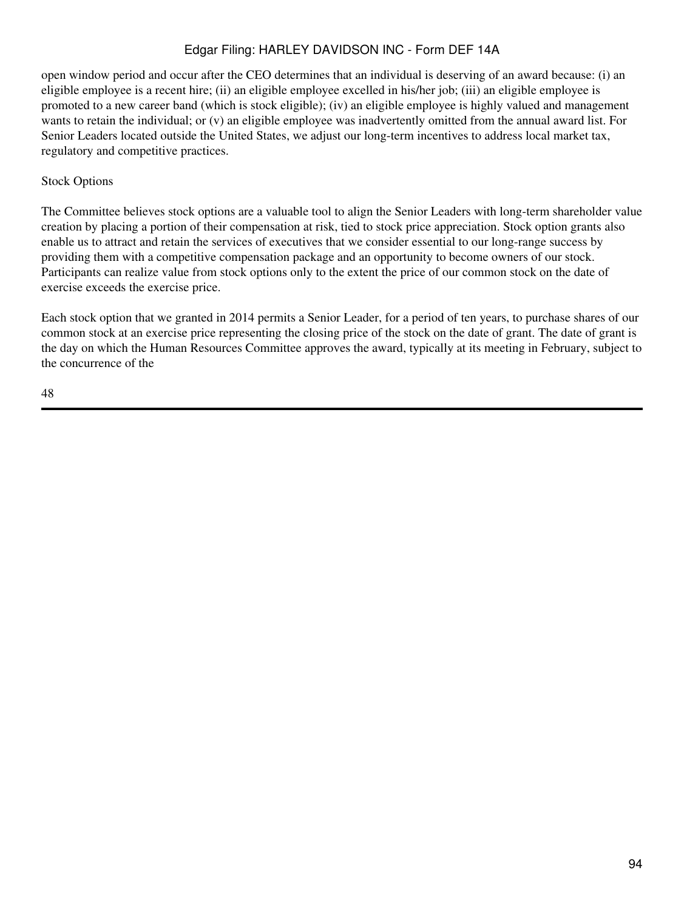open window period and occur after the CEO determines that an individual is deserving of an award because: (i) an eligible employee is a recent hire; (ii) an eligible employee excelled in his/her job; (iii) an eligible employee is promoted to a new career band (which is stock eligible); (iv) an eligible employee is highly valued and management wants to retain the individual; or (v) an eligible employee was inadvertently omitted from the annual award list. For Senior Leaders located outside the United States, we adjust our long-term incentives to address local market tax, regulatory and competitive practices.

### Stock Options

The Committee believes stock options are a valuable tool to align the Senior Leaders with long-term shareholder value creation by placing a portion of their compensation at risk, tied to stock price appreciation. Stock option grants also enable us to attract and retain the services of executives that we consider essential to our long-range success by providing them with a competitive compensation package and an opportunity to become owners of our stock. Participants can realize value from stock options only to the extent the price of our common stock on the date of exercise exceeds the exercise price.

Each stock option that we granted in 2014 permits a Senior Leader, for a period of ten years, to purchase shares of our common stock at an exercise price representing the closing price of the stock on the date of grant. The date of grant is the day on which the Human Resources Committee approves the award, typically at its meeting in February, subject to the concurrence of the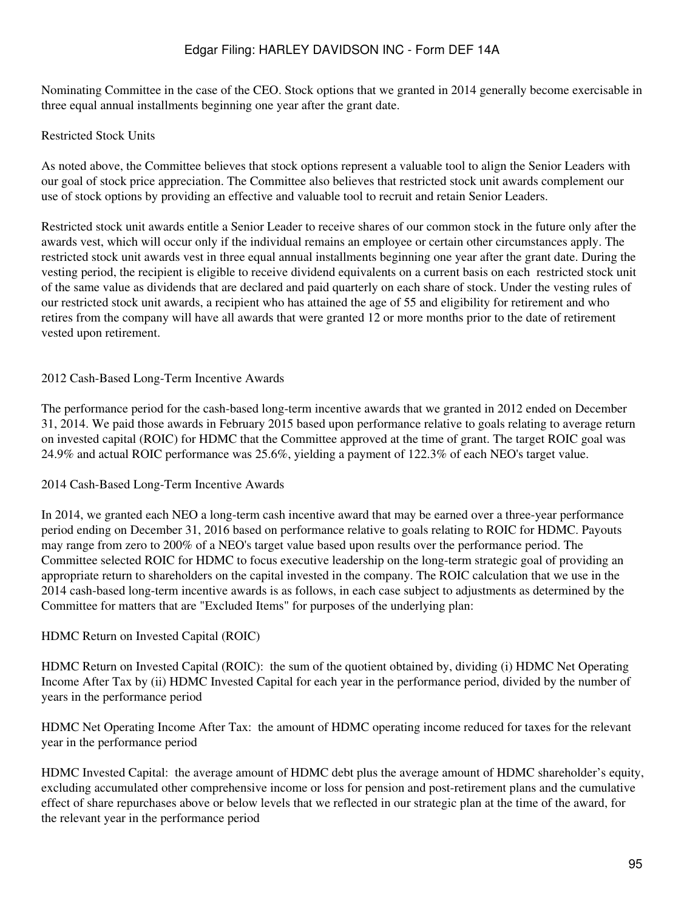Nominating Committee in the case of the CEO. Stock options that we granted in 2014 generally become exercisable in three equal annual installments beginning one year after the grant date.

### Restricted Stock Units

As noted above, the Committee believes that stock options represent a valuable tool to align the Senior Leaders with our goal of stock price appreciation. The Committee also believes that restricted stock unit awards complement our use of stock options by providing an effective and valuable tool to recruit and retain Senior Leaders.

Restricted stock unit awards entitle a Senior Leader to receive shares of our common stock in the future only after the awards vest, which will occur only if the individual remains an employee or certain other circumstances apply. The restricted stock unit awards vest in three equal annual installments beginning one year after the grant date. During the vesting period, the recipient is eligible to receive dividend equivalents on a current basis on each restricted stock unit of the same value as dividends that are declared and paid quarterly on each share of stock. Under the vesting rules of our restricted stock unit awards, a recipient who has attained the age of 55 and eligibility for retirement and who retires from the company will have all awards that were granted 12 or more months prior to the date of retirement vested upon retirement.

### 2012 Cash-Based Long-Term Incentive Awards

The performance period for the cash-based long-term incentive awards that we granted in 2012 ended on December 31, 2014. We paid those awards in February 2015 based upon performance relative to goals relating to average return on invested capital (ROIC) for HDMC that the Committee approved at the time of grant. The target ROIC goal was 24.9% and actual ROIC performance was 25.6%, yielding a payment of 122.3% of each NEO's target value.

#### 2014 Cash-Based Long-Term Incentive Awards

In 2014, we granted each NEO a long-term cash incentive award that may be earned over a three-year performance period ending on December 31, 2016 based on performance relative to goals relating to ROIC for HDMC. Payouts may range from zero to 200% of a NEO's target value based upon results over the performance period. The Committee selected ROIC for HDMC to focus executive leadership on the long-term strategic goal of providing an appropriate return to shareholders on the capital invested in the company. The ROIC calculation that we use in the 2014 cash-based long-term incentive awards is as follows, in each case subject to adjustments as determined by the Committee for matters that are "Excluded Items" for purposes of the underlying plan:

#### HDMC Return on Invested Capital (ROIC)

HDMC Return on Invested Capital (ROIC): the sum of the quotient obtained by, dividing (i) HDMC Net Operating Income After Tax by (ii) HDMC Invested Capital for each year in the performance period, divided by the number of years in the performance period

HDMC Net Operating Income After Tax: the amount of HDMC operating income reduced for taxes for the relevant year in the performance period

HDMC Invested Capital: the average amount of HDMC debt plus the average amount of HDMC shareholder's equity, excluding accumulated other comprehensive income or loss for pension and post-retirement plans and the cumulative effect of share repurchases above or below levels that we reflected in our strategic plan at the time of the award, for the relevant year in the performance period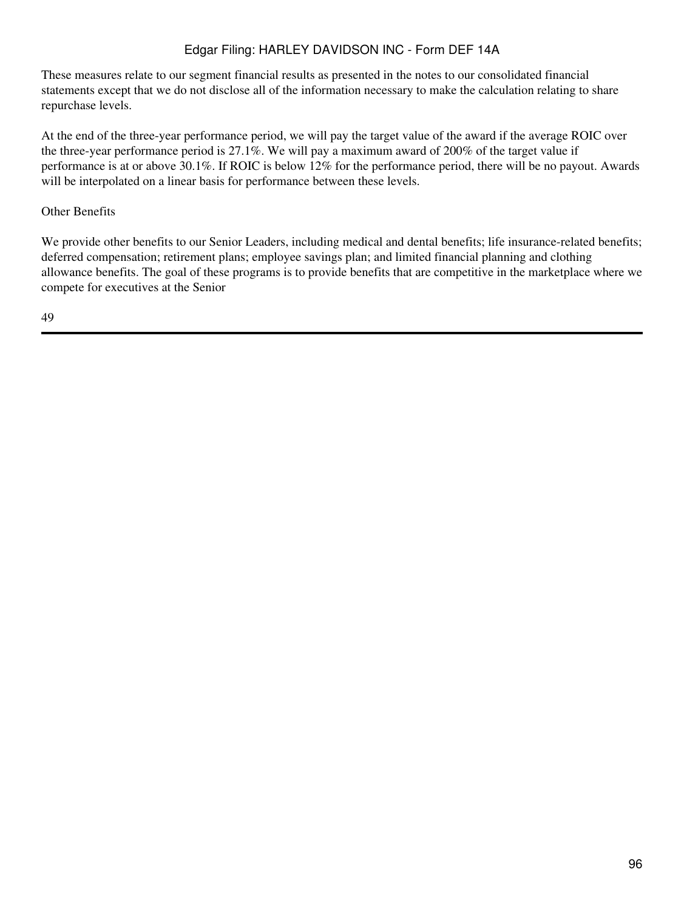These measures relate to our segment financial results as presented in the notes to our consolidated financial statements except that we do not disclose all of the information necessary to make the calculation relating to share repurchase levels.

At the end of the three-year performance period, we will pay the target value of the award if the average ROIC over the three-year performance period is 27.1%. We will pay a maximum award of 200% of the target value if performance is at or above 30.1%. If ROIC is below 12% for the performance period, there will be no payout. Awards will be interpolated on a linear basis for performance between these levels.

## Other Benefits

We provide other benefits to our Senior Leaders, including medical and dental benefits; life insurance-related benefits; deferred compensation; retirement plans; employee savings plan; and limited financial planning and clothing allowance benefits. The goal of these programs is to provide benefits that are competitive in the marketplace where we compete for executives at the Senior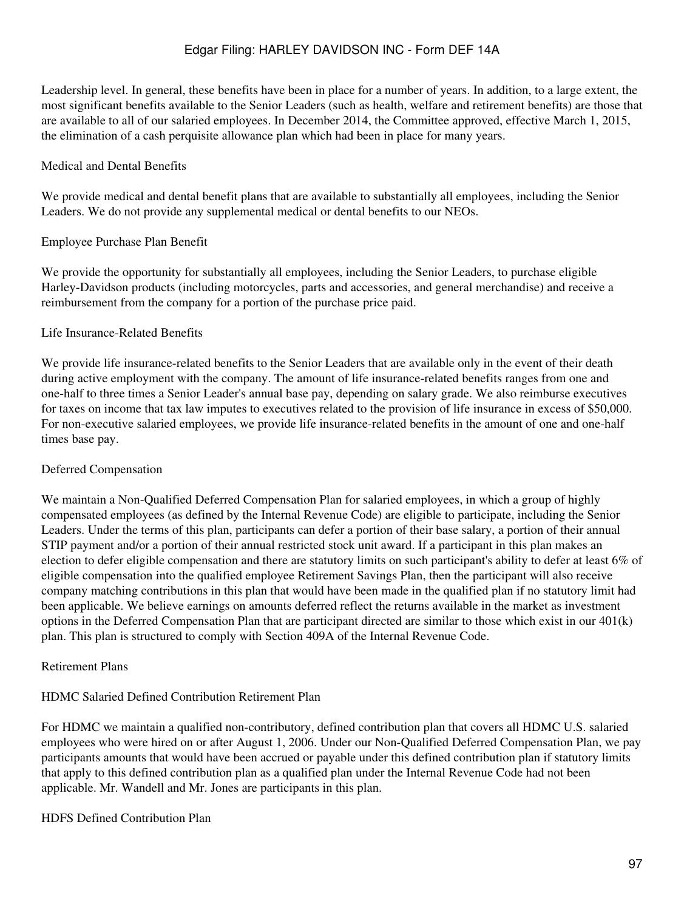Leadership level. In general, these benefits have been in place for a number of years. In addition, to a large extent, the most significant benefits available to the Senior Leaders (such as health, welfare and retirement benefits) are those that are available to all of our salaried employees. In December 2014, the Committee approved, effective March 1, 2015, the elimination of a cash perquisite allowance plan which had been in place for many years.

#### Medical and Dental Benefits

We provide medical and dental benefit plans that are available to substantially all employees, including the Senior Leaders. We do not provide any supplemental medical or dental benefits to our NEOs.

#### Employee Purchase Plan Benefit

We provide the opportunity for substantially all employees, including the Senior Leaders, to purchase eligible Harley-Davidson products (including motorcycles, parts and accessories, and general merchandise) and receive a reimbursement from the company for a portion of the purchase price paid.

#### Life Insurance-Related Benefits

We provide life insurance-related benefits to the Senior Leaders that are available only in the event of their death during active employment with the company. The amount of life insurance-related benefits ranges from one and one-half to three times a Senior Leader's annual base pay, depending on salary grade. We also reimburse executives for taxes on income that tax law imputes to executives related to the provision of life insurance in excess of \$50,000. For non-executive salaried employees, we provide life insurance-related benefits in the amount of one and one-half times base pay.

#### Deferred Compensation

We maintain a Non-Qualified Deferred Compensation Plan for salaried employees, in which a group of highly compensated employees (as defined by the Internal Revenue Code) are eligible to participate, including the Senior Leaders. Under the terms of this plan, participants can defer a portion of their base salary, a portion of their annual STIP payment and/or a portion of their annual restricted stock unit award. If a participant in this plan makes an election to defer eligible compensation and there are statutory limits on such participant's ability to defer at least 6% of eligible compensation into the qualified employee Retirement Savings Plan, then the participant will also receive company matching contributions in this plan that would have been made in the qualified plan if no statutory limit had been applicable. We believe earnings on amounts deferred reflect the returns available in the market as investment options in the Deferred Compensation Plan that are participant directed are similar to those which exist in our 401(k) plan. This plan is structured to comply with Section 409A of the Internal Revenue Code.

#### Retirement Plans

### HDMC Salaried Defined Contribution Retirement Plan

For HDMC we maintain a qualified non-contributory, defined contribution plan that covers all HDMC U.S. salaried employees who were hired on or after August 1, 2006. Under our Non-Qualified Deferred Compensation Plan, we pay participants amounts that would have been accrued or payable under this defined contribution plan if statutory limits that apply to this defined contribution plan as a qualified plan under the Internal Revenue Code had not been applicable. Mr. Wandell and Mr. Jones are participants in this plan.

#### HDFS Defined Contribution Plan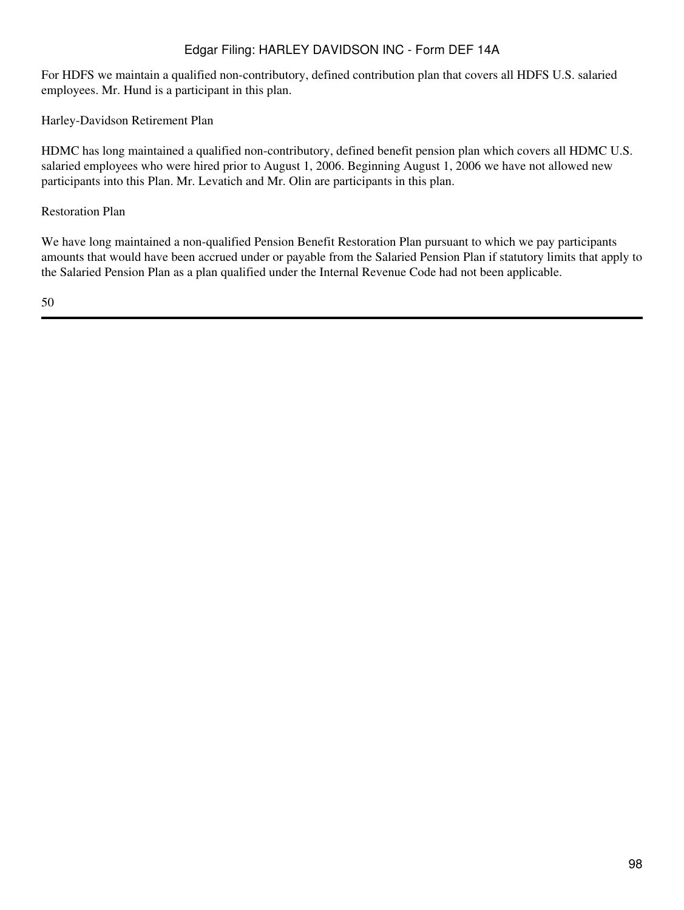For HDFS we maintain a qualified non-contributory, defined contribution plan that covers all HDFS U.S. salaried employees. Mr. Hund is a participant in this plan.

Harley-Davidson Retirement Plan

HDMC has long maintained a qualified non-contributory, defined benefit pension plan which covers all HDMC U.S. salaried employees who were hired prior to August 1, 2006. Beginning August 1, 2006 we have not allowed new participants into this Plan. Mr. Levatich and Mr. Olin are participants in this plan.

Restoration Plan

We have long maintained a non-qualified Pension Benefit Restoration Plan pursuant to which we pay participants amounts that would have been accrued under or payable from the Salaried Pension Plan if statutory limits that apply to the Salaried Pension Plan as a plan qualified under the Internal Revenue Code had not been applicable.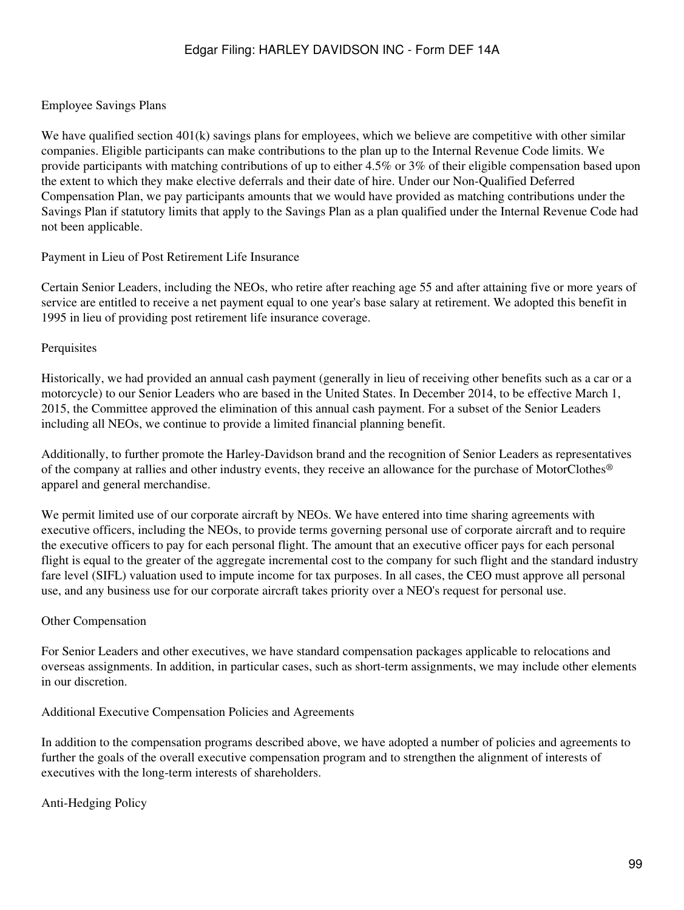# Employee Savings Plans

We have qualified section  $401(k)$  savings plans for employees, which we believe are competitive with other similar companies. Eligible participants can make contributions to the plan up to the Internal Revenue Code limits. We provide participants with matching contributions of up to either 4.5% or 3% of their eligible compensation based upon the extent to which they make elective deferrals and their date of hire. Under our Non-Qualified Deferred Compensation Plan, we pay participants amounts that we would have provided as matching contributions under the Savings Plan if statutory limits that apply to the Savings Plan as a plan qualified under the Internal Revenue Code had not been applicable.

# Payment in Lieu of Post Retirement Life Insurance

Certain Senior Leaders, including the NEOs, who retire after reaching age 55 and after attaining five or more years of service are entitled to receive a net payment equal to one year's base salary at retirement. We adopted this benefit in 1995 in lieu of providing post retirement life insurance coverage.

### **Perquisites**

Historically, we had provided an annual cash payment (generally in lieu of receiving other benefits such as a car or a motorcycle) to our Senior Leaders who are based in the United States. In December 2014, to be effective March 1, 2015, the Committee approved the elimination of this annual cash payment. For a subset of the Senior Leaders including all NEOs, we continue to provide a limited financial planning benefit.

Additionally, to further promote the Harley-Davidson brand and the recognition of Senior Leaders as representatives of the company at rallies and other industry events, they receive an allowance for the purchase of MotorClothes® apparel and general merchandise.

We permit limited use of our corporate aircraft by NEOs. We have entered into time sharing agreements with executive officers, including the NEOs, to provide terms governing personal use of corporate aircraft and to require the executive officers to pay for each personal flight. The amount that an executive officer pays for each personal flight is equal to the greater of the aggregate incremental cost to the company for such flight and the standard industry fare level (SIFL) valuation used to impute income for tax purposes. In all cases, the CEO must approve all personal use, and any business use for our corporate aircraft takes priority over a NEO's request for personal use.

# Other Compensation

For Senior Leaders and other executives, we have standard compensation packages applicable to relocations and overseas assignments. In addition, in particular cases, such as short-term assignments, we may include other elements in our discretion.

# Additional Executive Compensation Policies and Agreements

In addition to the compensation programs described above, we have adopted a number of policies and agreements to further the goals of the overall executive compensation program and to strengthen the alignment of interests of executives with the long-term interests of shareholders.

Anti-Hedging Policy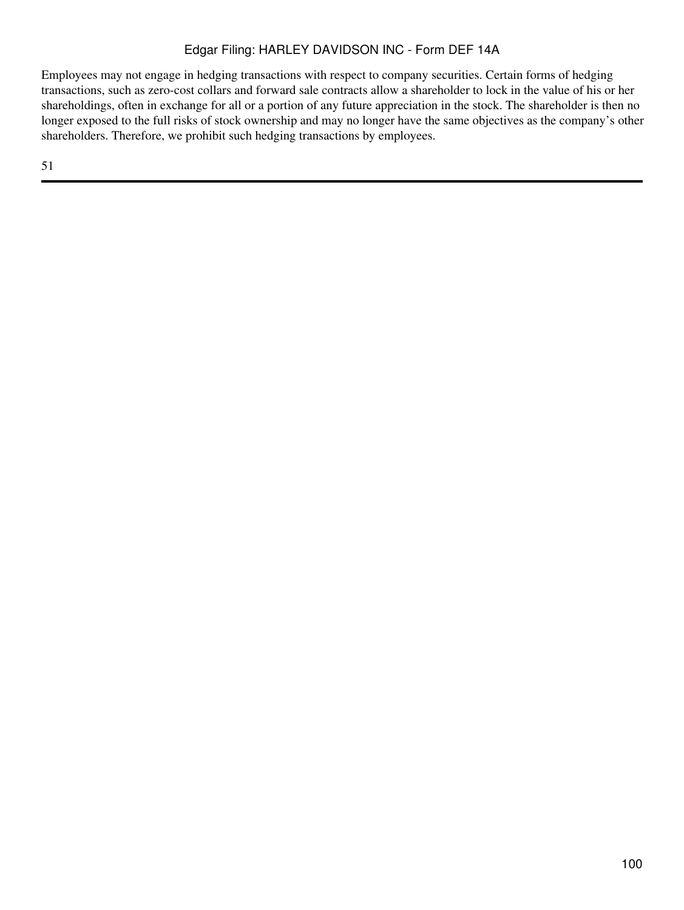Employees may not engage in hedging transactions with respect to company securities. Certain forms of hedging transactions, such as zero-cost collars and forward sale contracts allow a shareholder to lock in the value of his or her shareholdings, often in exchange for all or a portion of any future appreciation in the stock. The shareholder is then no longer exposed to the full risks of stock ownership and may no longer have the same objectives as the company's other shareholders. Therefore, we prohibit such hedging transactions by employees.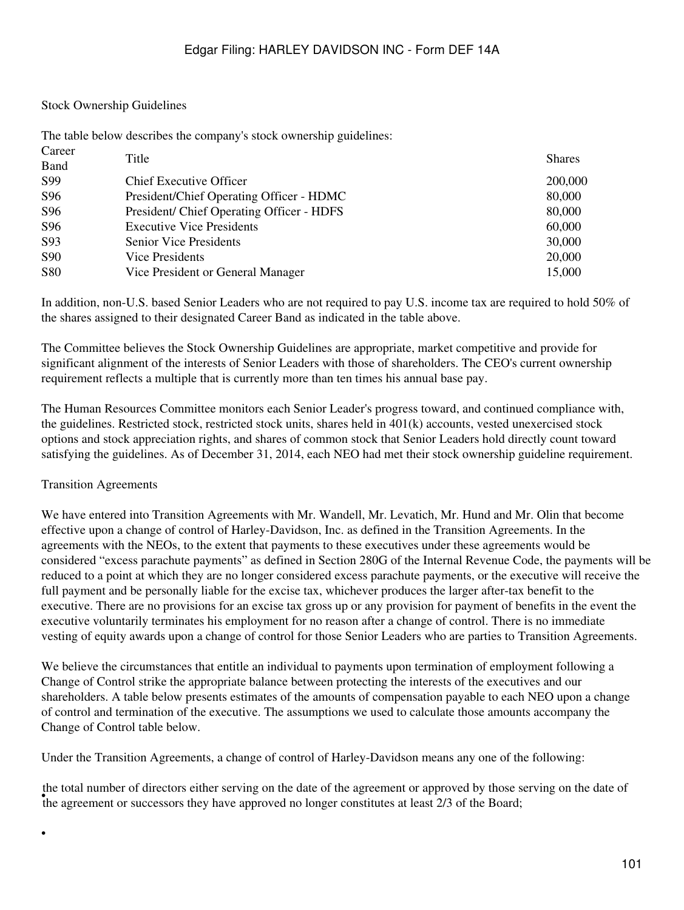#### Stock Ownership Guidelines

The table below describes the company's stock ownership guidelines:

| Career          | Title                                     | <b>Shares</b> |
|-----------------|-------------------------------------------|---------------|
| Band            |                                           |               |
| S99             | <b>Chief Executive Officer</b>            | 200,000       |
| S96             | President/Chief Operating Officer - HDMC  | 80,000        |
| S96             | President/ Chief Operating Officer - HDFS | 80,000        |
| S96             | <b>Executive Vice Presidents</b>          | 60,000        |
| S93             | Senior Vice Presidents                    | 30,000        |
| S <sub>90</sub> | Vice Presidents                           | 20,000        |
| <b>S80</b>      | Vice President or General Manager         | 15,000        |

In addition, non-U.S. based Senior Leaders who are not required to pay U.S. income tax are required to hold 50% of the shares assigned to their designated Career Band as indicated in the table above.

The Committee believes the Stock Ownership Guidelines are appropriate, market competitive and provide for significant alignment of the interests of Senior Leaders with those of shareholders. The CEO's current ownership requirement reflects a multiple that is currently more than ten times his annual base pay.

The Human Resources Committee monitors each Senior Leader's progress toward, and continued compliance with, the guidelines. Restricted stock, restricted stock units, shares held in 401(k) accounts, vested unexercised stock options and stock appreciation rights, and shares of common stock that Senior Leaders hold directly count toward satisfying the guidelines. As of December 31, 2014, each NEO had met their stock ownership guideline requirement.

#### Transition Agreements

•

We have entered into Transition Agreements with Mr. Wandell, Mr. Levatich, Mr. Hund and Mr. Olin that become effective upon a change of control of Harley-Davidson, Inc. as defined in the Transition Agreements. In the agreements with the NEOs, to the extent that payments to these executives under these agreements would be considered "excess parachute payments" as defined in Section 280G of the Internal Revenue Code, the payments will be reduced to a point at which they are no longer considered excess parachute payments, or the executive will receive the full payment and be personally liable for the excise tax, whichever produces the larger after-tax benefit to the executive. There are no provisions for an excise tax gross up or any provision for payment of benefits in the event the executive voluntarily terminates his employment for no reason after a change of control. There is no immediate vesting of equity awards upon a change of control for those Senior Leaders who are parties to Transition Agreements.

We believe the circumstances that entitle an individual to payments upon termination of employment following a Change of Control strike the appropriate balance between protecting the interests of the executives and our shareholders. A table below presents estimates of the amounts of compensation payable to each NEO upon a change of control and termination of the executive. The assumptions we used to calculate those amounts accompany the Change of Control table below.

Under the Transition Agreements, a change of control of Harley-Davidson means any one of the following:

the total namber or ancetors entire serving on the date or the agreement or approved by those s<br>the agreement or successors they have approved no longer constitutes at least 2/3 of the Board; the total number of directors either serving on the date of the agreement or approved by those serving on the date of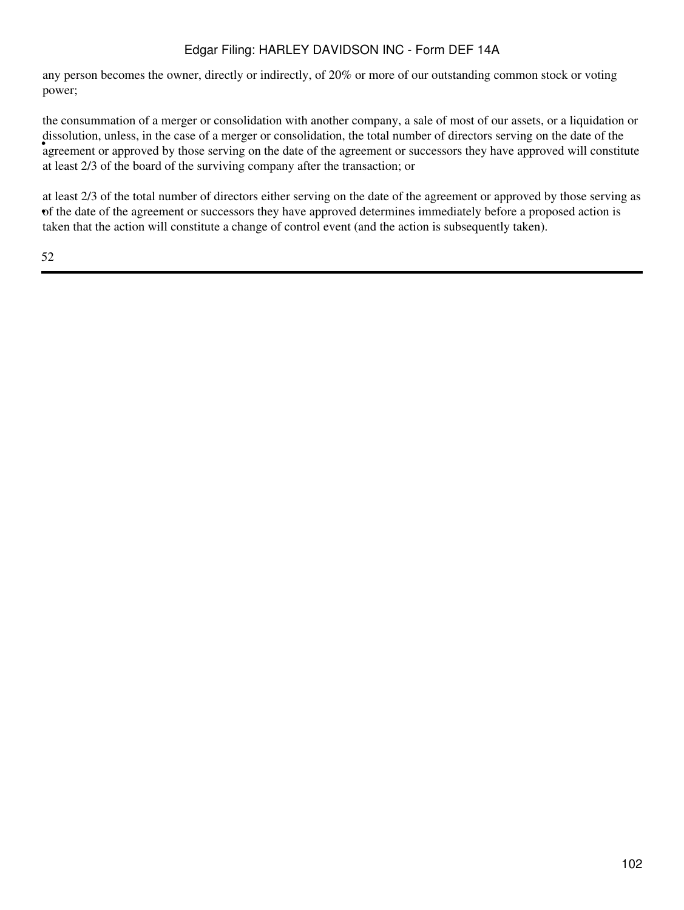any person becomes the owner, directly or indirectly, of 20% or more of our outstanding common stock or voting power;

agreement or approved by those serving on the date of the agreement or successors they have approved will constitute agreement or approved will constitute the consummation of a merger or consolidation with another company, a sale of most of our assets, or a liquidation or dissolution, unless, in the case of a merger or consolidation, the total number of directors serving on the date of the at least 2/3 of the board of the surviving company after the transaction; or

• of the date of the agreement or successors they have approved determines immediately before a proposed action is at least 2/3 of the total number of directors either serving on the date of the agreement or approved by those serving as taken that the action will constitute a change of control event (and the action is subsequently taken).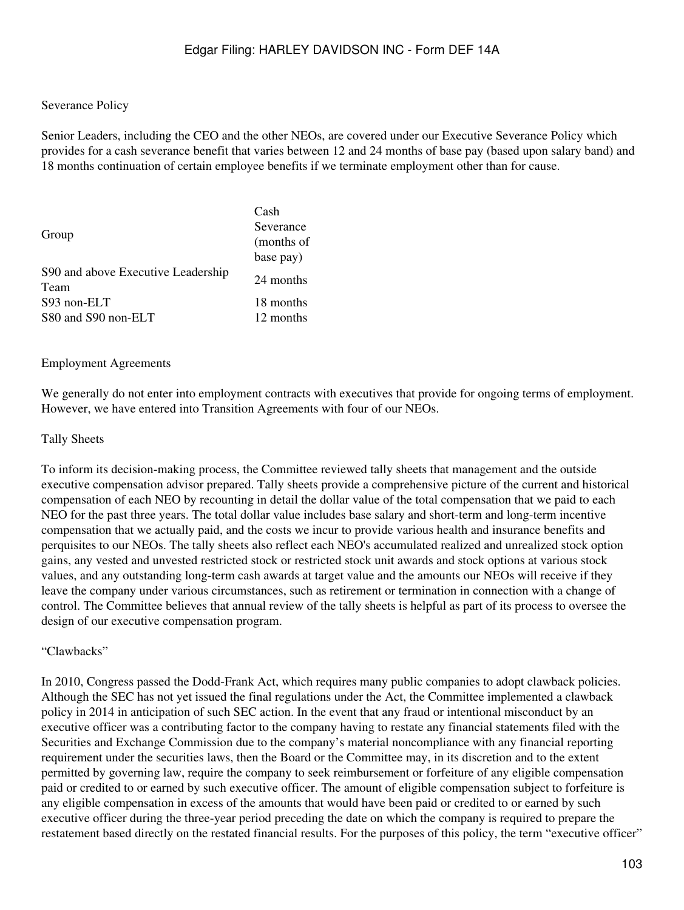#### Severance Policy

Senior Leaders, including the CEO and the other NEOs, are covered under our Executive Severance Policy which provides for a cash severance benefit that varies between 12 and 24 months of base pay (based upon salary band) and 18 months continuation of certain employee benefits if we terminate employment other than for cause.

|                                    | Cash       |
|------------------------------------|------------|
|                                    | Severance  |
| Group                              | (months of |
|                                    | base pay)  |
| S90 and above Executive Leadership | 24 months  |
| Team                               |            |
| S93 non-ELT                        | 18 months  |
| S80 and S90 non-ELT                | 12 months  |

#### Employment Agreements

We generally do not enter into employment contracts with executives that provide for ongoing terms of employment. However, we have entered into Transition Agreements with four of our NEOs.

#### Tally Sheets

To inform its decision-making process, the Committee reviewed tally sheets that management and the outside executive compensation advisor prepared. Tally sheets provide a comprehensive picture of the current and historical compensation of each NEO by recounting in detail the dollar value of the total compensation that we paid to each NEO for the past three years. The total dollar value includes base salary and short-term and long-term incentive compensation that we actually paid, and the costs we incur to provide various health and insurance benefits and perquisites to our NEOs. The tally sheets also reflect each NEO's accumulated realized and unrealized stock option gains, any vested and unvested restricted stock or restricted stock unit awards and stock options at various stock values, and any outstanding long-term cash awards at target value and the amounts our NEOs will receive if they leave the company under various circumstances, such as retirement or termination in connection with a change of control. The Committee believes that annual review of the tally sheets is helpful as part of its process to oversee the design of our executive compensation program.

#### "Clawbacks"

In 2010, Congress passed the Dodd-Frank Act, which requires many public companies to adopt clawback policies. Although the SEC has not yet issued the final regulations under the Act, the Committee implemented a clawback policy in 2014 in anticipation of such SEC action. In the event that any fraud or intentional misconduct by an executive officer was a contributing factor to the company having to restate any financial statements filed with the Securities and Exchange Commission due to the company's material noncompliance with any financial reporting requirement under the securities laws, then the Board or the Committee may, in its discretion and to the extent permitted by governing law, require the company to seek reimbursement or forfeiture of any eligible compensation paid or credited to or earned by such executive officer. The amount of eligible compensation subject to forfeiture is any eligible compensation in excess of the amounts that would have been paid or credited to or earned by such executive officer during the three-year period preceding the date on which the company is required to prepare the restatement based directly on the restated financial results. For the purposes of this policy, the term "executive officer"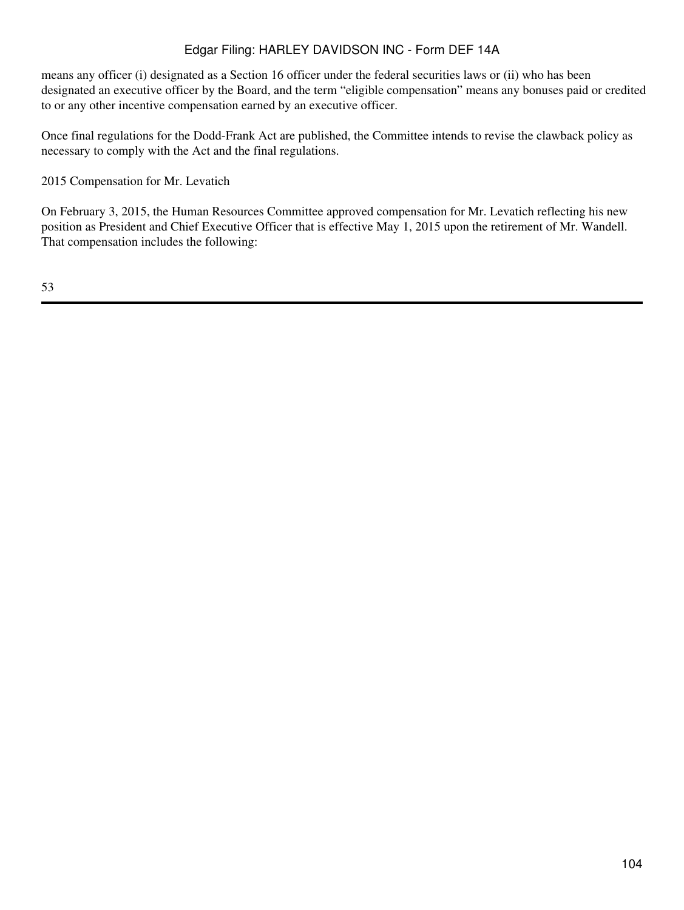means any officer (i) designated as a Section 16 officer under the federal securities laws or (ii) who has been designated an executive officer by the Board, and the term "eligible compensation" means any bonuses paid or credited to or any other incentive compensation earned by an executive officer.

Once final regulations for the Dodd-Frank Act are published, the Committee intends to revise the clawback policy as necessary to comply with the Act and the final regulations.

2015 Compensation for Mr. Levatich

On February 3, 2015, the Human Resources Committee approved compensation for Mr. Levatich reflecting his new position as President and Chief Executive Officer that is effective May 1, 2015 upon the retirement of Mr. Wandell. That compensation includes the following: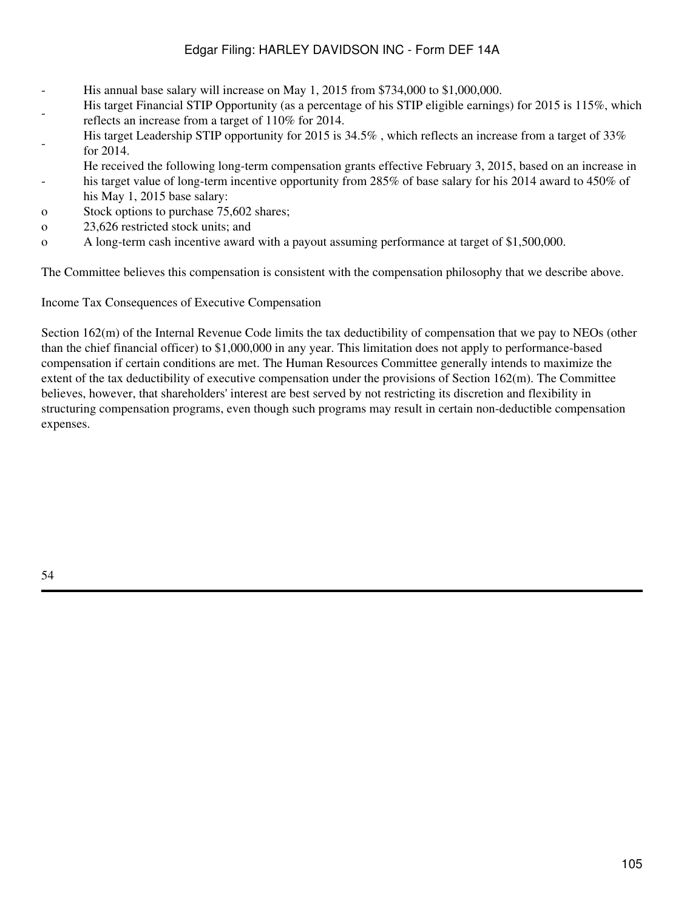- His annual base salary will increase on May 1, 2015 from \$734,000 to \$1,000,000.
- His target Financial STIP Opportunity (as a percentage of his STIP eligible earnings) for 2015 is 115%, which reflects an increase from a target of 110% for 2014.
- His target Leadership STIP opportunity for 2015 is 34.5% , which reflects an increase from a target of 33% for 2014.
- He received the following long-term compensation grants effective February 3, 2015, based on an increase in
- his target value of long-term incentive opportunity from 285% of base salary for his 2014 award to 450% of his May 1, 2015 base salary:
- o Stock options to purchase 75,602 shares;
- o 23,626 restricted stock units; and
- o A long-term cash incentive award with a payout assuming performance at target of \$1,500,000.

The Committee believes this compensation is consistent with the compensation philosophy that we describe above.

Income Tax Consequences of Executive Compensation

Section 162(m) of the Internal Revenue Code limits the tax deductibility of compensation that we pay to NEOs (other than the chief financial officer) to \$1,000,000 in any year. This limitation does not apply to performance-based compensation if certain conditions are met. The Human Resources Committee generally intends to maximize the extent of the tax deductibility of executive compensation under the provisions of Section 162(m). The Committee believes, however, that shareholders' interest are best served by not restricting its discretion and flexibility in structuring compensation programs, even though such programs may result in certain non-deductible compensation expenses.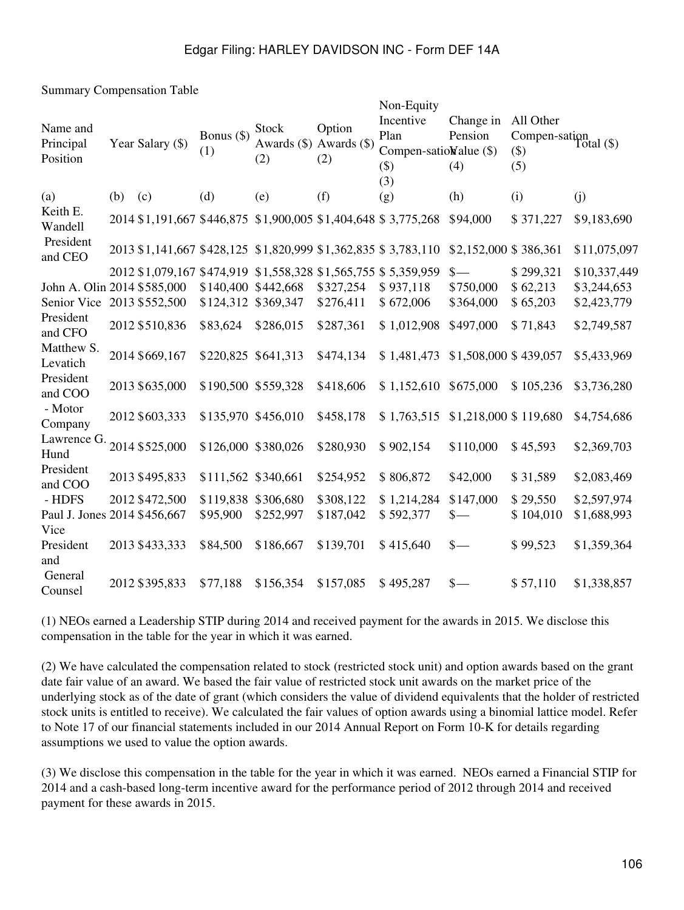Summary Compensation Table

| Name and<br>Principal<br>Position |     | Year Salary (\$) | Bonus $(\$)$<br>(1) | Stock<br>Awards (\$) Awards (\$)<br>(2) | Option<br>(2) | Non-Equity<br>Incentive<br>Plan<br>Compen-satioWalue (\$)<br>$($ \$)<br>(3) | Change in<br>Pension<br>(4) | All Other<br>Compen-sation<br>Total $(\$)$<br>$(\$)$<br>(5) |              |
|-----------------------------------|-----|------------------|---------------------|-----------------------------------------|---------------|-----------------------------------------------------------------------------|-----------------------------|-------------------------------------------------------------|--------------|
| (a)                               | (b) | (c)              | (d)                 | (e)                                     | (f)           | (g)                                                                         | (h)                         | (i)                                                         | (i)          |
| Keith E.<br>Wandell               |     |                  |                     |                                         |               | 2014 \$1,191,667 \$446,875 \$1,900,005 \$1,404,648 \$3,775,268              | \$94,000                    | \$371,227                                                   | \$9,183,690  |
| President<br>and CEO              |     |                  |                     |                                         |               | 2013 \$1,141,667 \$428,125 \$1,820,999 \$1,362,835 \$3,783,110              | \$2,152,000 \$386,361       |                                                             | \$11,075,097 |
|                                   |     |                  |                     |                                         |               | 2012 \$1,079,167 \$474,919 \$1,558,328 \$1,565,755 \$5,359,959              | $\frac{\ }{s-}$             | \$299,321                                                   | \$10,337,449 |
| John A. Olin 2014 \$585,000       |     |                  | \$140,400           | \$442,668                               | \$327,254     | \$937,118                                                                   | \$750,000                   | \$62,213                                                    | \$3,244,653  |
| Senior Vice                       |     | 2013 \$552,500   | \$124,312           | \$369,347                               | \$276,411     | \$672,006                                                                   | \$364,000                   | \$65,203                                                    | \$2,423,779  |
| President<br>and CFO              |     | 2012 \$510,836   | \$83,624            | \$286,015                               | \$287,361     | \$1,012,908                                                                 | \$497,000                   | \$71,843                                                    | \$2,749,587  |
| Matthew S.<br>Levatich            |     | 2014 \$669,167   | \$220,825 \$641,313 |                                         | \$474,134     | \$1,481,473                                                                 | \$1,508,000 \$439,057       |                                                             | \$5,433,969  |
| President<br>and COO              |     | 2013 \$635,000   | \$190,500 \$559,328 |                                         | \$418,606     | \$1,152,610                                                                 | \$675,000                   | \$105,236                                                   | \$3,736,280  |
| - Motor<br>Company                |     | 2012 \$603,333   | \$135,970 \$456,010 |                                         | \$458,178     | \$1,763,515 \$1,218,000 \$119,680                                           |                             |                                                             | \$4,754,686  |
| Lawrence G.<br>Hund               |     | 2014 \$525,000   | \$126,000 \$380,026 |                                         | \$280,930     | \$902,154                                                                   | \$110,000                   | \$45,593                                                    | \$2,369,703  |
| President<br>and COO              |     | 2013 \$495,833   | \$111,562 \$340,661 |                                         | \$254,952     | \$806,872                                                                   | \$42,000                    | \$31,589                                                    | \$2,083,469  |
| - HDFS                            |     | 2012 \$472,500   | \$119,838 \$306,680 |                                         | \$308,122     | \$1,214,284                                                                 | \$147,000                   | \$29,550                                                    | \$2,597,974  |
| Paul J. Jones 2014 \$456,667      |     |                  | \$95,900            | \$252,997                               | \$187,042     | \$592,377                                                                   | $\frac{\ }{s-}$             | \$104,010                                                   | \$1,688,993  |
| Vice                              |     |                  |                     |                                         |               |                                                                             |                             |                                                             |              |
| President                         |     | 2013 \$433,333   | \$84,500            | \$186,667                               | \$139,701     | \$415,640                                                                   | $\frac{\ }{s-}$             | \$99,523                                                    | \$1,359,364  |
| and                               |     |                  |                     |                                         |               |                                                                             |                             |                                                             |              |
| General<br>Counsel                |     | 2012 \$395,833   | \$77,188            | \$156,354                               | \$157,085     | \$495,287                                                                   | $\frac{\ }{s-}$             | \$57,110                                                    | \$1,338,857  |

(1) NEOs earned a Leadership STIP during 2014 and received payment for the awards in 2015. We disclose this compensation in the table for the year in which it was earned.

(2) We have calculated the compensation related to stock (restricted stock unit) and option awards based on the grant date fair value of an award. We based the fair value of restricted stock unit awards on the market price of the underlying stock as of the date of grant (which considers the value of dividend equivalents that the holder of restricted stock units is entitled to receive). We calculated the fair values of option awards using a binomial lattice model. Refer to Note 17 of our financial statements included in our 2014 Annual Report on Form 10-K for details regarding assumptions we used to value the option awards.

(3) We disclose this compensation in the table for the year in which it was earned. NEOs earned a Financial STIP for 2014 and a cash-based long-term incentive award for the performance period of 2012 through 2014 and received payment for these awards in 2015.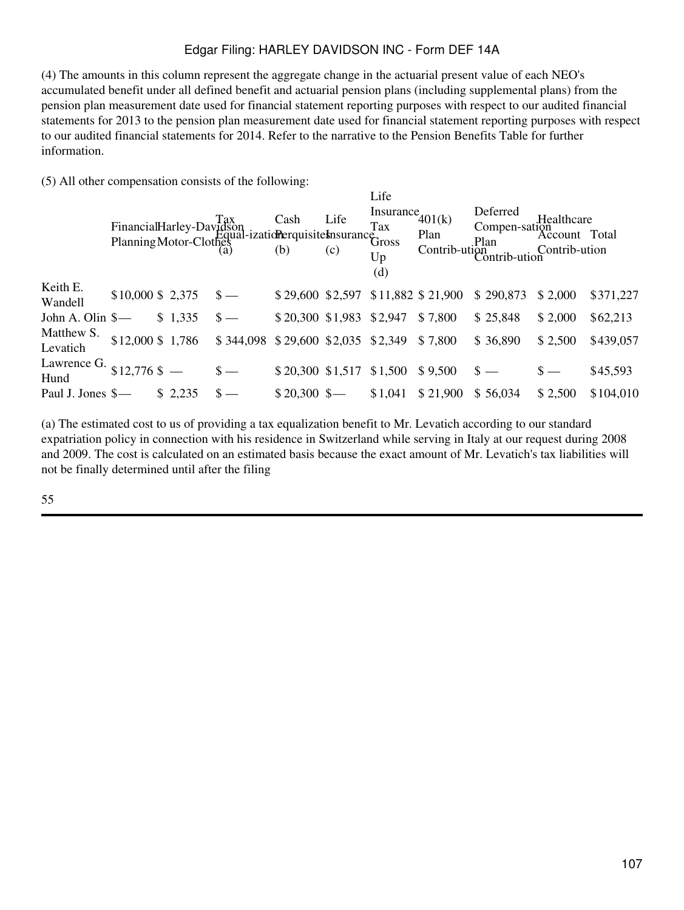(4) The amounts in this column represent the aggregate change in the actuarial present value of each NEO's accumulated benefit under all defined benefit and actuarial pension plans (including supplemental plans) from the pension plan measurement date used for financial statement reporting purposes with respect to our audited financial statements for 2013 to the pension plan measurement date used for financial statement reporting purposes with respect to our audited financial statements for 2014. Refer to the narrative to the Pension Benefits Table for further information.

(5) All other compensation consists of the following:

|                        |                      |         | FinancialHarley-Davidson<br>Planning Motor-Clothes<br>(a) (b) (c) Lines<br>Cash Life<br>Tax<br>Planning Motor-Clothes<br>(b) (c) Lines |                                    | Life<br>(c) | Life<br>Insurance $401(k)$<br>Up<br>(d) | Plan     | Deferred<br>Compen-sation<br>Account Total<br>lan<br>Contrib-ution<br>Contrib-ution<br>Contrib-ution | Healthcare    |           |
|------------------------|----------------------|---------|----------------------------------------------------------------------------------------------------------------------------------------|------------------------------------|-------------|-----------------------------------------|----------|------------------------------------------------------------------------------------------------------|---------------|-----------|
| Keith E.<br>Wandell    | $$10,000 \$2,375 \$$ |         |                                                                                                                                        | \$29,600 \$2,597 \$11,882 \$21,900 |             |                                         |          | \$290,873                                                                                            | \$2,000       | \$371,227 |
| John A. Olin \$-       |                      | \$1,335 | $\mathcal{S}$ —                                                                                                                        | $$20,300$ \$1,983 \$2,947          |             |                                         | \$7,800  | \$25,848                                                                                             | \$2,000       | \$62,213  |
| Matthew S.<br>Levatich | $$12,000$ \$ 1,786   |         | $$344,098$ $$29,600$ $$2,035$ $$2,349$ $$7,800$                                                                                        |                                    |             |                                         |          | \$36,890                                                                                             | \$2,500       | \$439,057 |
| Lawrence G.<br>Hund    | $$12,776$ \$ -       |         |                                                                                                                                        | $$20,300$ $$1,517$ $$1,500$        |             |                                         | \$9,500  | $\frac{1}{2}$                                                                                        | $\frac{1}{2}$ | \$45,593  |
| Paul J. Jones \$-      |                      | \$2,235 |                                                                                                                                        | $$20,300$ \$                       |             | \$1,041                                 | \$21,900 | \$56,034                                                                                             | \$2,500       | \$104,010 |

(a) The estimated cost to us of providing a tax equalization benefit to Mr. Levatich according to our standard expatriation policy in connection with his residence in Switzerland while serving in Italy at our request during 2008 and 2009. The cost is calculated on an estimated basis because the exact amount of Mr. Levatich's tax liabilities will not be finally determined until after the filing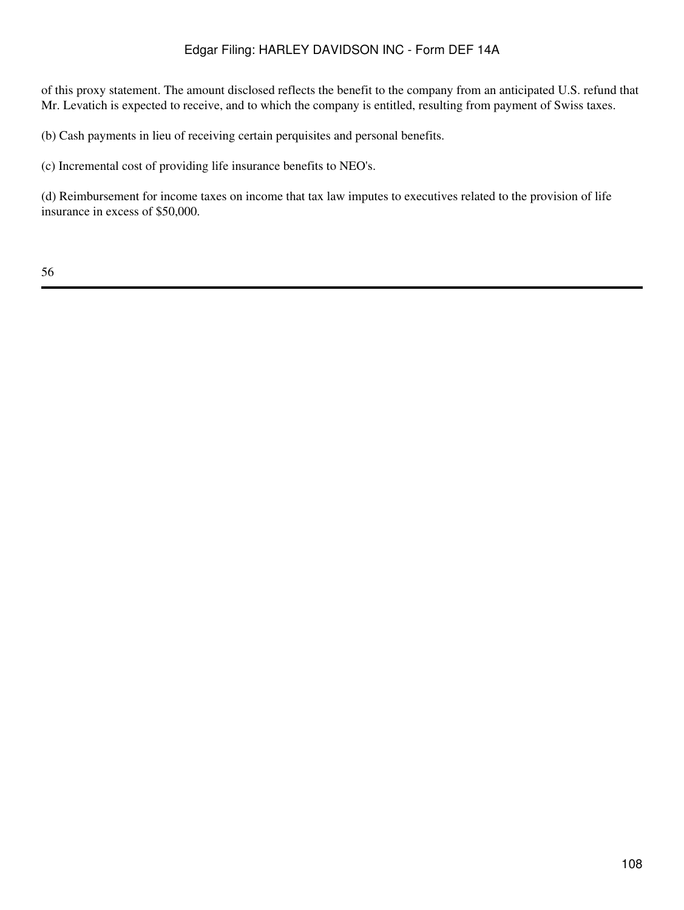of this proxy statement. The amount disclosed reflects the benefit to the company from an anticipated U.S. refund that Mr. Levatich is expected to receive, and to which the company is entitled, resulting from payment of Swiss taxes.

(b) Cash payments in lieu of receiving certain perquisites and personal benefits.

(c) Incremental cost of providing life insurance benefits to NEO's.

(d) Reimbursement for income taxes on income that tax law imputes to executives related to the provision of life insurance in excess of \$50,000.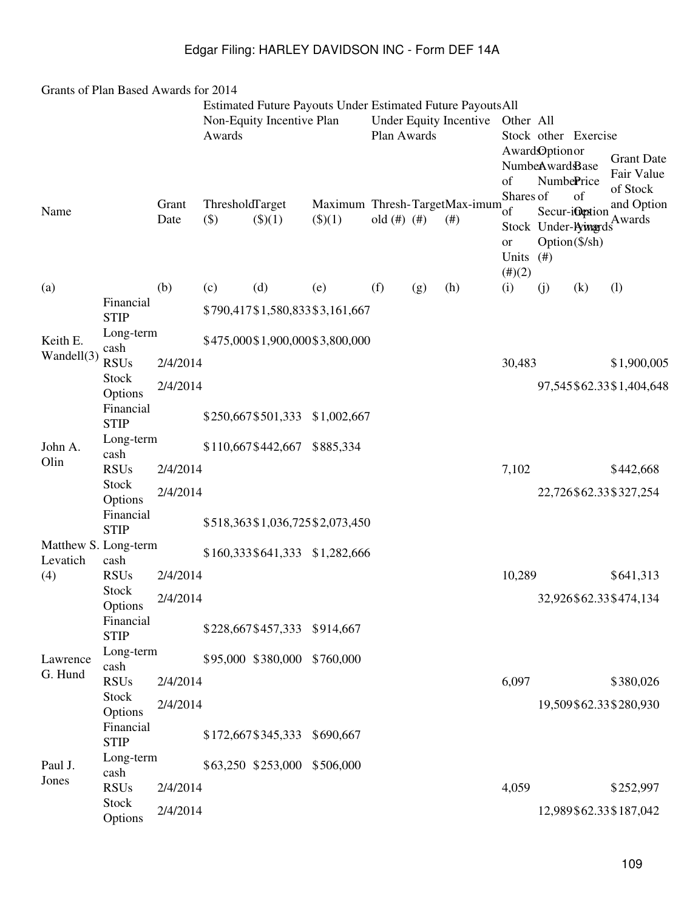| Grants of Plan Based Awards for 2014 |                                     |               |                           |                              |                                                                    |                   |     |                                         |                                                  |                                                |                                  |                                             |
|--------------------------------------|-------------------------------------|---------------|---------------------------|------------------------------|--------------------------------------------------------------------|-------------------|-----|-----------------------------------------|--------------------------------------------------|------------------------------------------------|----------------------------------|---------------------------------------------|
|                                      |                                     |               | Awards                    | Non-Equity Incentive Plan    | <b>Estimated Future Payouts Under Estimated Future Payouts All</b> | Plan Awards       |     | Under Equity Incentive                  | Other All                                        |                                                | Stock other Exercise             |                                             |
|                                      |                                     |               |                           |                              |                                                                    |                   |     |                                         | of<br>Shares of                                  | Award Optionor<br>NumbeAwardBase<br>NumbePrice | of                               | <b>Grant Date</b><br>Fair Value<br>of Stock |
| Name                                 |                                     | Grant<br>Date | ThresholdTarget<br>$(\$)$ | \$)(1)                       | $($ \$ $)(1)$                                                      | old $(\#)$ $(\#)$ |     | Maximum Thresh-TargetMax-imum<br>$(\#)$ | <sup>of</sup><br><b>or</b><br>Units<br>$(\#)(2)$ | (# )                                           | Secur-indextion<br>Option(\$/sh) | and Option<br>Stock Under-Aimards           |
| (a)                                  |                                     | (b)           | (c)                       | (d)                          | (e)                                                                | (f)               | (g) | (h)                                     | (i)                                              | (j)                                            | (k)                              | (1)                                         |
|                                      | Financial<br><b>STIP</b>            |               |                           |                              | \$790,417\$1,580,833\$3,161,667                                    |                   |     |                                         |                                                  |                                                |                                  |                                             |
| Keith E.                             | Long-term<br>cash                   |               |                           |                              | \$475,000\$1,900,000\$3,800,000                                    |                   |     |                                         |                                                  |                                                |                                  |                                             |
| Wandell(3)                           | <b>RSUs</b>                         | 2/4/2014      |                           |                              |                                                                    |                   |     |                                         | 30,483                                           |                                                |                                  | \$1,900,005                                 |
|                                      | Stock                               | 2/4/2014      |                           |                              |                                                                    |                   |     |                                         |                                                  |                                                |                                  | 97,545\$62.33\$1,404,648                    |
|                                      | Options<br>Financial<br><b>STIP</b> |               |                           | \$250,667\$501,333           | \$1,002,667                                                        |                   |     |                                         |                                                  |                                                |                                  |                                             |
| John A.                              | Long-term<br>cash                   |               |                           | \$110,667\$442,667           | \$885,334                                                          |                   |     |                                         |                                                  |                                                |                                  |                                             |
| Olin                                 | <b>RSUs</b>                         | 2/4/2014      |                           |                              |                                                                    |                   |     |                                         | 7,102                                            |                                                |                                  | \$442,668                                   |
|                                      | Stock                               | 2/4/2014      |                           |                              |                                                                    |                   |     |                                         |                                                  |                                                |                                  | 22,726\$62.33\$327,254                      |
|                                      | Options<br>Financial                |               |                           |                              |                                                                    |                   |     |                                         |                                                  |                                                |                                  |                                             |
|                                      | <b>STIP</b>                         |               |                           |                              | \$518,363 \$1,036,725 \$2,073,450                                  |                   |     |                                         |                                                  |                                                |                                  |                                             |
| Matthew S. Long-term<br>Levatich     | cash                                |               |                           | \$160,333\$641,333           | \$1,282,666                                                        |                   |     |                                         |                                                  |                                                |                                  |                                             |
| (4)                                  | <b>RSUs</b>                         | 2/4/2014      |                           |                              |                                                                    |                   |     |                                         | 10,289                                           |                                                |                                  | \$641,313                                   |
|                                      | Stock<br>Options                    | 2/4/2014      |                           |                              |                                                                    |                   |     |                                         |                                                  |                                                |                                  | 32,926\$62.33\$474,134                      |
|                                      | Financial<br><b>STIP</b>            |               |                           | \$228,667\$457,333 \$914,667 |                                                                    |                   |     |                                         |                                                  |                                                |                                  |                                             |
| Lawrence<br>G. Hund                  | Long-term<br>cash                   |               |                           | \$95,000 \$380,000           | \$760,000                                                          |                   |     |                                         |                                                  |                                                |                                  |                                             |
|                                      | <b>RSUs</b>                         | 2/4/2014      |                           |                              |                                                                    |                   |     |                                         | 6,097                                            |                                                |                                  | \$380,026                                   |
|                                      | Stock<br>Options                    | 2/4/2014      |                           |                              |                                                                    |                   |     |                                         |                                                  |                                                |                                  | 19,509\$62.33\$280,930                      |
|                                      | Financial<br><b>STIP</b>            |               |                           | \$172,667\$345,333 \$690,667 |                                                                    |                   |     |                                         |                                                  |                                                |                                  |                                             |
| Paul J.<br>Jones                     | Long-term<br>cash                   |               |                           | \$63,250 \$253,000           | \$506,000                                                          |                   |     |                                         |                                                  |                                                |                                  |                                             |
|                                      | <b>RSUs</b><br><b>Stock</b>         | 2/4/2014      |                           |                              |                                                                    |                   |     |                                         | 4,059                                            |                                                |                                  | \$252,997                                   |
|                                      | Options                             | 2/4/2014      |                           |                              |                                                                    |                   |     |                                         |                                                  |                                                |                                  | 12,989\$62.33\$187,042                      |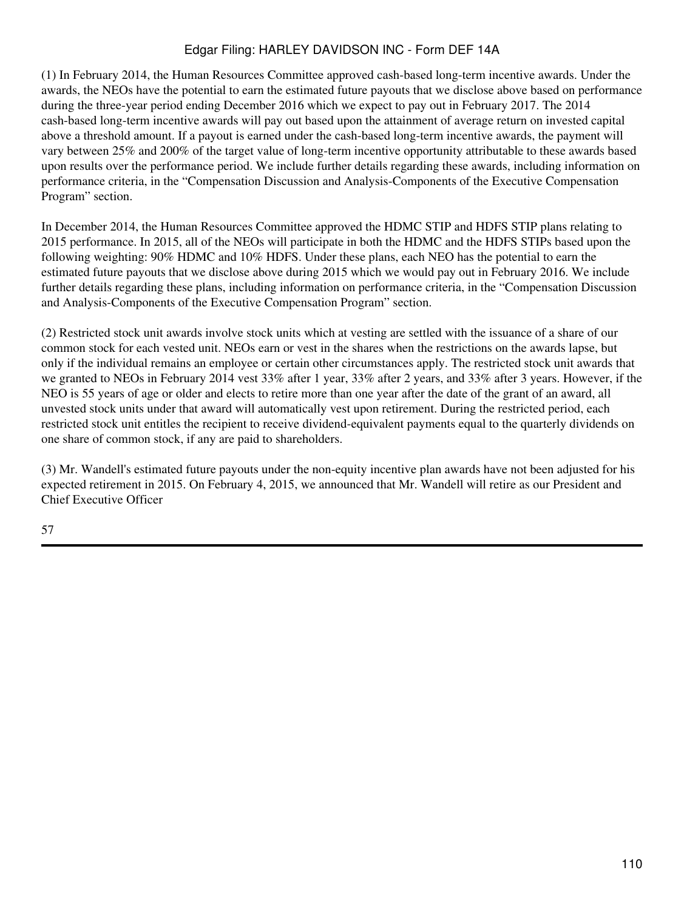(1) In February 2014, the Human Resources Committee approved cash-based long-term incentive awards. Under the awards, the NEOs have the potential to earn the estimated future payouts that we disclose above based on performance during the three-year period ending December 2016 which we expect to pay out in February 2017. The 2014 cash-based long-term incentive awards will pay out based upon the attainment of average return on invested capital above a threshold amount. If a payout is earned under the cash-based long-term incentive awards, the payment will vary between 25% and 200% of the target value of long-term incentive opportunity attributable to these awards based upon results over the performance period. We include further details regarding these awards, including information on performance criteria, in the "Compensation Discussion and Analysis-Components of the Executive Compensation Program" section.

In December 2014, the Human Resources Committee approved the HDMC STIP and HDFS STIP plans relating to 2015 performance. In 2015, all of the NEOs will participate in both the HDMC and the HDFS STIPs based upon the following weighting: 90% HDMC and 10% HDFS. Under these plans, each NEO has the potential to earn the estimated future payouts that we disclose above during 2015 which we would pay out in February 2016. We include further details regarding these plans, including information on performance criteria, in the "Compensation Discussion and Analysis-Components of the Executive Compensation Program" section.

(2) Restricted stock unit awards involve stock units which at vesting are settled with the issuance of a share of our common stock for each vested unit. NEOs earn or vest in the shares when the restrictions on the awards lapse, but only if the individual remains an employee or certain other circumstances apply. The restricted stock unit awards that we granted to NEOs in February 2014 vest 33% after 1 year, 33% after 2 years, and 33% after 3 years. However, if the NEO is 55 years of age or older and elects to retire more than one year after the date of the grant of an award, all unvested stock units under that award will automatically vest upon retirement. During the restricted period, each restricted stock unit entitles the recipient to receive dividend-equivalent payments equal to the quarterly dividends on one share of common stock, if any are paid to shareholders.

(3) Mr. Wandell's estimated future payouts under the non-equity incentive plan awards have not been adjusted for his expected retirement in 2015. On February 4, 2015, we announced that Mr. Wandell will retire as our President and Chief Executive Officer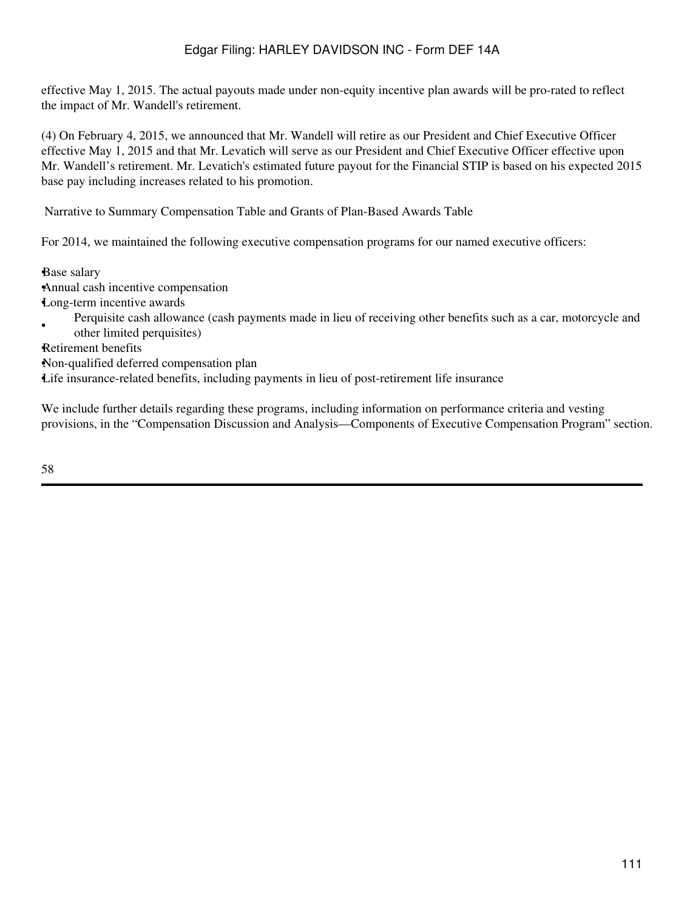effective May 1, 2015. The actual payouts made under non-equity incentive plan awards will be pro-rated to reflect the impact of Mr. Wandell's retirement.

(4) On February 4, 2015, we announced that Mr. Wandell will retire as our President and Chief Executive Officer effective May 1, 2015 and that Mr. Levatich will serve as our President and Chief Executive Officer effective upon Mr. Wandell's retirement. Mr. Levatich's estimated future payout for the Financial STIP is based on his expected 2015 base pay including increases related to his promotion.

Narrative to Summary Compensation Table and Grants of Plan-Based Awards Table

For 2014, we maintained the following executive compensation programs for our named executive officers:

•Base salary •Annual cash incentive compensation •Long-term incentive awards

• Perquisite cash allowance (cash payments made in lieu of receiving other benefits such as a car, motorcycle and other limited perquisites)

•Retirement benefits

•Non-qualified deferred compensation plan

•Life insurance-related benefits, including payments in lieu of post-retirement life insurance

We include further details regarding these programs, including information on performance criteria and vesting provisions, in the "Compensation Discussion and Analysis—Components of Executive Compensation Program" section.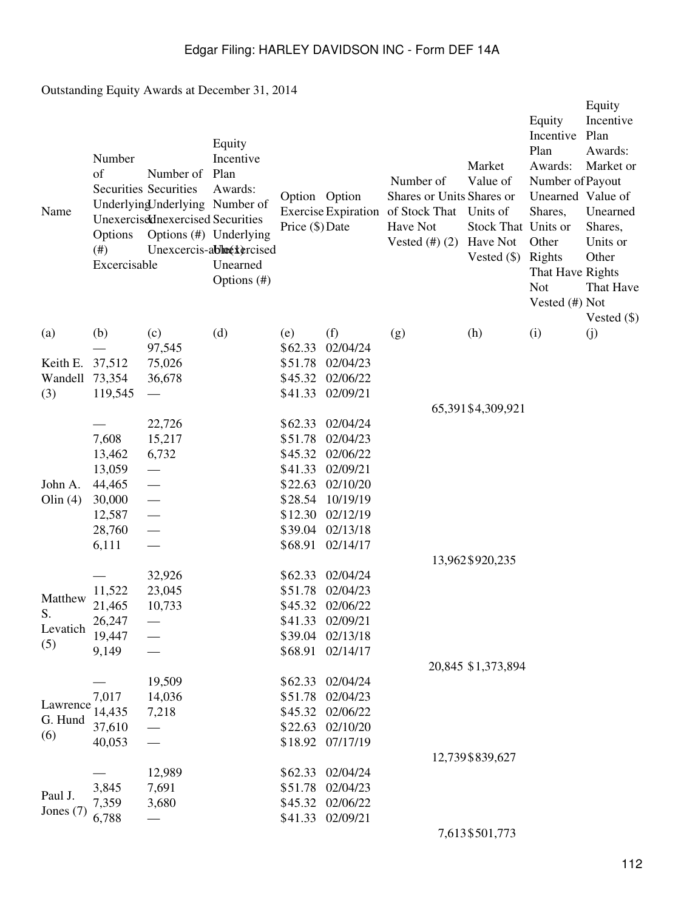Outstanding Equity Awards at December 31, 2014

| Name        | Number<br>of<br>Options<br>(# )<br>Excercisable | Number of<br><b>Securities Securities</b><br>Underlying Jnderlying Number of<br>Unexercisednexercised Securities<br>Options (#) Underlying | Equity<br>Incentive<br>Plan<br>Awards:<br>Unexcercis-ablock ercised<br>Unearned<br>Options (#) | Option Option<br>Price (\$) Date |                      | Number of<br>Shares or Units Shares or<br>Exercise Expiration of Stock That Units of<br>Have Not<br>Vested $(\#)(2)$ Have Not | Market<br>Value of<br>Stock That Units or<br>Vested $(\$)$ | Equity<br>Incentive<br>Plan<br>Awards:<br>Number of Payout<br>Unearned Value of<br>Shares,<br>Other<br>Rights<br>That Have Rights<br><b>Not</b><br>Vested (#) Not | Equity<br>Incentive<br>Plan<br>Awards:<br>Market or<br>Unearned<br>Shares,<br>Units or<br>Other<br>That Have<br>Vested $(\$)$ |
|-------------|-------------------------------------------------|--------------------------------------------------------------------------------------------------------------------------------------------|------------------------------------------------------------------------------------------------|----------------------------------|----------------------|-------------------------------------------------------------------------------------------------------------------------------|------------------------------------------------------------|-------------------------------------------------------------------------------------------------------------------------------------------------------------------|-------------------------------------------------------------------------------------------------------------------------------|
| (a)         | (b)                                             | (c)                                                                                                                                        | (d)                                                                                            | (e)                              | (f)                  | (g)                                                                                                                           | (h)                                                        | (i)                                                                                                                                                               | (j)                                                                                                                           |
|             |                                                 | 97,545                                                                                                                                     |                                                                                                | \$62.33                          | 02/04/24             |                                                                                                                               |                                                            |                                                                                                                                                                   |                                                                                                                               |
| Keith E.    | 37,512                                          | 75,026                                                                                                                                     |                                                                                                | \$51.78                          | 02/04/23             |                                                                                                                               |                                                            |                                                                                                                                                                   |                                                                                                                               |
| Wandell     | 73,354                                          | 36,678                                                                                                                                     |                                                                                                | \$45.32                          | 02/06/22             |                                                                                                                               |                                                            |                                                                                                                                                                   |                                                                                                                               |
| (3)         | 119,545                                         |                                                                                                                                            |                                                                                                | \$41.33                          | 02/09/21             |                                                                                                                               |                                                            |                                                                                                                                                                   |                                                                                                                               |
|             |                                                 |                                                                                                                                            |                                                                                                |                                  |                      |                                                                                                                               | 65,391\$4,309,921                                          |                                                                                                                                                                   |                                                                                                                               |
|             |                                                 | 22,726                                                                                                                                     |                                                                                                | \$62.33                          | 02/04/24             |                                                                                                                               |                                                            |                                                                                                                                                                   |                                                                                                                               |
|             | 7,608                                           | 15,217                                                                                                                                     |                                                                                                | \$51.78                          | 02/04/23             |                                                                                                                               |                                                            |                                                                                                                                                                   |                                                                                                                               |
|             | 13,462                                          | 6,732                                                                                                                                      |                                                                                                | \$45.32                          | 02/06/22             |                                                                                                                               |                                                            |                                                                                                                                                                   |                                                                                                                               |
| John A.     | 13,059<br>44,465                                |                                                                                                                                            |                                                                                                | \$41.33<br>\$22.63               | 02/09/21<br>02/10/20 |                                                                                                                               |                                                            |                                                                                                                                                                   |                                                                                                                               |
| Olin $(4)$  | 30,000                                          |                                                                                                                                            |                                                                                                | \$28.54                          | 10/19/19             |                                                                                                                               |                                                            |                                                                                                                                                                   |                                                                                                                               |
|             | 12,587                                          |                                                                                                                                            |                                                                                                | \$12.30                          | 02/12/19             |                                                                                                                               |                                                            |                                                                                                                                                                   |                                                                                                                               |
|             | 28,760                                          | $\frac{1}{1}$                                                                                                                              |                                                                                                | \$39.04                          | 02/13/18             |                                                                                                                               |                                                            |                                                                                                                                                                   |                                                                                                                               |
|             | 6,111                                           |                                                                                                                                            |                                                                                                | \$68.91                          | 02/14/17             |                                                                                                                               |                                                            |                                                                                                                                                                   |                                                                                                                               |
|             |                                                 |                                                                                                                                            |                                                                                                |                                  |                      |                                                                                                                               | 13,962\$920,235                                            |                                                                                                                                                                   |                                                                                                                               |
|             |                                                 | 32,926                                                                                                                                     |                                                                                                | \$62.33                          | 02/04/24             |                                                                                                                               |                                                            |                                                                                                                                                                   |                                                                                                                               |
|             | 11,522                                          | 23,045                                                                                                                                     |                                                                                                | \$51.78                          | 02/04/23             |                                                                                                                               |                                                            |                                                                                                                                                                   |                                                                                                                               |
| Matthew     | 21,465                                          | 10,733                                                                                                                                     |                                                                                                | \$45.32                          | 02/06/22             |                                                                                                                               |                                                            |                                                                                                                                                                   |                                                                                                                               |
| S.          | 26,247                                          |                                                                                                                                            |                                                                                                | \$41.33                          | 02/09/21             |                                                                                                                               |                                                            |                                                                                                                                                                   |                                                                                                                               |
| Levatich    | 19,447                                          |                                                                                                                                            |                                                                                                | \$39.04                          | 02/13/18             |                                                                                                                               |                                                            |                                                                                                                                                                   |                                                                                                                               |
| (5)         | 9,149                                           |                                                                                                                                            |                                                                                                | \$68.91                          | 02/14/17             |                                                                                                                               |                                                            |                                                                                                                                                                   |                                                                                                                               |
|             |                                                 |                                                                                                                                            |                                                                                                |                                  |                      |                                                                                                                               | 20,845 \$1,373,894                                         |                                                                                                                                                                   |                                                                                                                               |
|             |                                                 | 19,509                                                                                                                                     |                                                                                                | \$62.33\$                        | 02/04/24             |                                                                                                                               |                                                            |                                                                                                                                                                   |                                                                                                                               |
|             | 7,017                                           | 14,036                                                                                                                                     |                                                                                                | \$51.78                          | 02/04/23             |                                                                                                                               |                                                            |                                                                                                                                                                   |                                                                                                                               |
| Lawrence    | 14,435                                          | 7,218                                                                                                                                      |                                                                                                | \$45.32                          | 02/06/22             |                                                                                                                               |                                                            |                                                                                                                                                                   |                                                                                                                               |
| G. Hund     | 37,610                                          |                                                                                                                                            |                                                                                                | \$22.63                          | 02/10/20             |                                                                                                                               |                                                            |                                                                                                                                                                   |                                                                                                                               |
| (6)         | 40,053                                          |                                                                                                                                            |                                                                                                | \$18.92                          | 07/17/19             |                                                                                                                               |                                                            |                                                                                                                                                                   |                                                                                                                               |
|             |                                                 |                                                                                                                                            |                                                                                                |                                  |                      |                                                                                                                               | 12,739 \$839,627                                           |                                                                                                                                                                   |                                                                                                                               |
|             |                                                 | 12,989                                                                                                                                     |                                                                                                | \$62.33                          | 02/04/24             |                                                                                                                               |                                                            |                                                                                                                                                                   |                                                                                                                               |
| Paul J.     | 3,845                                           | 7,691                                                                                                                                      |                                                                                                | \$51.78                          | 02/04/23             |                                                                                                                               |                                                            |                                                                                                                                                                   |                                                                                                                               |
| Jones $(7)$ | 7,359                                           | 3,680                                                                                                                                      |                                                                                                | \$45.32                          | 02/06/22             |                                                                                                                               |                                                            |                                                                                                                                                                   |                                                                                                                               |
|             | 6,788                                           |                                                                                                                                            |                                                                                                | \$41.33                          | 02/09/21             |                                                                                                                               |                                                            |                                                                                                                                                                   |                                                                                                                               |
|             |                                                 |                                                                                                                                            |                                                                                                |                                  |                      |                                                                                                                               | 7,613 \$501,773                                            |                                                                                                                                                                   |                                                                                                                               |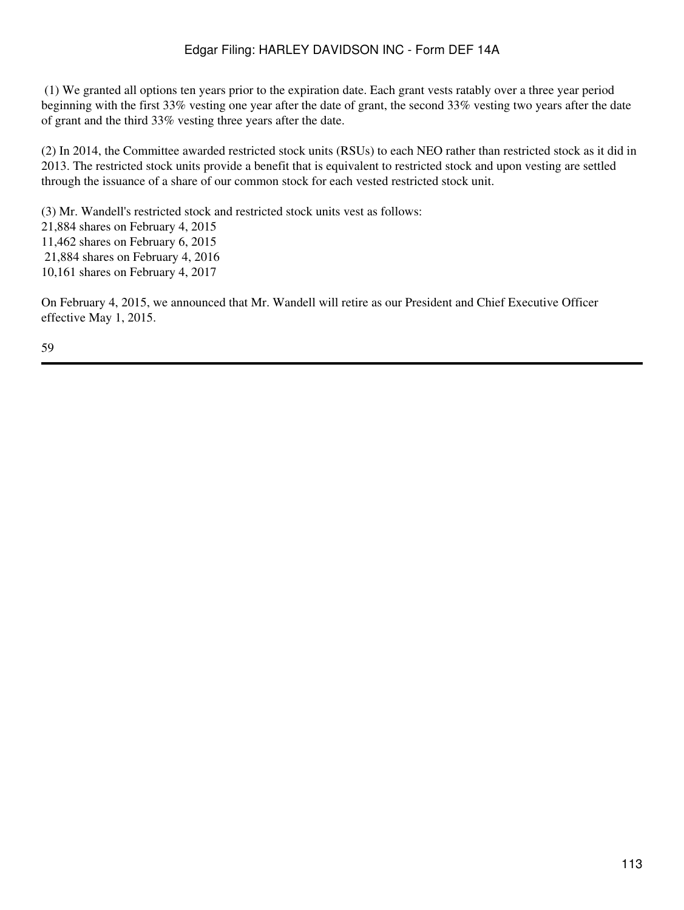(1) We granted all options ten years prior to the expiration date. Each grant vests ratably over a three year period beginning with the first 33% vesting one year after the date of grant, the second 33% vesting two years after the date of grant and the third 33% vesting three years after the date.

(2) In 2014, the Committee awarded restricted stock units (RSUs) to each NEO rather than restricted stock as it did in 2013. The restricted stock units provide a benefit that is equivalent to restricted stock and upon vesting are settled through the issuance of a share of our common stock for each vested restricted stock unit.

(3) Mr. Wandell's restricted stock and restricted stock units vest as follows:

- 21,884 shares on February 4, 2015
- 11,462 shares on February 6, 2015
- 21,884 shares on February 4, 2016
- 10,161 shares on February 4, 2017

On February 4, 2015, we announced that Mr. Wandell will retire as our President and Chief Executive Officer effective May 1, 2015.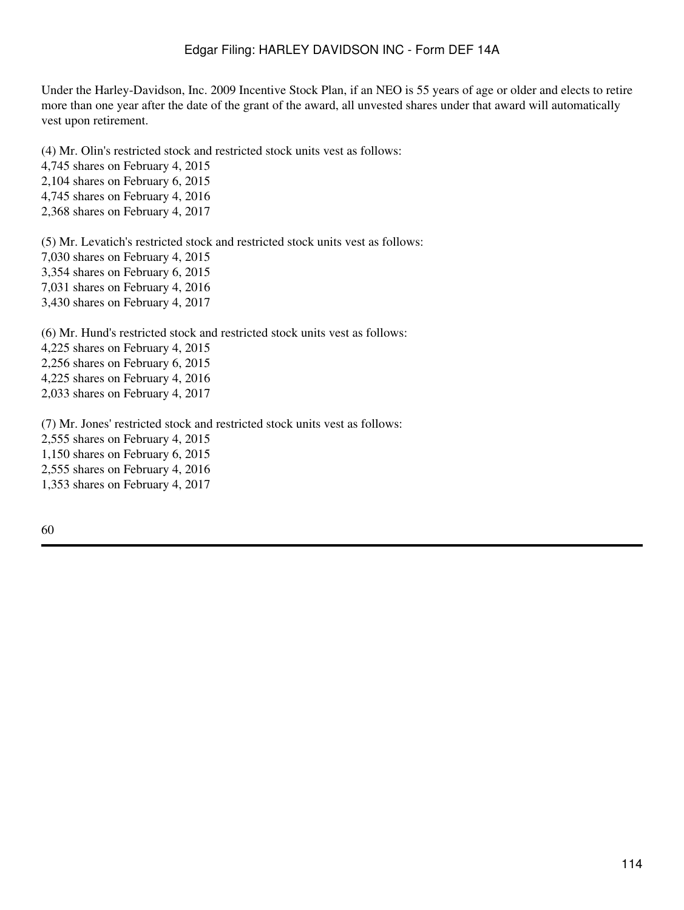Under the Harley-Davidson, Inc. 2009 Incentive Stock Plan, if an NEO is 55 years of age or older and elects to retire more than one year after the date of the grant of the award, all unvested shares under that award will automatically vest upon retirement.

(4) Mr. Olin's restricted stock and restricted stock units vest as follows:

4,745 shares on February 4, 2015

2,104 shares on February 6, 2015

4,745 shares on February 4, 2016

2,368 shares on February 4, 2017

(5) Mr. Levatich's restricted stock and restricted stock units vest as follows: 7,030 shares on February 4, 2015 3,354 shares on February 6, 2015 7,031 shares on February 4, 2016 3,430 shares on February 4, 2017

(6) Mr. Hund's restricted stock and restricted stock units vest as follows:

4,225 shares on February 4, 2015

2,256 shares on February 6, 2015

4,225 shares on February 4, 2016

2,033 shares on February 4, 2017

(7) Mr. Jones' restricted stock and restricted stock units vest as follows:

2,555 shares on February 4, 2015

1,150 shares on February 6, 2015

2,555 shares on February 4, 2016

1,353 shares on February 4, 2017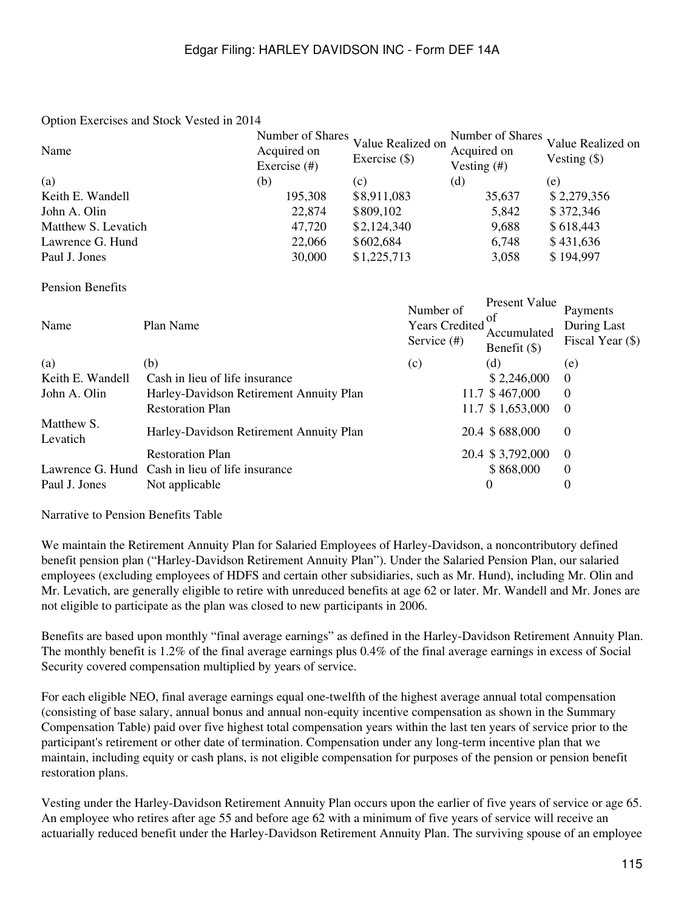#### Option Exercises and Stock Vested in 2014

| Name                | Acquired on<br>Exercise $(\#)$ | Number of Shares Value Realized on<br>Exercise $(\$)$ | Number of Shares<br>Acquired on<br>Vesting $($ #) | Value Realized on<br>Vesting $(\$)$ |
|---------------------|--------------------------------|-------------------------------------------------------|---------------------------------------------------|-------------------------------------|
| (a)                 | (b)                            | (c)                                                   | (d)                                               | (e)                                 |
| Keith E. Wandell    | 195,308                        | \$8,911,083                                           | 35,637                                            | \$2,279,356                         |
| John A. Olin        | 22,874                         | \$809,102                                             | 5,842                                             | \$372,346                           |
| Matthew S. Levatich | 47,720                         | \$2,124,340                                           | 9,688                                             | \$618,443                           |
| Lawrence G. Hund    | 22,066                         | \$602,684                                             | 6,748                                             | \$431,636                           |
| Paul J. Jones       | 30,000                         | \$1,225,713                                           | 3,058                                             | \$194,997                           |

#### Pension Benefits

| Name                   | Plan Name                                       | Number of<br><b>Years Credited</b><br>Service $(\#)$ | Present Value<br>0 <sup>t</sup><br>Accumulated<br>Benefit $(\$)$ | Payments<br>During Last<br>Fiscal Year (\$) |
|------------------------|-------------------------------------------------|------------------------------------------------------|------------------------------------------------------------------|---------------------------------------------|
| (a)                    | (b)                                             | (c)                                                  | (d)                                                              | (e)                                         |
| Keith E. Wandell       | Cash in lieu of life insurance                  |                                                      | \$2,246,000                                                      | $\Omega$                                    |
| John A. Olin           | Harley-Davidson Retirement Annuity Plan         |                                                      | 11.7 \$467,000                                                   | $\Omega$                                    |
|                        | <b>Restoration Plan</b>                         |                                                      | 11.7 \$1,653,000                                                 | $\theta$                                    |
| Matthew S.<br>Levatich | Harley-Davidson Retirement Annuity Plan         |                                                      | 20.4 \$688,000                                                   | $\theta$                                    |
|                        | <b>Restoration Plan</b>                         |                                                      | 20.4 \$3,792,000                                                 | $\Omega$                                    |
|                        | Lawrence G. Hund Cash in lieu of life insurance |                                                      | \$868,000                                                        | $\Omega$                                    |
| Paul J. Jones          | Not applicable                                  |                                                      | $\Omega$                                                         | 0                                           |

Narrative to Pension Benefits Table

We maintain the Retirement Annuity Plan for Salaried Employees of Harley-Davidson, a noncontributory defined benefit pension plan ("Harley-Davidson Retirement Annuity Plan"). Under the Salaried Pension Plan, our salaried employees (excluding employees of HDFS and certain other subsidiaries, such as Mr. Hund), including Mr. Olin and Mr. Levatich, are generally eligible to retire with unreduced benefits at age 62 or later. Mr. Wandell and Mr. Jones are not eligible to participate as the plan was closed to new participants in 2006.

Benefits are based upon monthly "final average earnings" as defined in the Harley-Davidson Retirement Annuity Plan. The monthly benefit is 1.2% of the final average earnings plus 0.4% of the final average earnings in excess of Social Security covered compensation multiplied by years of service.

For each eligible NEO, final average earnings equal one-twelfth of the highest average annual total compensation (consisting of base salary, annual bonus and annual non-equity incentive compensation as shown in the Summary Compensation Table) paid over five highest total compensation years within the last ten years of service prior to the participant's retirement or other date of termination. Compensation under any long-term incentive plan that we maintain, including equity or cash plans, is not eligible compensation for purposes of the pension or pension benefit restoration plans.

Vesting under the Harley-Davidson Retirement Annuity Plan occurs upon the earlier of five years of service or age 65. An employee who retires after age 55 and before age 62 with a minimum of five years of service will receive an actuarially reduced benefit under the Harley-Davidson Retirement Annuity Plan. The surviving spouse of an employee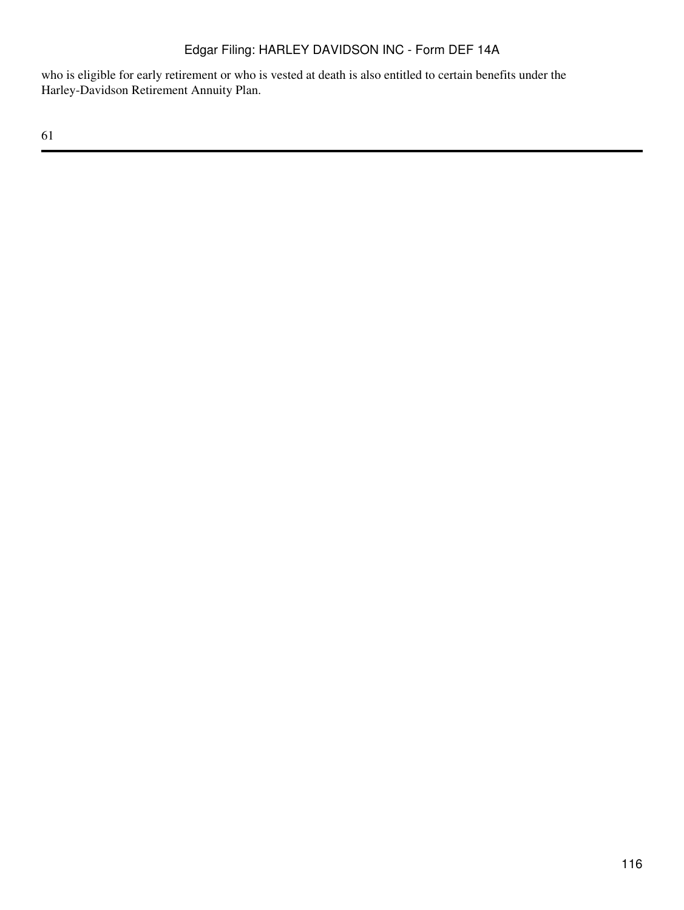who is eligible for early retirement or who is vested at death is also entitled to certain benefits under the Harley-Davidson Retirement Annuity Plan.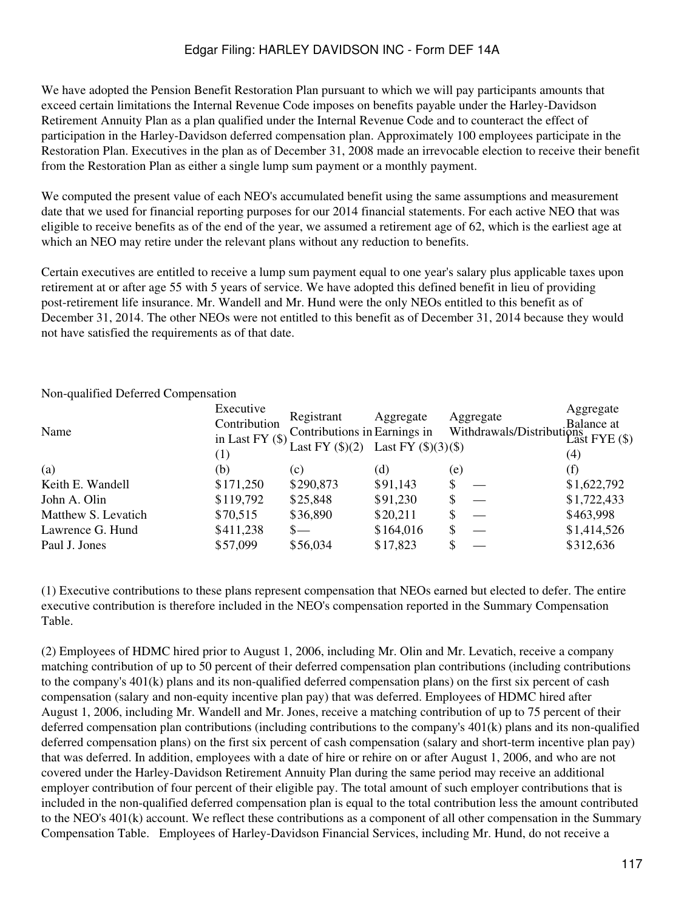We have adopted the Pension Benefit Restoration Plan pursuant to which we will pay participants amounts that exceed certain limitations the Internal Revenue Code imposes on benefits payable under the Harley-Davidson Retirement Annuity Plan as a plan qualified under the Internal Revenue Code and to counteract the effect of participation in the Harley-Davidson deferred compensation plan. Approximately 100 employees participate in the Restoration Plan. Executives in the plan as of December 31, 2008 made an irrevocable election to receive their benefit from the Restoration Plan as either a single lump sum payment or a monthly payment.

We computed the present value of each NEO's accumulated benefit using the same assumptions and measurement date that we used for financial reporting purposes for our 2014 financial statements. For each active NEO that was eligible to receive benefits as of the end of the year, we assumed a retirement age of 62, which is the earliest age at which an NEO may retire under the relevant plans without any reduction to benefits.

Certain executives are entitled to receive a lump sum payment equal to one year's salary plus applicable taxes upon retirement at or after age 55 with 5 years of service. We have adopted this defined benefit in lieu of providing post-retirement life insurance. Mr. Wandell and Mr. Hund were the only NEOs entitled to this benefit as of December 31, 2014. The other NEOs were not entitled to this benefit as of December 31, 2014 because they would not have satisfied the requirements as of that date.

| Name                | Executive<br>Contribution<br>in Last FY $(\$)$<br>(1) | Registrant<br>Contributions in Earnings in<br>Last FY $(\$)(2)$ | Aggregate<br>Last FY $(\$)(3)(\$)$ |     | Aggregate<br>Balance at<br>Withdrawals/Distributions<br>Last FYE (\$) | Aggregate<br>(4) |
|---------------------|-------------------------------------------------------|-----------------------------------------------------------------|------------------------------------|-----|-----------------------------------------------------------------------|------------------|
| (a)                 | (b)                                                   | (c)                                                             | (d)                                | (e) |                                                                       |                  |
| Keith E. Wandell    | \$171,250                                             | \$290,873                                                       | \$91,143                           |     |                                                                       | \$1,622,792      |
| John A. Olin        | \$119,792                                             | \$25,848                                                        | \$91,230                           |     |                                                                       | \$1,722,433      |
| Matthew S. Levatich | \$70,515                                              | \$36,890                                                        | \$20,211                           |     |                                                                       | \$463,998        |
| Lawrence G. Hund    | \$411,238                                             | $S-$                                                            | \$164,016                          | \$  |                                                                       | \$1,414,526      |
| Paul J. Jones       | \$57,099                                              | \$56,034                                                        | \$17,823                           |     |                                                                       | \$312,636        |

Non-qualified Deferred Compensation

(1) Executive contributions to these plans represent compensation that NEOs earned but elected to defer. The entire executive contribution is therefore included in the NEO's compensation reported in the Summary Compensation Table.

(2) Employees of HDMC hired prior to August 1, 2006, including Mr. Olin and Mr. Levatich, receive a company matching contribution of up to 50 percent of their deferred compensation plan contributions (including contributions to the company's  $401(k)$  plans and its non-qualified deferred compensation plans) on the first six percent of cash compensation (salary and non-equity incentive plan pay) that was deferred. Employees of HDMC hired after August 1, 2006, including Mr. Wandell and Mr. Jones, receive a matching contribution of up to 75 percent of their deferred compensation plan contributions (including contributions to the company's 401(k) plans and its non-qualified deferred compensation plans) on the first six percent of cash compensation (salary and short-term incentive plan pay) that was deferred. In addition, employees with a date of hire or rehire on or after August 1, 2006, and who are not covered under the Harley-Davidson Retirement Annuity Plan during the same period may receive an additional employer contribution of four percent of their eligible pay. The total amount of such employer contributions that is included in the non-qualified deferred compensation plan is equal to the total contribution less the amount contributed to the NEO's 401(k) account. We reflect these contributions as a component of all other compensation in the Summary Compensation Table. Employees of Harley-Davidson Financial Services, including Mr. Hund, do not receive a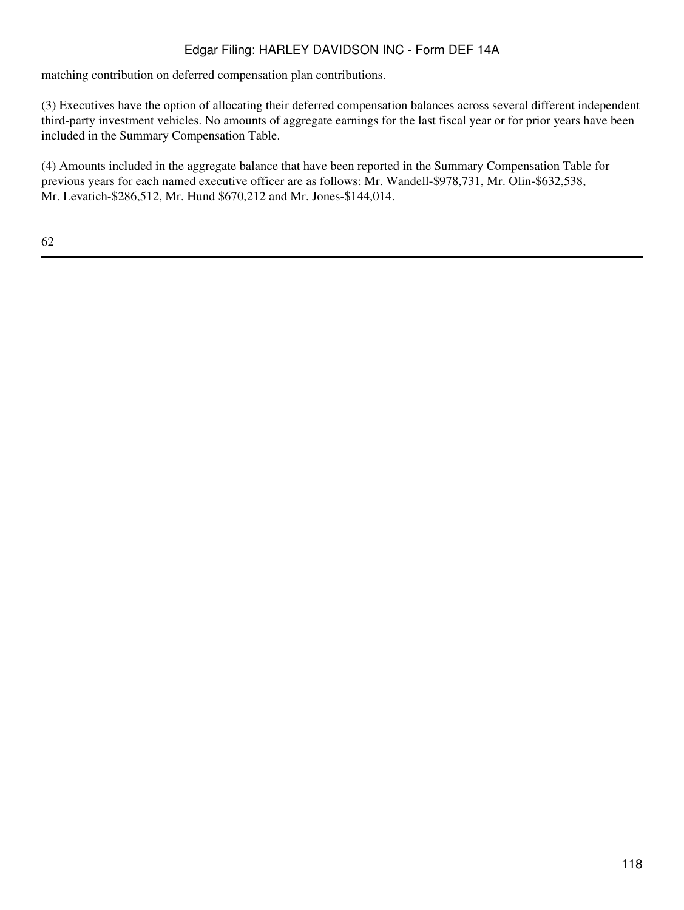matching contribution on deferred compensation plan contributions.

(3) Executives have the option of allocating their deferred compensation balances across several different independent third-party investment vehicles. No amounts of aggregate earnings for the last fiscal year or for prior years have been included in the Summary Compensation Table.

(4) Amounts included in the aggregate balance that have been reported in the Summary Compensation Table for previous years for each named executive officer are as follows: Mr. Wandell-\$978,731, Mr. Olin-\$632,538, Mr. Levatich-\$286,512, Mr. Hund \$670,212 and Mr. Jones-\$144,014.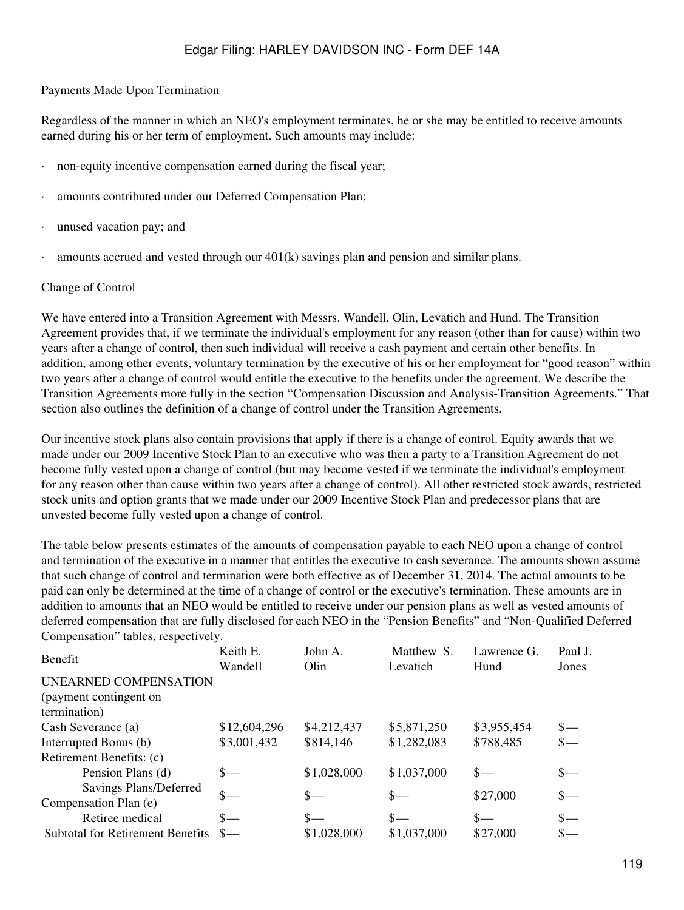#### Payments Made Upon Termination

Regardless of the manner in which an NEO's employment terminates, he or she may be entitled to receive amounts earned during his or her term of employment. Such amounts may include:

- non-equity incentive compensation earned during the fiscal year;
- amounts contributed under our Deferred Compensation Plan;
- unused vacation pay; and
- · amounts accrued and vested through our 401(k) savings plan and pension and similar plans.

#### Change of Control

We have entered into a Transition Agreement with Messrs. Wandell, Olin, Levatich and Hund. The Transition Agreement provides that, if we terminate the individual's employment for any reason (other than for cause) within two years after a change of control, then such individual will receive a cash payment and certain other benefits. In addition, among other events, voluntary termination by the executive of his or her employment for "good reason" within two years after a change of control would entitle the executive to the benefits under the agreement. We describe the Transition Agreements more fully in the section "Compensation Discussion and Analysis-Transition Agreements." That section also outlines the definition of a change of control under the Transition Agreements.

Our incentive stock plans also contain provisions that apply if there is a change of control. Equity awards that we made under our 2009 Incentive Stock Plan to an executive who was then a party to a Transition Agreement do not become fully vested upon a change of control (but may become vested if we terminate the individual's employment for any reason other than cause within two years after a change of control). All other restricted stock awards, restricted stock units and option grants that we made under our 2009 Incentive Stock Plan and predecessor plans that are unvested become fully vested upon a change of control.

The table below presents estimates of the amounts of compensation payable to each NEO upon a change of control and termination of the executive in a manner that entitles the executive to cash severance. The amounts shown assume that such change of control and termination were both effective as of December 31, 2014. The actual amounts to be paid can only be determined at the time of a change of control or the executive's termination. These amounts are in addition to amounts that an NEO would be entitled to receive under our pension plans as well as vested amounts of deferred compensation that are fully disclosed for each NEO in the "Pension Benefits" and "Non-Qualified Deferred Compensation" tables, respectively.

| <b>Benefit</b>                          | Keith E.      | John A.     | Matthew S.  | Lawrence G. | Paul J. |
|-----------------------------------------|---------------|-------------|-------------|-------------|---------|
|                                         | Wandell       | Olin        | Levatich    | Hund        | Jones   |
| UNEARNED COMPENSATION                   |               |             |             |             |         |
| (payment contingent on                  |               |             |             |             |         |
| termination)                            |               |             |             |             |         |
| Cash Severance (a)                      | \$12,604,296  | \$4,212,437 | \$5,871,250 | \$3,955,454 | $S-$    |
| Interrupted Bonus (b)                   | \$3,001,432   | \$814,146   | \$1,282,083 | \$788,485   |         |
| Retirement Benefits: (c)                |               |             |             |             |         |
| Pension Plans (d)                       | $S-$          | \$1,028,000 | \$1,037,000 | $S-$        | $S-$    |
| Savings Plans/Deferred                  |               |             |             |             |         |
| Compensation Plan (e)                   | $\frac{1}{2}$ | $S-$        | $S-$        | \$27,000    | $S-$    |
| Retiree medical                         | $S-$          | $S-$        | $S-$        | $S-$        |         |
| <b>Subtotal for Retirement Benefits</b> |               | \$1,028,000 | \$1,037,000 | \$27,000    |         |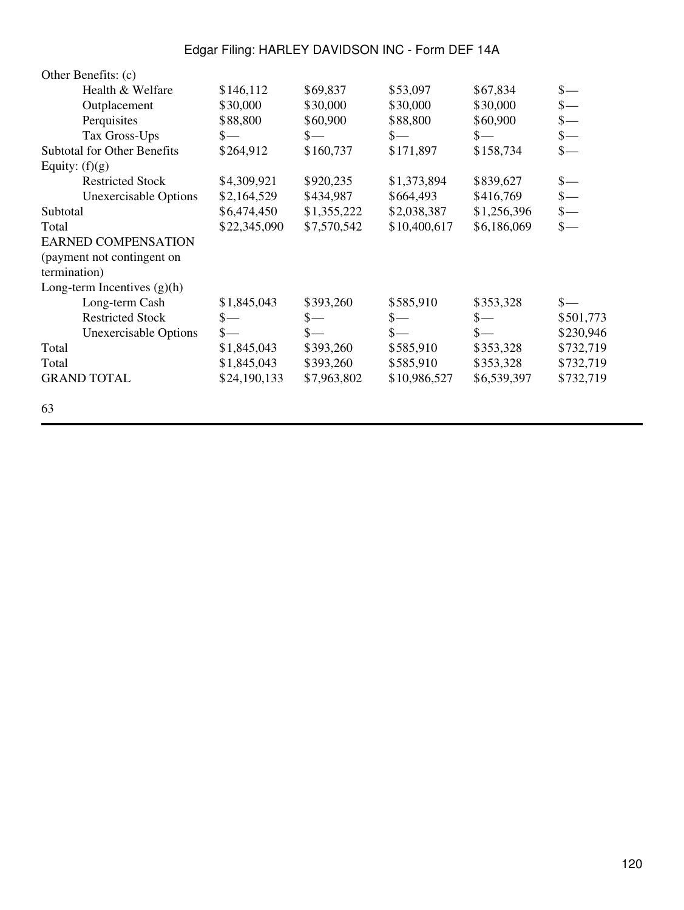| Other Benefits: (c)                |               |             |                |                 |                 |
|------------------------------------|---------------|-------------|----------------|-----------------|-----------------|
| Health & Welfare                   | \$146,112     | \$69,837    | \$53,097       | \$67,834        | $\frac{\S}{\S}$ |
| Outplacement                       | \$30,000      | \$30,000    | \$30,000       | \$30,000        | $\frac{1}{2}$   |
| Perquisites                        | \$88,800      | \$60,900    | \$88,800       | \$60,900        | $\frac{\ }{\ }$ |
| Tax Gross-Ups                      | $S-$          | $S-$        | $S-$           | $S-$            | $\frac{\S}{\S}$ |
| <b>Subtotal for Other Benefits</b> | \$264,912     | \$160,737   | \$171,897      | \$158,734       | $\frac{1}{2}$   |
| Equity: $(f)(g)$                   |               |             |                |                 |                 |
| <b>Restricted Stock</b>            | \$4,309,921   | \$920,235   | \$1,373,894    | \$839,627       | $\frac{1}{2}$   |
| <b>Unexercisable Options</b>       | \$2,164,529   | \$434,987   | \$664,493      | \$416,769       | $\frac{1}{2}$   |
| Subtotal                           | \$6,474,450   | \$1,355,222 | \$2,038,387    | \$1,256,396     | $\frac{\S}{\S}$ |
| Total                              | \$22,345,090  | \$7,570,542 | \$10,400,617   | \$6,186,069     | $\frac{\ }{\ }$ |
| <b>EARNED COMPENSATION</b>         |               |             |                |                 |                 |
| (payment not contingent on         |               |             |                |                 |                 |
| termination)                       |               |             |                |                 |                 |
| Long-term Incentives $(g)(h)$      |               |             |                |                 |                 |
| Long-term Cash                     | \$1,845,043   | \$393,260   | \$585,910      | \$353,328       |                 |
| <b>Restricted Stock</b>            | $\mathbf{s}-$ | $S-$        | $\mathbb{S}-$  | $\frac{\ }{\ }$ | \$501,773       |
| <b>Unexercisable Options</b>       | $\mathsf{s}-$ | $S-$        | $\mathbf{s}$ — | $\frac{\ }{s-}$ | \$230,946       |
| Total                              | \$1,845,043   | \$393,260   | \$585,910      | \$353,328       | \$732,719       |
| Total                              | \$1,845,043   | \$393,260   | \$585,910      | \$353,328       | \$732,719       |
| <b>GRAND TOTAL</b>                 | \$24,190,133  | \$7,963,802 | \$10,986,527   | \$6,539,397     | \$732,719       |
| 63                                 |               |             |                |                 |                 |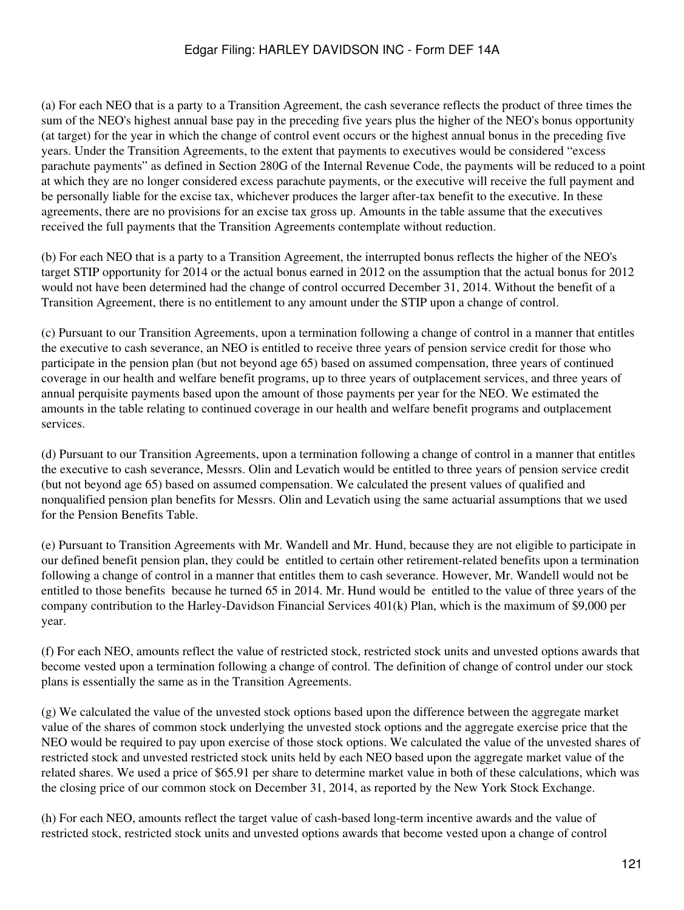(a) For each NEO that is a party to a Transition Agreement, the cash severance reflects the product of three times the sum of the NEO's highest annual base pay in the preceding five years plus the higher of the NEO's bonus opportunity (at target) for the year in which the change of control event occurs or the highest annual bonus in the preceding five years. Under the Transition Agreements, to the extent that payments to executives would be considered "excess parachute payments" as defined in Section 280G of the Internal Revenue Code, the payments will be reduced to a point at which they are no longer considered excess parachute payments, or the executive will receive the full payment and be personally liable for the excise tax, whichever produces the larger after-tax benefit to the executive. In these agreements, there are no provisions for an excise tax gross up. Amounts in the table assume that the executives received the full payments that the Transition Agreements contemplate without reduction.

(b) For each NEO that is a party to a Transition Agreement, the interrupted bonus reflects the higher of the NEO's target STIP opportunity for 2014 or the actual bonus earned in 2012 on the assumption that the actual bonus for 2012 would not have been determined had the change of control occurred December 31, 2014. Without the benefit of a Transition Agreement, there is no entitlement to any amount under the STIP upon a change of control.

(c) Pursuant to our Transition Agreements, upon a termination following a change of control in a manner that entitles the executive to cash severance, an NEO is entitled to receive three years of pension service credit for those who participate in the pension plan (but not beyond age 65) based on assumed compensation, three years of continued coverage in our health and welfare benefit programs, up to three years of outplacement services, and three years of annual perquisite payments based upon the amount of those payments per year for the NEO. We estimated the amounts in the table relating to continued coverage in our health and welfare benefit programs and outplacement services.

(d) Pursuant to our Transition Agreements, upon a termination following a change of control in a manner that entitles the executive to cash severance, Messrs. Olin and Levatich would be entitled to three years of pension service credit (but not beyond age 65) based on assumed compensation. We calculated the present values of qualified and nonqualified pension plan benefits for Messrs. Olin and Levatich using the same actuarial assumptions that we used for the Pension Benefits Table.

(e) Pursuant to Transition Agreements with Mr. Wandell and Mr. Hund, because they are not eligible to participate in our defined benefit pension plan, they could be entitled to certain other retirement-related benefits upon a termination following a change of control in a manner that entitles them to cash severance. However, Mr. Wandell would not be entitled to those benefits because he turned 65 in 2014. Mr. Hund would be entitled to the value of three years of the company contribution to the Harley-Davidson Financial Services 401(k) Plan, which is the maximum of \$9,000 per year.

(f) For each NEO, amounts reflect the value of restricted stock, restricted stock units and unvested options awards that become vested upon a termination following a change of control. The definition of change of control under our stock plans is essentially the same as in the Transition Agreements.

(g) We calculated the value of the unvested stock options based upon the difference between the aggregate market value of the shares of common stock underlying the unvested stock options and the aggregate exercise price that the NEO would be required to pay upon exercise of those stock options. We calculated the value of the unvested shares of restricted stock and unvested restricted stock units held by each NEO based upon the aggregate market value of the related shares. We used a price of \$65.91 per share to determine market value in both of these calculations, which was the closing price of our common stock on December 31, 2014, as reported by the New York Stock Exchange.

(h) For each NEO, amounts reflect the target value of cash-based long-term incentive awards and the value of restricted stock, restricted stock units and unvested options awards that become vested upon a change of control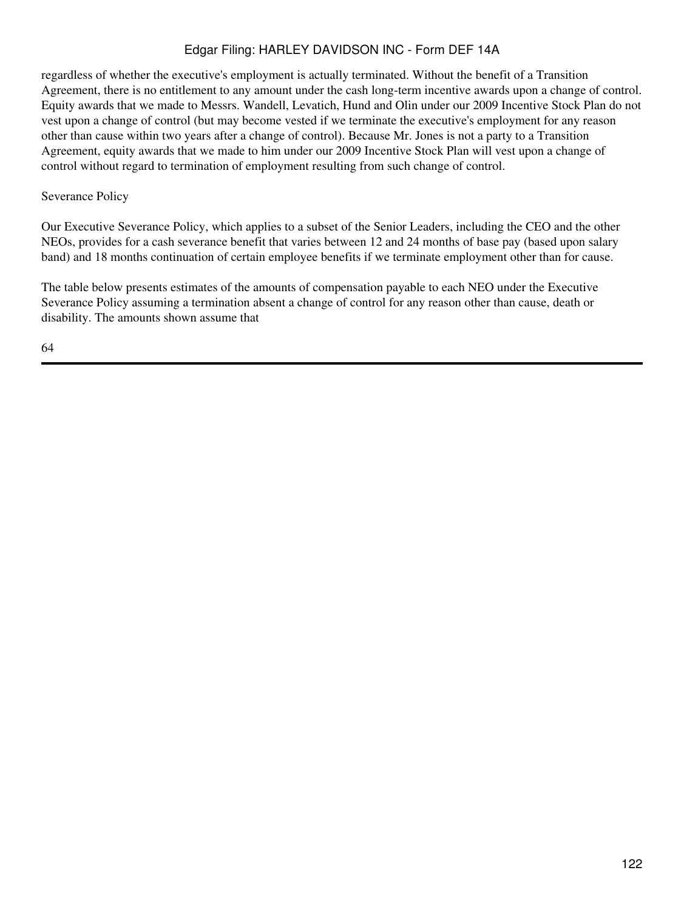regardless of whether the executive's employment is actually terminated. Without the benefit of a Transition Agreement, there is no entitlement to any amount under the cash long-term incentive awards upon a change of control. Equity awards that we made to Messrs. Wandell, Levatich, Hund and Olin under our 2009 Incentive Stock Plan do not vest upon a change of control (but may become vested if we terminate the executive's employment for any reason other than cause within two years after a change of control). Because Mr. Jones is not a party to a Transition Agreement, equity awards that we made to him under our 2009 Incentive Stock Plan will vest upon a change of control without regard to termination of employment resulting from such change of control.

### Severance Policy

Our Executive Severance Policy, which applies to a subset of the Senior Leaders, including the CEO and the other NEOs, provides for a cash severance benefit that varies between 12 and 24 months of base pay (based upon salary band) and 18 months continuation of certain employee benefits if we terminate employment other than for cause.

The table below presents estimates of the amounts of compensation payable to each NEO under the Executive Severance Policy assuming a termination absent a change of control for any reason other than cause, death or disability. The amounts shown assume that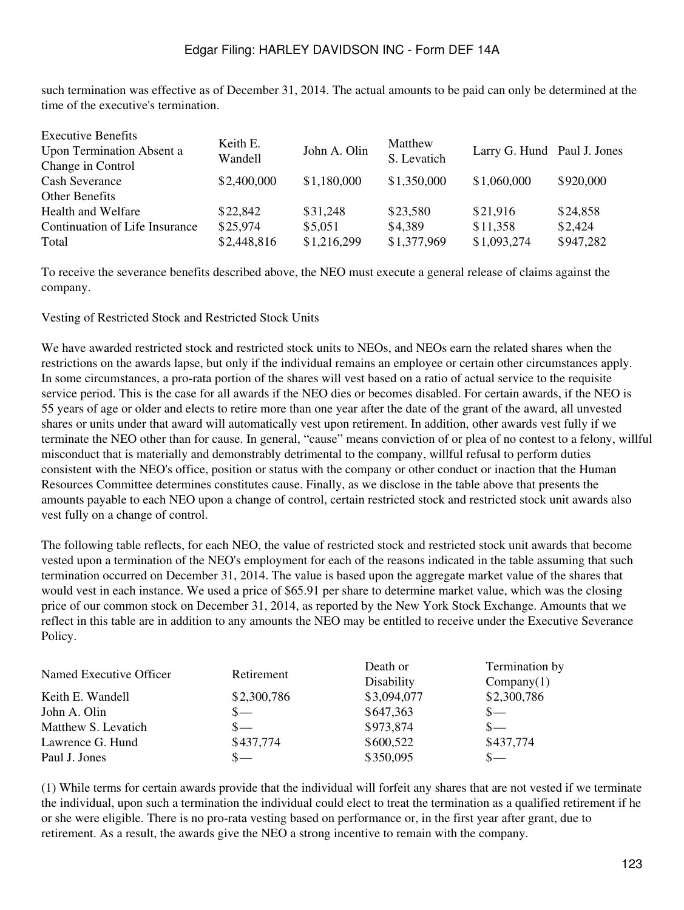such termination was effective as of December 31, 2014. The actual amounts to be paid can only be determined at the time of the executive's termination.

| \$2,400,000 | \$1,180,000         | \$1,350,000                         |                        | \$920,000                                                                         |
|-------------|---------------------|-------------------------------------|------------------------|-----------------------------------------------------------------------------------|
|             |                     |                                     |                        |                                                                                   |
| \$22,842    |                     | \$23,580                            |                        | \$24,858                                                                          |
| \$25,974    |                     | \$4,389                             |                        | \$2,424                                                                           |
| \$2,448,816 | \$1,216,299         | \$1,377,969                         |                        | \$947,282                                                                         |
|             | Keith E.<br>Wandell | John A. Olin<br>\$31,248<br>\$5,051 | Matthew<br>S. Levatich | Larry G. Hund Paul J. Jones<br>\$1,060,000<br>\$21,916<br>\$11,358<br>\$1,093,274 |

To receive the severance benefits described above, the NEO must execute a general release of claims against the company.

Vesting of Restricted Stock and Restricted Stock Units

We have awarded restricted stock and restricted stock units to NEOs, and NEOs earn the related shares when the restrictions on the awards lapse, but only if the individual remains an employee or certain other circumstances apply. In some circumstances, a pro-rata portion of the shares will vest based on a ratio of actual service to the requisite service period. This is the case for all awards if the NEO dies or becomes disabled. For certain awards, if the NEO is 55 years of age or older and elects to retire more than one year after the date of the grant of the award, all unvested shares or units under that award will automatically vest upon retirement. In addition, other awards vest fully if we terminate the NEO other than for cause. In general, "cause" means conviction of or plea of no contest to a felony, willful misconduct that is materially and demonstrably detrimental to the company, willful refusal to perform duties consistent with the NEO's office, position or status with the company or other conduct or inaction that the Human Resources Committee determines constitutes cause. Finally, as we disclose in the table above that presents the amounts payable to each NEO upon a change of control, certain restricted stock and restricted stock unit awards also vest fully on a change of control.

The following table reflects, for each NEO, the value of restricted stock and restricted stock unit awards that become vested upon a termination of the NEO's employment for each of the reasons indicated in the table assuming that such termination occurred on December 31, 2014. The value is based upon the aggregate market value of the shares that would vest in each instance. We used a price of \$65.91 per share to determine market value, which was the closing price of our common stock on December 31, 2014, as reported by the New York Stock Exchange. Amounts that we reflect in this table are in addition to any amounts the NEO may be entitled to receive under the Executive Severance Policy.

| Named Executive Officer | Retirement  | Death or    | Termination by |
|-------------------------|-------------|-------------|----------------|
|                         |             | Disability  | Company(1)     |
| Keith E. Wandell        | \$2,300,786 | \$3,094,077 | \$2,300,786    |
| John A. Olin            | $S-$        | \$647,363   | $S-$           |
| Matthew S. Levatich     | $S-$        | \$973,874   | $S-$           |
| Lawrence G. Hund        | \$437,774   | \$600,522   | \$437,774      |
| Paul J. Jones           | $S-$        | \$350,095   | $S-$           |

(1) While terms for certain awards provide that the individual will forfeit any shares that are not vested if we terminate the individual, upon such a termination the individual could elect to treat the termination as a qualified retirement if he or she were eligible. There is no pro-rata vesting based on performance or, in the first year after grant, due to retirement. As a result, the awards give the NEO a strong incentive to remain with the company.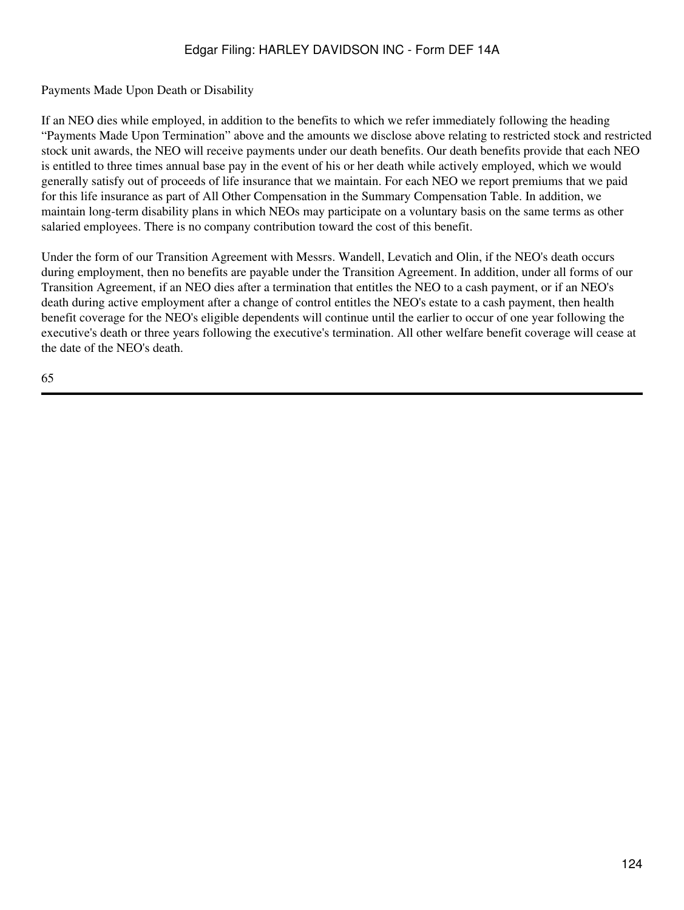Payments Made Upon Death or Disability

If an NEO dies while employed, in addition to the benefits to which we refer immediately following the heading "Payments Made Upon Termination" above and the amounts we disclose above relating to restricted stock and restricted stock unit awards, the NEO will receive payments under our death benefits. Our death benefits provide that each NEO is entitled to three times annual base pay in the event of his or her death while actively employed, which we would generally satisfy out of proceeds of life insurance that we maintain. For each NEO we report premiums that we paid for this life insurance as part of All Other Compensation in the Summary Compensation Table. In addition, we maintain long-term disability plans in which NEOs may participate on a voluntary basis on the same terms as other salaried employees. There is no company contribution toward the cost of this benefit.

Under the form of our Transition Agreement with Messrs. Wandell, Levatich and Olin, if the NEO's death occurs during employment, then no benefits are payable under the Transition Agreement. In addition, under all forms of our Transition Agreement, if an NEO dies after a termination that entitles the NEO to a cash payment, or if an NEO's death during active employment after a change of control entitles the NEO's estate to a cash payment, then health benefit coverage for the NEO's eligible dependents will continue until the earlier to occur of one year following the executive's death or three years following the executive's termination. All other welfare benefit coverage will cease at the date of the NEO's death.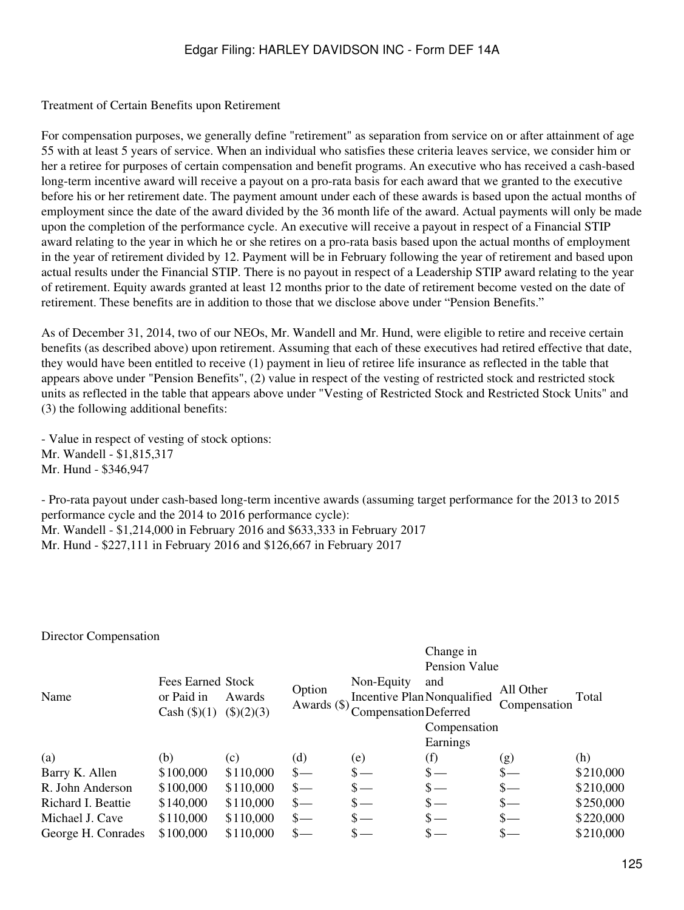Treatment of Certain Benefits upon Retirement

For compensation purposes, we generally define "retirement" as separation from service on or after attainment of age 55 with at least 5 years of service. When an individual who satisfies these criteria leaves service, we consider him or her a retiree for purposes of certain compensation and benefit programs. An executive who has received a cash-based long-term incentive award will receive a payout on a pro-rata basis for each award that we granted to the executive before his or her retirement date. The payment amount under each of these awards is based upon the actual months of employment since the date of the award divided by the 36 month life of the award. Actual payments will only be made upon the completion of the performance cycle. An executive will receive a payout in respect of a Financial STIP award relating to the year in which he or she retires on a pro-rata basis based upon the actual months of employment in the year of retirement divided by 12. Payment will be in February following the year of retirement and based upon actual results under the Financial STIP. There is no payout in respect of a Leadership STIP award relating to the year of retirement. Equity awards granted at least 12 months prior to the date of retirement become vested on the date of retirement. These benefits are in addition to those that we disclose above under "Pension Benefits."

As of December 31, 2014, two of our NEOs, Mr. Wandell and Mr. Hund, were eligible to retire and receive certain benefits (as described above) upon retirement. Assuming that each of these executives had retired effective that date, they would have been entitled to receive (1) payment in lieu of retiree life insurance as reflected in the table that appears above under "Pension Benefits", (2) value in respect of the vesting of restricted stock and restricted stock units as reflected in the table that appears above under "Vesting of Restricted Stock and Restricted Stock Units" and (3) the following additional benefits:

- Value in respect of vesting of stock options: Mr. Wandell - \$1,815,317 Mr. Hund - \$346,947

- Pro-rata payout under cash-based long-term incentive awards (assuming target performance for the 2013 to 2015 performance cycle and the 2014 to 2016 performance cycle): Mr. Wandell - \$1,214,000 in February 2016 and \$633,333 in February 2017 Mr. Hund - \$227,111 in February 2016 and \$126,667 in February 2017

#### Director Compensation

# Change in

|                    |                   |              |                 |                       | Pension Value               |              |           |
|--------------------|-------------------|--------------|-----------------|-----------------------|-----------------------------|--------------|-----------|
|                    | Fees Earned Stock |              | Option          | Non-Equity            | and                         | All Other    |           |
| Name               | or Paid in        | Awards       |                 |                       | Incentive Plan Nonqualified |              | Total     |
|                    | Cash (\$()(1))    | $(\$)(2)(3)$ | Awards (\$)     | Compensation Deferred |                             | Compensation |           |
|                    |                   |              |                 |                       | Compensation                |              |           |
|                    |                   |              |                 |                       | Earnings                    |              |           |
| (a)                | (b)               | (c)          | (d)             | (e)                   | (f)                         | (g)          | (h)       |
| Barry K. Allen     | \$100,000         | \$110,000    | $\mathbf{s}$ —  | $\mathbf{s}$ —        | $S-$                        | $S-$         | \$210,000 |
| R. John Anderson   | \$100,000         | \$110,000    | $S-$            | $\mathbf{s}$ —        | $\mathsf{s}-$               | $S-$         | \$210,000 |
| Richard I. Beattie | \$140,000         | \$110,000    | $\frac{1}{2}$   | $\mathbf{s}$ —        | $\mathbb{S}$ —              | $S-$         | \$250,000 |
| Michael J. Cave    | \$110,000         | \$110,000    | $\frac{\S}{\S}$ | $\mathbf{s}$ —        | $\mathbf{s}$ —              | $S-$         | \$220,000 |
| George H. Conrades | \$100,000         | \$110,000    | $\frac{1}{2}$   | $S-$                  |                             |              | \$210,000 |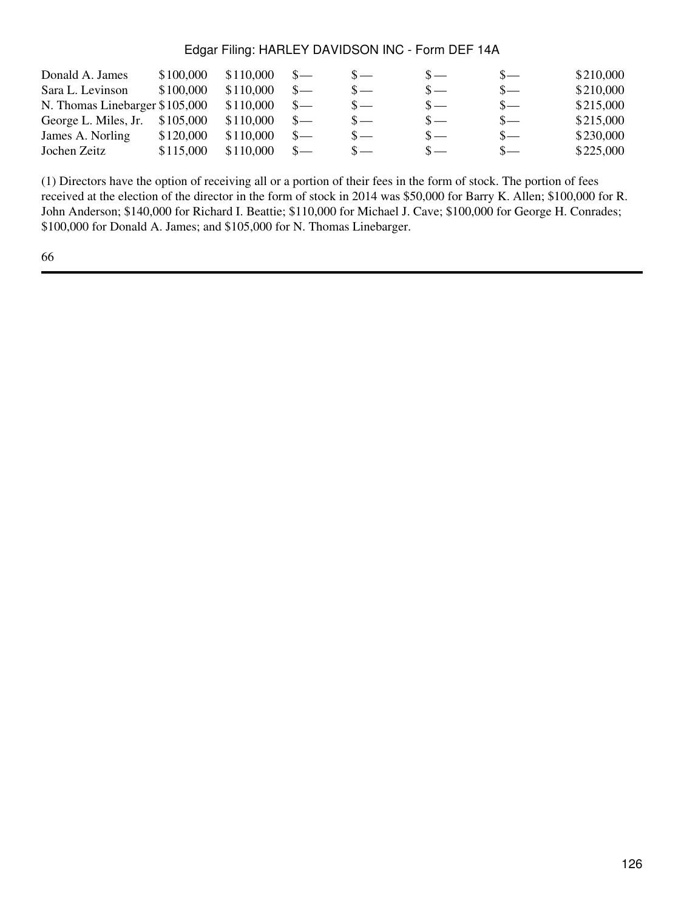| Donald A. James                | \$100,000 | \$110,000 |                |       | $S-$ | \$210,000 |
|--------------------------------|-----------|-----------|----------------|-------|------|-----------|
| Sara L. Levinson               | \$100,000 | \$110,000 | $S-$           | $S -$ | $S-$ | \$210,000 |
| N. Thomas Linebarger \$105,000 |           | \$110,000 | $S-$           | $S -$ | $S-$ | \$215,000 |
| George L. Miles, Jr.           | \$105,000 | \$110,000 | $S-$           | $S -$ | $S-$ | \$215,000 |
| James A. Norling               | \$120,000 | \$110,000 | $S-$           | $S -$ | $S-$ | \$230,000 |
| Jochen Zeitz                   | \$115,000 | \$110,000 | $\mathbf{s}$ — | $S -$ | $S-$ | \$225,000 |

(1) Directors have the option of receiving all or a portion of their fees in the form of stock. The portion of fees received at the election of the director in the form of stock in 2014 was \$50,000 for Barry K. Allen; \$100,000 for R. John Anderson; \$140,000 for Richard I. Beattie; \$110,000 for Michael J. Cave; \$100,000 for George H. Conrades; \$100,000 for Donald A. James; and \$105,000 for N. Thomas Linebarger.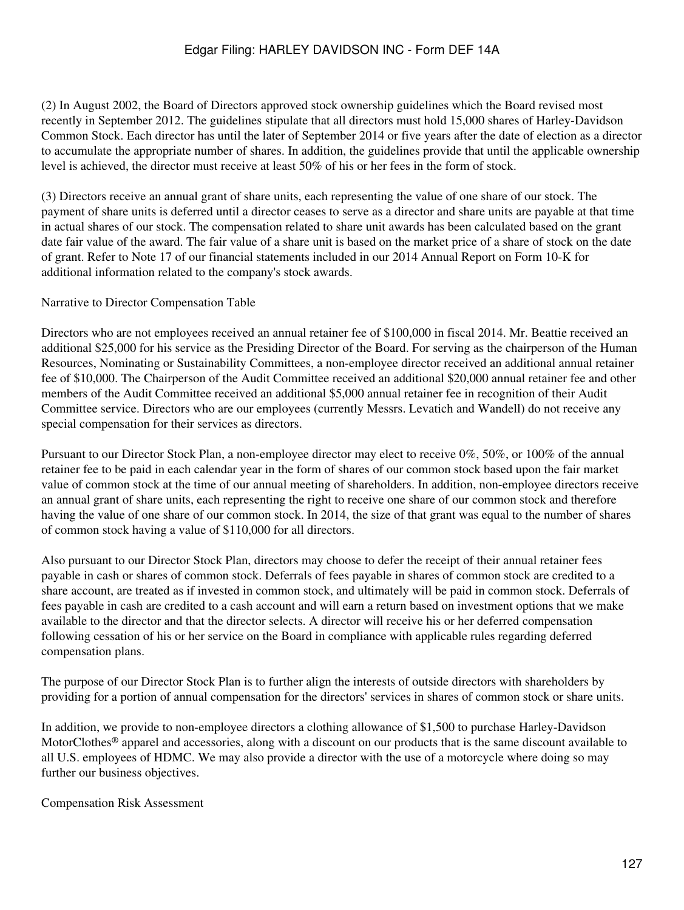(2) In August 2002, the Board of Directors approved stock ownership guidelines which the Board revised most recently in September 2012. The guidelines stipulate that all directors must hold 15,000 shares of Harley-Davidson Common Stock. Each director has until the later of September 2014 or five years after the date of election as a director to accumulate the appropriate number of shares. In addition, the guidelines provide that until the applicable ownership level is achieved, the director must receive at least 50% of his or her fees in the form of stock.

(3) Directors receive an annual grant of share units, each representing the value of one share of our stock. The payment of share units is deferred until a director ceases to serve as a director and share units are payable at that time in actual shares of our stock. The compensation related to share unit awards has been calculated based on the grant date fair value of the award. The fair value of a share unit is based on the market price of a share of stock on the date of grant. Refer to Note 17 of our financial statements included in our 2014 Annual Report on Form 10-K for additional information related to the company's stock awards.

Narrative to Director Compensation Table

Directors who are not employees received an annual retainer fee of \$100,000 in fiscal 2014. Mr. Beattie received an additional \$25,000 for his service as the Presiding Director of the Board. For serving as the chairperson of the Human Resources, Nominating or Sustainability Committees, a non-employee director received an additional annual retainer fee of \$10,000. The Chairperson of the Audit Committee received an additional \$20,000 annual retainer fee and other members of the Audit Committee received an additional \$5,000 annual retainer fee in recognition of their Audit Committee service. Directors who are our employees (currently Messrs. Levatich and Wandell) do not receive any special compensation for their services as directors.

Pursuant to our Director Stock Plan, a non-employee director may elect to receive 0%, 50%, or 100% of the annual retainer fee to be paid in each calendar year in the form of shares of our common stock based upon the fair market value of common stock at the time of our annual meeting of shareholders. In addition, non-employee directors receive an annual grant of share units, each representing the right to receive one share of our common stock and therefore having the value of one share of our common stock. In 2014, the size of that grant was equal to the number of shares of common stock having a value of \$110,000 for all directors.

Also pursuant to our Director Stock Plan, directors may choose to defer the receipt of their annual retainer fees payable in cash or shares of common stock. Deferrals of fees payable in shares of common stock are credited to a share account, are treated as if invested in common stock, and ultimately will be paid in common stock. Deferrals of fees payable in cash are credited to a cash account and will earn a return based on investment options that we make available to the director and that the director selects. A director will receive his or her deferred compensation following cessation of his or her service on the Board in compliance with applicable rules regarding deferred compensation plans.

The purpose of our Director Stock Plan is to further align the interests of outside directors with shareholders by providing for a portion of annual compensation for the directors' services in shares of common stock or share units.

In addition, we provide to non-employee directors a clothing allowance of \$1,500 to purchase Harley-Davidson MotorClothes® apparel and accessories, along with a discount on our products that is the same discount available to all U.S. employees of HDMC. We may also provide a director with the use of a motorcycle where doing so may further our business objectives.

Compensation Risk Assessment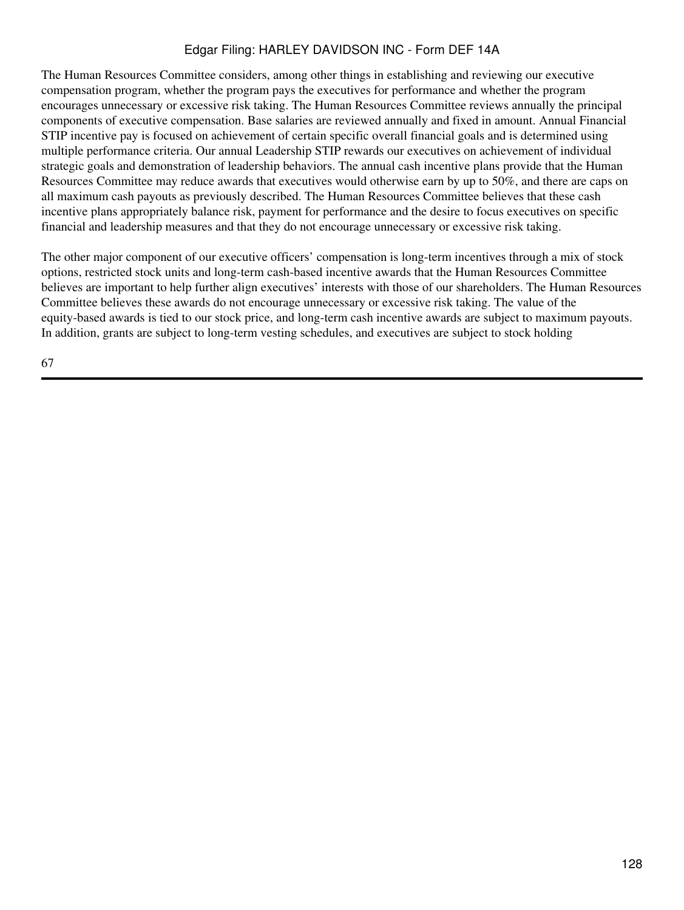The Human Resources Committee considers, among other things in establishing and reviewing our executive compensation program, whether the program pays the executives for performance and whether the program encourages unnecessary or excessive risk taking. The Human Resources Committee reviews annually the principal components of executive compensation. Base salaries are reviewed annually and fixed in amount. Annual Financial STIP incentive pay is focused on achievement of certain specific overall financial goals and is determined using multiple performance criteria. Our annual Leadership STIP rewards our executives on achievement of individual strategic goals and demonstration of leadership behaviors. The annual cash incentive plans provide that the Human Resources Committee may reduce awards that executives would otherwise earn by up to 50%, and there are caps on all maximum cash payouts as previously described. The Human Resources Committee believes that these cash incentive plans appropriately balance risk, payment for performance and the desire to focus executives on specific financial and leadership measures and that they do not encourage unnecessary or excessive risk taking.

The other major component of our executive officers' compensation is long-term incentives through a mix of stock options, restricted stock units and long-term cash-based incentive awards that the Human Resources Committee believes are important to help further align executives' interests with those of our shareholders. The Human Resources Committee believes these awards do not encourage unnecessary or excessive risk taking. The value of the equity-based awards is tied to our stock price, and long-term cash incentive awards are subject to maximum payouts. In addition, grants are subject to long-term vesting schedules, and executives are subject to stock holding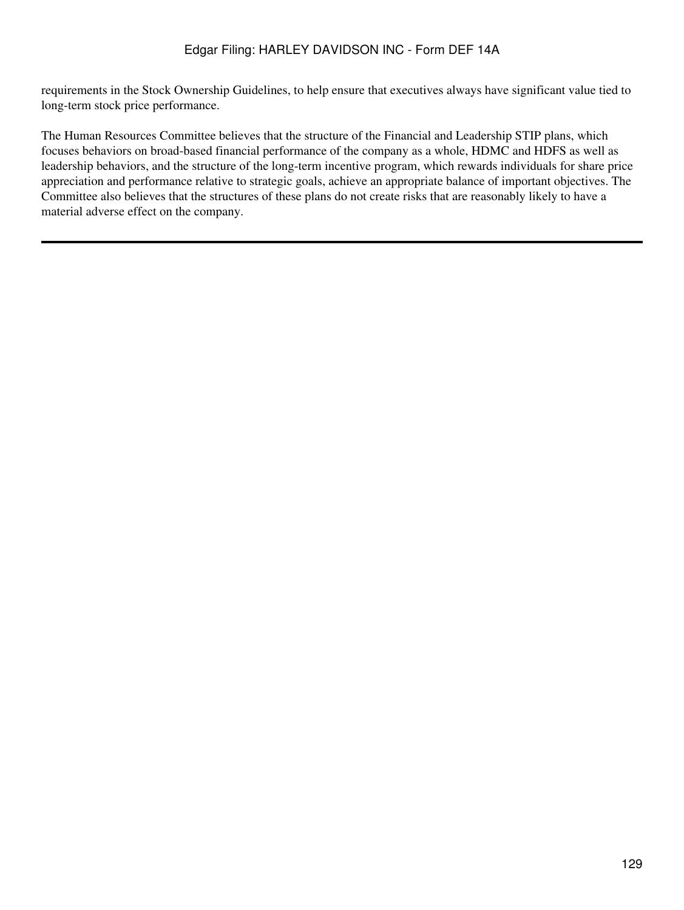requirements in the Stock Ownership Guidelines, to help ensure that executives always have significant value tied to long-term stock price performance.

The Human Resources Committee believes that the structure of the Financial and Leadership STIP plans, which focuses behaviors on broad-based financial performance of the company as a whole, HDMC and HDFS as well as leadership behaviors, and the structure of the long-term incentive program, which rewards individuals for share price appreciation and performance relative to strategic goals, achieve an appropriate balance of important objectives. The Committee also believes that the structures of these plans do not create risks that are reasonably likely to have a material adverse effect on the company.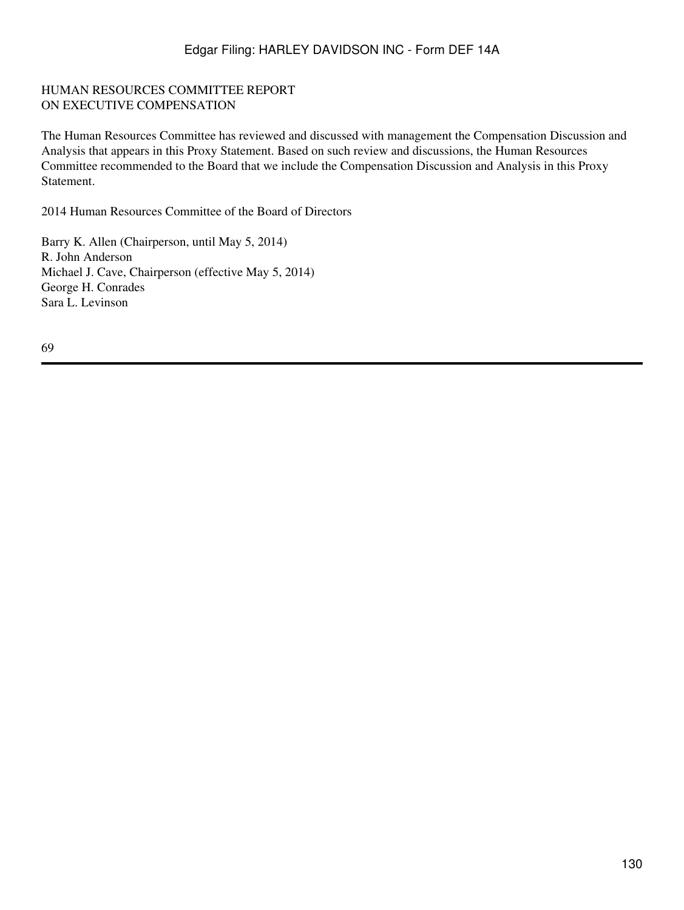#### HUMAN RESOURCES COMMITTEE REPORT ON EXECUTIVE COMPENSATION

The Human Resources Committee has reviewed and discussed with management the Compensation Discussion and Analysis that appears in this Proxy Statement. Based on such review and discussions, the Human Resources Committee recommended to the Board that we include the Compensation Discussion and Analysis in this Proxy Statement.

2014 Human Resources Committee of the Board of Directors

Barry K. Allen (Chairperson, until May 5, 2014) R. John Anderson Michael J. Cave, Chairperson (effective May 5, 2014) George H. Conrades Sara L. Levinson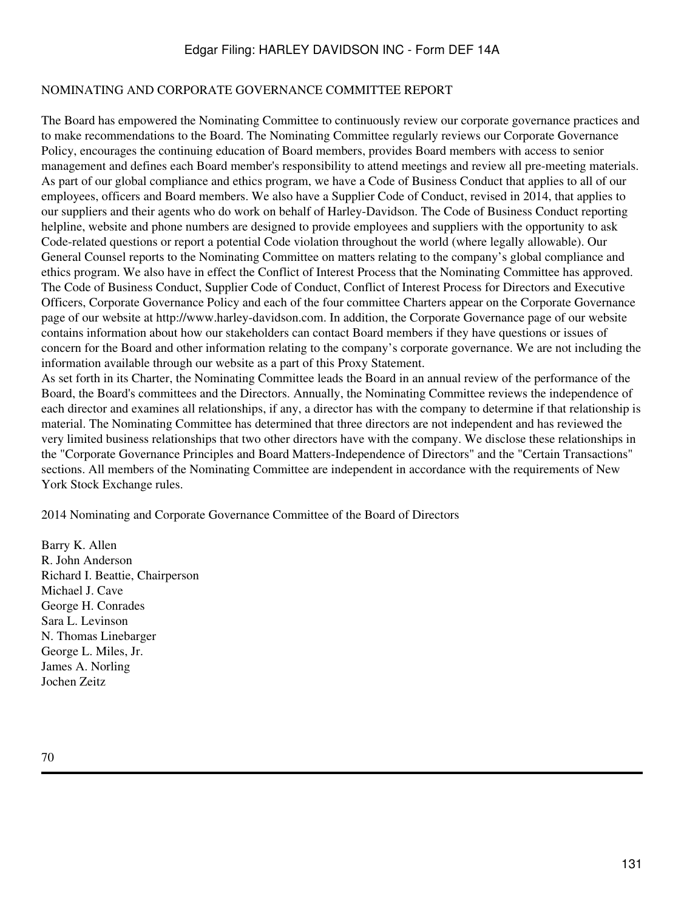#### NOMINATING AND CORPORATE GOVERNANCE COMMITTEE REPORT

The Board has empowered the Nominating Committee to continuously review our corporate governance practices and to make recommendations to the Board. The Nominating Committee regularly reviews our Corporate Governance Policy, encourages the continuing education of Board members, provides Board members with access to senior management and defines each Board member's responsibility to attend meetings and review all pre-meeting materials. As part of our global compliance and ethics program, we have a Code of Business Conduct that applies to all of our employees, officers and Board members. We also have a Supplier Code of Conduct, revised in 2014, that applies to our suppliers and their agents who do work on behalf of Harley-Davidson. The Code of Business Conduct reporting helpline, website and phone numbers are designed to provide employees and suppliers with the opportunity to ask Code-related questions or report a potential Code violation throughout the world (where legally allowable). Our General Counsel reports to the Nominating Committee on matters relating to the company's global compliance and ethics program. We also have in effect the Conflict of Interest Process that the Nominating Committee has approved. The Code of Business Conduct, Supplier Code of Conduct, Conflict of Interest Process for Directors and Executive Officers, Corporate Governance Policy and each of the four committee Charters appear on the Corporate Governance page of our website at http://www.harley-davidson.com. In addition, the Corporate Governance page of our website contains information about how our stakeholders can contact Board members if they have questions or issues of concern for the Board and other information relating to the company's corporate governance. We are not including the information available through our website as a part of this Proxy Statement.

As set forth in its Charter, the Nominating Committee leads the Board in an annual review of the performance of the Board, the Board's committees and the Directors. Annually, the Nominating Committee reviews the independence of each director and examines all relationships, if any, a director has with the company to determine if that relationship is material. The Nominating Committee has determined that three directors are not independent and has reviewed the very limited business relationships that two other directors have with the company. We disclose these relationships in the "Corporate Governance Principles and Board Matters-Independence of Directors" and the "Certain Transactions" sections. All members of the Nominating Committee are independent in accordance with the requirements of New York Stock Exchange rules.

2014 Nominating and Corporate Governance Committee of the Board of Directors

Barry K. Allen R. John Anderson Richard I. Beattie, Chairperson Michael J. Cave George H. Conrades Sara L. Levinson N. Thomas Linebarger George L. Miles, Jr. James A. Norling Jochen Zeitz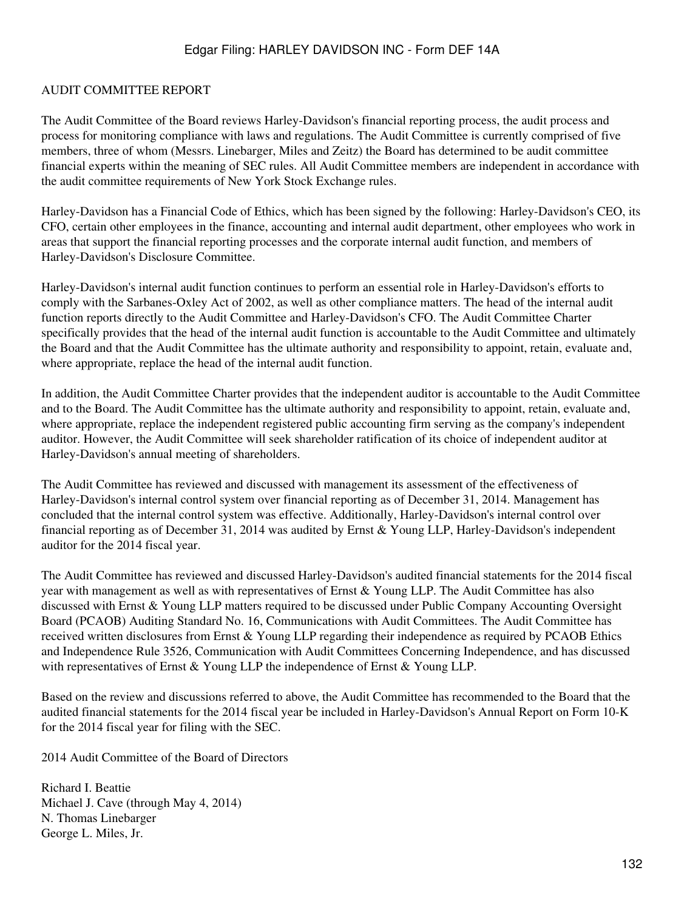#### AUDIT COMMITTEE REPORT

The Audit Committee of the Board reviews Harley-Davidson's financial reporting process, the audit process and process for monitoring compliance with laws and regulations. The Audit Committee is currently comprised of five members, three of whom (Messrs. Linebarger, Miles and Zeitz) the Board has determined to be audit committee financial experts within the meaning of SEC rules. All Audit Committee members are independent in accordance with the audit committee requirements of New York Stock Exchange rules.

Harley-Davidson has a Financial Code of Ethics, which has been signed by the following: Harley-Davidson's CEO, its CFO, certain other employees in the finance, accounting and internal audit department, other employees who work in areas that support the financial reporting processes and the corporate internal audit function, and members of Harley-Davidson's Disclosure Committee.

Harley-Davidson's internal audit function continues to perform an essential role in Harley-Davidson's efforts to comply with the Sarbanes-Oxley Act of 2002, as well as other compliance matters. The head of the internal audit function reports directly to the Audit Committee and Harley-Davidson's CFO. The Audit Committee Charter specifically provides that the head of the internal audit function is accountable to the Audit Committee and ultimately the Board and that the Audit Committee has the ultimate authority and responsibility to appoint, retain, evaluate and, where appropriate, replace the head of the internal audit function.

In addition, the Audit Committee Charter provides that the independent auditor is accountable to the Audit Committee and to the Board. The Audit Committee has the ultimate authority and responsibility to appoint, retain, evaluate and, where appropriate, replace the independent registered public accounting firm serving as the company's independent auditor. However, the Audit Committee will seek shareholder ratification of its choice of independent auditor at Harley-Davidson's annual meeting of shareholders.

The Audit Committee has reviewed and discussed with management its assessment of the effectiveness of Harley-Davidson's internal control system over financial reporting as of December 31, 2014. Management has concluded that the internal control system was effective. Additionally, Harley-Davidson's internal control over financial reporting as of December 31, 2014 was audited by Ernst & Young LLP, Harley-Davidson's independent auditor for the 2014 fiscal year.

The Audit Committee has reviewed and discussed Harley-Davidson's audited financial statements for the 2014 fiscal year with management as well as with representatives of Ernst & Young LLP. The Audit Committee has also discussed with Ernst & Young LLP matters required to be discussed under Public Company Accounting Oversight Board (PCAOB) Auditing Standard No. 16, Communications with Audit Committees. The Audit Committee has received written disclosures from Ernst & Young LLP regarding their independence as required by PCAOB Ethics and Independence Rule 3526, Communication with Audit Committees Concerning Independence, and has discussed with representatives of Ernst & Young LLP the independence of Ernst & Young LLP.

Based on the review and discussions referred to above, the Audit Committee has recommended to the Board that the audited financial statements for the 2014 fiscal year be included in Harley-Davidson's Annual Report on Form 10-K for the 2014 fiscal year for filing with the SEC.

2014 Audit Committee of the Board of Directors

Richard I. Beattie Michael J. Cave (through May 4, 2014) N. Thomas Linebarger George L. Miles, Jr.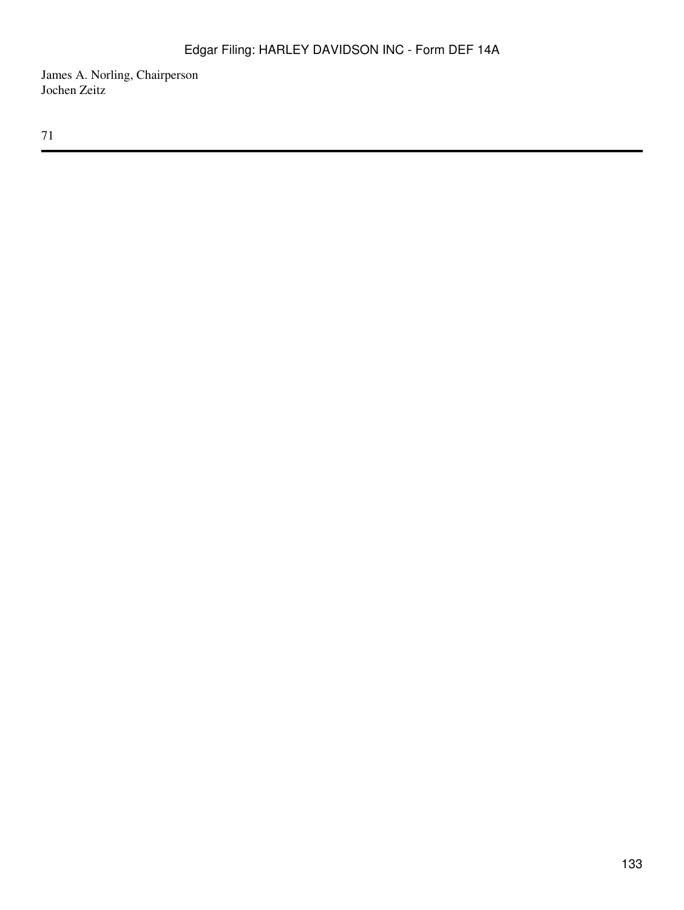James A. Norling, Chairperson Jochen Zeitz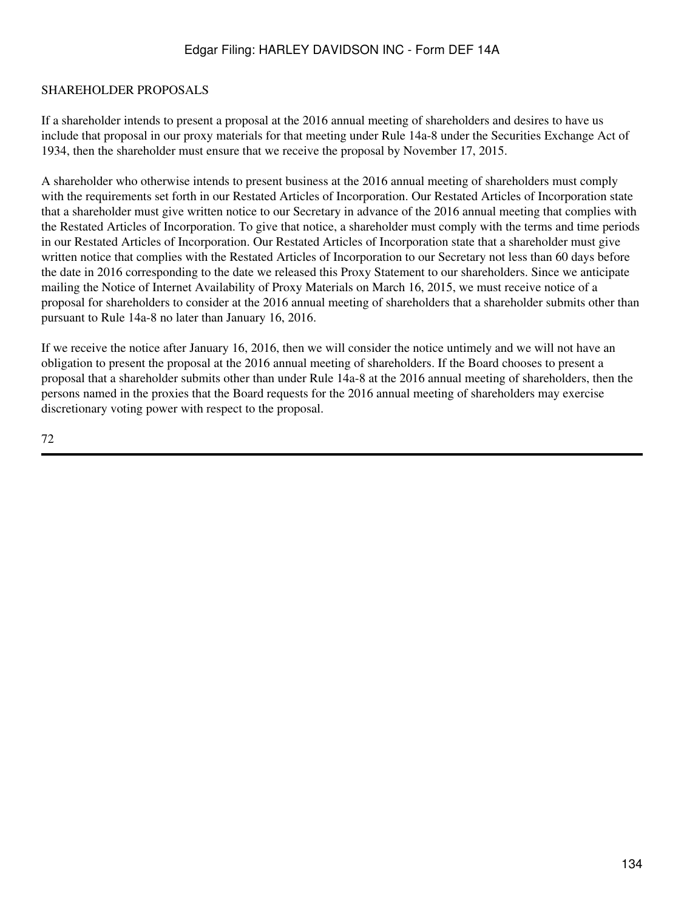### SHAREHOLDER PROPOSALS

If a shareholder intends to present a proposal at the 2016 annual meeting of shareholders and desires to have us include that proposal in our proxy materials for that meeting under Rule 14a-8 under the Securities Exchange Act of 1934, then the shareholder must ensure that we receive the proposal by November 17, 2015.

A shareholder who otherwise intends to present business at the 2016 annual meeting of shareholders must comply with the requirements set forth in our Restated Articles of Incorporation. Our Restated Articles of Incorporation state that a shareholder must give written notice to our Secretary in advance of the 2016 annual meeting that complies with the Restated Articles of Incorporation. To give that notice, a shareholder must comply with the terms and time periods in our Restated Articles of Incorporation. Our Restated Articles of Incorporation state that a shareholder must give written notice that complies with the Restated Articles of Incorporation to our Secretary not less than 60 days before the date in 2016 corresponding to the date we released this Proxy Statement to our shareholders. Since we anticipate mailing the Notice of Internet Availability of Proxy Materials on March 16, 2015, we must receive notice of a proposal for shareholders to consider at the 2016 annual meeting of shareholders that a shareholder submits other than pursuant to Rule 14a-8 no later than January 16, 2016.

If we receive the notice after January 16, 2016, then we will consider the notice untimely and we will not have an obligation to present the proposal at the 2016 annual meeting of shareholders. If the Board chooses to present a proposal that a shareholder submits other than under Rule 14a-8 at the 2016 annual meeting of shareholders, then the persons named in the proxies that the Board requests for the 2016 annual meeting of shareholders may exercise discretionary voting power with respect to the proposal.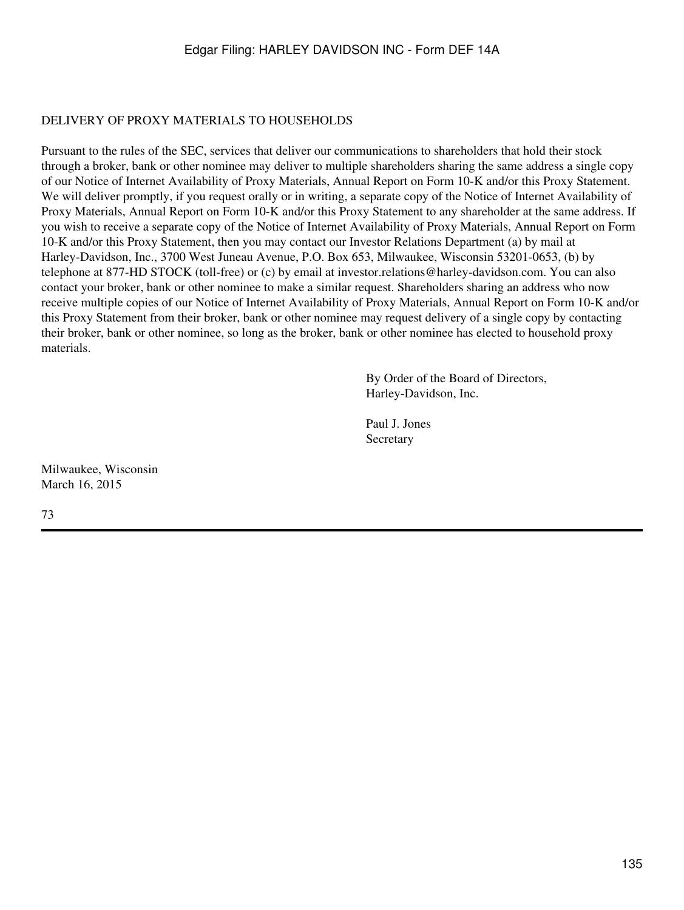### DELIVERY OF PROXY MATERIALS TO HOUSEHOLDS

Pursuant to the rules of the SEC, services that deliver our communications to shareholders that hold their stock through a broker, bank or other nominee may deliver to multiple shareholders sharing the same address a single copy of our Notice of Internet Availability of Proxy Materials, Annual Report on Form 10-K and/or this Proxy Statement. We will deliver promptly, if you request orally or in writing, a separate copy of the Notice of Internet Availability of Proxy Materials, Annual Report on Form 10-K and/or this Proxy Statement to any shareholder at the same address. If you wish to receive a separate copy of the Notice of Internet Availability of Proxy Materials, Annual Report on Form 10-K and/or this Proxy Statement, then you may contact our Investor Relations Department (a) by mail at Harley-Davidson, Inc., 3700 West Juneau Avenue, P.O. Box 653, Milwaukee, Wisconsin 53201-0653, (b) by telephone at 877-HD STOCK (toll-free) or (c) by email at investor.relations@harley-davidson.com. You can also contact your broker, bank or other nominee to make a similar request. Shareholders sharing an address who now receive multiple copies of our Notice of Internet Availability of Proxy Materials, Annual Report on Form 10-K and/or this Proxy Statement from their broker, bank or other nominee may request delivery of a single copy by contacting their broker, bank or other nominee, so long as the broker, bank or other nominee has elected to household proxy materials.

> By Order of the Board of Directors, Harley-Davidson, Inc.

Paul J. Jones **Secretary** 

Milwaukee, Wisconsin March 16, 2015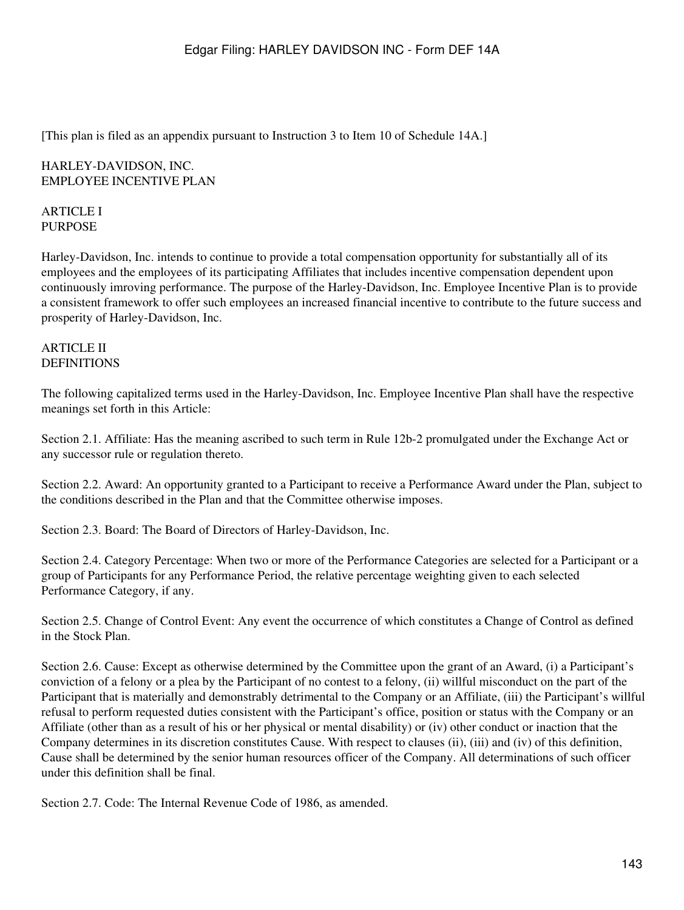[This plan is filed as an appendix pursuant to Instruction 3 to Item 10 of Schedule 14A.]

### HARLEY-DAVIDSON, INC. EMPLOYEE INCENTIVE PLAN

### ARTICLE I PURPOSE

Harley-Davidson, Inc. intends to continue to provide a total compensation opportunity for substantially all of its employees and the employees of its participating Affiliates that includes incentive compensation dependent upon continuously imroving performance. The purpose of the Harley-Davidson, Inc. Employee Incentive Plan is to provide a consistent framework to offer such employees an increased financial incentive to contribute to the future success and prosperity of Harley-Davidson, Inc.

### ARTICLE II **DEFINITIONS**

The following capitalized terms used in the Harley-Davidson, Inc. Employee Incentive Plan shall have the respective meanings set forth in this Article:

Section 2.1. Affiliate: Has the meaning ascribed to such term in Rule 12b-2 promulgated under the Exchange Act or any successor rule or regulation thereto.

Section 2.2. Award: An opportunity granted to a Participant to receive a Performance Award under the Plan, subject to the conditions described in the Plan and that the Committee otherwise imposes.

Section 2.3. Board: The Board of Directors of Harley-Davidson, Inc.

Section 2.4. Category Percentage: When two or more of the Performance Categories are selected for a Participant or a group of Participants for any Performance Period, the relative percentage weighting given to each selected Performance Category, if any.

Section 2.5. Change of Control Event: Any event the occurrence of which constitutes a Change of Control as defined in the Stock Plan.

Section 2.6. Cause: Except as otherwise determined by the Committee upon the grant of an Award, (i) a Participant's conviction of a felony or a plea by the Participant of no contest to a felony, (ii) willful misconduct on the part of the Participant that is materially and demonstrably detrimental to the Company or an Affiliate, (iii) the Participant's willful refusal to perform requested duties consistent with the Participant's office, position or status with the Company or an Affiliate (other than as a result of his or her physical or mental disability) or (iv) other conduct or inaction that the Company determines in its discretion constitutes Cause. With respect to clauses (ii), (iii) and (iv) of this definition, Cause shall be determined by the senior human resources officer of the Company. All determinations of such officer under this definition shall be final.

Section 2.7. Code: The Internal Revenue Code of 1986, as amended.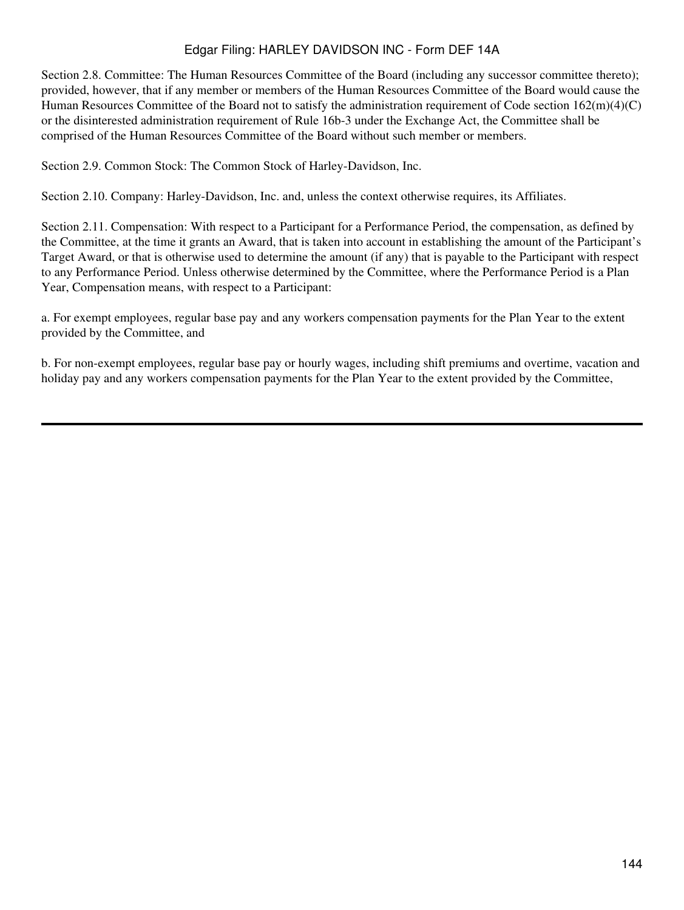Section 2.8. Committee: The Human Resources Committee of the Board (including any successor committee thereto); provided, however, that if any member or members of the Human Resources Committee of the Board would cause the Human Resources Committee of the Board not to satisfy the administration requirement of Code section 162(m)(4)(C) or the disinterested administration requirement of Rule 16b-3 under the Exchange Act, the Committee shall be comprised of the Human Resources Committee of the Board without such member or members.

Section 2.9. Common Stock: The Common Stock of Harley-Davidson, Inc.

Section 2.10. Company: Harley-Davidson, Inc. and, unless the context otherwise requires, its Affiliates.

Section 2.11. Compensation: With respect to a Participant for a Performance Period, the compensation, as defined by the Committee, at the time it grants an Award, that is taken into account in establishing the amount of the Participant's Target Award, or that is otherwise used to determine the amount (if any) that is payable to the Participant with respect to any Performance Period. Unless otherwise determined by the Committee, where the Performance Period is a Plan Year, Compensation means, with respect to a Participant:

a. For exempt employees, regular base pay and any workers compensation payments for the Plan Year to the extent provided by the Committee, and

b. For non-exempt employees, regular base pay or hourly wages, including shift premiums and overtime, vacation and holiday pay and any workers compensation payments for the Plan Year to the extent provided by the Committee,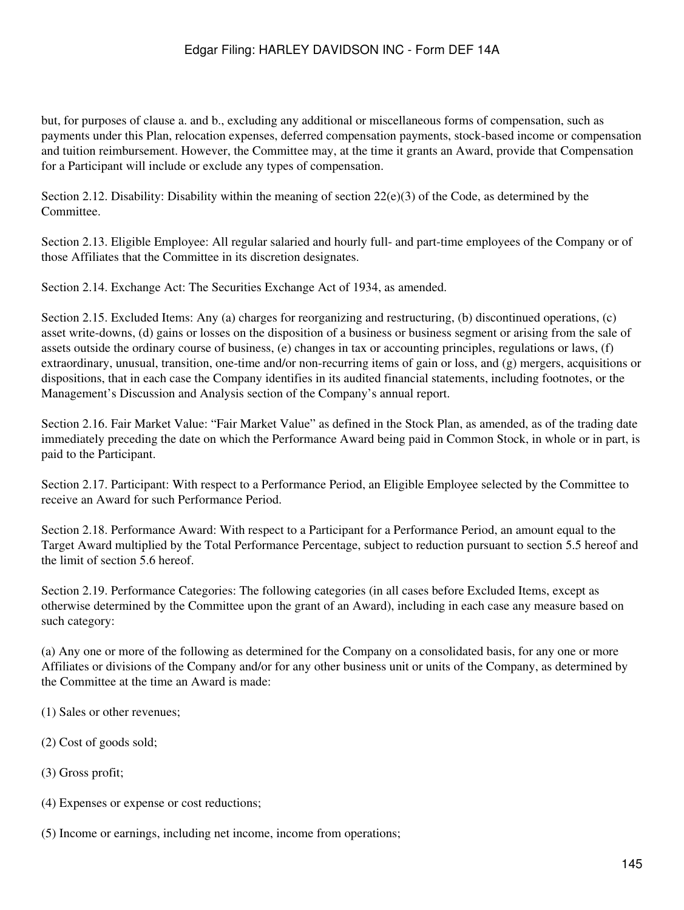but, for purposes of clause a. and b., excluding any additional or miscellaneous forms of compensation, such as payments under this Plan, relocation expenses, deferred compensation payments, stock-based income or compensation and tuition reimbursement. However, the Committee may, at the time it grants an Award, provide that Compensation for a Participant will include or exclude any types of compensation.

Section 2.12. Disability: Disability within the meaning of section 22(e)(3) of the Code, as determined by the **Committee** 

Section 2.13. Eligible Employee: All regular salaried and hourly full- and part-time employees of the Company or of those Affiliates that the Committee in its discretion designates.

Section 2.14. Exchange Act: The Securities Exchange Act of 1934, as amended.

Section 2.15. Excluded Items: Any (a) charges for reorganizing and restructuring, (b) discontinued operations, (c) asset write-downs, (d) gains or losses on the disposition of a business or business segment or arising from the sale of assets outside the ordinary course of business, (e) changes in tax or accounting principles, regulations or laws, (f) extraordinary, unusual, transition, one-time and/or non-recurring items of gain or loss, and (g) mergers, acquisitions or dispositions, that in each case the Company identifies in its audited financial statements, including footnotes, or the Management's Discussion and Analysis section of the Company's annual report.

Section 2.16. Fair Market Value: "Fair Market Value" as defined in the Stock Plan, as amended, as of the trading date immediately preceding the date on which the Performance Award being paid in Common Stock, in whole or in part, is paid to the Participant.

Section 2.17. Participant: With respect to a Performance Period, an Eligible Employee selected by the Committee to receive an Award for such Performance Period.

Section 2.18. Performance Award: With respect to a Participant for a Performance Period, an amount equal to the Target Award multiplied by the Total Performance Percentage, subject to reduction pursuant to section 5.5 hereof and the limit of section 5.6 hereof.

Section 2.19. Performance Categories: The following categories (in all cases before Excluded Items, except as otherwise determined by the Committee upon the grant of an Award), including in each case any measure based on such category:

(a) Any one or more of the following as determined for the Company on a consolidated basis, for any one or more Affiliates or divisions of the Company and/or for any other business unit or units of the Company, as determined by the Committee at the time an Award is made:

- (1) Sales or other revenues;
- (2) Cost of goods sold;
- (3) Gross profit;
- (4) Expenses or expense or cost reductions;
- (5) Income or earnings, including net income, income from operations;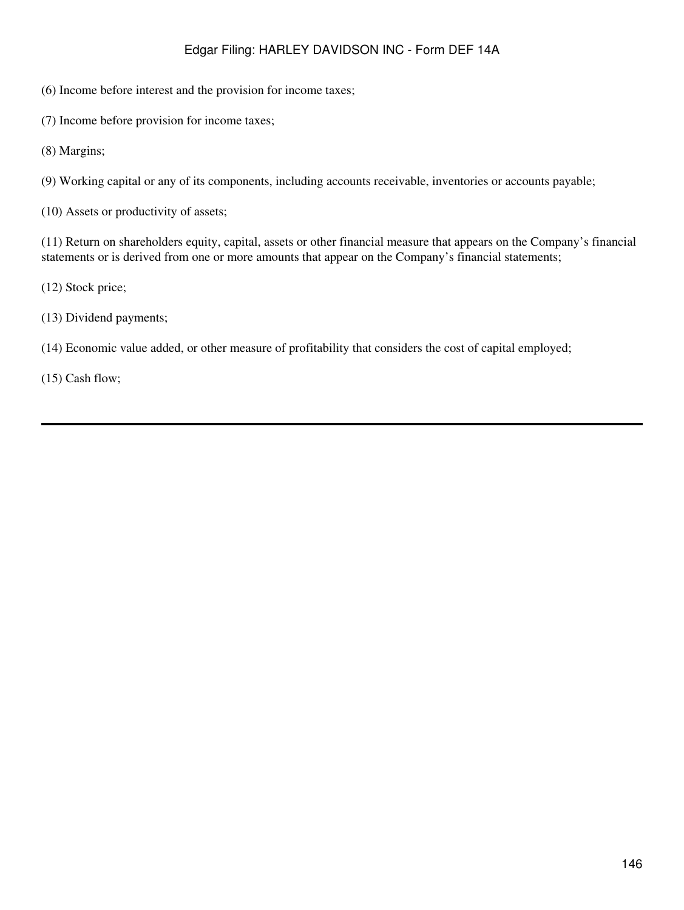(6) Income before interest and the provision for income taxes;

(7) Income before provision for income taxes;

(8) Margins;

(9) Working capital or any of its components, including accounts receivable, inventories or accounts payable;

(10) Assets or productivity of assets;

(11) Return on shareholders equity, capital, assets or other financial measure that appears on the Company's financial statements or is derived from one or more amounts that appear on the Company's financial statements;

(12) Stock price;

(13) Dividend payments;

(14) Economic value added, or other measure of profitability that considers the cost of capital employed;

(15) Cash flow;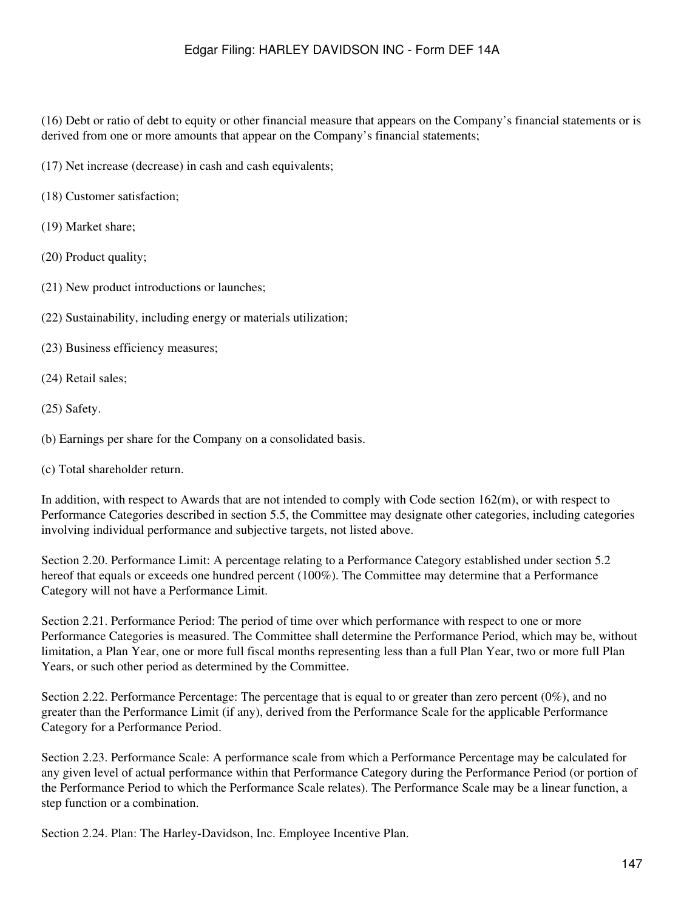(16) Debt or ratio of debt to equity or other financial measure that appears on the Company's financial statements or is derived from one or more amounts that appear on the Company's financial statements;

(17) Net increase (decrease) in cash and cash equivalents;

(18) Customer satisfaction;

(19) Market share;

(20) Product quality;

- (21) New product introductions or launches;
- (22) Sustainability, including energy or materials utilization;

(23) Business efficiency measures;

(24) Retail sales;

(25) Safety.

(b) Earnings per share for the Company on a consolidated basis.

(c) Total shareholder return.

In addition, with respect to Awards that are not intended to comply with Code section 162(m), or with respect to Performance Categories described in section 5.5, the Committee may designate other categories, including categories involving individual performance and subjective targets, not listed above.

Section 2.20. Performance Limit: A percentage relating to a Performance Category established under section 5.2 hereof that equals or exceeds one hundred percent (100%). The Committee may determine that a Performance Category will not have a Performance Limit.

Section 2.21. Performance Period: The period of time over which performance with respect to one or more Performance Categories is measured. The Committee shall determine the Performance Period, which may be, without limitation, a Plan Year, one or more full fiscal months representing less than a full Plan Year, two or more full Plan Years, or such other period as determined by the Committee.

Section 2.22. Performance Percentage: The percentage that is equal to or greater than zero percent (0%), and no greater than the Performance Limit (if any), derived from the Performance Scale for the applicable Performance Category for a Performance Period.

Section 2.23. Performance Scale: A performance scale from which a Performance Percentage may be calculated for any given level of actual performance within that Performance Category during the Performance Period (or portion of the Performance Period to which the Performance Scale relates). The Performance Scale may be a linear function, a step function or a combination.

Section 2.24. Plan: The Harley-Davidson, Inc. Employee Incentive Plan.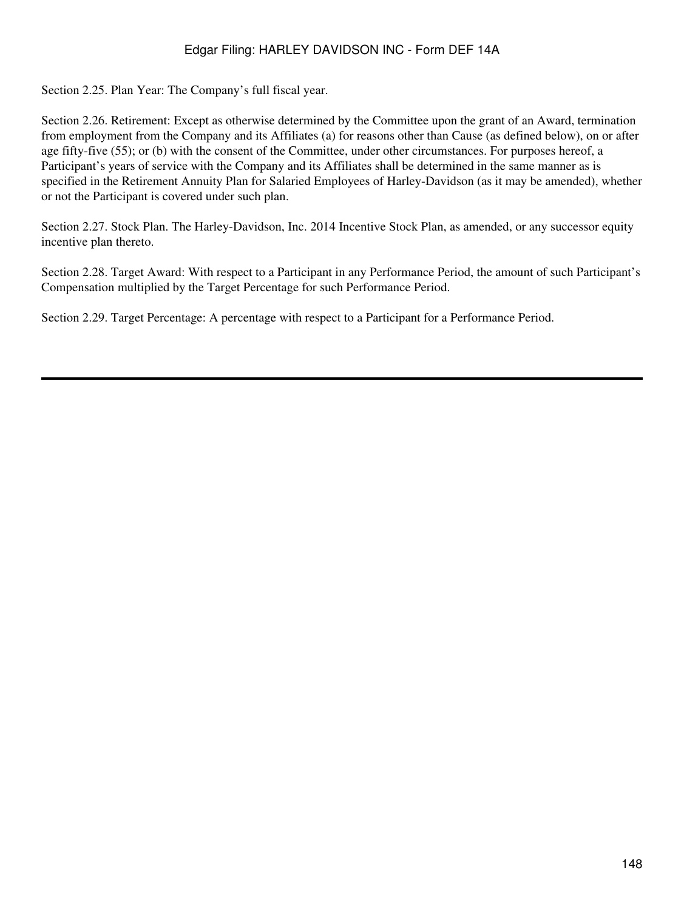Section 2.25. Plan Year: The Company's full fiscal year.

Section 2.26. Retirement: Except as otherwise determined by the Committee upon the grant of an Award, termination from employment from the Company and its Affiliates (a) for reasons other than Cause (as defined below), on or after age fifty-five (55); or (b) with the consent of the Committee, under other circumstances. For purposes hereof, a Participant's years of service with the Company and its Affiliates shall be determined in the same manner as is specified in the Retirement Annuity Plan for Salaried Employees of Harley-Davidson (as it may be amended), whether or not the Participant is covered under such plan.

Section 2.27. Stock Plan. The Harley-Davidson, Inc. 2014 Incentive Stock Plan, as amended, or any successor equity incentive plan thereto.

Section 2.28. Target Award: With respect to a Participant in any Performance Period, the amount of such Participant's Compensation multiplied by the Target Percentage for such Performance Period.

Section 2.29. Target Percentage: A percentage with respect to a Participant for a Performance Period.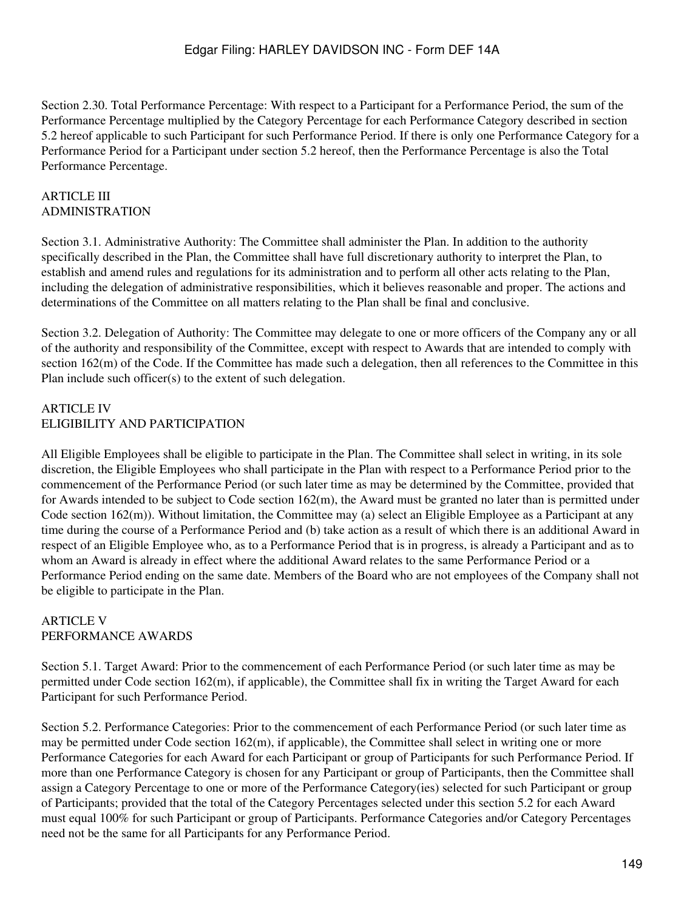Section 2.30. Total Performance Percentage: With respect to a Participant for a Performance Period, the sum of the Performance Percentage multiplied by the Category Percentage for each Performance Category described in section 5.2 hereof applicable to such Participant for such Performance Period. If there is only one Performance Category for a Performance Period for a Participant under section 5.2 hereof, then the Performance Percentage is also the Total Performance Percentage.

#### ARTICLE III ADMINISTRATION

Section 3.1. Administrative Authority: The Committee shall administer the Plan. In addition to the authority specifically described in the Plan, the Committee shall have full discretionary authority to interpret the Plan, to establish and amend rules and regulations for its administration and to perform all other acts relating to the Plan, including the delegation of administrative responsibilities, which it believes reasonable and proper. The actions and determinations of the Committee on all matters relating to the Plan shall be final and conclusive.

Section 3.2. Delegation of Authority: The Committee may delegate to one or more officers of the Company any or all of the authority and responsibility of the Committee, except with respect to Awards that are intended to comply with section 162(m) of the Code. If the Committee has made such a delegation, then all references to the Committee in this Plan include such officer(s) to the extent of such delegation.

### ARTICLE IV ELIGIBILITY AND PARTICIPATION

All Eligible Employees shall be eligible to participate in the Plan. The Committee shall select in writing, in its sole discretion, the Eligible Employees who shall participate in the Plan with respect to a Performance Period prior to the commencement of the Performance Period (or such later time as may be determined by the Committee, provided that for Awards intended to be subject to Code section 162(m), the Award must be granted no later than is permitted under Code section  $162(m)$ ). Without limitation, the Committee may (a) select an Eligible Employee as a Participant at any time during the course of a Performance Period and (b) take action as a result of which there is an additional Award in respect of an Eligible Employee who, as to a Performance Period that is in progress, is already a Participant and as to whom an Award is already in effect where the additional Award relates to the same Performance Period or a Performance Period ending on the same date. Members of the Board who are not employees of the Company shall not be eligible to participate in the Plan.

#### ARTICLE V PERFORMANCE AWARDS

Section 5.1. Target Award: Prior to the commencement of each Performance Period (or such later time as may be permitted under Code section 162(m), if applicable), the Committee shall fix in writing the Target Award for each Participant for such Performance Period.

Section 5.2. Performance Categories: Prior to the commencement of each Performance Period (or such later time as may be permitted under Code section 162(m), if applicable), the Committee shall select in writing one or more Performance Categories for each Award for each Participant or group of Participants for such Performance Period. If more than one Performance Category is chosen for any Participant or group of Participants, then the Committee shall assign a Category Percentage to one or more of the Performance Category(ies) selected for such Participant or group of Participants; provided that the total of the Category Percentages selected under this section 5.2 for each Award must equal 100% for such Participant or group of Participants. Performance Categories and/or Category Percentages need not be the same for all Participants for any Performance Period.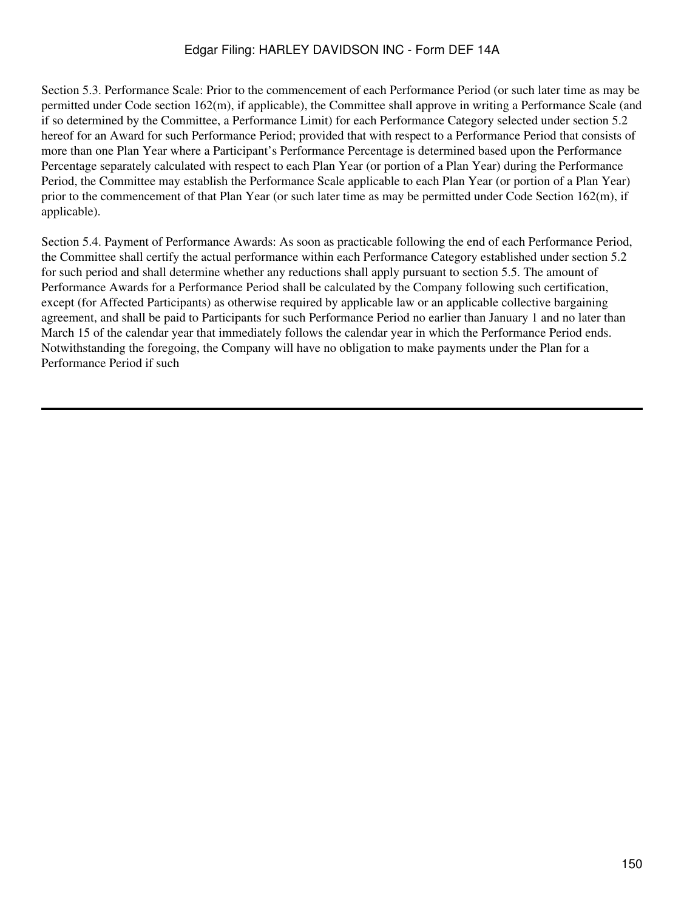Section 5.3. Performance Scale: Prior to the commencement of each Performance Period (or such later time as may be permitted under Code section 162(m), if applicable), the Committee shall approve in writing a Performance Scale (and if so determined by the Committee, a Performance Limit) for each Performance Category selected under section 5.2 hereof for an Award for such Performance Period; provided that with respect to a Performance Period that consists of more than one Plan Year where a Participant's Performance Percentage is determined based upon the Performance Percentage separately calculated with respect to each Plan Year (or portion of a Plan Year) during the Performance Period, the Committee may establish the Performance Scale applicable to each Plan Year (or portion of a Plan Year) prior to the commencement of that Plan Year (or such later time as may be permitted under Code Section 162(m), if applicable).

Section 5.4. Payment of Performance Awards: As soon as practicable following the end of each Performance Period, the Committee shall certify the actual performance within each Performance Category established under section 5.2 for such period and shall determine whether any reductions shall apply pursuant to section 5.5. The amount of Performance Awards for a Performance Period shall be calculated by the Company following such certification, except (for Affected Participants) as otherwise required by applicable law or an applicable collective bargaining agreement, and shall be paid to Participants for such Performance Period no earlier than January 1 and no later than March 15 of the calendar year that immediately follows the calendar year in which the Performance Period ends. Notwithstanding the foregoing, the Company will have no obligation to make payments under the Plan for a Performance Period if such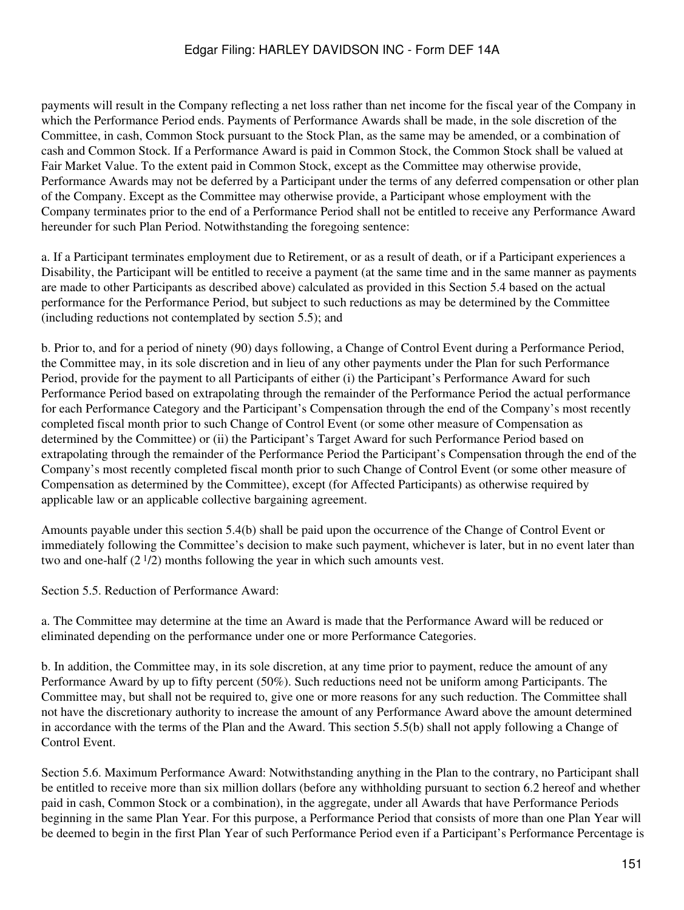payments will result in the Company reflecting a net loss rather than net income for the fiscal year of the Company in which the Performance Period ends. Payments of Performance Awards shall be made, in the sole discretion of the Committee, in cash, Common Stock pursuant to the Stock Plan, as the same may be amended, or a combination of cash and Common Stock. If a Performance Award is paid in Common Stock, the Common Stock shall be valued at Fair Market Value. To the extent paid in Common Stock, except as the Committee may otherwise provide, Performance Awards may not be deferred by a Participant under the terms of any deferred compensation or other plan of the Company. Except as the Committee may otherwise provide, a Participant whose employment with the Company terminates prior to the end of a Performance Period shall not be entitled to receive any Performance Award hereunder for such Plan Period. Notwithstanding the foregoing sentence:

a. If a Participant terminates employment due to Retirement, or as a result of death, or if a Participant experiences a Disability, the Participant will be entitled to receive a payment (at the same time and in the same manner as payments are made to other Participants as described above) calculated as provided in this Section 5.4 based on the actual performance for the Performance Period, but subject to such reductions as may be determined by the Committee (including reductions not contemplated by section 5.5); and

b. Prior to, and for a period of ninety (90) days following, a Change of Control Event during a Performance Period, the Committee may, in its sole discretion and in lieu of any other payments under the Plan for such Performance Period, provide for the payment to all Participants of either (i) the Participant's Performance Award for such Performance Period based on extrapolating through the remainder of the Performance Period the actual performance for each Performance Category and the Participant's Compensation through the end of the Company's most recently completed fiscal month prior to such Change of Control Event (or some other measure of Compensation as determined by the Committee) or (ii) the Participant's Target Award for such Performance Period based on extrapolating through the remainder of the Performance Period the Participant's Compensation through the end of the Company's most recently completed fiscal month prior to such Change of Control Event (or some other measure of Compensation as determined by the Committee), except (for Affected Participants) as otherwise required by applicable law or an applicable collective bargaining agreement.

Amounts payable under this section 5.4(b) shall be paid upon the occurrence of the Change of Control Event or immediately following the Committee's decision to make such payment, whichever is later, but in no event later than two and one-half  $(2^{1/2})$  months following the year in which such amounts vest.

Section 5.5. Reduction of Performance Award:

a. The Committee may determine at the time an Award is made that the Performance Award will be reduced or eliminated depending on the performance under one or more Performance Categories.

b. In addition, the Committee may, in its sole discretion, at any time prior to payment, reduce the amount of any Performance Award by up to fifty percent (50%). Such reductions need not be uniform among Participants. The Committee may, but shall not be required to, give one or more reasons for any such reduction. The Committee shall not have the discretionary authority to increase the amount of any Performance Award above the amount determined in accordance with the terms of the Plan and the Award. This section 5.5(b) shall not apply following a Change of Control Event.

Section 5.6. Maximum Performance Award: Notwithstanding anything in the Plan to the contrary, no Participant shall be entitled to receive more than six million dollars (before any withholding pursuant to section 6.2 hereof and whether paid in cash, Common Stock or a combination), in the aggregate, under all Awards that have Performance Periods beginning in the same Plan Year. For this purpose, a Performance Period that consists of more than one Plan Year will be deemed to begin in the first Plan Year of such Performance Period even if a Participant's Performance Percentage is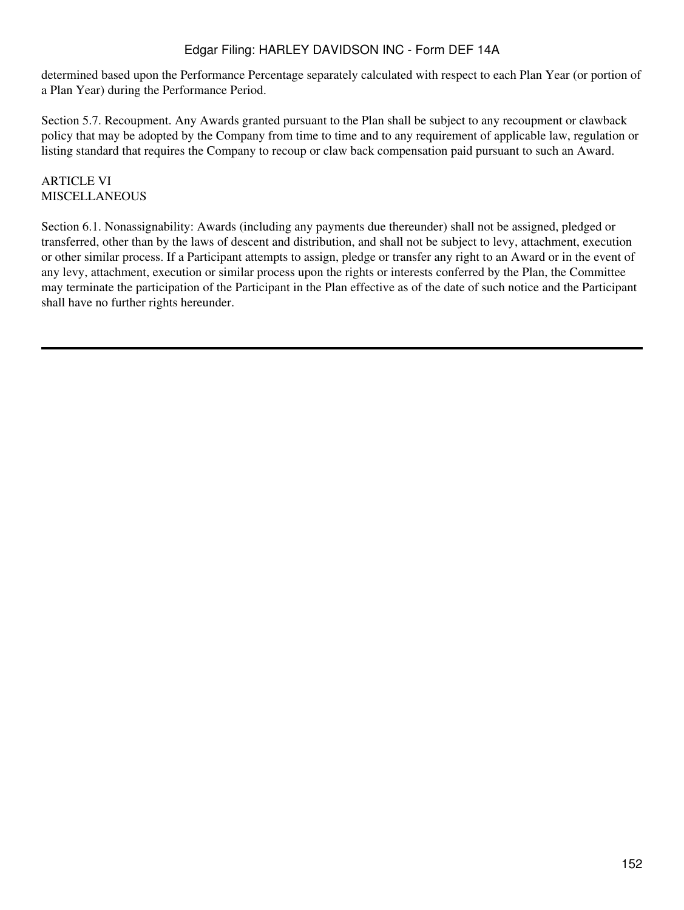determined based upon the Performance Percentage separately calculated with respect to each Plan Year (or portion of a Plan Year) during the Performance Period.

Section 5.7. Recoupment. Any Awards granted pursuant to the Plan shall be subject to any recoupment or clawback policy that may be adopted by the Company from time to time and to any requirement of applicable law, regulation or listing standard that requires the Company to recoup or claw back compensation paid pursuant to such an Award.

### ARTICLE VI MISCELLANEOUS

Section 6.1. Nonassignability: Awards (including any payments due thereunder) shall not be assigned, pledged or transferred, other than by the laws of descent and distribution, and shall not be subject to levy, attachment, execution or other similar process. If a Participant attempts to assign, pledge or transfer any right to an Award or in the event of any levy, attachment, execution or similar process upon the rights or interests conferred by the Plan, the Committee may terminate the participation of the Participant in the Plan effective as of the date of such notice and the Participant shall have no further rights hereunder.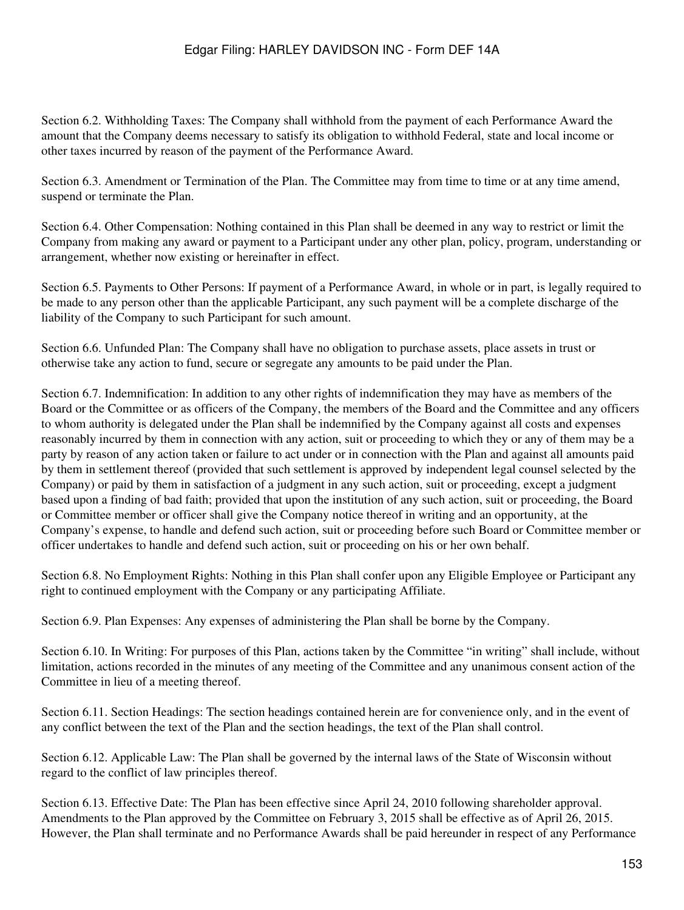Section 6.2. Withholding Taxes: The Company shall withhold from the payment of each Performance Award the amount that the Company deems necessary to satisfy its obligation to withhold Federal, state and local income or other taxes incurred by reason of the payment of the Performance Award.

Section 6.3. Amendment or Termination of the Plan. The Committee may from time to time or at any time amend, suspend or terminate the Plan.

Section 6.4. Other Compensation: Nothing contained in this Plan shall be deemed in any way to restrict or limit the Company from making any award or payment to a Participant under any other plan, policy, program, understanding or arrangement, whether now existing or hereinafter in effect.

Section 6.5. Payments to Other Persons: If payment of a Performance Award, in whole or in part, is legally required to be made to any person other than the applicable Participant, any such payment will be a complete discharge of the liability of the Company to such Participant for such amount.

Section 6.6. Unfunded Plan: The Company shall have no obligation to purchase assets, place assets in trust or otherwise take any action to fund, secure or segregate any amounts to be paid under the Plan.

Section 6.7. Indemnification: In addition to any other rights of indemnification they may have as members of the Board or the Committee or as officers of the Company, the members of the Board and the Committee and any officers to whom authority is delegated under the Plan shall be indemnified by the Company against all costs and expenses reasonably incurred by them in connection with any action, suit or proceeding to which they or any of them may be a party by reason of any action taken or failure to act under or in connection with the Plan and against all amounts paid by them in settlement thereof (provided that such settlement is approved by independent legal counsel selected by the Company) or paid by them in satisfaction of a judgment in any such action, suit or proceeding, except a judgment based upon a finding of bad faith; provided that upon the institution of any such action, suit or proceeding, the Board or Committee member or officer shall give the Company notice thereof in writing and an opportunity, at the Company's expense, to handle and defend such action, suit or proceeding before such Board or Committee member or officer undertakes to handle and defend such action, suit or proceeding on his or her own behalf.

Section 6.8. No Employment Rights: Nothing in this Plan shall confer upon any Eligible Employee or Participant any right to continued employment with the Company or any participating Affiliate.

Section 6.9. Plan Expenses: Any expenses of administering the Plan shall be borne by the Company.

Section 6.10. In Writing: For purposes of this Plan, actions taken by the Committee "in writing" shall include, without limitation, actions recorded in the minutes of any meeting of the Committee and any unanimous consent action of the Committee in lieu of a meeting thereof.

Section 6.11. Section Headings: The section headings contained herein are for convenience only, and in the event of any conflict between the text of the Plan and the section headings, the text of the Plan shall control.

Section 6.12. Applicable Law: The Plan shall be governed by the internal laws of the State of Wisconsin without regard to the conflict of law principles thereof.

Section 6.13. Effective Date: The Plan has been effective since April 24, 2010 following shareholder approval. Amendments to the Plan approved by the Committee on February 3, 2015 shall be effective as of April 26, 2015. However, the Plan shall terminate and no Performance Awards shall be paid hereunder in respect of any Performance